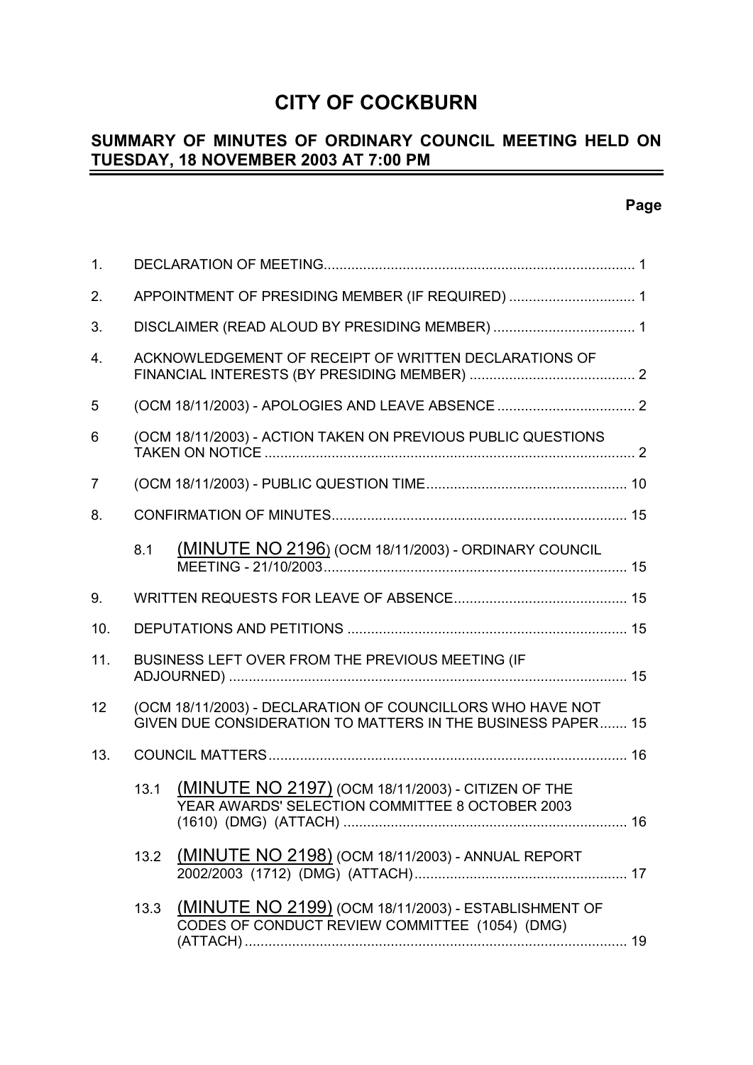# **CITY OF COCKBURN**

#### **SUMMARY OF MINUTES OF ORDINARY COUNCIL MEETING HELD ON TUESDAY, 18 NOVEMBER 2003 AT 7:00 PM** -

# **Page**

| 1.  |                                                  |                                                                                                                           |  |
|-----|--------------------------------------------------|---------------------------------------------------------------------------------------------------------------------------|--|
| 2.  | APPOINTMENT OF PRESIDING MEMBER (IF REQUIRED)  1 |                                                                                                                           |  |
| 3.  |                                                  |                                                                                                                           |  |
| 4.  |                                                  | ACKNOWLEDGEMENT OF RECEIPT OF WRITTEN DECLARATIONS OF                                                                     |  |
| 5   |                                                  |                                                                                                                           |  |
| 6   |                                                  | (OCM 18/11/2003) - ACTION TAKEN ON PREVIOUS PUBLIC QUESTIONS                                                              |  |
| 7   |                                                  |                                                                                                                           |  |
| 8.  |                                                  |                                                                                                                           |  |
|     | 8.1                                              | (MINUTE NO 2196) (OCM 18/11/2003) - ORDINARY COUNCIL                                                                      |  |
| 9.  |                                                  |                                                                                                                           |  |
| 10. |                                                  |                                                                                                                           |  |
| 11. |                                                  | BUSINESS LEFT OVER FROM THE PREVIOUS MEETING (IF                                                                          |  |
| 12  |                                                  | (OCM 18/11/2003) - DECLARATION OF COUNCILLORS WHO HAVE NOT<br>GIVEN DUE CONSIDERATION TO MATTERS IN THE BUSINESS PAPER 15 |  |
| 13. |                                                  |                                                                                                                           |  |
|     | 13.1                                             | (MINUTE NO 2197) (OCM 18/11/2003) - CITIZEN OF THE<br>YEAR AWARDS' SELECTION COMMITTEE 8 OCTOBER 2003                     |  |
|     |                                                  | 13.2 (MINUTE NO 2198) (OCM 18/11/2003) - ANNUAL REPORT                                                                    |  |
|     | 13.3                                             | (MINUTE NO 2199) (OCM 18/11/2003) - ESTABLISHMENT OF<br>CODES OF CONDUCT REVIEW COMMITTEE (1054) (DMG)                    |  |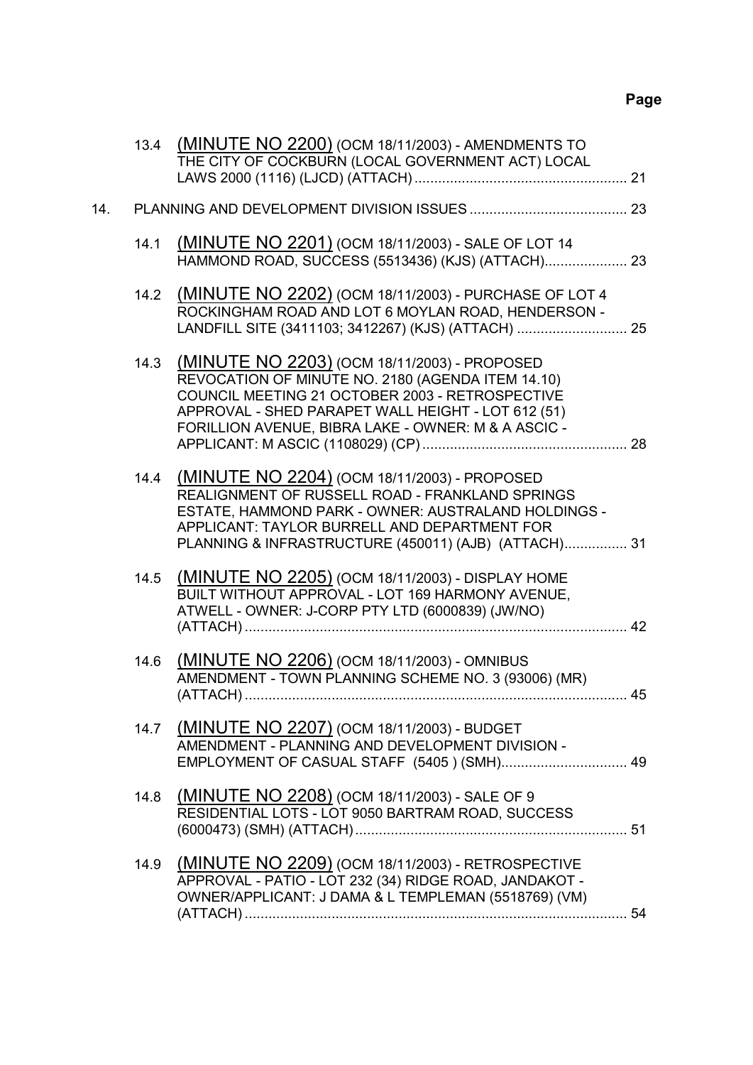|     |      | 13.4 (MINUTE NO 2200) (OCM 18/11/2003) - AMENDMENTS TO<br>THE CITY OF COCKBURN (LOCAL GOVERNMENT ACT) LOCAL                                                                                                                                                       |  |
|-----|------|-------------------------------------------------------------------------------------------------------------------------------------------------------------------------------------------------------------------------------------------------------------------|--|
| 14. |      |                                                                                                                                                                                                                                                                   |  |
|     | 14.1 | (MINUTE NO 2201) (OCM 18/11/2003) - SALE OF LOT 14<br>HAMMOND ROAD, SUCCESS (5513436) (KJS) (ATTACH) 23                                                                                                                                                           |  |
|     | 14.2 | (MINUTE NO 2202) (OCM 18/11/2003) - PURCHASE OF LOT 4<br>ROCKINGHAM ROAD AND LOT 6 MOYLAN ROAD, HENDERSON -<br>LANDFILL SITE (3411103; 3412267) (KJS) (ATTACH)  25                                                                                                |  |
|     | 14.3 | (MINUTE NO 2203) (OCM 18/11/2003) - PROPOSED<br>REVOCATION OF MINUTE NO. 2180 (AGENDA ITEM 14.10)<br>COUNCIL MEETING 21 OCTOBER 2003 - RETROSPECTIVE<br>APPROVAL - SHED PARAPET WALL HEIGHT - LOT 612 (51)<br>FORILLION AVENUE, BIBRA LAKE - OWNER: M & A ASCIC - |  |
|     | 14.4 | (MINUTE NO 2204) (OCM 18/11/2003) - PROPOSED<br>REALIGNMENT OF RUSSELL ROAD - FRANKLAND SPRINGS<br>ESTATE, HAMMOND PARK - OWNER: AUSTRALAND HOLDINGS -<br>APPLICANT: TAYLOR BURRELL AND DEPARTMENT FOR<br>PLANNING & INFRASTRUCTURE (450011) (AJB) (ATTACH) 31    |  |
|     | 14.5 | (MINUTE NO 2205) (OCM 18/11/2003) - DISPLAY HOME<br>BUILT WITHOUT APPROVAL - LOT 169 HARMONY AVENUE,<br>ATWELL - OWNER: J-CORP PTY LTD (6000839) (JW/NO)                                                                                                          |  |
|     | 14.6 | (MINUTE NO 2206) (OCM 18/11/2003) - OMNIBUS<br>AMENDMENT - TOWN PLANNING SCHEME NO. 3 (93006) (MR)                                                                                                                                                                |  |
|     |      | 14.7 (MINUTE NO 2207) (OCM 18/11/2003) - BUDGET<br>AMENDMENT - PLANNING AND DEVELOPMENT DIVISION -                                                                                                                                                                |  |
|     | 14.8 | (MINUTE NO 2208) (OCM 18/11/2003) - SALE OF 9<br>RESIDENTIAL LOTS - LOT 9050 BARTRAM ROAD, SUCCESS                                                                                                                                                                |  |
|     | 14.9 | (MINUTE NO 2209) (OCM 18/11/2003) - RETROSPECTIVE<br>APPROVAL - PATIO - LOT 232 (34) RIDGE ROAD, JANDAKOT -<br>OWNER/APPLICANT: J DAMA & L TEMPLEMAN (5518769) (VM)                                                                                               |  |
|     |      |                                                                                                                                                                                                                                                                   |  |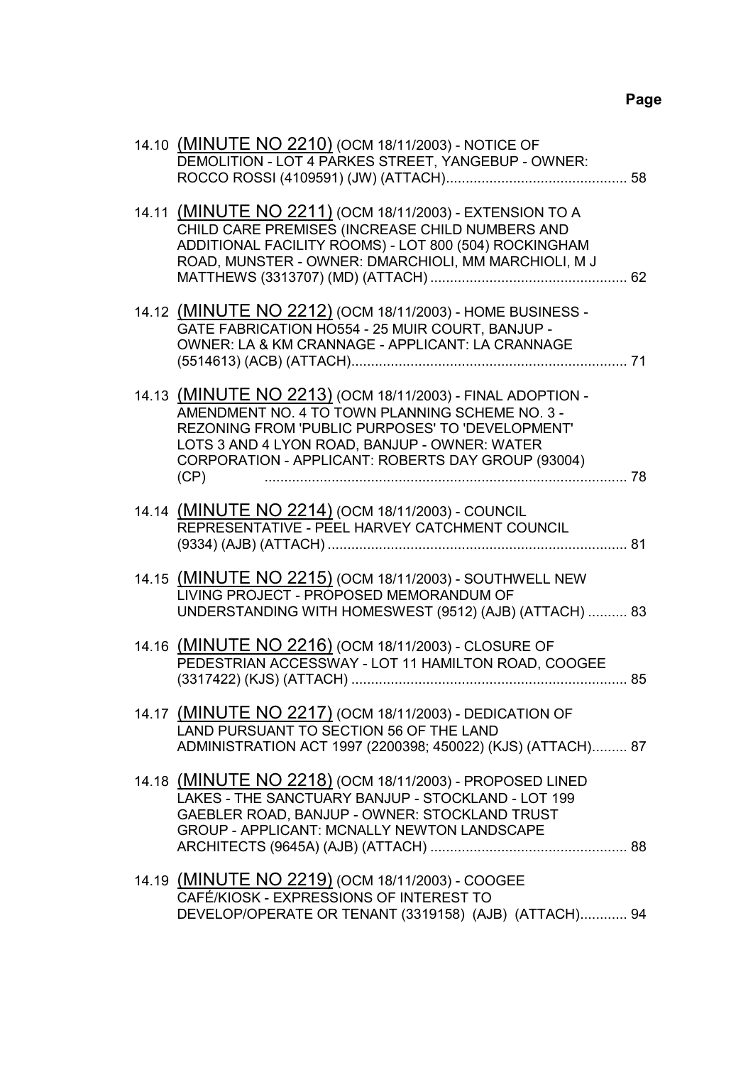| 14.10 (MINUTE NO 2210) (OCM 18/11/2003) - NOTICE OF<br>DEMOLITION - LOT 4 PARKES STREET, YANGEBUP - OWNER:                                                                                                                                                                       |  |
|----------------------------------------------------------------------------------------------------------------------------------------------------------------------------------------------------------------------------------------------------------------------------------|--|
| 14.11 (MINUTE NO 2211) (OCM 18/11/2003) - EXTENSION TO A<br>CHILD CARE PREMISES (INCREASE CHILD NUMBERS AND<br>ADDITIONAL FACILITY ROOMS) - LOT 800 (504) ROCKINGHAM<br>ROAD, MUNSTER - OWNER: DMARCHIOLI, MM MARCHIOLI, MJ                                                      |  |
| 14.12 (MINUTE NO 2212) (OCM 18/11/2003) - HOME BUSINESS -<br>GATE FABRICATION HO554 - 25 MUIR COURT, BANJUP -<br>OWNER: LA & KM CRANNAGE - APPLICANT: LA CRANNAGE                                                                                                                |  |
| 14.13 (MINUTE NO 2213) (OCM 18/11/2003) - FINAL ADOPTION -<br>AMENDMENT NO. 4 TO TOWN PLANNING SCHEME NO. 3 -<br>REZONING FROM 'PUBLIC PURPOSES' TO 'DEVELOPMENT'<br>LOTS 3 AND 4 LYON ROAD, BANJUP - OWNER: WATER<br>CORPORATION - APPLICANT: ROBERTS DAY GROUP (93004)<br>(CP) |  |
| 14.14 (MINUTE NO 2214) (OCM 18/11/2003) - COUNCIL<br>REPRESENTATIVE - PEEL HARVEY CATCHMENT COUNCIL                                                                                                                                                                              |  |
| 14.15 (MINUTE NO 2215) (OCM 18/11/2003) - SOUTHWELL NEW<br>LIVING PROJECT - PROPOSED MEMORANDUM OF<br>UNDERSTANDING WITH HOMESWEST (9512) (AJB) (ATTACH)  83                                                                                                                     |  |
| 14.16 (MINUTE NO 2216) (OCM 18/11/2003) - CLOSURE OF<br>PEDESTRIAN ACCESSWAY - LOT 11 HAMILTON ROAD, COOGEE                                                                                                                                                                      |  |
| 14.17 (MINUTE NO 2217) (OCM 18/11/2003) - DEDICATION OF<br>LAND PURSUANT TO SECTION 56 OF THE LAND<br>ADMINISTRATION ACT 1997 (2200398; 450022) (KJS) (ATTACH) 87                                                                                                                |  |
| 14.18 (MINUTE NO 2218) (OCM 18/11/2003) - PROPOSED LINED<br>LAKES - THE SANCTUARY BANJUP - STOCKLAND - LOT 199<br>GAEBLER ROAD, BANJUP - OWNER: STOCKLAND TRUST<br><b>GROUP - APPLICANT: MCNALLY NEWTON LANDSCAPE</b>                                                            |  |
| 14.19 (MINUTE NO 2219) (OCM 18/11/2003) - COOGEE<br>CAFÉ/KIOSK - EXPRESSIONS OF INTEREST TO<br>DEVELOP/OPERATE OR TENANT (3319158) (AJB) (ATTACH) 94                                                                                                                             |  |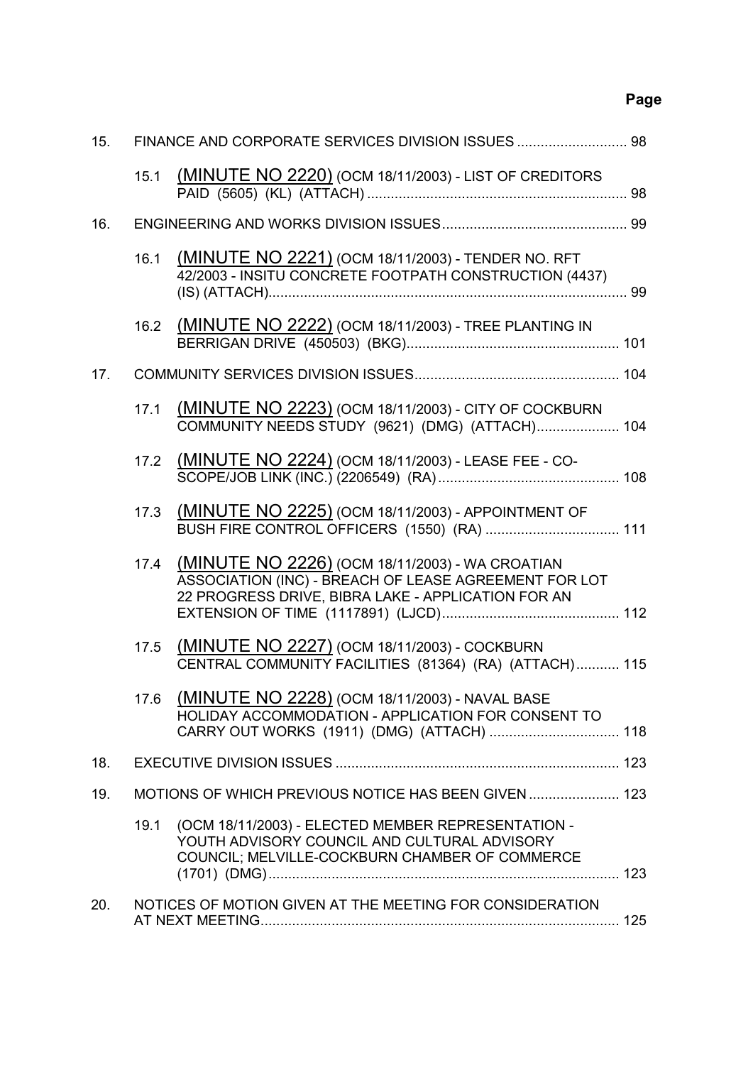# **Page**

| 15. |      |                                                                                                                                                                |  |
|-----|------|----------------------------------------------------------------------------------------------------------------------------------------------------------------|--|
|     | 15.1 | (MINUTE NO 2220) (OCM 18/11/2003) - LIST OF CREDITORS                                                                                                          |  |
| 16. |      |                                                                                                                                                                |  |
|     | 16.1 | (MINUTE NO 2221) (OCM 18/11/2003) - TENDER NO. RFT<br>42/2003 - INSITU CONCRETE FOOTPATH CONSTRUCTION (4437)                                                   |  |
|     | 16.2 | (MINUTE NO 2222) (OCM 18/11/2003) - TREE PLANTING IN                                                                                                           |  |
| 17. |      |                                                                                                                                                                |  |
|     | 17.1 | (MINUTE NO 2223) (OCM 18/11/2003) - CITY OF COCKBURN<br>COMMUNITY NEEDS STUDY (9621) (DMG) (ATTACH) 104                                                        |  |
|     | 17.2 | (MINUTE NO 2224) (OCM 18/11/2003) - LEASE FEE - CO-                                                                                                            |  |
|     | 17.3 | (MINUTE NO 2225) (OCM 18/11/2003) - APPOINTMENT OF<br>BUSH FIRE CONTROL OFFICERS (1550) (RA)  111                                                              |  |
|     | 17.4 | (MINUTE NO 2226) (OCM 18/11/2003) - WA CROATIAN<br>ASSOCIATION (INC) - BREACH OF LEASE AGREEMENT FOR LOT<br>22 PROGRESS DRIVE, BIBRA LAKE - APPLICATION FOR AN |  |
|     | 17.5 | (MINUTE NO 2227) (OCM 18/11/2003) - COCKBURN<br>CENTRAL COMMUNITY FACILITIES (81364) (RA) (ATTACH) 115                                                         |  |
|     | 17.6 | (MINUTE NO 2228) (OCM 18/11/2003) - NAVAL BASE<br>HOLIDAY ACCOMMODATION - APPLICATION FOR CONSENT TO<br>CARRY OUT WORKS (1911) (DMG) (ATTACH)  118             |  |
| 18. |      |                                                                                                                                                                |  |
| 19. |      | MOTIONS OF WHICH PREVIOUS NOTICE HAS BEEN GIVEN  123                                                                                                           |  |
|     | 19.1 | (OCM 18/11/2003) - ELECTED MEMBER REPRESENTATION -<br>YOUTH ADVISORY COUNCIL AND CULTURAL ADVISORY<br>COUNCIL; MELVILLE-COCKBURN CHAMBER OF COMMERCE           |  |
| 20. |      | NOTICES OF MOTION GIVEN AT THE MEETING FOR CONSIDERATION                                                                                                       |  |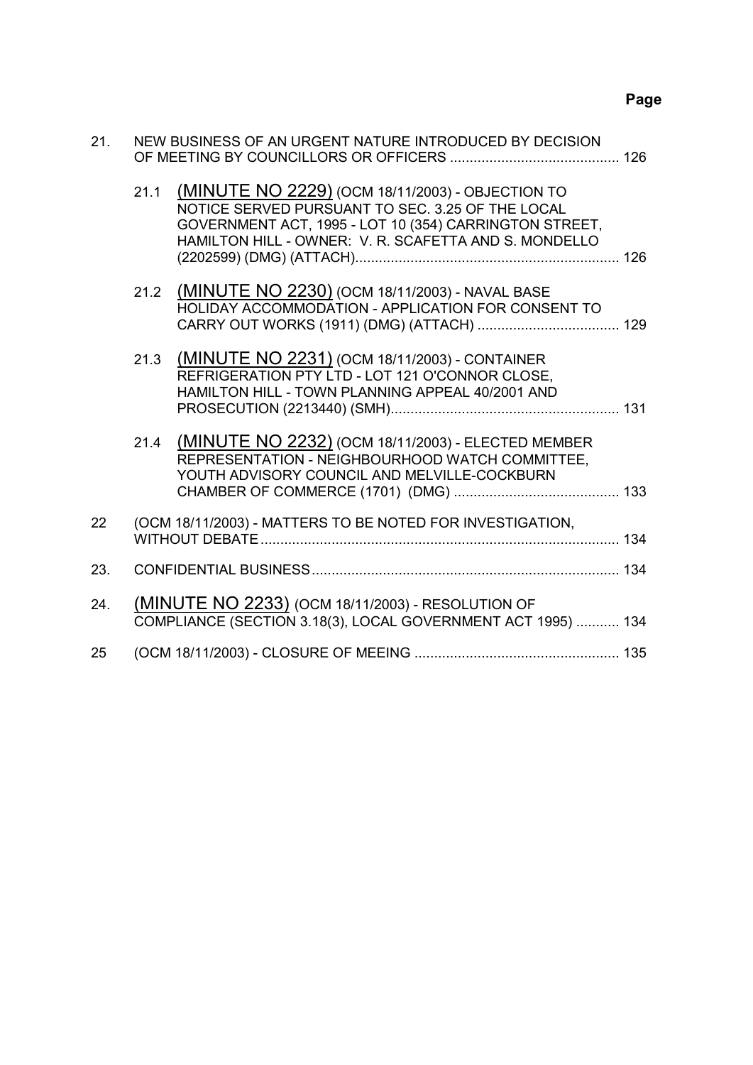| 21. | NEW BUSINESS OF AN URGENT NATURE INTRODUCED BY DECISION |                                                                                                                                                                                                                         |  |  |
|-----|---------------------------------------------------------|-------------------------------------------------------------------------------------------------------------------------------------------------------------------------------------------------------------------------|--|--|
|     | 21.1                                                    | (MINUTE NO 2229) (OCM 18/11/2003) - OBJECTION TO<br>NOTICE SERVED PURSUANT TO SEC. 3.25 OF THE LOCAL<br>GOVERNMENT ACT, 1995 - LOT 10 (354) CARRINGTON STREET,<br>HAMILTON HILL - OWNER: V. R. SCAFETTA AND S. MONDELLO |  |  |
|     | 21.2                                                    | (MINUTE NO 2230) (OCM 18/11/2003) - NAVAL BASE<br>HOLIDAY ACCOMMODATION - APPLICATION FOR CONSENT TO                                                                                                                    |  |  |
|     | 21.3                                                    | (MINUTE NO 2231) (OCM 18/11/2003) - CONTAINER<br>REFRIGERATION PTY LTD - LOT 121 O'CONNOR CLOSE,<br>HAMILTON HILL - TOWN PLANNING APPEAL 40/2001 AND                                                                    |  |  |
|     | 21.4                                                    | (MINUTE NO 2232) (OCM 18/11/2003) - ELECTED MEMBER<br>REPRESENTATION - NEIGHBOURHOOD WATCH COMMITTEE,<br>YOUTH ADVISORY COUNCIL AND MELVILLE-COCKBURN                                                                   |  |  |
| 22  |                                                         | (OCM 18/11/2003) - MATTERS TO BE NOTED FOR INVESTIGATION,                                                                                                                                                               |  |  |
| 23. |                                                         |                                                                                                                                                                                                                         |  |  |
| 24. |                                                         | (MINUTE NO 2233) (OCM 18/11/2003) - RESOLUTION OF<br>COMPLIANCE (SECTION 3.18(3), LOCAL GOVERNMENT ACT 1995)  134                                                                                                       |  |  |
| 25  |                                                         |                                                                                                                                                                                                                         |  |  |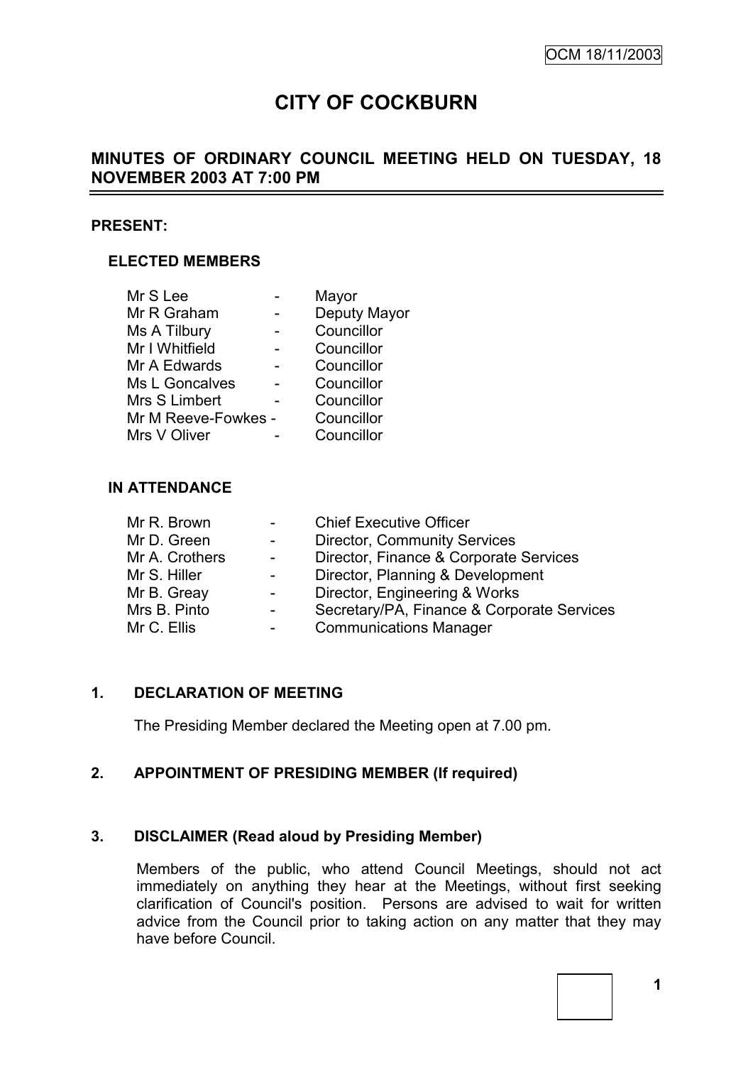# **CITY OF COCKBURN**

# **MINUTES OF ORDINARY COUNCIL MEETING HELD ON TUESDAY, 18 NOVEMBER 2003 AT 7:00 PM**

#### **PRESENT:**

### **ELECTED MEMBERS**

| Mr S Lee            | Mayor        |
|---------------------|--------------|
| Mr R Graham         | Deputy Mayor |
| Ms A Tilbury        | Councillor   |
| Mr I Whitfield      | Councillor   |
| Mr A Edwards        | Councillor   |
| Ms L Goncalves      | Councillor   |
| Mrs S Limbert       | Councillor   |
| Mr M Reeve-Fowkes - | Councillor   |
| Mrs V Oliver        | Councillor   |
|                     |              |

#### **IN ATTENDANCE**

| Mr R. Brown    |                  | <b>Chief Executive Officer</b>             |
|----------------|------------------|--------------------------------------------|
| Mr D. Green    | $\sim$ 100 $\mu$ | <b>Director, Community Services</b>        |
| Mr A. Crothers | $\blacksquare$   | Director, Finance & Corporate Services     |
| Mr S. Hiller   | $\sim$           | Director, Planning & Development           |
| Mr B. Greay    | $\blacksquare$   | Director, Engineering & Works              |
| Mrs B. Pinto   | $\sim$           | Secretary/PA, Finance & Corporate Services |
| Mr C. Ellis    |                  | <b>Communications Manager</b>              |
|                |                  |                                            |

#### **1. DECLARATION OF MEETING**

The Presiding Member declared the Meeting open at 7.00 pm.

# **2. APPOINTMENT OF PRESIDING MEMBER (If required)**

### **3. DISCLAIMER (Read aloud by Presiding Member)**

Members of the public, who attend Council Meetings, should not act immediately on anything they hear at the Meetings, without first seeking clarification of Council's position. Persons are advised to wait for written advice from the Council prior to taking action on any matter that they may have before Council.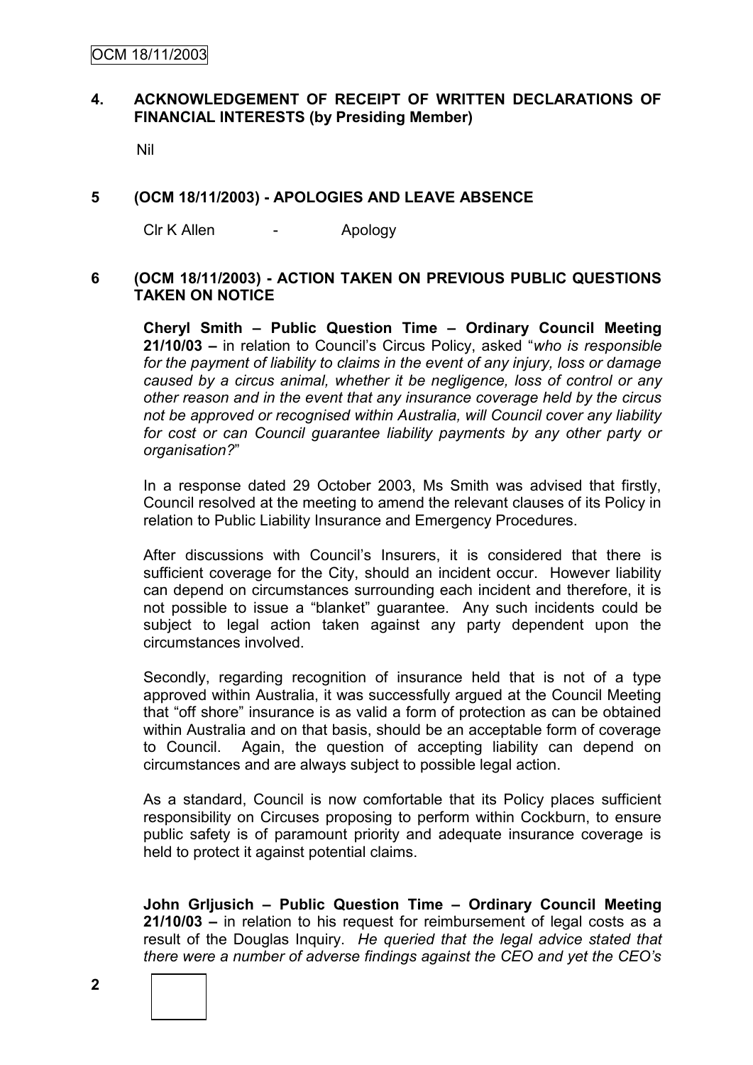### **4. ACKNOWLEDGEMENT OF RECEIPT OF WRITTEN DECLARATIONS OF FINANCIAL INTERESTS (by Presiding Member)**

Nil

### **5 (OCM 18/11/2003) - APOLOGIES AND LEAVE ABSENCE**

Clr K Allen - Apology

#### **6 (OCM 18/11/2003) - ACTION TAKEN ON PREVIOUS PUBLIC QUESTIONS TAKEN ON NOTICE**

**Cheryl Smith – Public Question Time – Ordinary Council Meeting 21/10/03 –** in relation to Council"s Circus Policy, asked "*who is responsible for the payment of liability to claims in the event of any injury, loss or damage caused by a circus animal, whether it be negligence, loss of control or any other reason and in the event that any insurance coverage held by the circus not be approved or recognised within Australia, will Council cover any liability for cost or can Council guarantee liability payments by any other party or organisation?*"

In a response dated 29 October 2003, Ms Smith was advised that firstly, Council resolved at the meeting to amend the relevant clauses of its Policy in relation to Public Liability Insurance and Emergency Procedures.

After discussions with Council"s Insurers, it is considered that there is sufficient coverage for the City, should an incident occur. However liability can depend on circumstances surrounding each incident and therefore, it is not possible to issue a "blanket" guarantee. Any such incidents could be subject to legal action taken against any party dependent upon the circumstances involved.

Secondly, regarding recognition of insurance held that is not of a type approved within Australia, it was successfully argued at the Council Meeting that "off shore" insurance is as valid a form of protection as can be obtained within Australia and on that basis, should be an acceptable form of coverage to Council. Again, the question of accepting liability can depend on circumstances and are always subject to possible legal action.

As a standard, Council is now comfortable that its Policy places sufficient responsibility on Circuses proposing to perform within Cockburn, to ensure public safety is of paramount priority and adequate insurance coverage is held to protect it against potential claims.

**John Grljusich – Public Question Time – Ordinary Council Meeting 21/10/03 –** in relation to his request for reimbursement of legal costs as a result of the Douglas Inquiry. *He queried that the legal advice stated that there were a number of adverse findings against the CEO and yet the CEO's* 

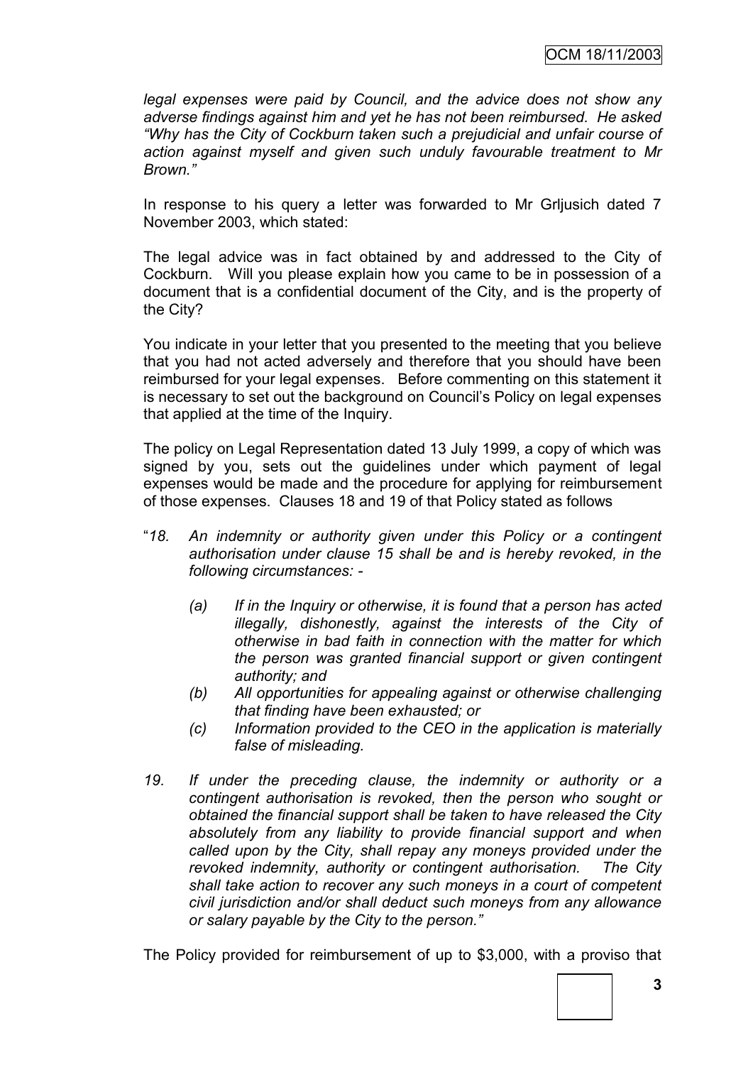*legal expenses were paid by Council, and the advice does not show any adverse findings against him and yet he has not been reimbursed. He asked "Why has the City of Cockburn taken such a prejudicial and unfair course of action against myself and given such unduly favourable treatment to Mr Brown."*

In response to his query a letter was forwarded to Mr Grljusich dated 7 November 2003, which stated:

The legal advice was in fact obtained by and addressed to the City of Cockburn. Will you please explain how you came to be in possession of a document that is a confidential document of the City, and is the property of the City?

You indicate in your letter that you presented to the meeting that you believe that you had not acted adversely and therefore that you should have been reimbursed for your legal expenses. Before commenting on this statement it is necessary to set out the background on Council"s Policy on legal expenses that applied at the time of the Inquiry.

The policy on Legal Representation dated 13 July 1999, a copy of which was signed by you, sets out the guidelines under which payment of legal expenses would be made and the procedure for applying for reimbursement of those expenses. Clauses 18 and 19 of that Policy stated as follows

- "*18. An indemnity or authority given under this Policy or a contingent authorisation under clause 15 shall be and is hereby revoked, in the following circumstances: -*
	- *(a) If in the Inquiry or otherwise, it is found that a person has acted illegally, dishonestly, against the interests of the City of otherwise in bad faith in connection with the matter for which the person was granted financial support or given contingent authority; and*
	- *(b) All opportunities for appealing against or otherwise challenging that finding have been exhausted; or*
	- *(c) Information provided to the CEO in the application is materially false of misleading.*
- *19. If under the preceding clause, the indemnity or authority or a contingent authorisation is revoked, then the person who sought or obtained the financial support shall be taken to have released the City absolutely from any liability to provide financial support and when called upon by the City, shall repay any moneys provided under the revoked indemnity, authority or contingent authorisation. The City shall take action to recover any such moneys in a court of competent civil jurisdiction and/or shall deduct such moneys from any allowance or salary payable by the City to the person."*

The Policy provided for reimbursement of up to \$3,000, with a proviso that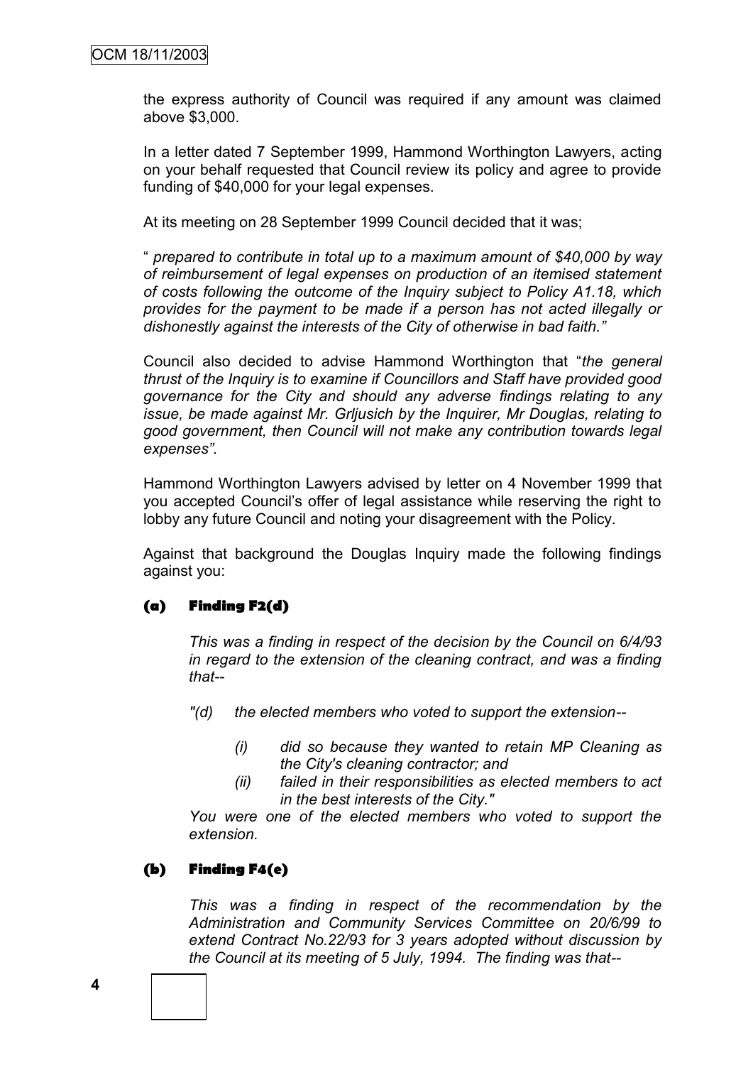the express authority of Council was required if any amount was claimed above \$3,000.

In a letter dated 7 September 1999, Hammond Worthington Lawyers, acting on your behalf requested that Council review its policy and agree to provide funding of \$40,000 for your legal expenses.

At its meeting on 28 September 1999 Council decided that it was;

" *prepared to contribute in total up to a maximum amount of \$40,000 by way of reimbursement of legal expenses on production of an itemised statement of costs following the outcome of the Inquiry subject to Policy A1.18, which provides for the payment to be made if a person has not acted illegally or dishonestly against the interests of the City of otherwise in bad faith."*

Council also decided to advise Hammond Worthington that "*the general thrust of the Inquiry is to examine if Councillors and Staff have provided good governance for the City and should any adverse findings relating to any issue, be made against Mr. Grljusich by the Inquirer, Mr Douglas, relating to good government, then Council will not make any contribution towards legal expenses".*

Hammond Worthington Lawyers advised by letter on 4 November 1999 that you accepted Council"s offer of legal assistance while reserving the right to lobby any future Council and noting your disagreement with the Policy.

Against that background the Douglas Inquiry made the following findings against you:

## **(a) Finding F2(d)**

*This was a finding in respect of the decision by the Council on 6/4/93 in regard to the extension of the cleaning contract, and was a finding that--*

- *"(d) the elected members who voted to support the extension--*
	- *(i) did so because they wanted to retain MP Cleaning as the City's cleaning contractor; and*
	- *(ii) failed in their responsibilities as elected members to act in the best interests of the City."*

*You were one of the elected members who voted to support the extension.*

## **(b) Finding F4(e)**

*This was a finding in respect of the recommendation by the Administration and Community Services Committee on 20/6/99 to extend Contract No.22/93 for 3 years adopted without discussion by the Council at its meeting of 5 July, 1994. The finding was that--*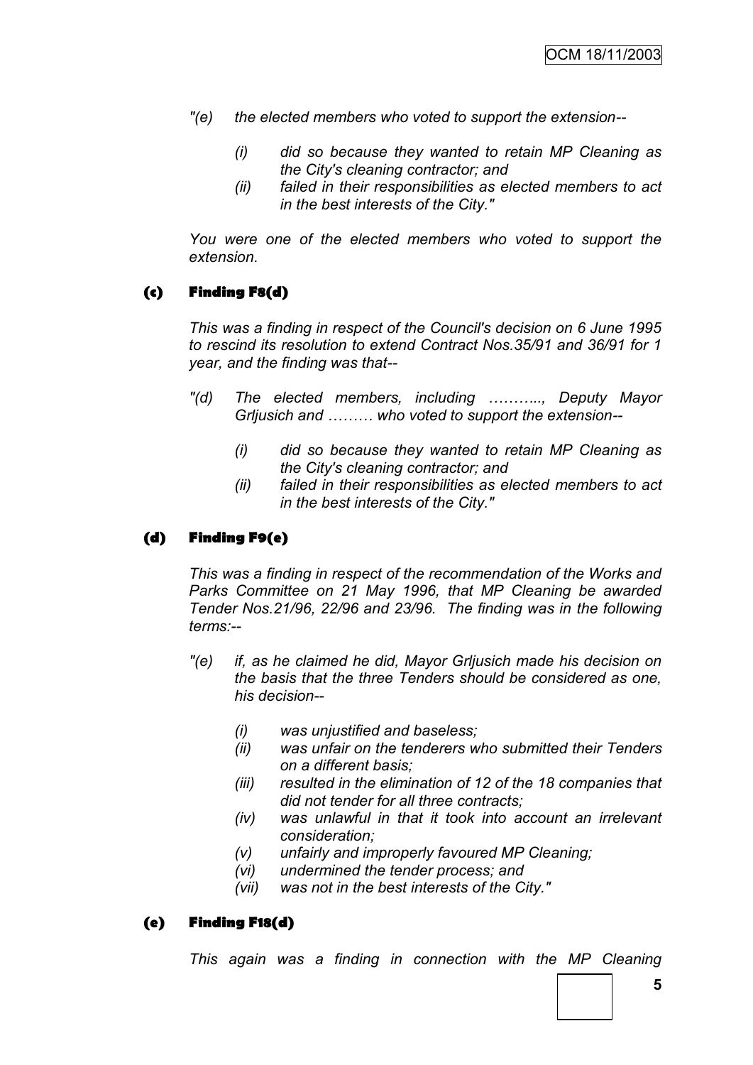- *"(e) the elected members who voted to support the extension--*
	- *(i) did so because they wanted to retain MP Cleaning as the City's cleaning contractor; and*
	- *(ii) failed in their responsibilities as elected members to act in the best interests of the City."*

*You were one of the elected members who voted to support the extension.*

### **(c) Finding F8(d)**

*This was a finding in respect of the Council's decision on 6 June 1995 to rescind its resolution to extend Contract Nos.35/91 and 36/91 for 1 year, and the finding was that--*

- *"(d) The elected members, including ……….., Deputy Mayor Grljusich and ……… who voted to support the extension--*
	- *(i) did so because they wanted to retain MP Cleaning as the City's cleaning contractor; and*
	- *(ii) failed in their responsibilities as elected members to act in the best interests of the City."*

#### **(d) Finding F9(e)**

*This was a finding in respect of the recommendation of the Works and Parks Committee on 21 May 1996, that MP Cleaning be awarded Tender Nos.21/96, 22/96 and 23/96. The finding was in the following terms:--*

- *"(e) if, as he claimed he did, Mayor Grljusich made his decision on the basis that the three Tenders should be considered as one, his decision--*
	- *(i) was unjustified and baseless;*
	- *(ii) was unfair on the tenderers who submitted their Tenders on a different basis;*
	- *(iii) resulted in the elimination of 12 of the 18 companies that did not tender for all three contracts;*
	- *(iv) was unlawful in that it took into account an irrelevant consideration;*
	- *(v) unfairly and improperly favoured MP Cleaning;*
	- *(vi) undermined the tender process; and*
	- *(vii) was not in the best interests of the City."*

#### **(e) Finding F18(d)**

*This again was a finding in connection with the MP Cleaning*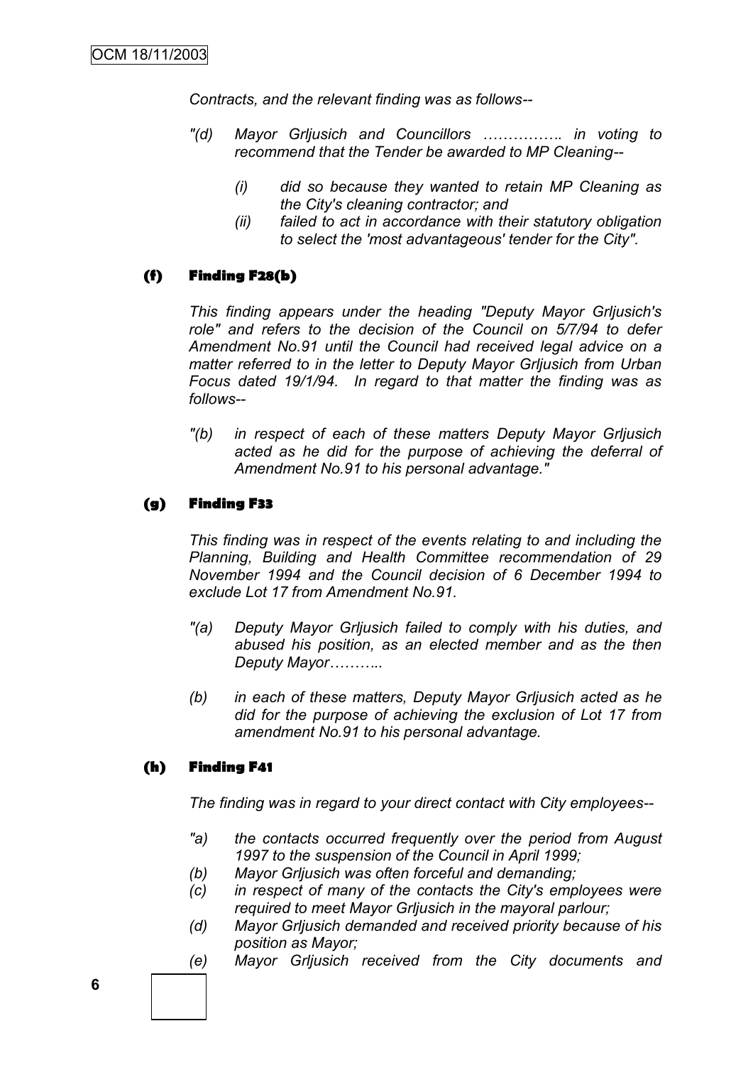*Contracts, and the relevant finding was as follows--*

- *"(d) Mayor Grljusich and Councillors ……………. in voting to recommend that the Tender be awarded to MP Cleaning--*
	- *(i) did so because they wanted to retain MP Cleaning as the City's cleaning contractor; and*
	- *(ii) failed to act in accordance with their statutory obligation to select the 'most advantageous' tender for the City".*

## **(f) Finding F28(b)**

*This finding appears under the heading "Deputy Mayor Grljusich's role" and refers to the decision of the Council on 5/7/94 to defer Amendment No.91 until the Council had received legal advice on a matter referred to in the letter to Deputy Mayor Grljusich from Urban Focus dated 19/1/94. In regard to that matter the finding was as follows--*

*"(b) in respect of each of these matters Deputy Mayor Grljusich acted as he did for the purpose of achieving the deferral of Amendment No.91 to his personal advantage."*

## **(g) Finding F33**

*This finding was in respect of the events relating to and including the Planning, Building and Health Committee recommendation of 29 November 1994 and the Council decision of 6 December 1994 to exclude Lot 17 from Amendment No.91.*

- *"(a) Deputy Mayor Grljusich failed to comply with his duties, and abused his position, as an elected member and as the then Deputy Mayor………..*
- *(b) in each of these matters, Deputy Mayor Grljusich acted as he did for the purpose of achieving the exclusion of Lot 17 from amendment No.91 to his personal advantage.*

### **(h) Finding F41**

*The finding was in regard to your direct contact with City employees--*

- *"a) the contacts occurred frequently over the period from August 1997 to the suspension of the Council in April 1999;*
- *(b) Mayor Grljusich was often forceful and demanding;*
- *(c) in respect of many of the contacts the City's employees were required to meet Mayor Grljusich in the mayoral parlour;*
- *(d) Mayor Grljusich demanded and received priority because of his position as Mayor;*
- *(e) Mayor Grljusich received from the City documents and*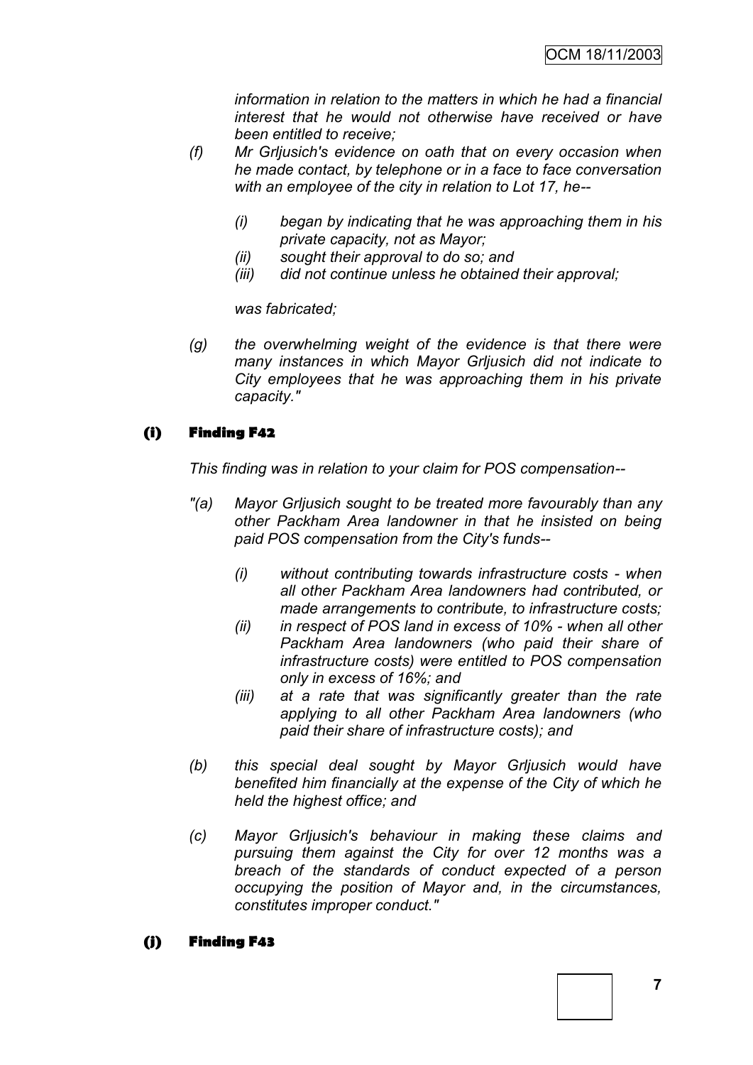*information in relation to the matters in which he had a financial interest that he would not otherwise have received or have been entitled to receive;*

- *(f) Mr Grljusich's evidence on oath that on every occasion when he made contact, by telephone or in a face to face conversation with an employee of the city in relation to Lot 17, he--*
	- *(i) began by indicating that he was approaching them in his private capacity, not as Mayor;*
	- *(ii) sought their approval to do so; and*
	- *(iii) did not continue unless he obtained their approval;*

*was fabricated;*

*(g) the overwhelming weight of the evidence is that there were many instances in which Mayor Grljusich did not indicate to City employees that he was approaching them in his private capacity."*

### **(i) Finding F42**

*This finding was in relation to your claim for POS compensation--*

- *"(a) Mayor Grljusich sought to be treated more favourably than any other Packham Area landowner in that he insisted on being paid POS compensation from the City's funds--*
	- *(i) without contributing towards infrastructure costs - when all other Packham Area landowners had contributed, or made arrangements to contribute, to infrastructure costs;*
	- *(ii) in respect of POS land in excess of 10% - when all other Packham Area landowners (who paid their share of infrastructure costs) were entitled to POS compensation only in excess of 16%; and*
	- *(iii) at a rate that was significantly greater than the rate applying to all other Packham Area landowners (who paid their share of infrastructure costs); and*
- *(b) this special deal sought by Mayor Grljusich would have benefited him financially at the expense of the City of which he held the highest office; and*
- *(c) Mayor Grljusich's behaviour in making these claims and pursuing them against the City for over 12 months was a breach of the standards of conduct expected of a person occupying the position of Mayor and, in the circumstances, constitutes improper conduct."*

### **(j) Finding F43**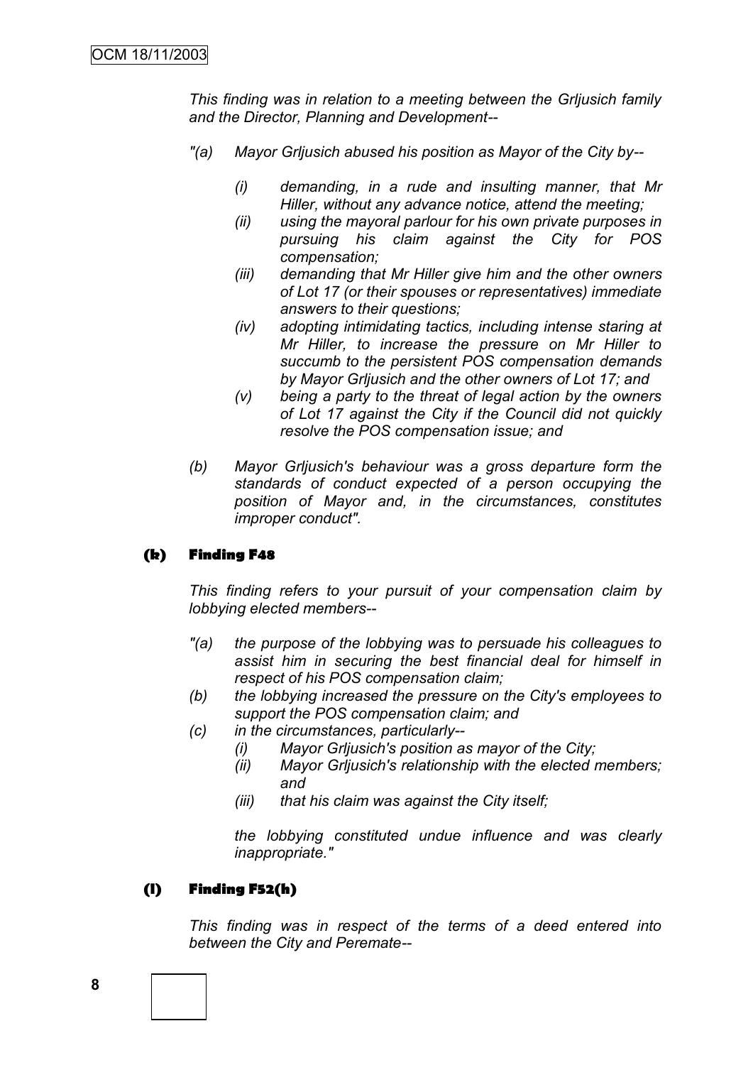*This finding was in relation to a meeting between the Grljusich family and the Director, Planning and Development--*

- *"(a) Mayor Grljusich abused his position as Mayor of the City by--*
	- *(i) demanding, in a rude and insulting manner, that Mr Hiller, without any advance notice, attend the meeting;*
	- *(ii) using the mayoral parlour for his own private purposes in pursuing his claim against the City for POS compensation;*
	- *(iii) demanding that Mr Hiller give him and the other owners of Lot 17 (or their spouses or representatives) immediate answers to their questions;*
	- *(iv) adopting intimidating tactics, including intense staring at Mr Hiller, to increase the pressure on Mr Hiller to succumb to the persistent POS compensation demands by Mayor Grljusich and the other owners of Lot 17; and*
	- *(v) being a party to the threat of legal action by the owners of Lot 17 against the City if the Council did not quickly resolve the POS compensation issue; and*
- *(b) Mayor Grljusich's behaviour was a gross departure form the standards of conduct expected of a person occupying the position of Mayor and, in the circumstances, constitutes improper conduct".*

### **(k) Finding F48**

*This finding refers to your pursuit of your compensation claim by lobbying elected members--*

- *"(a) the purpose of the lobbying was to persuade his colleagues to assist him in securing the best financial deal for himself in respect of his POS compensation claim;*
- *(b) the lobbying increased the pressure on the City's employees to support the POS compensation claim; and*
- *(c) in the circumstances, particularly--*
	- *(i) Mayor Grljusich's position as mayor of the City;*
	- *(ii) Mayor Grljusich's relationship with the elected members; and*
	- *(iii) that his claim was against the City itself;*

*the lobbying constituted undue influence and was clearly inappropriate."*

#### **(l) Finding F52(h)**

*This finding was in respect of the terms of a deed entered into between the City and Peremate--*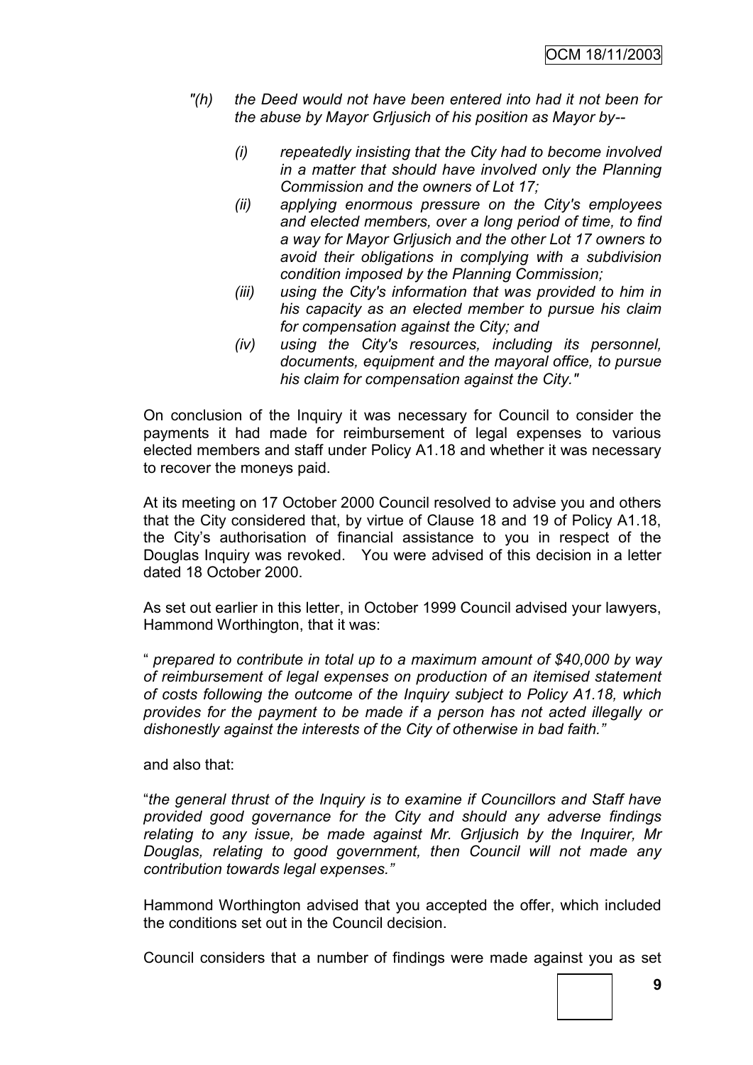- *"(h) the Deed would not have been entered into had it not been for the abuse by Mayor Grljusich of his position as Mayor by--*
	- *(i) repeatedly insisting that the City had to become involved in a matter that should have involved only the Planning Commission and the owners of Lot 17;*
	- *(ii) applying enormous pressure on the City's employees and elected members, over a long period of time, to find a way for Mayor Grljusich and the other Lot 17 owners to avoid their obligations in complying with a subdivision condition imposed by the Planning Commission;*
	- *(iii) using the City's information that was provided to him in his capacity as an elected member to pursue his claim for compensation against the City; and*
	- *(iv) using the City's resources, including its personnel, documents, equipment and the mayoral office, to pursue his claim for compensation against the City."*

On conclusion of the Inquiry it was necessary for Council to consider the payments it had made for reimbursement of legal expenses to various elected members and staff under Policy A1.18 and whether it was necessary to recover the moneys paid.

At its meeting on 17 October 2000 Council resolved to advise you and others that the City considered that, by virtue of Clause 18 and 19 of Policy A1.18, the City"s authorisation of financial assistance to you in respect of the Douglas Inquiry was revoked. You were advised of this decision in a letter dated 18 October 2000.

As set out earlier in this letter, in October 1999 Council advised your lawyers, Hammond Worthington, that it was:

" *prepared to contribute in total up to a maximum amount of \$40,000 by way of reimbursement of legal expenses on production of an itemised statement of costs following the outcome of the Inquiry subject to Policy A1.18, which provides for the payment to be made if a person has not acted illegally or dishonestly against the interests of the City of otherwise in bad faith."*

and also that:

"*the general thrust of the Inquiry is to examine if Councillors and Staff have provided good governance for the City and should any adverse findings relating to any issue, be made against Mr. Grljusich by the Inquirer, Mr Douglas, relating to good government, then Council will not made any contribution towards legal expenses."* 

Hammond Worthington advised that you accepted the offer, which included the conditions set out in the Council decision.

Council considers that a number of findings were made against you as set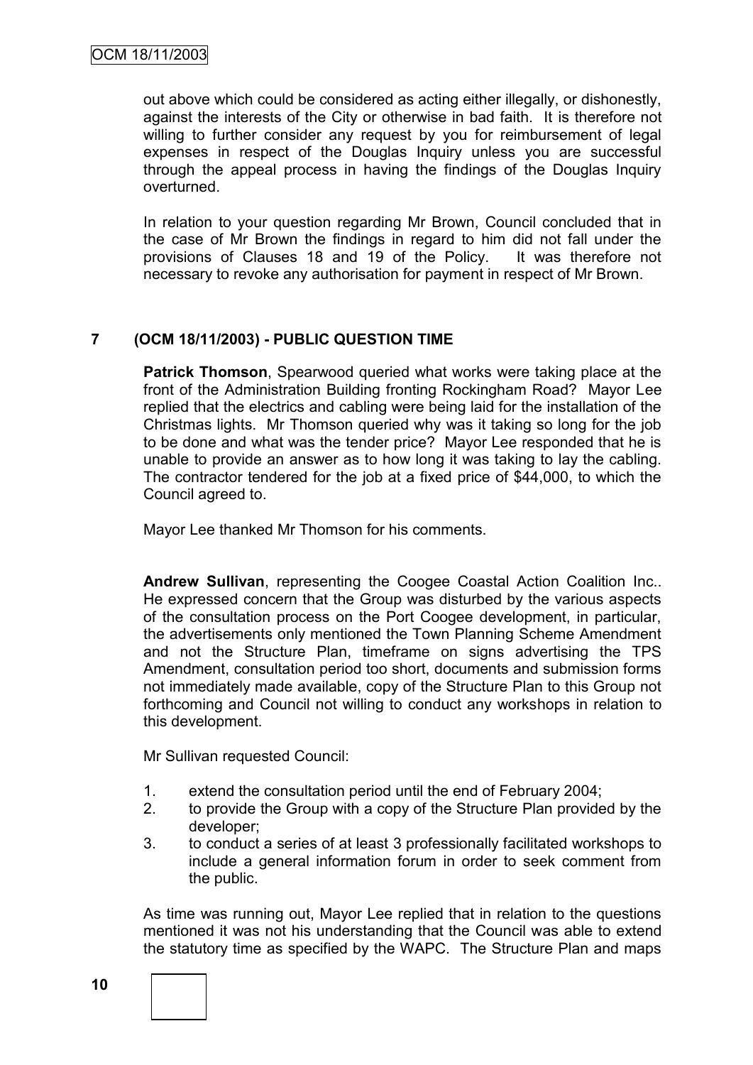out above which could be considered as acting either illegally, or dishonestly, against the interests of the City or otherwise in bad faith. It is therefore not willing to further consider any request by you for reimbursement of legal expenses in respect of the Douglas Inquiry unless you are successful through the appeal process in having the findings of the Douglas Inquiry overturned.

In relation to your question regarding Mr Brown, Council concluded that in the case of Mr Brown the findings in regard to him did not fall under the provisions of Clauses 18 and 19 of the Policy. It was therefore not necessary to revoke any authorisation for payment in respect of Mr Brown.

# **7 (OCM 18/11/2003) - PUBLIC QUESTION TIME**

**Patrick Thomson**, Spearwood queried what works were taking place at the front of the Administration Building fronting Rockingham Road? Mayor Lee replied that the electrics and cabling were being laid for the installation of the Christmas lights. Mr Thomson queried why was it taking so long for the job to be done and what was the tender price? Mayor Lee responded that he is unable to provide an answer as to how long it was taking to lay the cabling. The contractor tendered for the job at a fixed price of \$44,000, to which the Council agreed to.

Mayor Lee thanked Mr Thomson for his comments.

**Andrew Sullivan**, representing the Coogee Coastal Action Coalition Inc.. He expressed concern that the Group was disturbed by the various aspects of the consultation process on the Port Coogee development, in particular, the advertisements only mentioned the Town Planning Scheme Amendment and not the Structure Plan, timeframe on signs advertising the TPS Amendment, consultation period too short, documents and submission forms not immediately made available, copy of the Structure Plan to this Group not forthcoming and Council not willing to conduct any workshops in relation to this development.

Mr Sullivan requested Council:

- 1. extend the consultation period until the end of February 2004;
- 2. to provide the Group with a copy of the Structure Plan provided by the developer;
- 3. to conduct a series of at least 3 professionally facilitated workshops to include a general information forum in order to seek comment from the public.

As time was running out, Mayor Lee replied that in relation to the questions mentioned it was not his understanding that the Council was able to extend the statutory time as specified by the WAPC. The Structure Plan and maps

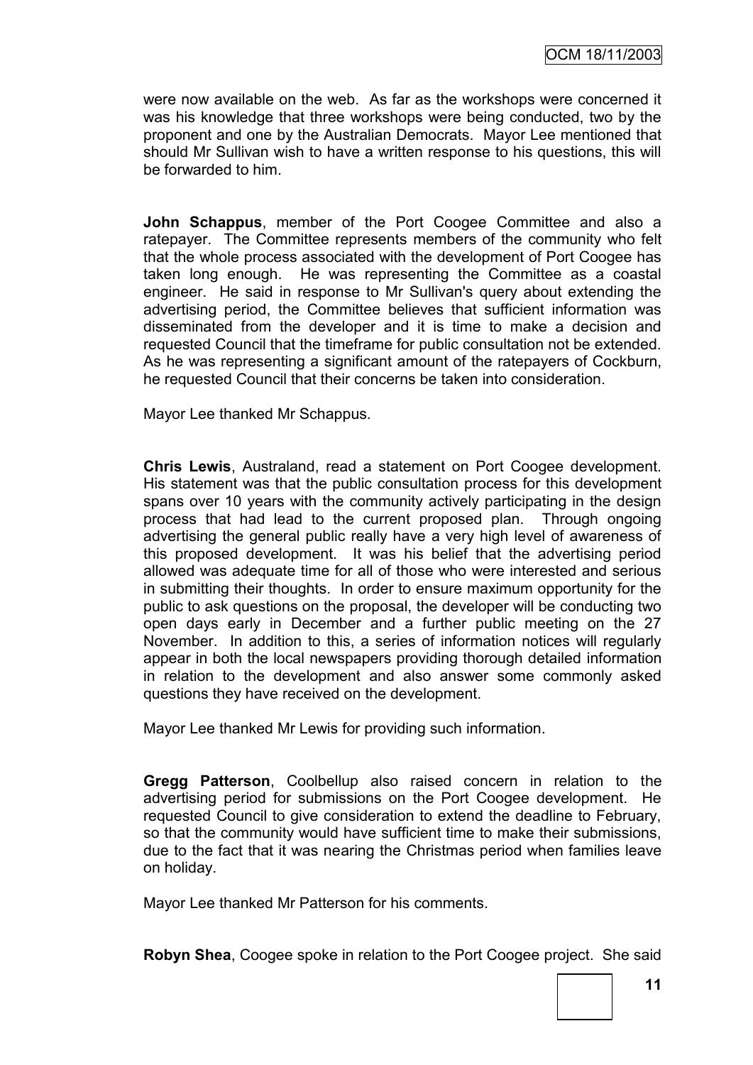were now available on the web. As far as the workshops were concerned it was his knowledge that three workshops were being conducted, two by the proponent and one by the Australian Democrats. Mayor Lee mentioned that should Mr Sullivan wish to have a written response to his questions, this will be forwarded to him.

**John Schappus**, member of the Port Coogee Committee and also a ratepayer. The Committee represents members of the community who felt that the whole process associated with the development of Port Coogee has taken long enough. He was representing the Committee as a coastal engineer. He said in response to Mr Sullivan's query about extending the advertising period, the Committee believes that sufficient information was disseminated from the developer and it is time to make a decision and requested Council that the timeframe for public consultation not be extended. As he was representing a significant amount of the ratepayers of Cockburn, he requested Council that their concerns be taken into consideration.

Mayor Lee thanked Mr Schappus.

**Chris Lewis**, Australand, read a statement on Port Coogee development. His statement was that the public consultation process for this development spans over 10 years with the community actively participating in the design process that had lead to the current proposed plan. Through ongoing advertising the general public really have a very high level of awareness of this proposed development. It was his belief that the advertising period allowed was adequate time for all of those who were interested and serious in submitting their thoughts. In order to ensure maximum opportunity for the public to ask questions on the proposal, the developer will be conducting two open days early in December and a further public meeting on the 27 November. In addition to this, a series of information notices will regularly appear in both the local newspapers providing thorough detailed information in relation to the development and also answer some commonly asked questions they have received on the development.

Mayor Lee thanked Mr Lewis for providing such information.

**Gregg Patterson**, Coolbellup also raised concern in relation to the advertising period for submissions on the Port Coogee development. He requested Council to give consideration to extend the deadline to February, so that the community would have sufficient time to make their submissions, due to the fact that it was nearing the Christmas period when families leave on holiday.

Mayor Lee thanked Mr Patterson for his comments.

**Robyn Shea**, Coogee spoke in relation to the Port Coogee project. She said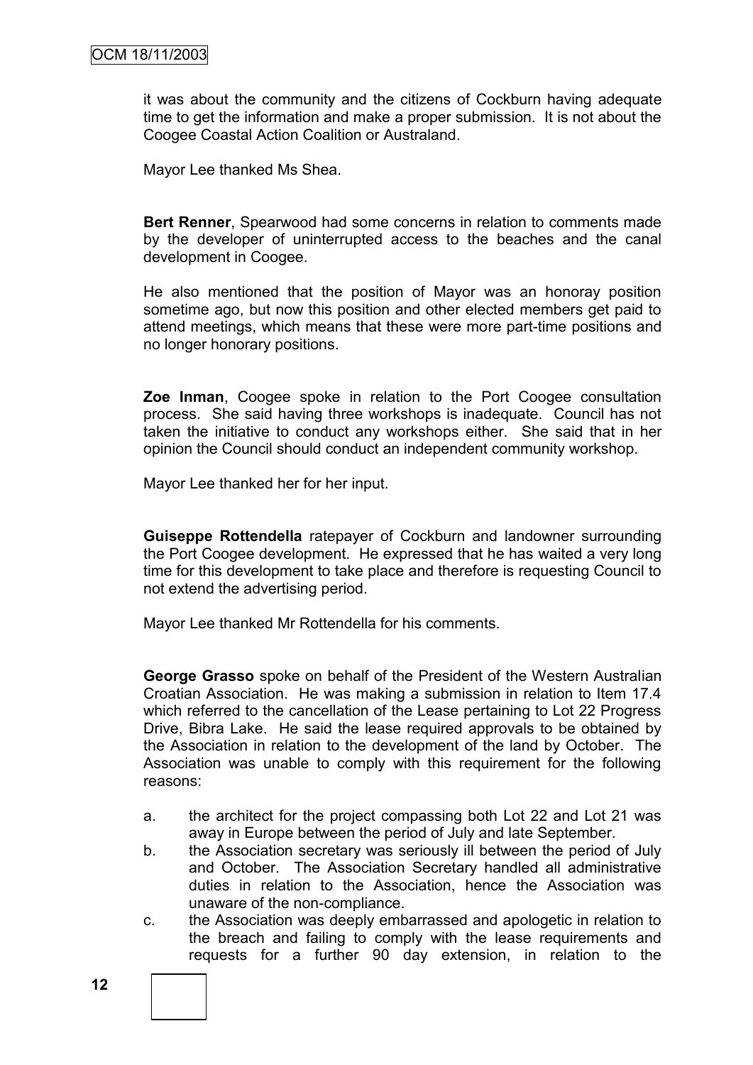it was about the community and the citizens of Cockburn having adequate time to get the information and make a proper submission. It is not about the Coogee Coastal Action Coalition or Australand.

Mayor Lee thanked Ms Shea.

**Bert Renner**, Spearwood had some concerns in relation to comments made by the developer of uninterrupted access to the beaches and the canal development in Coogee.

He also mentioned that the position of Mayor was an honoray position sometime ago, but now this position and other elected members get paid to attend meetings, which means that these were more part-time positions and no longer honorary positions.

**Zoe Inman**, Coogee spoke in relation to the Port Coogee consultation process. She said having three workshops is inadequate. Council has not taken the initiative to conduct any workshops either. She said that in her opinion the Council should conduct an independent community workshop.

Mayor Lee thanked her for her input.

**Guiseppe Rottendella** ratepayer of Cockburn and landowner surrounding the Port Coogee development. He expressed that he has waited a very long time for this development to take place and therefore is requesting Council to not extend the advertising period.

Mayor Lee thanked Mr Rottendella for his comments.

**George Grasso** spoke on behalf of the President of the Western Australian Croatian Association. He was making a submission in relation to Item 17.4 which referred to the cancellation of the Lease pertaining to Lot 22 Progress Drive, Bibra Lake. He said the lease required approvals to be obtained by the Association in relation to the development of the land by October. The Association was unable to comply with this requirement for the following reasons:

- a. the architect for the project compassing both Lot 22 and Lot 21 was away in Europe between the period of July and late September.
- b. the Association secretary was seriously ill between the period of July and October. The Association Secretary handled all administrative duties in relation to the Association, hence the Association was unaware of the non-compliance.
- c. the Association was deeply embarrassed and apologetic in relation to the breach and failing to comply with the lease requirements and requests for a further 90 day extension, in relation to the

**12**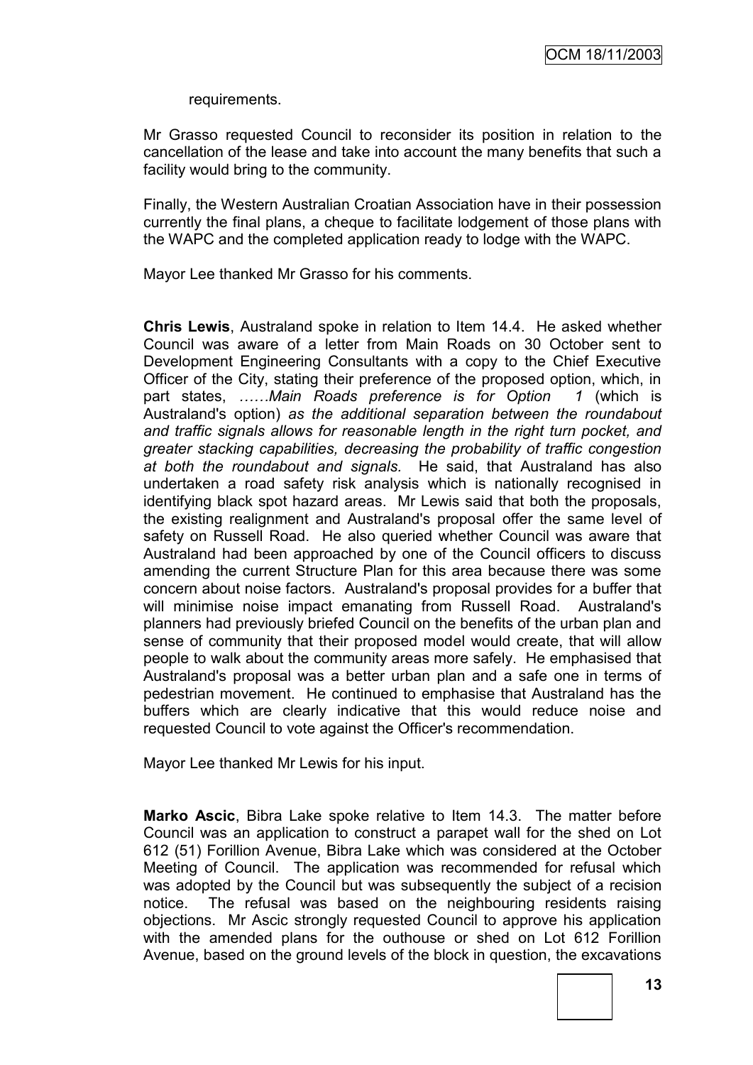requirements.

Mr Grasso requested Council to reconsider its position in relation to the cancellation of the lease and take into account the many benefits that such a facility would bring to the community.

Finally, the Western Australian Croatian Association have in their possession currently the final plans, a cheque to facilitate lodgement of those plans with the WAPC and the completed application ready to lodge with the WAPC.

Mayor Lee thanked Mr Grasso for his comments.

**Chris Lewis**, Australand spoke in relation to Item 14.4. He asked whether Council was aware of a letter from Main Roads on 30 October sent to Development Engineering Consultants with a copy to the Chief Executive Officer of the City, stating their preference of the proposed option, which, in part states, *……Main Roads preference is for Option 1* (which is Australand's option) *as the additional separation between the roundabout*  and traffic signals allows for reasonable length in the right turn pocket, and *greater stacking capabilities, decreasing the probability of traffic congestion at both the roundabout and signals.* He said, that Australand has also undertaken a road safety risk analysis which is nationally recognised in identifying black spot hazard areas. Mr Lewis said that both the proposals, the existing realignment and Australand's proposal offer the same level of safety on Russell Road. He also queried whether Council was aware that Australand had been approached by one of the Council officers to discuss amending the current Structure Plan for this area because there was some concern about noise factors. Australand's proposal provides for a buffer that will minimise noise impact emanating from Russell Road. Australand's planners had previously briefed Council on the benefits of the urban plan and sense of community that their proposed model would create, that will allow people to walk about the community areas more safely. He emphasised that Australand's proposal was a better urban plan and a safe one in terms of pedestrian movement. He continued to emphasise that Australand has the buffers which are clearly indicative that this would reduce noise and requested Council to vote against the Officer's recommendation.

Mayor Lee thanked Mr Lewis for his input.

**Marko Ascic**, Bibra Lake spoke relative to Item 14.3. The matter before Council was an application to construct a parapet wall for the shed on Lot 612 (51) Forillion Avenue, Bibra Lake which was considered at the October Meeting of Council. The application was recommended for refusal which was adopted by the Council but was subsequently the subject of a recision notice. The refusal was based on the neighbouring residents raising objections. Mr Ascic strongly requested Council to approve his application with the amended plans for the outhouse or shed on Lot 612 Forillion Avenue, based on the ground levels of the block in question, the excavations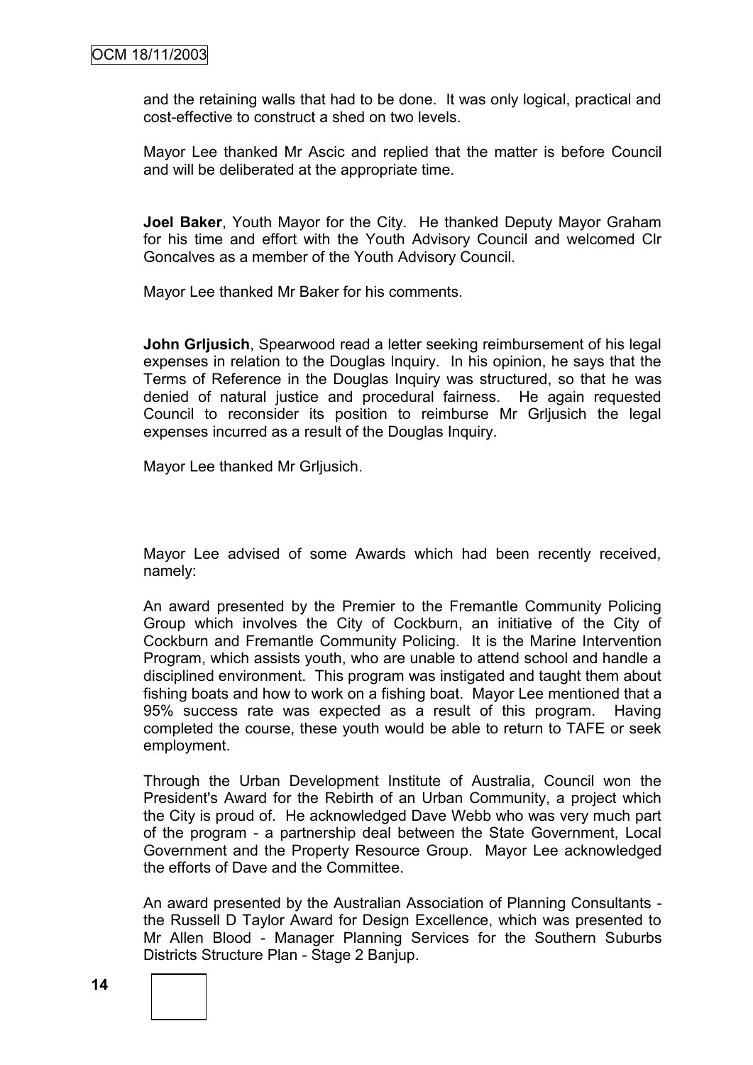and the retaining walls that had to be done. It was only logical, practical and cost-effective to construct a shed on two levels.

Mayor Lee thanked Mr Ascic and replied that the matter is before Council and will be deliberated at the appropriate time.

**Joel Baker**, Youth Mayor for the City. He thanked Deputy Mayor Graham for his time and effort with the Youth Advisory Council and welcomed Clr Goncalves as a member of the Youth Advisory Council.

Mayor Lee thanked Mr Baker for his comments.

**John Grljusich**, Spearwood read a letter seeking reimbursement of his legal expenses in relation to the Douglas Inquiry. In his opinion, he says that the Terms of Reference in the Douglas Inquiry was structured, so that he was denied of natural justice and procedural fairness. He again requested Council to reconsider its position to reimburse Mr Grljusich the legal expenses incurred as a result of the Douglas Inquiry.

Mayor Lee thanked Mr Grliusich.

Mayor Lee advised of some Awards which had been recently received, namely:

An award presented by the Premier to the Fremantle Community Policing Group which involves the City of Cockburn, an initiative of the City of Cockburn and Fremantle Community Policing. It is the Marine Intervention Program, which assists youth, who are unable to attend school and handle a disciplined environment. This program was instigated and taught them about fishing boats and how to work on a fishing boat. Mayor Lee mentioned that a 95% success rate was expected as a result of this program. Having completed the course, these youth would be able to return to TAFE or seek employment.

Through the Urban Development Institute of Australia, Council won the President's Award for the Rebirth of an Urban Community, a project which the City is proud of. He acknowledged Dave Webb who was very much part of the program - a partnership deal between the State Government, Local Government and the Property Resource Group. Mayor Lee acknowledged the efforts of Dave and the Committee.

An award presented by the Australian Association of Planning Consultants the Russell D Taylor Award for Design Excellence, which was presented to Mr Allen Blood - Manager Planning Services for the Southern Suburbs Districts Structure Plan - Stage 2 Banjup.

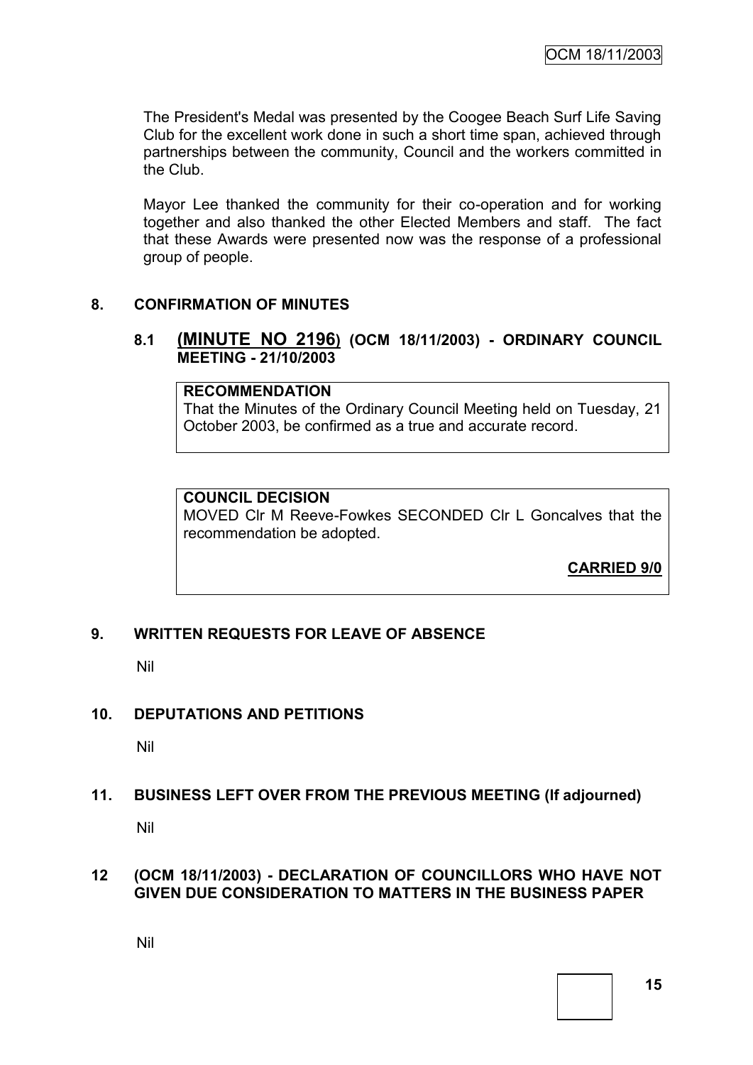The President's Medal was presented by the Coogee Beach Surf Life Saving Club for the excellent work done in such a short time span, achieved through partnerships between the community, Council and the workers committed in the Club.

Mayor Lee thanked the community for their co-operation and for working together and also thanked the other Elected Members and staff. The fact that these Awards were presented now was the response of a professional group of people.

### **8. CONFIRMATION OF MINUTES**

### **8.1 (MINUTE NO 2196) (OCM 18/11/2003) - ORDINARY COUNCIL MEETING - 21/10/2003**

#### **RECOMMENDATION**

That the Minutes of the Ordinary Council Meeting held on Tuesday, 21 October 2003, be confirmed as a true and accurate record.

### **COUNCIL DECISION**

MOVED Clr M Reeve-Fowkes SECONDED Clr L Goncalves that the recommendation be adopted.

**CARRIED 9/0**

### **9. WRITTEN REQUESTS FOR LEAVE OF ABSENCE**

Nil

### **10. DEPUTATIONS AND PETITIONS**

Nil

### **11. BUSINESS LEFT OVER FROM THE PREVIOUS MEETING (If adjourned)**

Nil

#### **12 (OCM 18/11/2003) - DECLARATION OF COUNCILLORS WHO HAVE NOT GIVEN DUE CONSIDERATION TO MATTERS IN THE BUSINESS PAPER**

Nil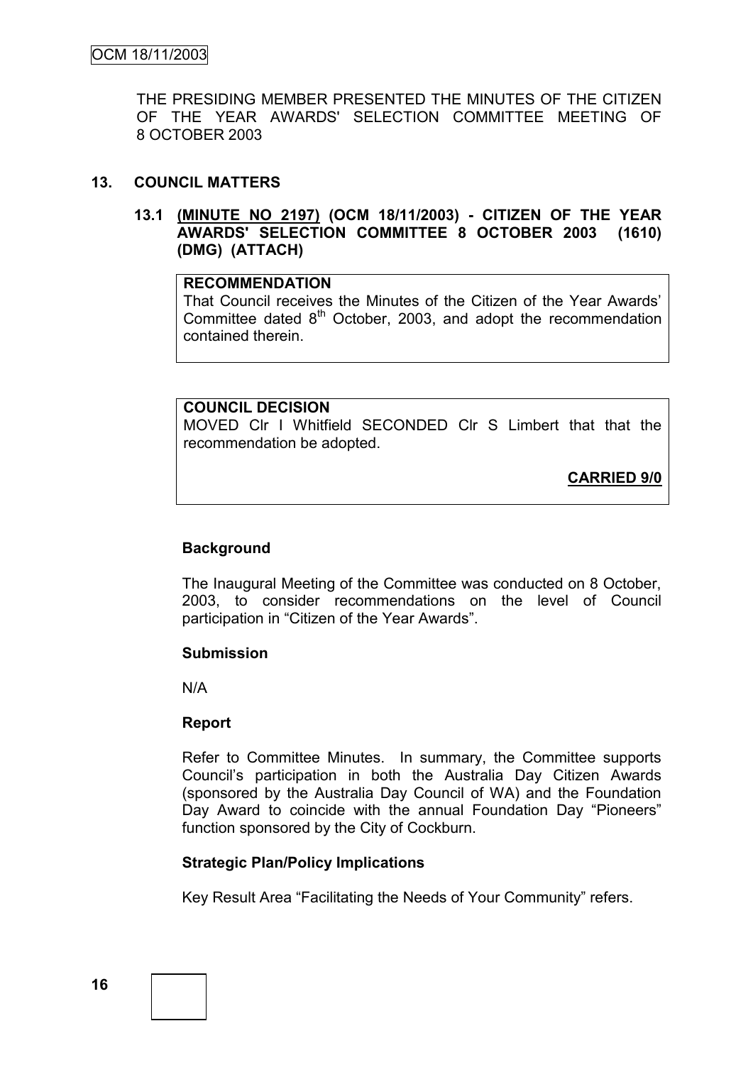THE PRESIDING MEMBER PRESENTED THE MINUTES OF THE CITIZEN OF THE YEAR AWARDS' SELECTION COMMITTEE MEETING OF 8 OCTOBER 2003

### **13. COUNCIL MATTERS**

**13.1 (MINUTE NO 2197) (OCM 18/11/2003) - CITIZEN OF THE YEAR AWARDS' SELECTION COMMITTEE 8 OCTOBER 2003 (1610) (DMG) (ATTACH)**

### **RECOMMENDATION**

That Council receives the Minutes of the Citizen of the Year Awards" Committee dated  $8<sup>th</sup>$  October, 2003, and adopt the recommendation contained therein.

### **COUNCIL DECISION**

MOVED Clr I Whitfield SECONDED Clr S Limbert that that the recommendation be adopted.

**CARRIED 9/0**

### **Background**

The Inaugural Meeting of the Committee was conducted on 8 October, 2003, to consider recommendations on the level of Council participation in "Citizen of the Year Awards".

### **Submission**

N/A

#### **Report**

Refer to Committee Minutes. In summary, the Committee supports Council"s participation in both the Australia Day Citizen Awards (sponsored by the Australia Day Council of WA) and the Foundation Day Award to coincide with the annual Foundation Day "Pioneers" function sponsored by the City of Cockburn.

### **Strategic Plan/Policy Implications**

Key Result Area "Facilitating the Needs of Your Community" refers.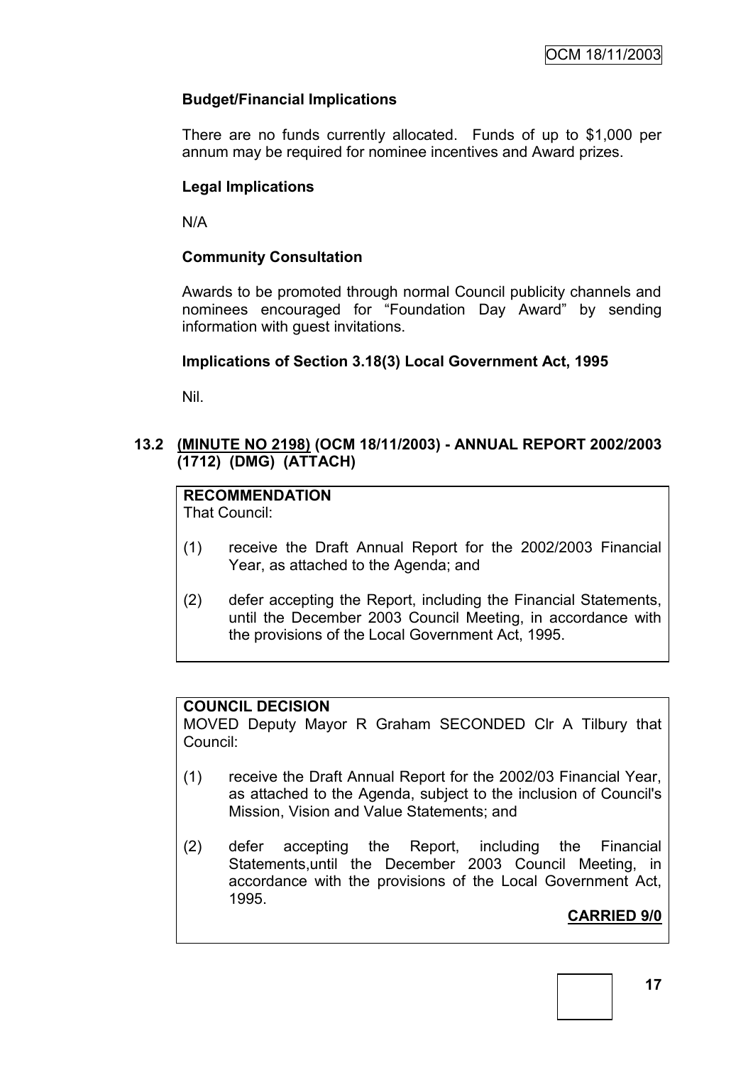## **Budget/Financial Implications**

There are no funds currently allocated. Funds of up to \$1,000 per annum may be required for nominee incentives and Award prizes.

## **Legal Implications**

N/A

## **Community Consultation**

Awards to be promoted through normal Council publicity channels and nominees encouraged for "Foundation Day Award" by sending information with guest invitations.

### **Implications of Section 3.18(3) Local Government Act, 1995**

Nil.

### **13.2 (MINUTE NO 2198) (OCM 18/11/2003) - ANNUAL REPORT 2002/2003 (1712) (DMG) (ATTACH)**

# **RECOMMENDATION**

That Council:

- (1) receive the Draft Annual Report for the 2002/2003 Financial Year, as attached to the Agenda; and
- (2) defer accepting the Report, including the Financial Statements, until the December 2003 Council Meeting, in accordance with the provisions of the Local Government Act, 1995.

## **COUNCIL DECISION**

MOVED Deputy Mayor R Graham SECONDED Clr A Tilbury that Council:

- (1) receive the Draft Annual Report for the 2002/03 Financial Year, as attached to the Agenda, subject to the inclusion of Council's Mission, Vision and Value Statements; and
- (2) defer accepting the Report, including the Financial Statements,until the December 2003 Council Meeting, in accordance with the provisions of the Local Government Act, 1995.

# **CARRIED 9/0**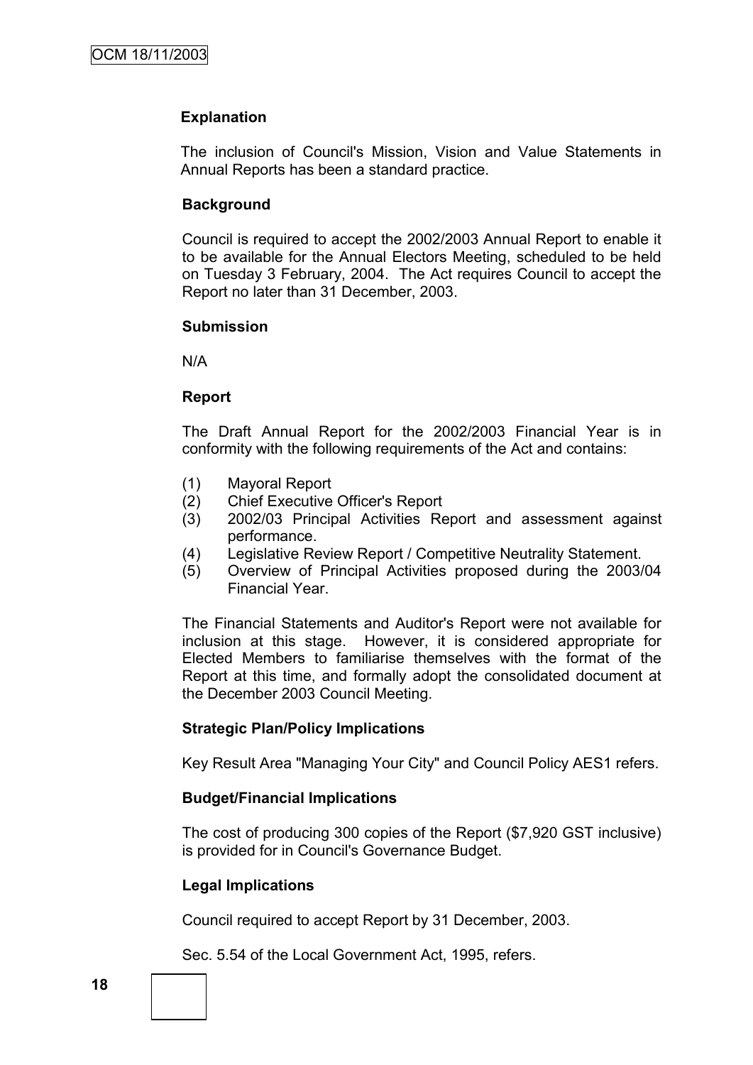### **Explanation**

The inclusion of Council's Mission, Vision and Value Statements in Annual Reports has been a standard practice.

### **Background**

Council is required to accept the 2002/2003 Annual Report to enable it to be available for the Annual Electors Meeting, scheduled to be held on Tuesday 3 February, 2004. The Act requires Council to accept the Report no later than 31 December, 2003.

### **Submission**

N/A

### **Report**

The Draft Annual Report for the 2002/2003 Financial Year is in conformity with the following requirements of the Act and contains:

- (1) Mayoral Report
- (2) Chief Executive Officer's Report
- (3) 2002/03 Principal Activities Report and assessment against performance.
- (4) Legislative Review Report / Competitive Neutrality Statement.
- (5) Overview of Principal Activities proposed during the 2003/04 Financial Year.

The Financial Statements and Auditor's Report were not available for inclusion at this stage. However, it is considered appropriate for Elected Members to familiarise themselves with the format of the Report at this time, and formally adopt the consolidated document at the December 2003 Council Meeting.

## **Strategic Plan/Policy Implications**

Key Result Area "Managing Your City" and Council Policy AES1 refers.

### **Budget/Financial Implications**

The cost of producing 300 copies of the Report (\$7,920 GST inclusive) is provided for in Council's Governance Budget.

### **Legal Implications**

Council required to accept Report by 31 December, 2003.

Sec. 5.54 of the Local Government Act, 1995, refers.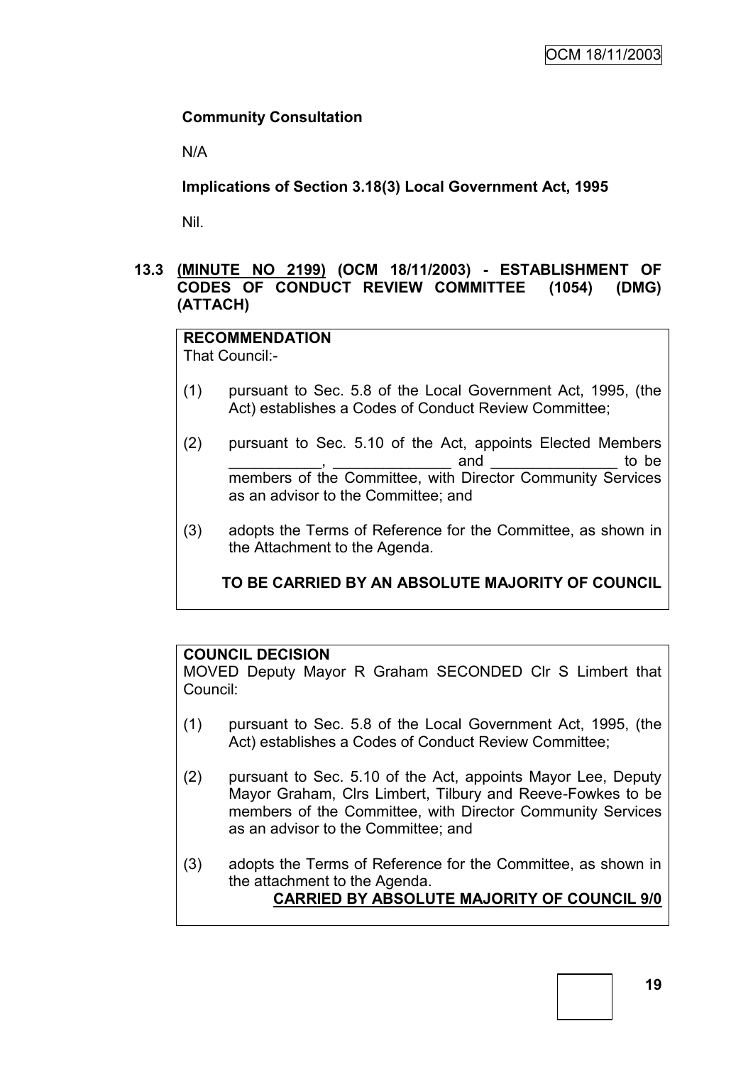### **Community Consultation**

N/A

**Implications of Section 3.18(3) Local Government Act, 1995**

Nil.

### **13.3 (MINUTE NO 2199) (OCM 18/11/2003) - ESTABLISHMENT OF CODES OF CONDUCT REVIEW COMMITTEE (1054) (DMG) (ATTACH)**

**RECOMMENDATION** That Council:-

- (1) pursuant to Sec. 5.8 of the Local Government Act, 1995, (the Act) establishes a Codes of Conduct Review Committee;
- (2) pursuant to Sec. 5.10 of the Act, appoints Elected Members \_\_\_\_\_\_\_\_\_\_\_, \_\_\_\_\_\_\_\_\_\_\_\_\_\_ and \_\_\_\_\_\_\_\_\_\_\_\_\_\_\_ to be members of the Committee, with Director Community Services as an advisor to the Committee; and
- (3) adopts the Terms of Reference for the Committee, as shown in the Attachment to the Agenda.

## **TO BE CARRIED BY AN ABSOLUTE MAJORITY OF COUNCIL**

### **COUNCIL DECISION**

MOVED Deputy Mayor R Graham SECONDED Clr S Limbert that Council:

- (1) pursuant to Sec. 5.8 of the Local Government Act, 1995, (the Act) establishes a Codes of Conduct Review Committee;
- (2) pursuant to Sec. 5.10 of the Act, appoints Mayor Lee, Deputy Mayor Graham, Clrs Limbert, Tilbury and Reeve-Fowkes to be members of the Committee, with Director Community Services as an advisor to the Committee; and
- (3) adopts the Terms of Reference for the Committee, as shown in the attachment to the Agenda. **CARRIED BY ABSOLUTE MAJORITY OF COUNCIL 9/0**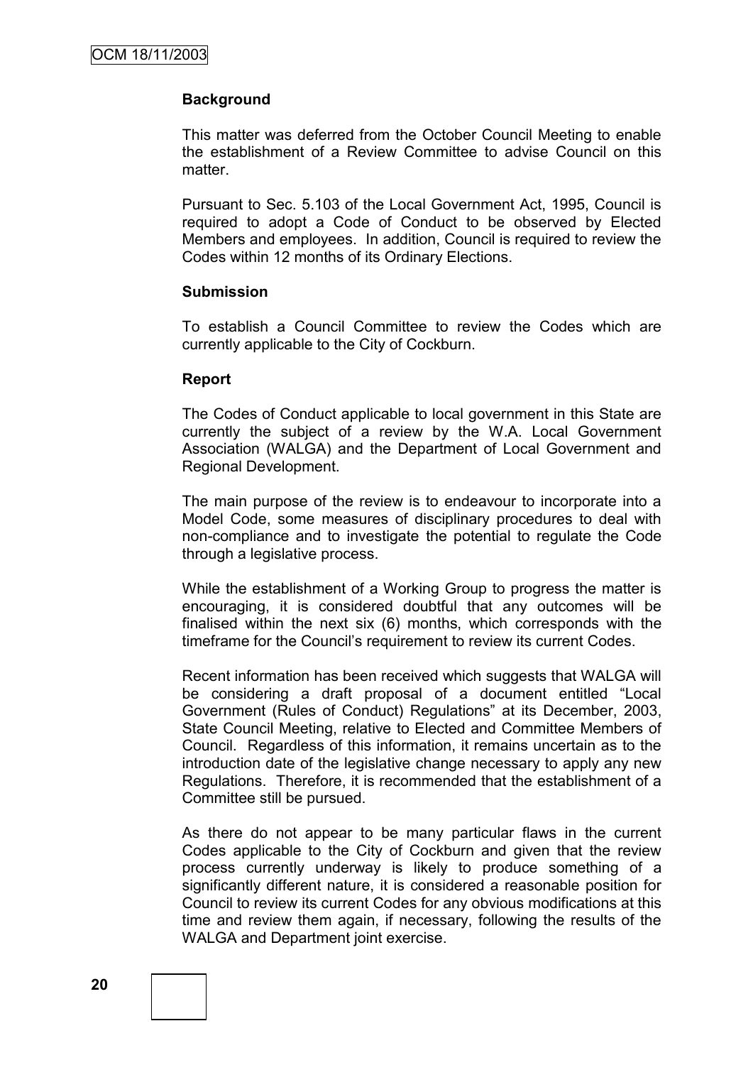### **Background**

This matter was deferred from the October Council Meeting to enable the establishment of a Review Committee to advise Council on this matter.

Pursuant to Sec. 5.103 of the Local Government Act, 1995, Council is required to adopt a Code of Conduct to be observed by Elected Members and employees. In addition, Council is required to review the Codes within 12 months of its Ordinary Elections.

#### **Submission**

To establish a Council Committee to review the Codes which are currently applicable to the City of Cockburn.

#### **Report**

The Codes of Conduct applicable to local government in this State are currently the subject of a review by the W.A. Local Government Association (WALGA) and the Department of Local Government and Regional Development.

The main purpose of the review is to endeavour to incorporate into a Model Code, some measures of disciplinary procedures to deal with non-compliance and to investigate the potential to regulate the Code through a legislative process.

While the establishment of a Working Group to progress the matter is encouraging, it is considered doubtful that any outcomes will be finalised within the next six (6) months, which corresponds with the timeframe for the Council"s requirement to review its current Codes.

Recent information has been received which suggests that WALGA will be considering a draft proposal of a document entitled "Local Government (Rules of Conduct) Regulations" at its December, 2003, State Council Meeting, relative to Elected and Committee Members of Council. Regardless of this information, it remains uncertain as to the introduction date of the legislative change necessary to apply any new Regulations. Therefore, it is recommended that the establishment of a Committee still be pursued.

As there do not appear to be many particular flaws in the current Codes applicable to the City of Cockburn and given that the review process currently underway is likely to produce something of a significantly different nature, it is considered a reasonable position for Council to review its current Codes for any obvious modifications at this time and review them again, if necessary, following the results of the WALGA and Department joint exercise.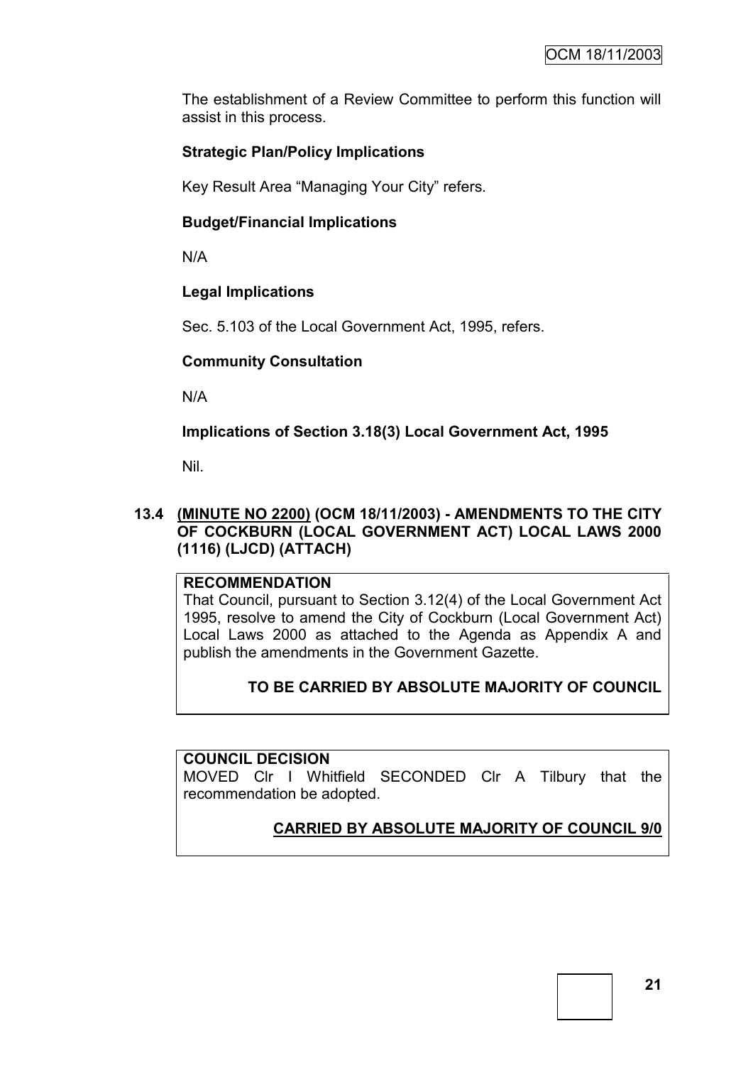The establishment of a Review Committee to perform this function will assist in this process.

# **Strategic Plan/Policy Implications**

Key Result Area "Managing Your City" refers.

### **Budget/Financial Implications**

N/A

## **Legal Implications**

Sec. 5.103 of the Local Government Act, 1995, refers.

## **Community Consultation**

N/A

## **Implications of Section 3.18(3) Local Government Act, 1995**

Nil.

### **13.4 (MINUTE NO 2200) (OCM 18/11/2003) - AMENDMENTS TO THE CITY OF COCKBURN (LOCAL GOVERNMENT ACT) LOCAL LAWS 2000 (1116) (LJCD) (ATTACH)**

### **RECOMMENDATION**

That Council, pursuant to Section 3.12(4) of the Local Government Act 1995, resolve to amend the City of Cockburn (Local Government Act) Local Laws 2000 as attached to the Agenda as Appendix A and publish the amendments in the Government Gazette.

## **TO BE CARRIED BY ABSOLUTE MAJORITY OF COUNCIL**

### **COUNCIL DECISION**

MOVED Clr I Whitfield SECONDED Clr A Tilbury that the recommendation be adopted.

# **CARRIED BY ABSOLUTE MAJORITY OF COUNCIL 9/0**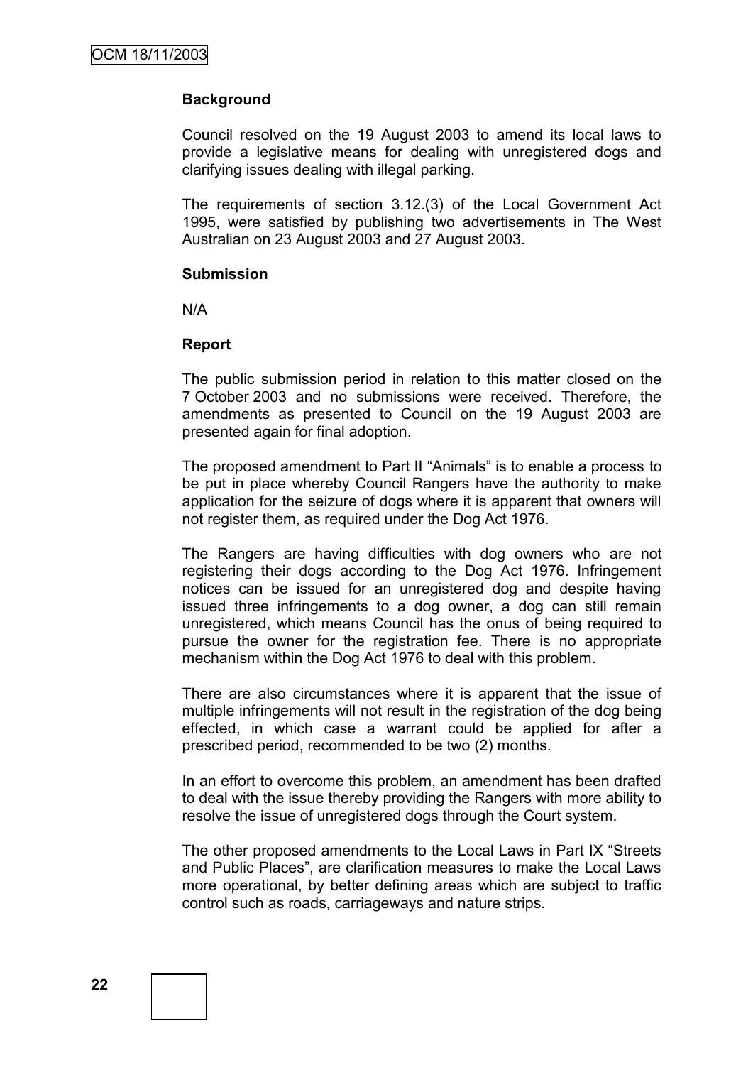### **Background**

Council resolved on the 19 August 2003 to amend its local laws to provide a legislative means for dealing with unregistered dogs and clarifying issues dealing with illegal parking.

The requirements of section 3.12.(3) of the Local Government Act 1995, were satisfied by publishing two advertisements in The West Australian on 23 August 2003 and 27 August 2003.

#### **Submission**

N/A

### **Report**

The public submission period in relation to this matter closed on the 7 October 2003 and no submissions were received. Therefore, the amendments as presented to Council on the 19 August 2003 are presented again for final adoption.

The proposed amendment to Part II "Animals" is to enable a process to be put in place whereby Council Rangers have the authority to make application for the seizure of dogs where it is apparent that owners will not register them, as required under the Dog Act 1976.

The Rangers are having difficulties with dog owners who are not registering their dogs according to the Dog Act 1976. Infringement notices can be issued for an unregistered dog and despite having issued three infringements to a dog owner, a dog can still remain unregistered, which means Council has the onus of being required to pursue the owner for the registration fee. There is no appropriate mechanism within the Dog Act 1976 to deal with this problem.

There are also circumstances where it is apparent that the issue of multiple infringements will not result in the registration of the dog being effected, in which case a warrant could be applied for after a prescribed period, recommended to be two (2) months.

In an effort to overcome this problem, an amendment has been drafted to deal with the issue thereby providing the Rangers with more ability to resolve the issue of unregistered dogs through the Court system.

The other proposed amendments to the Local Laws in Part IX "Streets and Public Places", are clarification measures to make the Local Laws more operational, by better defining areas which are subject to traffic control such as roads, carriageways and nature strips.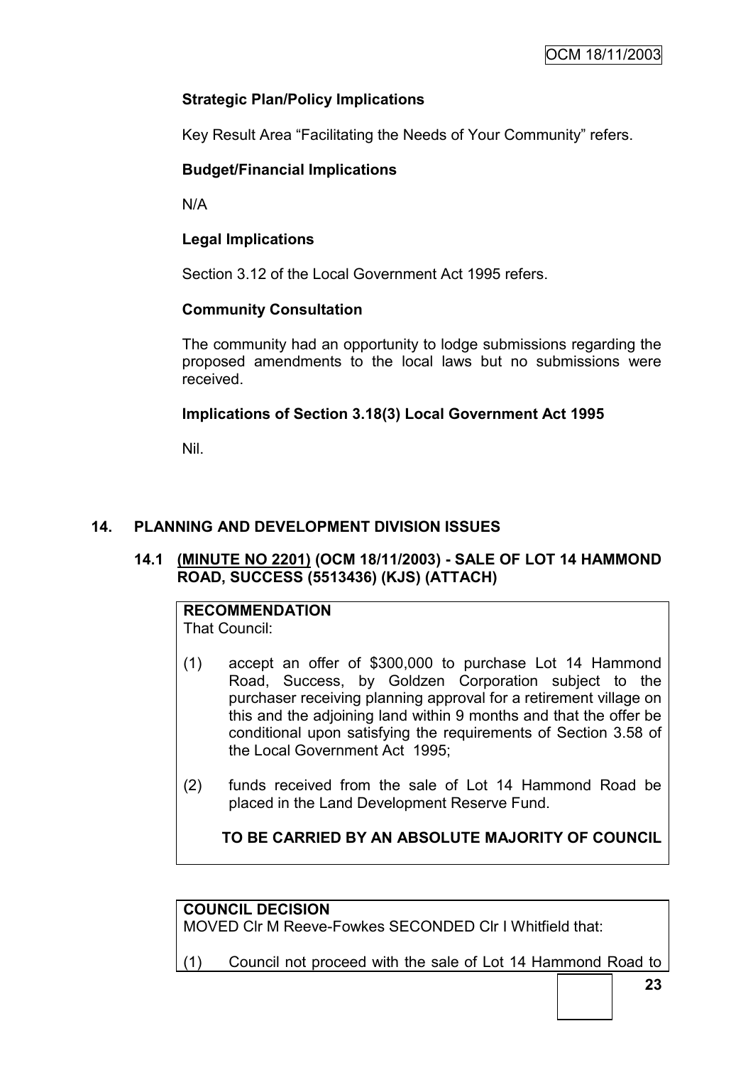## **Strategic Plan/Policy Implications**

Key Result Area "Facilitating the Needs of Your Community" refers.

### **Budget/Financial Implications**

N/A

### **Legal Implications**

Section 3.12 of the Local Government Act 1995 refers.

### **Community Consultation**

The community had an opportunity to lodge submissions regarding the proposed amendments to the local laws but no submissions were received.

### **Implications of Section 3.18(3) Local Government Act 1995**

Nil.

### **14. PLANNING AND DEVELOPMENT DIVISION ISSUES**

### **14.1 (MINUTE NO 2201) (OCM 18/11/2003) - SALE OF LOT 14 HAMMOND ROAD, SUCCESS (5513436) (KJS) (ATTACH)**

**RECOMMENDATION** That Council:

- (1) accept an offer of \$300,000 to purchase Lot 14 Hammond Road, Success, by Goldzen Corporation subject to the purchaser receiving planning approval for a retirement village on this and the adjoining land within 9 months and that the offer be conditional upon satisfying the requirements of Section 3.58 of the Local Government Act 1995;
- (2) funds received from the sale of Lot 14 Hammond Road be placed in the Land Development Reserve Fund.

## **TO BE CARRIED BY AN ABSOLUTE MAJORITY OF COUNCIL**

### **COUNCIL DECISION**

MOVED Clr M Reeve-Fowkes SECONDED Clr I Whitfield that:

(1) Council not proceed with the sale of Lot 14 Hammond Road to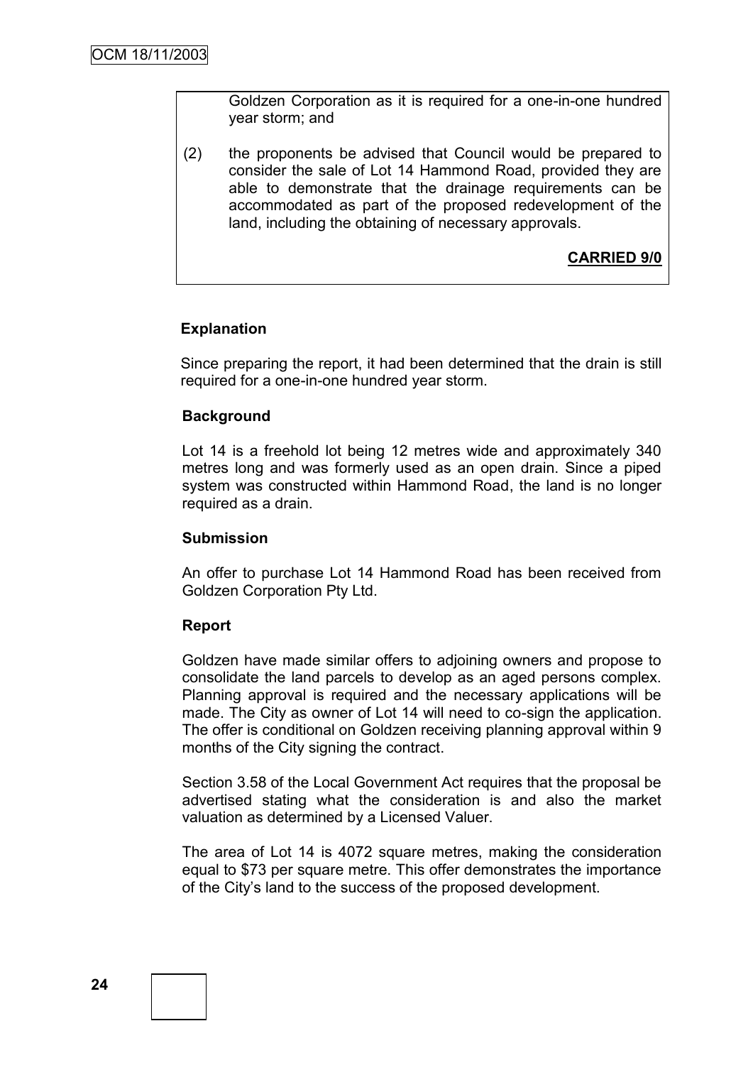Goldzen Corporation as it is required for a one-in-one hundred year storm; and

(2) the proponents be advised that Council would be prepared to consider the sale of Lot 14 Hammond Road, provided they are able to demonstrate that the drainage requirements can be accommodated as part of the proposed redevelopment of the land, including the obtaining of necessary approvals.

**CARRIED 9/0**

### **Explanation**

Since preparing the report, it had been determined that the drain is still required for a one-in-one hundred year storm.

#### **Background**

Lot 14 is a freehold lot being 12 metres wide and approximately 340 metres long and was formerly used as an open drain. Since a piped system was constructed within Hammond Road, the land is no longer required as a drain.

#### **Submission**

An offer to purchase Lot 14 Hammond Road has been received from Goldzen Corporation Pty Ltd.

#### **Report**

Goldzen have made similar offers to adjoining owners and propose to consolidate the land parcels to develop as an aged persons complex. Planning approval is required and the necessary applications will be made. The City as owner of Lot 14 will need to co-sign the application. The offer is conditional on Goldzen receiving planning approval within 9 months of the City signing the contract.

Section 3.58 of the Local Government Act requires that the proposal be advertised stating what the consideration is and also the market valuation as determined by a Licensed Valuer.

The area of Lot 14 is 4072 square metres, making the consideration equal to \$73 per square metre. This offer demonstrates the importance of the City"s land to the success of the proposed development.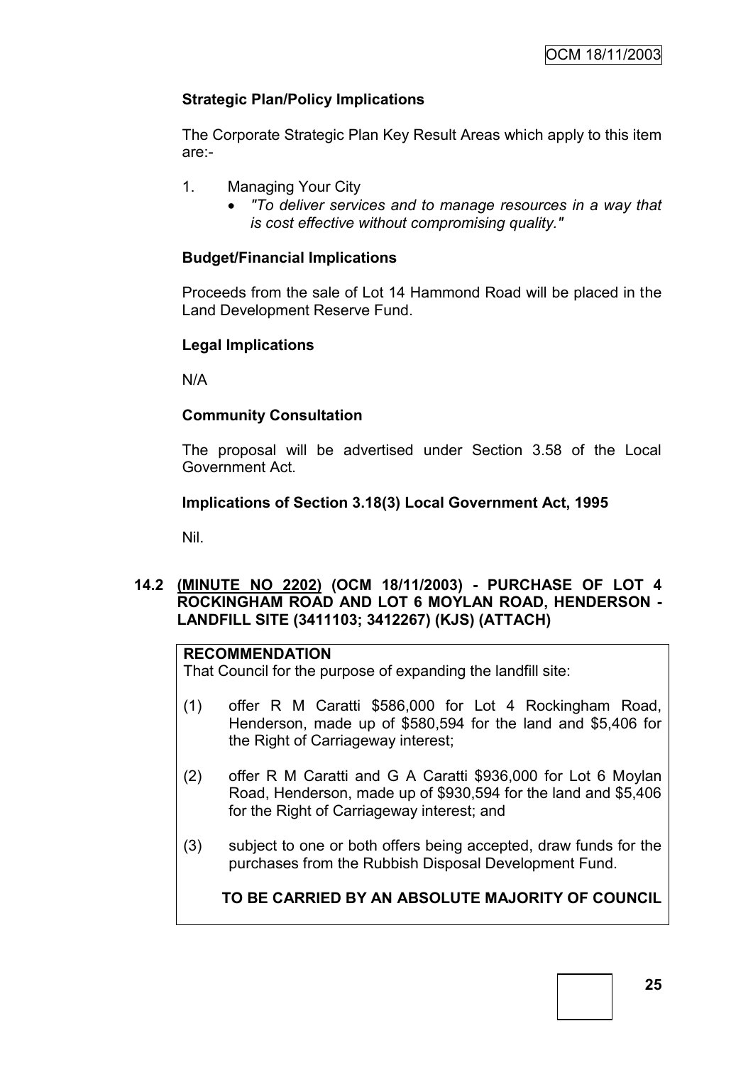## **Strategic Plan/Policy Implications**

The Corporate Strategic Plan Key Result Areas which apply to this item are:-

- 1. Managing Your City
	- *"To deliver services and to manage resources in a way that is cost effective without compromising quality."*

## **Budget/Financial Implications**

Proceeds from the sale of Lot 14 Hammond Road will be placed in the Land Development Reserve Fund.

### **Legal Implications**

N/A

## **Community Consultation**

The proposal will be advertised under Section 3.58 of the Local Government Act.

### **Implications of Section 3.18(3) Local Government Act, 1995**

Nil.

### **14.2 (MINUTE NO 2202) (OCM 18/11/2003) - PURCHASE OF LOT 4 ROCKINGHAM ROAD AND LOT 6 MOYLAN ROAD, HENDERSON - LANDFILL SITE (3411103; 3412267) (KJS) (ATTACH)**

### **RECOMMENDATION**

That Council for the purpose of expanding the landfill site:

- (1) offer R M Caratti \$586,000 for Lot 4 Rockingham Road, Henderson, made up of \$580,594 for the land and \$5,406 for the Right of Carriageway interest;
- (2) offer R M Caratti and G A Caratti \$936,000 for Lot 6 Moylan Road, Henderson, made up of \$930,594 for the land and \$5,406 for the Right of Carriageway interest; and
- (3) subject to one or both offers being accepted, draw funds for the purchases from the Rubbish Disposal Development Fund.

## **TO BE CARRIED BY AN ABSOLUTE MAJORITY OF COUNCIL**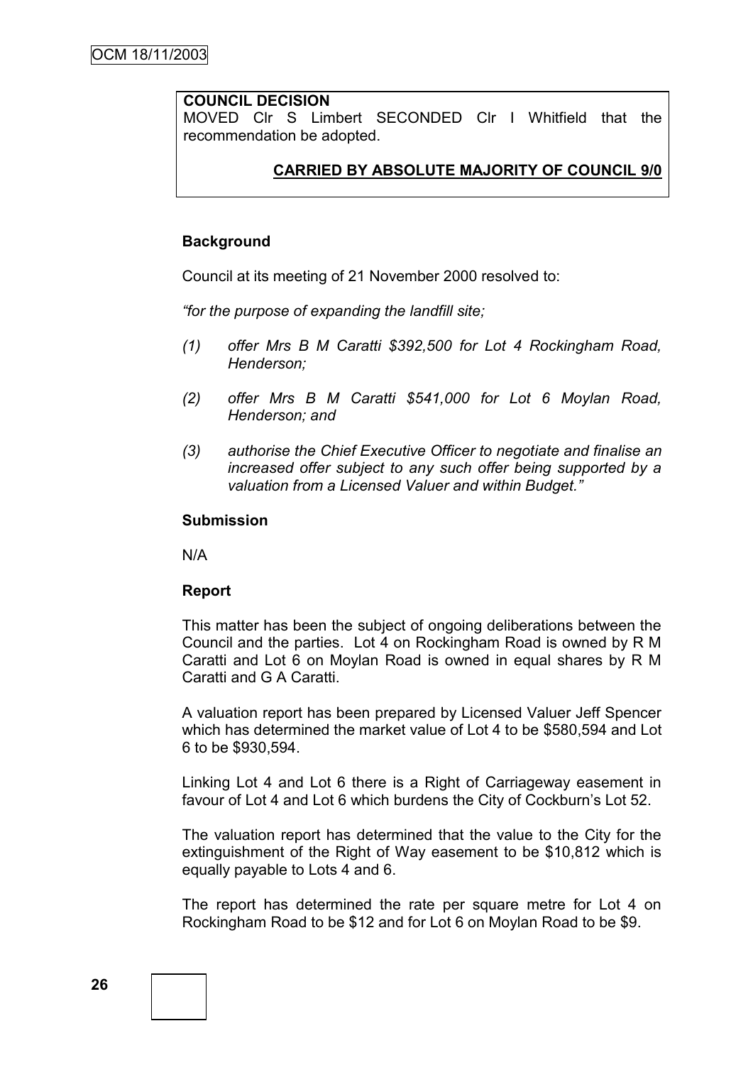#### **COUNCIL DECISION**

MOVED Clr S Limbert SECONDED Clr I Whitfield that the recommendation be adopted.

#### **CARRIED BY ABSOLUTE MAJORITY OF COUNCIL 9/0**

#### **Background**

Council at its meeting of 21 November 2000 resolved to:

*"for the purpose of expanding the landfill site;*

- *(1) offer Mrs B M Caratti \$392,500 for Lot 4 Rockingham Road, Henderson;*
- *(2) offer Mrs B M Caratti \$541,000 for Lot 6 Moylan Road, Henderson; and*
- *(3) authorise the Chief Executive Officer to negotiate and finalise an increased offer subject to any such offer being supported by a valuation from a Licensed Valuer and within Budget."*

### **Submission**

N/A

#### **Report**

This matter has been the subject of ongoing deliberations between the Council and the parties. Lot 4 on Rockingham Road is owned by R M Caratti and Lot 6 on Moylan Road is owned in equal shares by R M Caratti and G A Caratti.

A valuation report has been prepared by Licensed Valuer Jeff Spencer which has determined the market value of Lot 4 to be \$580,594 and Lot 6 to be \$930,594.

Linking Lot 4 and Lot 6 there is a Right of Carriageway easement in favour of Lot 4 and Lot 6 which burdens the City of Cockburn's Lot 52.

The valuation report has determined that the value to the City for the extinguishment of the Right of Way easement to be \$10,812 which is equally payable to Lots 4 and 6.

The report has determined the rate per square metre for Lot 4 on Rockingham Road to be \$12 and for Lot 6 on Moylan Road to be \$9.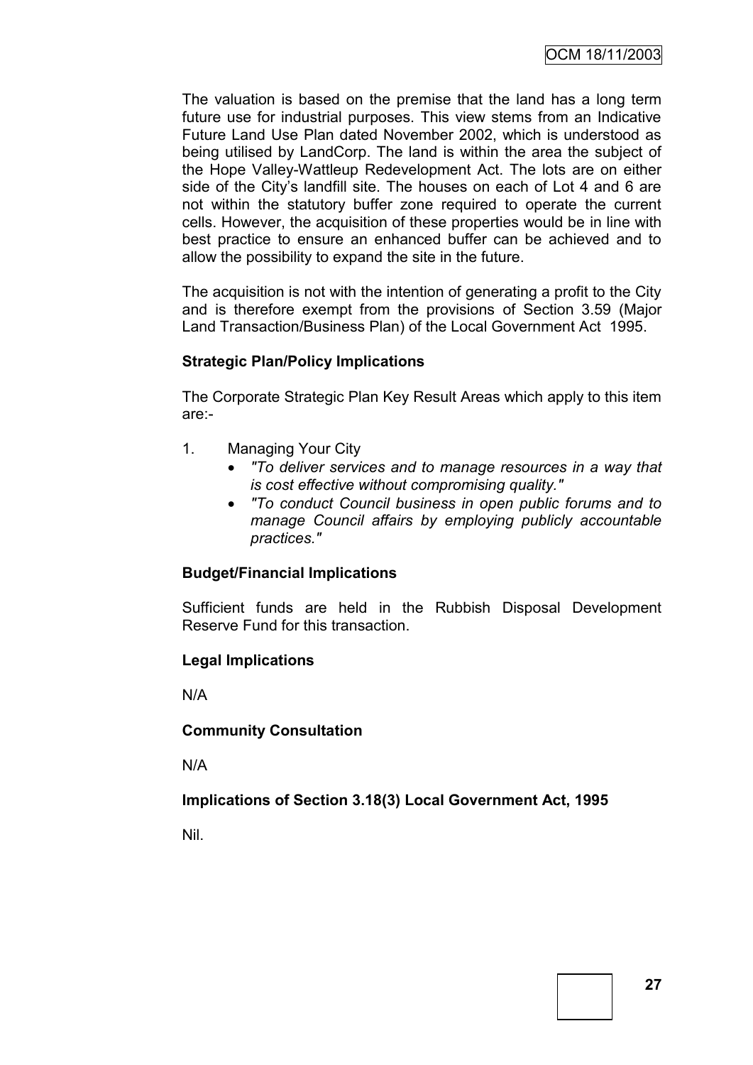The valuation is based on the premise that the land has a long term future use for industrial purposes. This view stems from an Indicative Future Land Use Plan dated November 2002, which is understood as being utilised by LandCorp. The land is within the area the subject of the Hope Valley-Wattleup Redevelopment Act. The lots are on either side of the City's landfill site. The houses on each of Lot 4 and 6 are not within the statutory buffer zone required to operate the current cells. However, the acquisition of these properties would be in line with best practice to ensure an enhanced buffer can be achieved and to allow the possibility to expand the site in the future.

The acquisition is not with the intention of generating a profit to the City and is therefore exempt from the provisions of Section 3.59 (Major Land Transaction/Business Plan) of the Local Government Act 1995.

## **Strategic Plan/Policy Implications**

The Corporate Strategic Plan Key Result Areas which apply to this item are:-

- 1. Managing Your City
	- *"To deliver services and to manage resources in a way that is cost effective without compromising quality."*
	- *"To conduct Council business in open public forums and to manage Council affairs by employing publicly accountable practices."*

## **Budget/Financial Implications**

Sufficient funds are held in the Rubbish Disposal Development Reserve Fund for this transaction.

## **Legal Implications**

N/A

## **Community Consultation**

N/A

## **Implications of Section 3.18(3) Local Government Act, 1995**

Nil.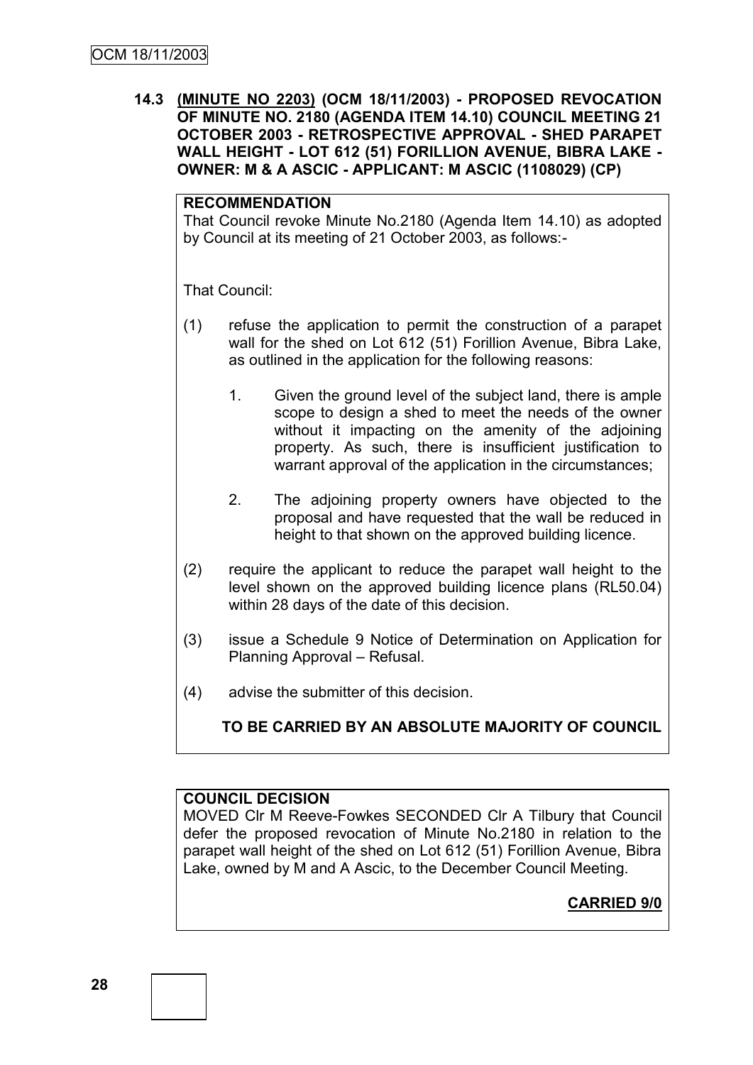**14.3 (MINUTE NO 2203) (OCM 18/11/2003) - PROPOSED REVOCATION OF MINUTE NO. 2180 (AGENDA ITEM 14.10) COUNCIL MEETING 21 OCTOBER 2003 - RETROSPECTIVE APPROVAL - SHED PARAPET WALL HEIGHT - LOT 612 (51) FORILLION AVENUE, BIBRA LAKE - OWNER: M & A ASCIC - APPLICANT: M ASCIC (1108029) (CP)**

#### **RECOMMENDATION**

That Council revoke Minute No.2180 (Agenda Item 14.10) as adopted by Council at its meeting of 21 October 2003, as follows:-

That Council:

- (1) refuse the application to permit the construction of a parapet wall for the shed on Lot 612 (51) Forillion Avenue, Bibra Lake, as outlined in the application for the following reasons:
	- 1. Given the ground level of the subject land, there is ample scope to design a shed to meet the needs of the owner without it impacting on the amenity of the adjoining property. As such, there is insufficient justification to warrant approval of the application in the circumstances;
	- 2. The adjoining property owners have objected to the proposal and have requested that the wall be reduced in height to that shown on the approved building licence.
- (2) require the applicant to reduce the parapet wall height to the level shown on the approved building licence plans (RL50.04) within 28 days of the date of this decision.
- (3) issue a Schedule 9 Notice of Determination on Application for Planning Approval – Refusal.
- (4) advise the submitter of this decision.

# **TO BE CARRIED BY AN ABSOLUTE MAJORITY OF COUNCIL**

### **COUNCIL DECISION**

MOVED Clr M Reeve-Fowkes SECONDED Clr A Tilbury that Council defer the proposed revocation of Minute No.2180 in relation to the parapet wall height of the shed on Lot 612 (51) Forillion Avenue, Bibra Lake, owned by M and A Ascic, to the December Council Meeting.

**CARRIED 9/0**

**28**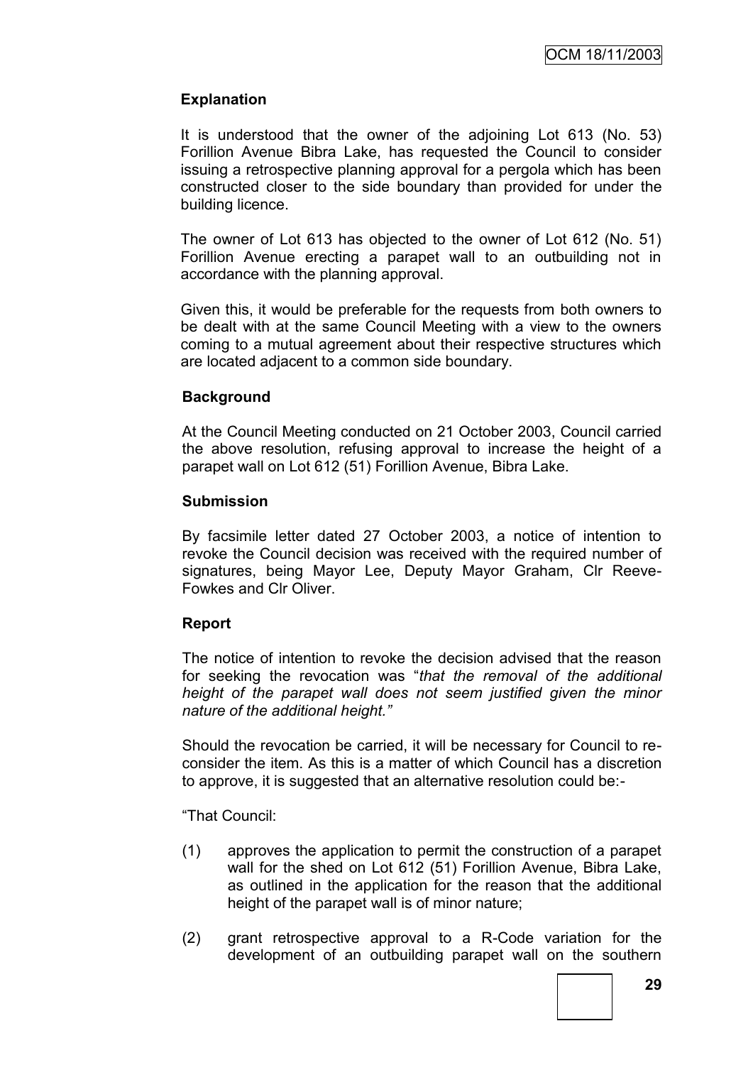### **Explanation**

It is understood that the owner of the adjoining Lot 613 (No. 53) Forillion Avenue Bibra Lake, has requested the Council to consider issuing a retrospective planning approval for a pergola which has been constructed closer to the side boundary than provided for under the building licence.

The owner of Lot 613 has objected to the owner of Lot 612 (No. 51) Forillion Avenue erecting a parapet wall to an outbuilding not in accordance with the planning approval.

Given this, it would be preferable for the requests from both owners to be dealt with at the same Council Meeting with a view to the owners coming to a mutual agreement about their respective structures which are located adjacent to a common side boundary.

### **Background**

At the Council Meeting conducted on 21 October 2003, Council carried the above resolution, refusing approval to increase the height of a parapet wall on Lot 612 (51) Forillion Avenue, Bibra Lake.

### **Submission**

By facsimile letter dated 27 October 2003, a notice of intention to revoke the Council decision was received with the required number of signatures, being Mayor Lee, Deputy Mayor Graham, Clr Reeve-Fowkes and Clr Oliver.

### **Report**

The notice of intention to revoke the decision advised that the reason for seeking the revocation was "*that the removal of the additional height of the parapet wall does not seem justified given the minor nature of the additional height."*

Should the revocation be carried, it will be necessary for Council to reconsider the item. As this is a matter of which Council has a discretion to approve, it is suggested that an alternative resolution could be:-

"That Council:

- (1) approves the application to permit the construction of a parapet wall for the shed on Lot 612 (51) Forillion Avenue, Bibra Lake, as outlined in the application for the reason that the additional height of the parapet wall is of minor nature;
- (2) grant retrospective approval to a R-Code variation for the development of an outbuilding parapet wall on the southern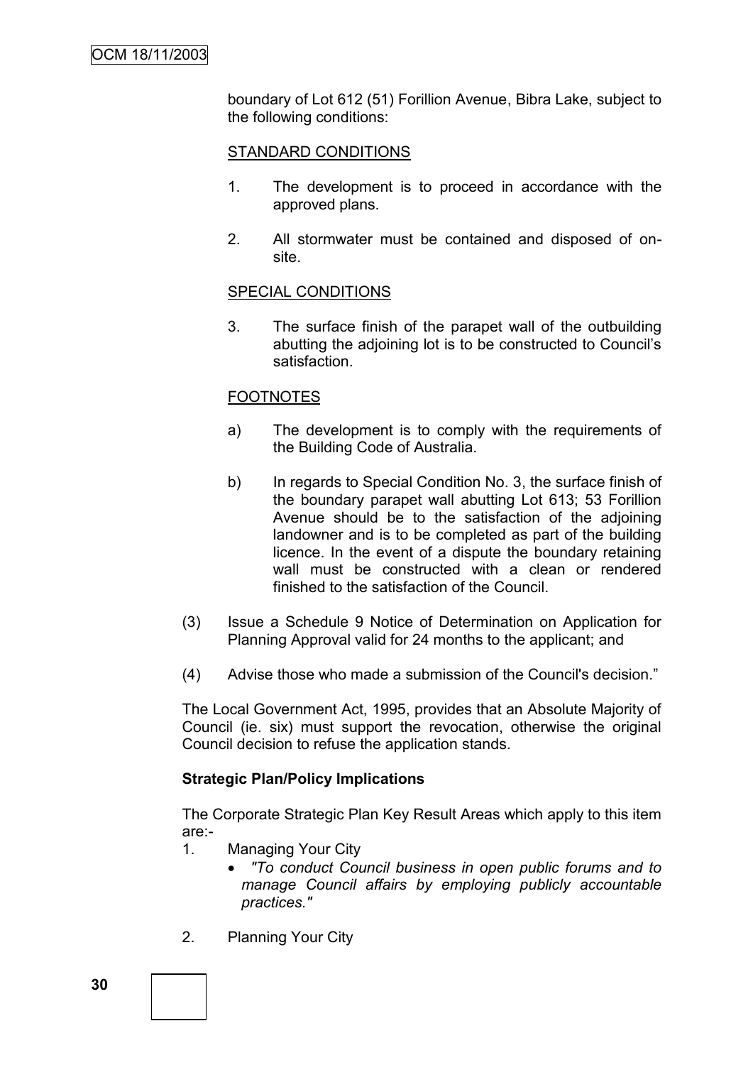boundary of Lot 612 (51) Forillion Avenue, Bibra Lake, subject to the following conditions:

#### STANDARD CONDITIONS

- 1. The development is to proceed in accordance with the approved plans.
- 2. All stormwater must be contained and disposed of onsite.

#### SPECIAL CONDITIONS

3. The surface finish of the parapet wall of the outbuilding abutting the adjoining lot is to be constructed to Council"s satisfaction.

#### FOOTNOTES

- a) The development is to comply with the requirements of the Building Code of Australia.
- b) In regards to Special Condition No. 3, the surface finish of the boundary parapet wall abutting Lot 613; 53 Forillion Avenue should be to the satisfaction of the adjoining landowner and is to be completed as part of the building licence. In the event of a dispute the boundary retaining wall must be constructed with a clean or rendered finished to the satisfaction of the Council.
- (3) Issue a Schedule 9 Notice of Determination on Application for Planning Approval valid for 24 months to the applicant; and
- (4) Advise those who made a submission of the Council's decision."

The Local Government Act, 1995, provides that an Absolute Majority of Council (ie. six) must support the revocation, otherwise the original Council decision to refuse the application stands.

### **Strategic Plan/Policy Implications**

The Corporate Strategic Plan Key Result Areas which apply to this item are:-

- 1. Managing Your City
	- *"To conduct Council business in open public forums and to manage Council affairs by employing publicly accountable practices."*
- 2. Planning Your City

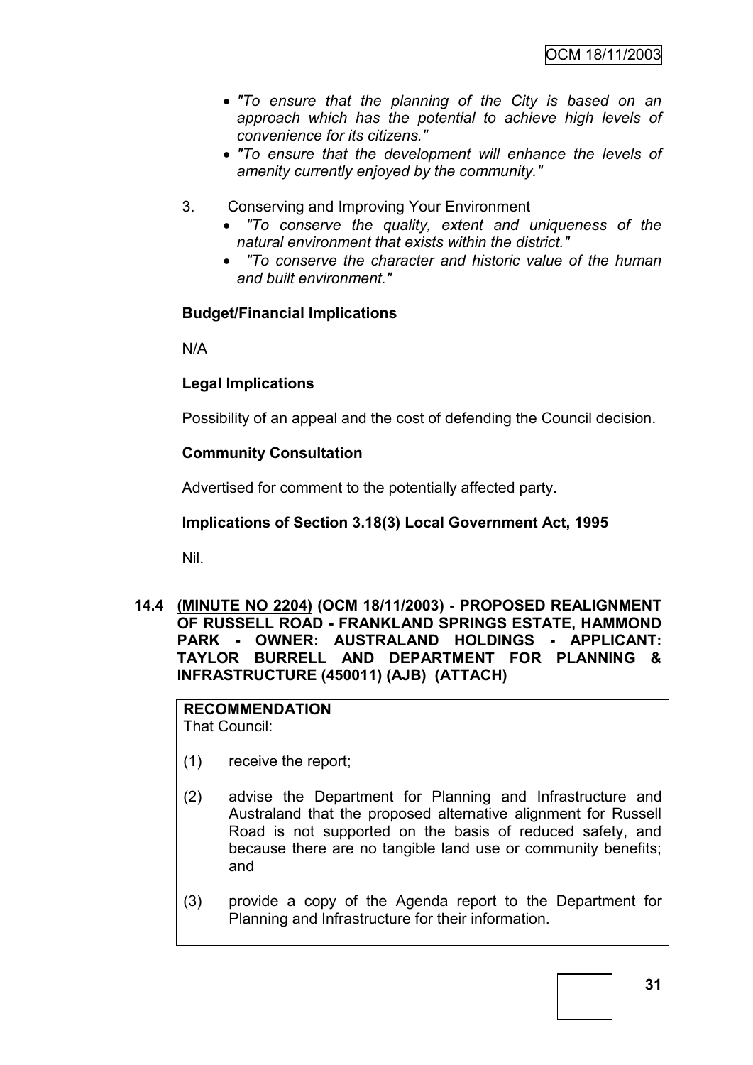- *"To ensure that the planning of the City is based on an approach which has the potential to achieve high levels of convenience for its citizens."*
- *"To ensure that the development will enhance the levels of amenity currently enjoyed by the community."*
- 3. Conserving and Improving Your Environment
	- *"To conserve the quality, extent and uniqueness of the natural environment that exists within the district."*
	- *"To conserve the character and historic value of the human and built environment."*

### **Budget/Financial Implications**

N/A

### **Legal Implications**

Possibility of an appeal and the cost of defending the Council decision.

### **Community Consultation**

Advertised for comment to the potentially affected party.

### **Implications of Section 3.18(3) Local Government Act, 1995**

Nil.

**14.4 (MINUTE NO 2204) (OCM 18/11/2003) - PROPOSED REALIGNMENT OF RUSSELL ROAD - FRANKLAND SPRINGS ESTATE, HAMMOND PARK - OWNER: AUSTRALAND HOLDINGS - APPLICANT: TAYLOR BURRELL AND DEPARTMENT FOR PLANNING & INFRASTRUCTURE (450011) (AJB) (ATTACH)**

#### **RECOMMENDATION** That Council:

- (1) receive the report;
- (2) advise the Department for Planning and Infrastructure and Australand that the proposed alternative alignment for Russell Road is not supported on the basis of reduced safety, and because there are no tangible land use or community benefits; and
- (3) provide a copy of the Agenda report to the Department for Planning and Infrastructure for their information.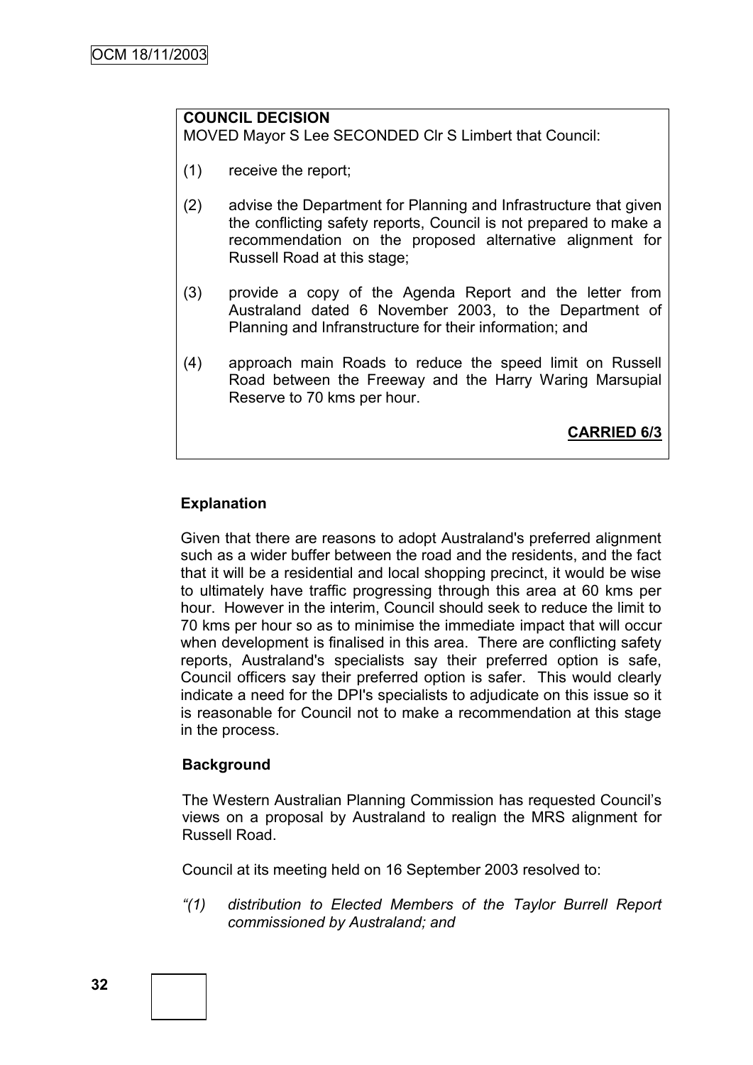# **COUNCIL DECISION**

MOVED Mayor S Lee SECONDED Clr S Limbert that Council:

- (1) receive the report;
- (2) advise the Department for Planning and Infrastructure that given the conflicting safety reports, Council is not prepared to make a recommendation on the proposed alternative alignment for Russell Road at this stage;
- (3) provide a copy of the Agenda Report and the letter from Australand dated 6 November 2003, to the Department of Planning and Infranstructure for their information; and
- (4) approach main Roads to reduce the speed limit on Russell Road between the Freeway and the Harry Waring Marsupial Reserve to 70 kms per hour.

**CARRIED 6/3**

# **Explanation**

Given that there are reasons to adopt Australand's preferred alignment such as a wider buffer between the road and the residents, and the fact that it will be a residential and local shopping precinct, it would be wise to ultimately have traffic progressing through this area at 60 kms per hour. However in the interim, Council should seek to reduce the limit to 70 kms per hour so as to minimise the immediate impact that will occur when development is finalised in this area. There are conflicting safety reports, Australand's specialists say their preferred option is safe, Council officers say their preferred option is safer. This would clearly indicate a need for the DPI's specialists to adjudicate on this issue so it is reasonable for Council not to make a recommendation at this stage in the process.

# **Background**

The Western Australian Planning Commission has requested Council"s views on a proposal by Australand to realign the MRS alignment for Russell Road.

Council at its meeting held on 16 September 2003 resolved to:

*"(1) distribution to Elected Members of the Taylor Burrell Report commissioned by Australand; and*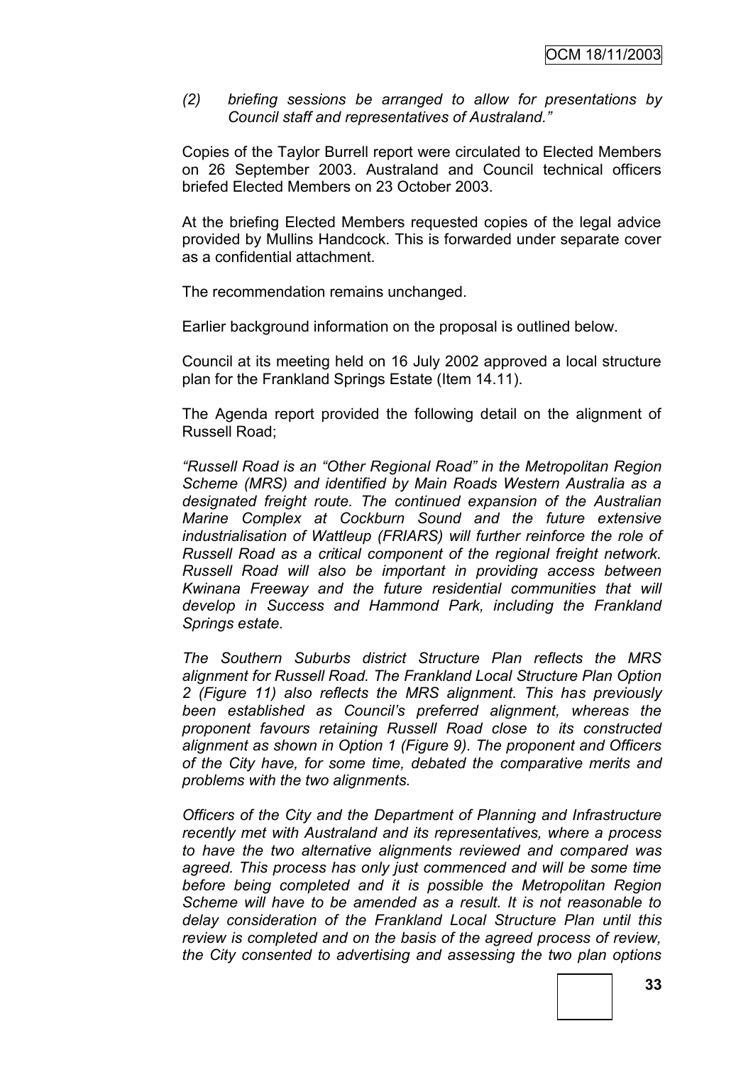### *(2) briefing sessions be arranged to allow for presentations by Council staff and representatives of Australand."*

Copies of the Taylor Burrell report were circulated to Elected Members on 26 September 2003. Australand and Council technical officers briefed Elected Members on 23 October 2003.

At the briefing Elected Members requested copies of the legal advice provided by Mullins Handcock. This is forwarded under separate cover as a confidential attachment.

The recommendation remains unchanged.

Earlier background information on the proposal is outlined below.

Council at its meeting held on 16 July 2002 approved a local structure plan for the Frankland Springs Estate (Item 14.11).

The Agenda report provided the following detail on the alignment of Russell Road;

*"Russell Road is an "Other Regional Road" in the Metropolitan Region Scheme (MRS) and identified by Main Roads Western Australia as a designated freight route. The continued expansion of the Australian Marine Complex at Cockburn Sound and the future extensive industrialisation of Wattleup (FRIARS) will further reinforce the role of Russell Road as a critical component of the regional freight network. Russell Road will also be important in providing access between Kwinana Freeway and the future residential communities that will develop in Success and Hammond Park, including the Frankland Springs estate.* 

*The Southern Suburbs district Structure Plan reflects the MRS alignment for Russell Road. The Frankland Local Structure Plan Option 2 (Figure 11) also reflects the MRS alignment. This has previously been established as Council's preferred alignment, whereas the proponent favours retaining Russell Road close to its constructed alignment as shown in Option 1 (Figure 9). The proponent and Officers of the City have, for some time, debated the comparative merits and problems with the two alignments.*

*Officers of the City and the Department of Planning and Infrastructure recently met with Australand and its representatives, where a process to have the two alternative alignments reviewed and compared was agreed. This process has only just commenced and will be some time before being completed and it is possible the Metropolitan Region Scheme will have to be amended as a result. It is not reasonable to delay consideration of the Frankland Local Structure Plan until this review is completed and on the basis of the agreed process of review, the City consented to advertising and assessing the two plan options*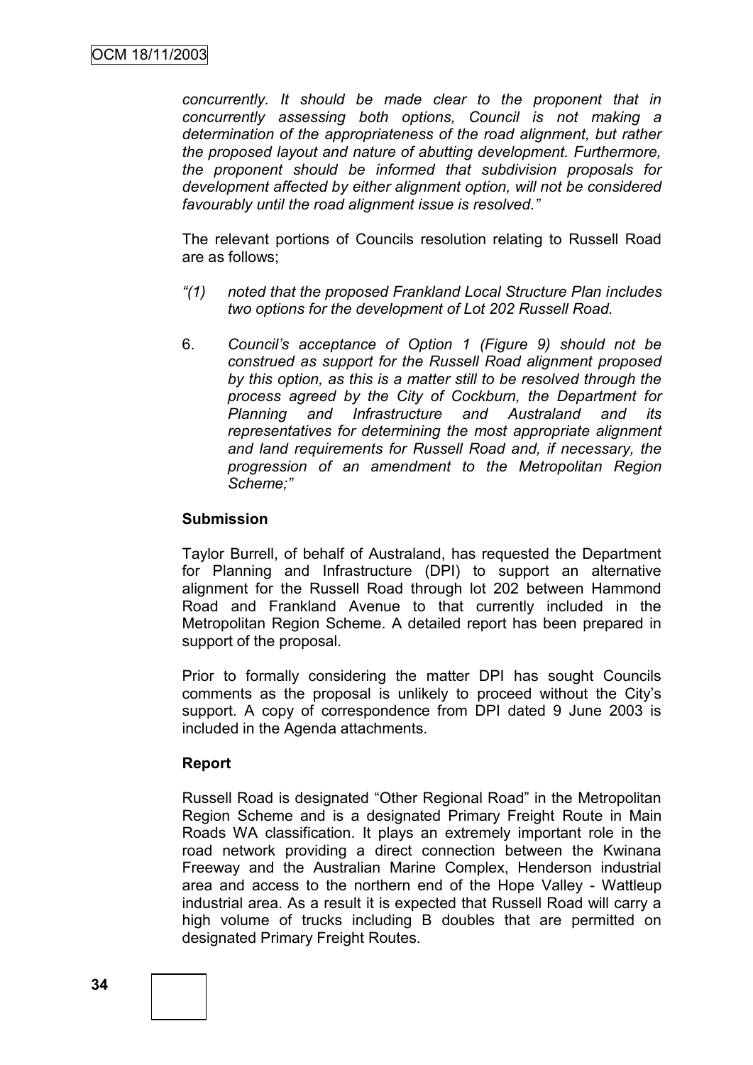*concurrently. It should be made clear to the proponent that in concurrently assessing both options, Council is not making a determination of the appropriateness of the road alignment, but rather the proposed layout and nature of abutting development. Furthermore, the proponent should be informed that subdivision proposals for development affected by either alignment option, will not be considered favourably until the road alignment issue is resolved."*

The relevant portions of Councils resolution relating to Russell Road are as follows;

- *"(1) noted that the proposed Frankland Local Structure Plan includes two options for the development of Lot 202 Russell Road.*
- 6. *Council's acceptance of Option 1 (Figure 9) should not be construed as support for the Russell Road alignment proposed by this option, as this is a matter still to be resolved through the process agreed by the City of Cockburn, the Department for Planning and Infrastructure and Australand and its representatives for determining the most appropriate alignment and land requirements for Russell Road and, if necessary, the progression of an amendment to the Metropolitan Region Scheme;"*

### **Submission**

Taylor Burrell, of behalf of Australand, has requested the Department for Planning and Infrastructure (DPI) to support an alternative alignment for the Russell Road through lot 202 between Hammond Road and Frankland Avenue to that currently included in the Metropolitan Region Scheme. A detailed report has been prepared in support of the proposal.

Prior to formally considering the matter DPI has sought Councils comments as the proposal is unlikely to proceed without the City"s support. A copy of correspondence from DPI dated 9 June 2003 is included in the Agenda attachments.

# **Report**

Russell Road is designated "Other Regional Road" in the Metropolitan Region Scheme and is a designated Primary Freight Route in Main Roads WA classification. It plays an extremely important role in the road network providing a direct connection between the Kwinana Freeway and the Australian Marine Complex, Henderson industrial area and access to the northern end of the Hope Valley - Wattleup industrial area. As a result it is expected that Russell Road will carry a high volume of trucks including B doubles that are permitted on designated Primary Freight Routes.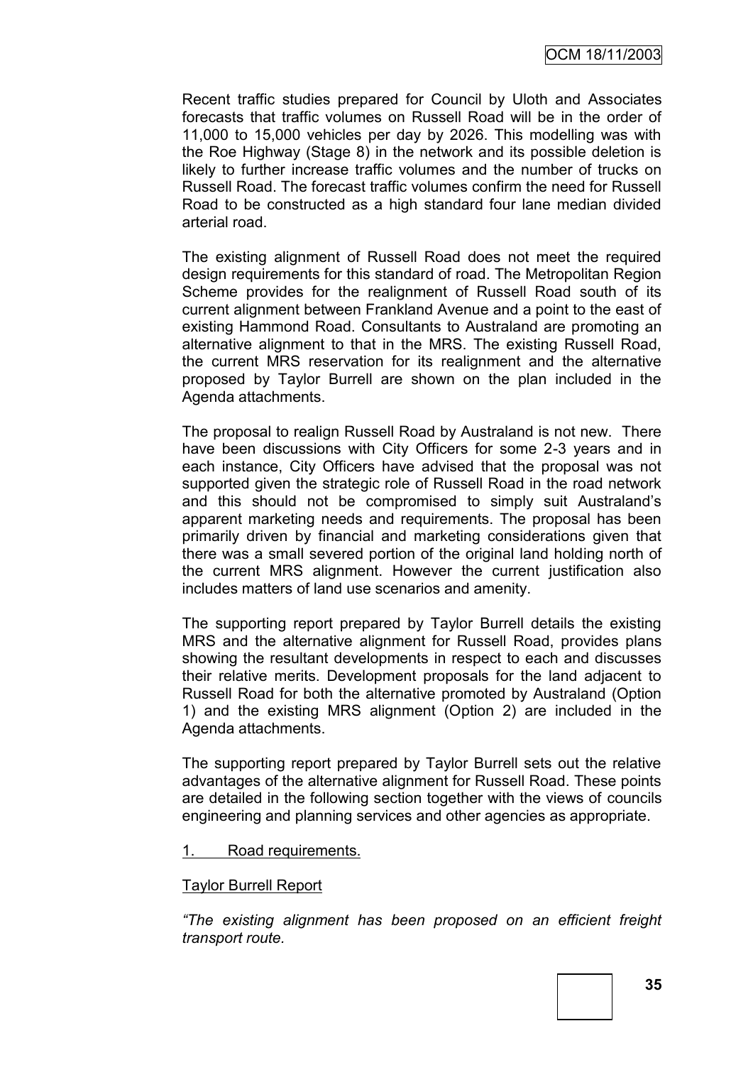Recent traffic studies prepared for Council by Uloth and Associates forecasts that traffic volumes on Russell Road will be in the order of 11,000 to 15,000 vehicles per day by 2026. This modelling was with the Roe Highway (Stage 8) in the network and its possible deletion is likely to further increase traffic volumes and the number of trucks on Russell Road. The forecast traffic volumes confirm the need for Russell Road to be constructed as a high standard four lane median divided arterial road.

The existing alignment of Russell Road does not meet the required design requirements for this standard of road. The Metropolitan Region Scheme provides for the realignment of Russell Road south of its current alignment between Frankland Avenue and a point to the east of existing Hammond Road. Consultants to Australand are promoting an alternative alignment to that in the MRS. The existing Russell Road, the current MRS reservation for its realignment and the alternative proposed by Taylor Burrell are shown on the plan included in the Agenda attachments.

The proposal to realign Russell Road by Australand is not new. There have been discussions with City Officers for some 2-3 years and in each instance, City Officers have advised that the proposal was not supported given the strategic role of Russell Road in the road network and this should not be compromised to simply suit Australand"s apparent marketing needs and requirements. The proposal has been primarily driven by financial and marketing considerations given that there was a small severed portion of the original land holding north of the current MRS alignment. However the current justification also includes matters of land use scenarios and amenity.

The supporting report prepared by Taylor Burrell details the existing MRS and the alternative alignment for Russell Road, provides plans showing the resultant developments in respect to each and discusses their relative merits. Development proposals for the land adjacent to Russell Road for both the alternative promoted by Australand (Option 1) and the existing MRS alignment (Option 2) are included in the Agenda attachments.

The supporting report prepared by Taylor Burrell sets out the relative advantages of the alternative alignment for Russell Road. These points are detailed in the following section together with the views of councils engineering and planning services and other agencies as appropriate.

1. Road requirements.

#### Taylor Burrell Report

*"The existing alignment has been proposed on an efficient freight transport route.*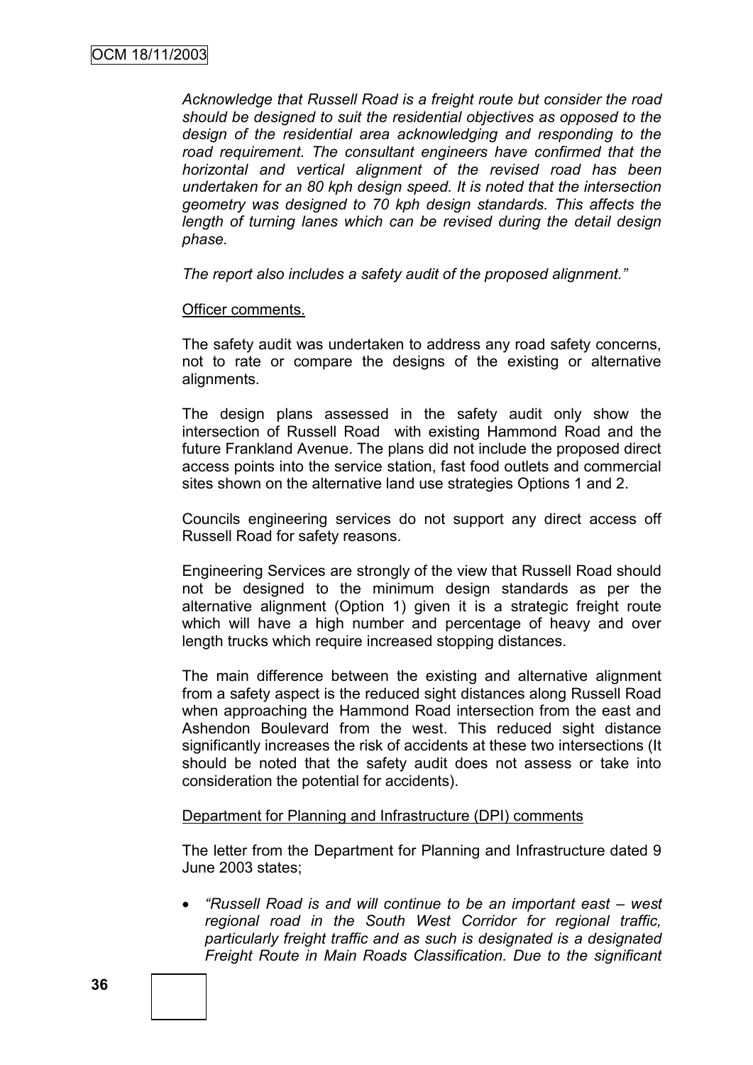*Acknowledge that Russell Road is a freight route but consider the road should be designed to suit the residential objectives as opposed to the design of the residential area acknowledging and responding to the road requirement. The consultant engineers have confirmed that the horizontal and vertical alignment of the revised road has been undertaken for an 80 kph design speed. It is noted that the intersection geometry was designed to 70 kph design standards. This affects the length of turning lanes which can be revised during the detail design phase.* 

*The report also includes a safety audit of the proposed alignment."*

#### Officer comments.

The safety audit was undertaken to address any road safety concerns, not to rate or compare the designs of the existing or alternative alignments.

The design plans assessed in the safety audit only show the intersection of Russell Road with existing Hammond Road and the future Frankland Avenue. The plans did not include the proposed direct access points into the service station, fast food outlets and commercial sites shown on the alternative land use strategies Options 1 and 2.

Councils engineering services do not support any direct access off Russell Road for safety reasons.

Engineering Services are strongly of the view that Russell Road should not be designed to the minimum design standards as per the alternative alignment (Option 1) given it is a strategic freight route which will have a high number and percentage of heavy and over length trucks which require increased stopping distances.

The main difference between the existing and alternative alignment from a safety aspect is the reduced sight distances along Russell Road when approaching the Hammond Road intersection from the east and Ashendon Boulevard from the west. This reduced sight distance significantly increases the risk of accidents at these two intersections (It should be noted that the safety audit does not assess or take into consideration the potential for accidents).

#### Department for Planning and Infrastructure (DPI) comments

The letter from the Department for Planning and Infrastructure dated 9 June 2003 states;

 *"Russell Road is and will continue to be an important east – west regional road in the South West Corridor for regional traffic, particularly freight traffic and as such is designated is a designated Freight Route in Main Roads Classification. Due to the significant*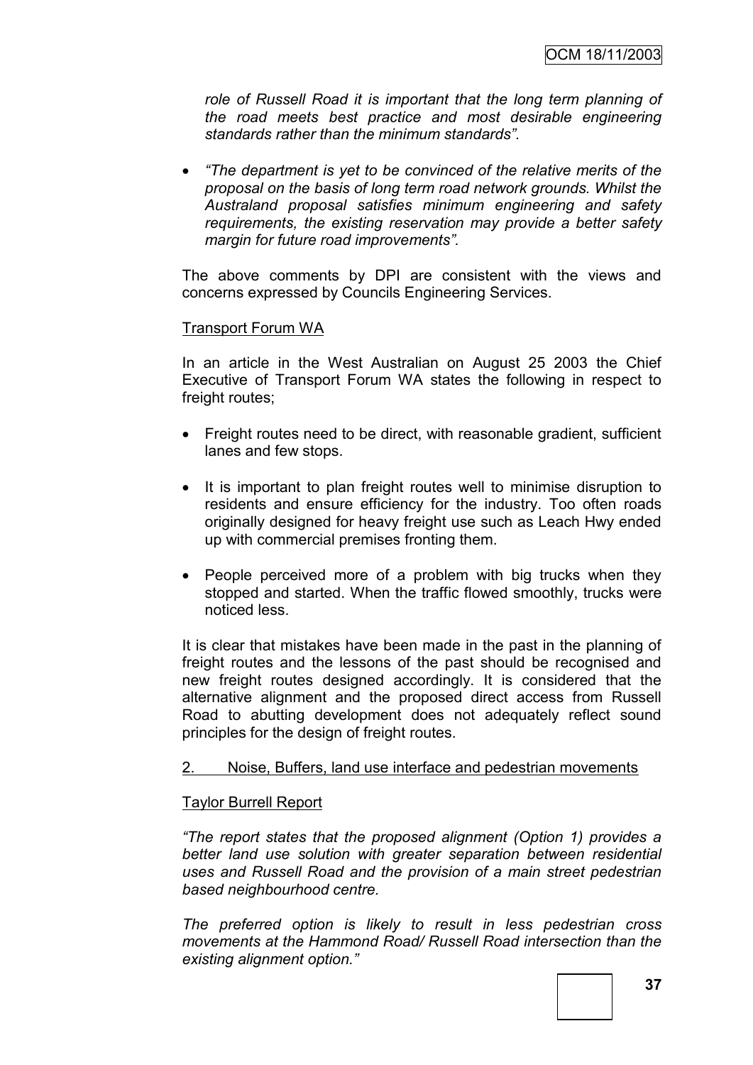*role of Russell Road it is important that the long term planning of the road meets best practice and most desirable engineering standards rather than the minimum standards".* 

 *"The department is yet to be convinced of the relative merits of the proposal on the basis of long term road network grounds. Whilst the Australand proposal satisfies minimum engineering and safety requirements, the existing reservation may provide a better safety margin for future road improvements".*

The above comments by DPI are consistent with the views and concerns expressed by Councils Engineering Services.

## Transport Forum WA

In an article in the West Australian on August 25 2003 the Chief Executive of Transport Forum WA states the following in respect to freight routes;

- Freight routes need to be direct, with reasonable gradient, sufficient lanes and few stops.
- It is important to plan freight routes well to minimise disruption to residents and ensure efficiency for the industry. Too often roads originally designed for heavy freight use such as Leach Hwy ended up with commercial premises fronting them.
- People perceived more of a problem with big trucks when they stopped and started. When the traffic flowed smoothly, trucks were noticed less.

It is clear that mistakes have been made in the past in the planning of freight routes and the lessons of the past should be recognised and new freight routes designed accordingly. It is considered that the alternative alignment and the proposed direct access from Russell Road to abutting development does not adequately reflect sound principles for the design of freight routes.

#### 2. Noise, Buffers, land use interface and pedestrian movements

#### Taylor Burrell Report

*"The report states that the proposed alignment (Option 1) provides a better land use solution with greater separation between residential uses and Russell Road and the provision of a main street pedestrian based neighbourhood centre.*

*The preferred option is likely to result in less pedestrian cross movements at the Hammond Road/ Russell Road intersection than the existing alignment option."*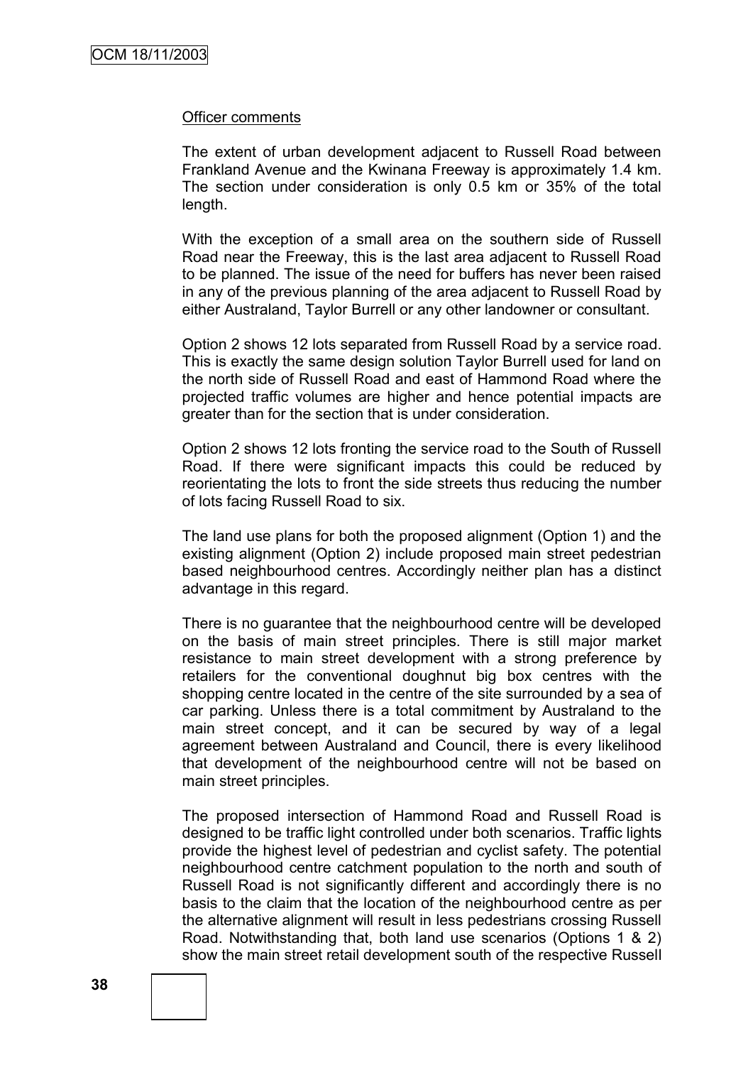#### Officer comments

The extent of urban development adjacent to Russell Road between Frankland Avenue and the Kwinana Freeway is approximately 1.4 km. The section under consideration is only 0.5 km or 35% of the total length.

With the exception of a small area on the southern side of Russell Road near the Freeway, this is the last area adjacent to Russell Road to be planned. The issue of the need for buffers has never been raised in any of the previous planning of the area adjacent to Russell Road by either Australand, Taylor Burrell or any other landowner or consultant.

Option 2 shows 12 lots separated from Russell Road by a service road. This is exactly the same design solution Taylor Burrell used for land on the north side of Russell Road and east of Hammond Road where the projected traffic volumes are higher and hence potential impacts are greater than for the section that is under consideration.

Option 2 shows 12 lots fronting the service road to the South of Russell Road. If there were significant impacts this could be reduced by reorientating the lots to front the side streets thus reducing the number of lots facing Russell Road to six.

The land use plans for both the proposed alignment (Option 1) and the existing alignment (Option 2) include proposed main street pedestrian based neighbourhood centres. Accordingly neither plan has a distinct advantage in this regard.

There is no guarantee that the neighbourhood centre will be developed on the basis of main street principles. There is still major market resistance to main street development with a strong preference by retailers for the conventional doughnut big box centres with the shopping centre located in the centre of the site surrounded by a sea of car parking. Unless there is a total commitment by Australand to the main street concept, and it can be secured by way of a legal agreement between Australand and Council, there is every likelihood that development of the neighbourhood centre will not be based on main street principles.

The proposed intersection of Hammond Road and Russell Road is designed to be traffic light controlled under both scenarios. Traffic lights provide the highest level of pedestrian and cyclist safety. The potential neighbourhood centre catchment population to the north and south of Russell Road is not significantly different and accordingly there is no basis to the claim that the location of the neighbourhood centre as per the alternative alignment will result in less pedestrians crossing Russell Road. Notwithstanding that, both land use scenarios (Options 1 & 2) show the main street retail development south of the respective Russell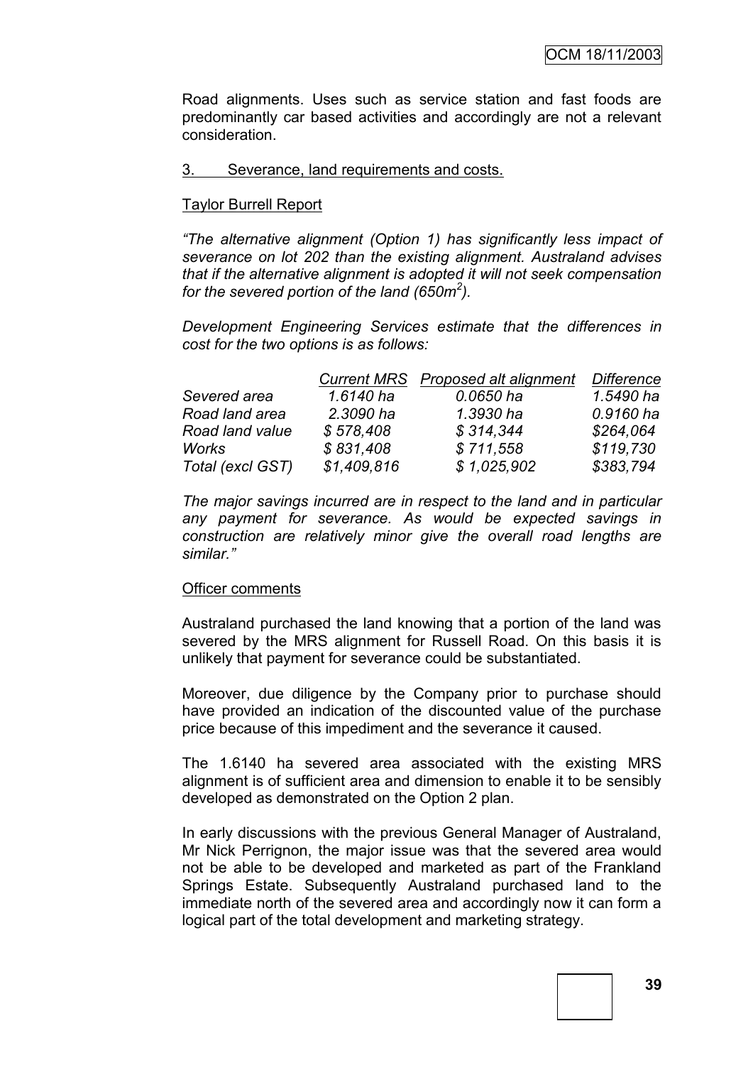Road alignments. Uses such as service station and fast foods are predominantly car based activities and accordingly are not a relevant consideration.

### 3. Severance, land requirements and costs.

## Taylor Burrell Report

*"The alternative alignment (Option 1) has significantly less impact of severance on lot 202 than the existing alignment. Australand advises that if the alternative alignment is adopted it will not seek compensation for the severed portion of the land (650m<sup>2</sup> ).*

*Development Engineering Services estimate that the differences in cost for the two options is as follows:*

|                  |             | Current MRS Proposed alt alignment | <b>Difference</b> |
|------------------|-------------|------------------------------------|-------------------|
| Severed area     | 1.6140 ha   | 0.0650 ha                          | 1.5490 ha         |
| Road land area   | 2.3090 ha   | 1.3930 ha                          | 0.9160 ha         |
| Road land value  | \$578,408   | \$314,344                          | \$264,064         |
| Works            | \$831,408   | \$711,558                          | \$119,730         |
| Total (excl GST) | \$1,409,816 | \$1,025,902                        | \$383,794         |

*The major savings incurred are in respect to the land and in particular any payment for severance. As would be expected savings in construction are relatively minor give the overall road lengths are similar."*

#### Officer comments

Australand purchased the land knowing that a portion of the land was severed by the MRS alignment for Russell Road. On this basis it is unlikely that payment for severance could be substantiated.

Moreover, due diligence by the Company prior to purchase should have provided an indication of the discounted value of the purchase price because of this impediment and the severance it caused.

The 1.6140 ha severed area associated with the existing MRS alignment is of sufficient area and dimension to enable it to be sensibly developed as demonstrated on the Option 2 plan.

In early discussions with the previous General Manager of Australand, Mr Nick Perrignon, the major issue was that the severed area would not be able to be developed and marketed as part of the Frankland Springs Estate. Subsequently Australand purchased land to the immediate north of the severed area and accordingly now it can form a logical part of the total development and marketing strategy.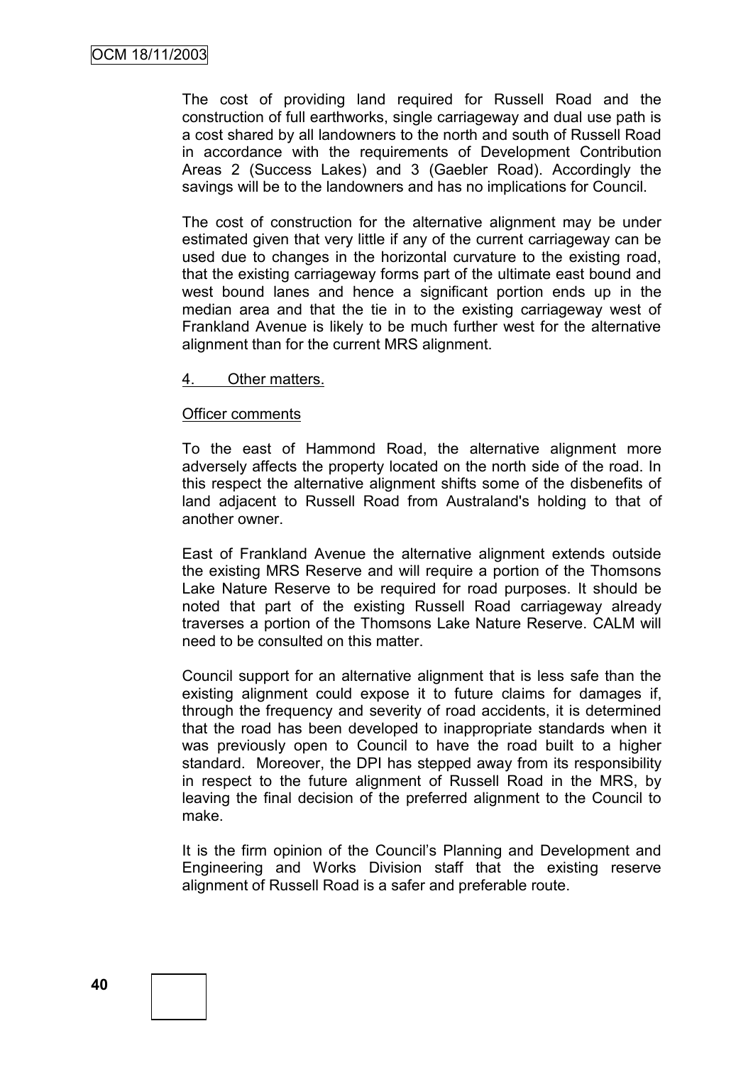The cost of providing land required for Russell Road and the construction of full earthworks, single carriageway and dual use path is a cost shared by all landowners to the north and south of Russell Road in accordance with the requirements of Development Contribution Areas 2 (Success Lakes) and 3 (Gaebler Road). Accordingly the savings will be to the landowners and has no implications for Council.

The cost of construction for the alternative alignment may be under estimated given that very little if any of the current carriageway can be used due to changes in the horizontal curvature to the existing road, that the existing carriageway forms part of the ultimate east bound and west bound lanes and hence a significant portion ends up in the median area and that the tie in to the existing carriageway west of Frankland Avenue is likely to be much further west for the alternative alignment than for the current MRS alignment.

#### 4. Other matters.

#### Officer comments

To the east of Hammond Road, the alternative alignment more adversely affects the property located on the north side of the road. In this respect the alternative alignment shifts some of the disbenefits of land adjacent to Russell Road from Australand's holding to that of another owner.

East of Frankland Avenue the alternative alignment extends outside the existing MRS Reserve and will require a portion of the Thomsons Lake Nature Reserve to be required for road purposes. It should be noted that part of the existing Russell Road carriageway already traverses a portion of the Thomsons Lake Nature Reserve. CALM will need to be consulted on this matter.

Council support for an alternative alignment that is less safe than the existing alignment could expose it to future claims for damages if, through the frequency and severity of road accidents, it is determined that the road has been developed to inappropriate standards when it was previously open to Council to have the road built to a higher standard. Moreover, the DPI has stepped away from its responsibility in respect to the future alignment of Russell Road in the MRS, by leaving the final decision of the preferred alignment to the Council to make.

It is the firm opinion of the Council's Planning and Development and Engineering and Works Division staff that the existing reserve alignment of Russell Road is a safer and preferable route.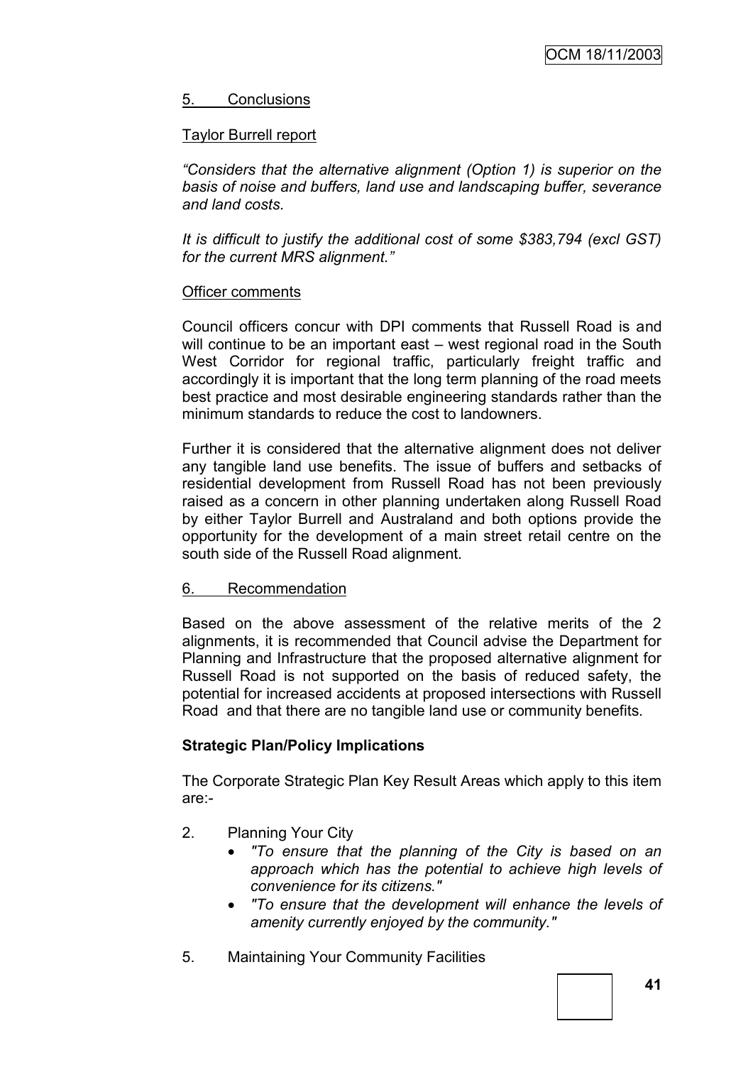# 5. Conclusions

# Taylor Burrell report

*"Considers that the alternative alignment (Option 1) is superior on the basis of noise and buffers, land use and landscaping buffer, severance and land costs.*

*It is difficult to justify the additional cost of some \$383,794 (excl GST) for the current MRS alignment."*

# Officer comments

Council officers concur with DPI comments that Russell Road is and will continue to be an important east – west regional road in the South West Corridor for regional traffic, particularly freight traffic and accordingly it is important that the long term planning of the road meets best practice and most desirable engineering standards rather than the minimum standards to reduce the cost to landowners.

Further it is considered that the alternative alignment does not deliver any tangible land use benefits. The issue of buffers and setbacks of residential development from Russell Road has not been previously raised as a concern in other planning undertaken along Russell Road by either Taylor Burrell and Australand and both options provide the opportunity for the development of a main street retail centre on the south side of the Russell Road alignment.

# 6. Recommendation

Based on the above assessment of the relative merits of the 2 alignments, it is recommended that Council advise the Department for Planning and Infrastructure that the proposed alternative alignment for Russell Road is not supported on the basis of reduced safety, the potential for increased accidents at proposed intersections with Russell Road and that there are no tangible land use or community benefits.

# **Strategic Plan/Policy Implications**

The Corporate Strategic Plan Key Result Areas which apply to this item are:-

- 2. Planning Your City
	- *"To ensure that the planning of the City is based on an approach which has the potential to achieve high levels of convenience for its citizens."*
	- *"To ensure that the development will enhance the levels of amenity currently enjoyed by the community."*
- 5. Maintaining Your Community Facilities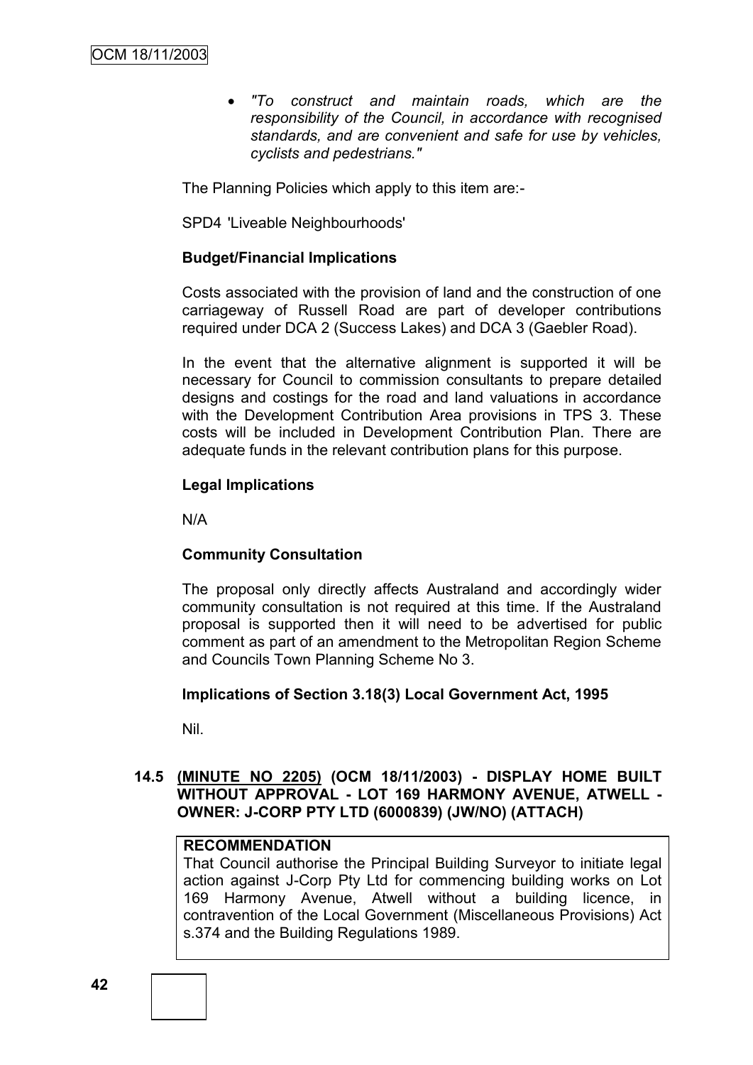*"To construct and maintain roads, which are the responsibility of the Council, in accordance with recognised standards, and are convenient and safe for use by vehicles, cyclists and pedestrians."*

The Planning Policies which apply to this item are:-

SPD4 'Liveable Neighbourhoods'

# **Budget/Financial Implications**

Costs associated with the provision of land and the construction of one carriageway of Russell Road are part of developer contributions required under DCA 2 (Success Lakes) and DCA 3 (Gaebler Road).

In the event that the alternative alignment is supported it will be necessary for Council to commission consultants to prepare detailed designs and costings for the road and land valuations in accordance with the Development Contribution Area provisions in TPS 3. These costs will be included in Development Contribution Plan. There are adequate funds in the relevant contribution plans for this purpose.

# **Legal Implications**

N/A

# **Community Consultation**

The proposal only directly affects Australand and accordingly wider community consultation is not required at this time. If the Australand proposal is supported then it will need to be advertised for public comment as part of an amendment to the Metropolitan Region Scheme and Councils Town Planning Scheme No 3.

# **Implications of Section 3.18(3) Local Government Act, 1995**

Nil.

# **14.5 (MINUTE NO 2205) (OCM 18/11/2003) - DISPLAY HOME BUILT WITHOUT APPROVAL - LOT 169 HARMONY AVENUE, ATWELL - OWNER: J-CORP PTY LTD (6000839) (JW/NO) (ATTACH)**

# **RECOMMENDATION**

That Council authorise the Principal Building Surveyor to initiate legal action against J-Corp Pty Ltd for commencing building works on Lot 169 Harmony Avenue, Atwell without a building licence, in contravention of the Local Government (Miscellaneous Provisions) Act s.374 and the Building Regulations 1989.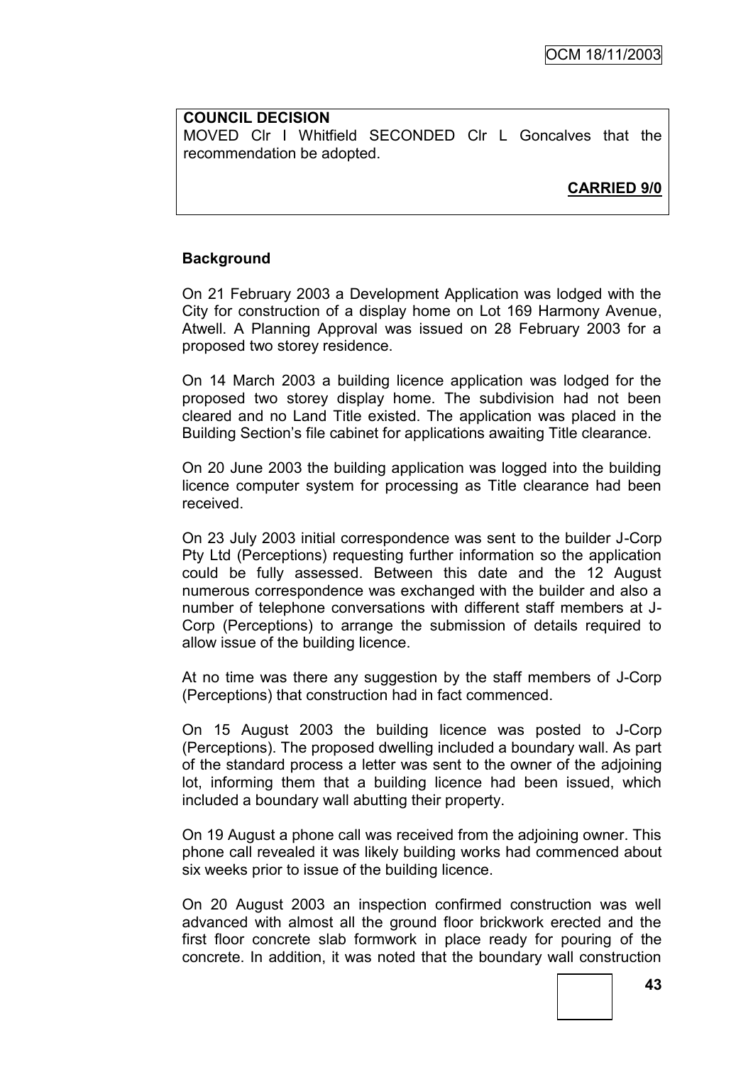#### **COUNCIL DECISION** MOVED Clr I Whitfield SECONDED Clr L Goncalves that the recommendation be adopted.

**CARRIED 9/0**

# **Background**

On 21 February 2003 a Development Application was lodged with the City for construction of a display home on Lot 169 Harmony Avenue, Atwell. A Planning Approval was issued on 28 February 2003 for a proposed two storey residence.

On 14 March 2003 a building licence application was lodged for the proposed two storey display home. The subdivision had not been cleared and no Land Title existed. The application was placed in the Building Section"s file cabinet for applications awaiting Title clearance.

On 20 June 2003 the building application was logged into the building licence computer system for processing as Title clearance had been received.

On 23 July 2003 initial correspondence was sent to the builder J-Corp Pty Ltd (Perceptions) requesting further information so the application could be fully assessed. Between this date and the 12 August numerous correspondence was exchanged with the builder and also a number of telephone conversations with different staff members at J-Corp (Perceptions) to arrange the submission of details required to allow issue of the building licence.

At no time was there any suggestion by the staff members of J-Corp (Perceptions) that construction had in fact commenced.

On 15 August 2003 the building licence was posted to J-Corp (Perceptions). The proposed dwelling included a boundary wall. As part of the standard process a letter was sent to the owner of the adjoining lot, informing them that a building licence had been issued, which included a boundary wall abutting their property.

On 19 August a phone call was received from the adjoining owner. This phone call revealed it was likely building works had commenced about six weeks prior to issue of the building licence.

On 20 August 2003 an inspection confirmed construction was well advanced with almost all the ground floor brickwork erected and the first floor concrete slab formwork in place ready for pouring of the concrete. In addition, it was noted that the boundary wall construction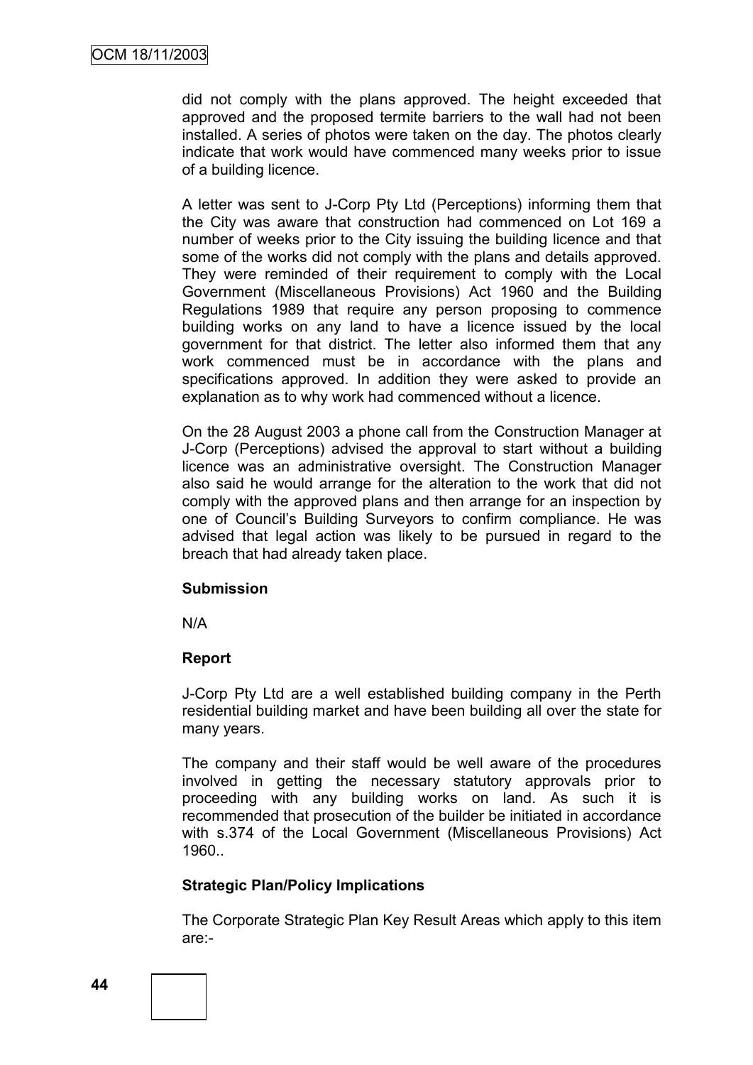did not comply with the plans approved. The height exceeded that approved and the proposed termite barriers to the wall had not been installed. A series of photos were taken on the day. The photos clearly indicate that work would have commenced many weeks prior to issue of a building licence.

A letter was sent to J-Corp Pty Ltd (Perceptions) informing them that the City was aware that construction had commenced on Lot 169 a number of weeks prior to the City issuing the building licence and that some of the works did not comply with the plans and details approved. They were reminded of their requirement to comply with the Local Government (Miscellaneous Provisions) Act 1960 and the Building Regulations 1989 that require any person proposing to commence building works on any land to have a licence issued by the local government for that district. The letter also informed them that any work commenced must be in accordance with the plans and specifications approved. In addition they were asked to provide an explanation as to why work had commenced without a licence.

On the 28 August 2003 a phone call from the Construction Manager at J-Corp (Perceptions) advised the approval to start without a building licence was an administrative oversight. The Construction Manager also said he would arrange for the alteration to the work that did not comply with the approved plans and then arrange for an inspection by one of Council"s Building Surveyors to confirm compliance. He was advised that legal action was likely to be pursued in regard to the breach that had already taken place.

#### **Submission**

N/A

#### **Report**

J-Corp Pty Ltd are a well established building company in the Perth residential building market and have been building all over the state for many years.

The company and their staff would be well aware of the procedures involved in getting the necessary statutory approvals prior to proceeding with any building works on land. As such it is recommended that prosecution of the builder be initiated in accordance with s.374 of the Local Government (Miscellaneous Provisions) Act 1960..

# **Strategic Plan/Policy Implications**

The Corporate Strategic Plan Key Result Areas which apply to this item are:-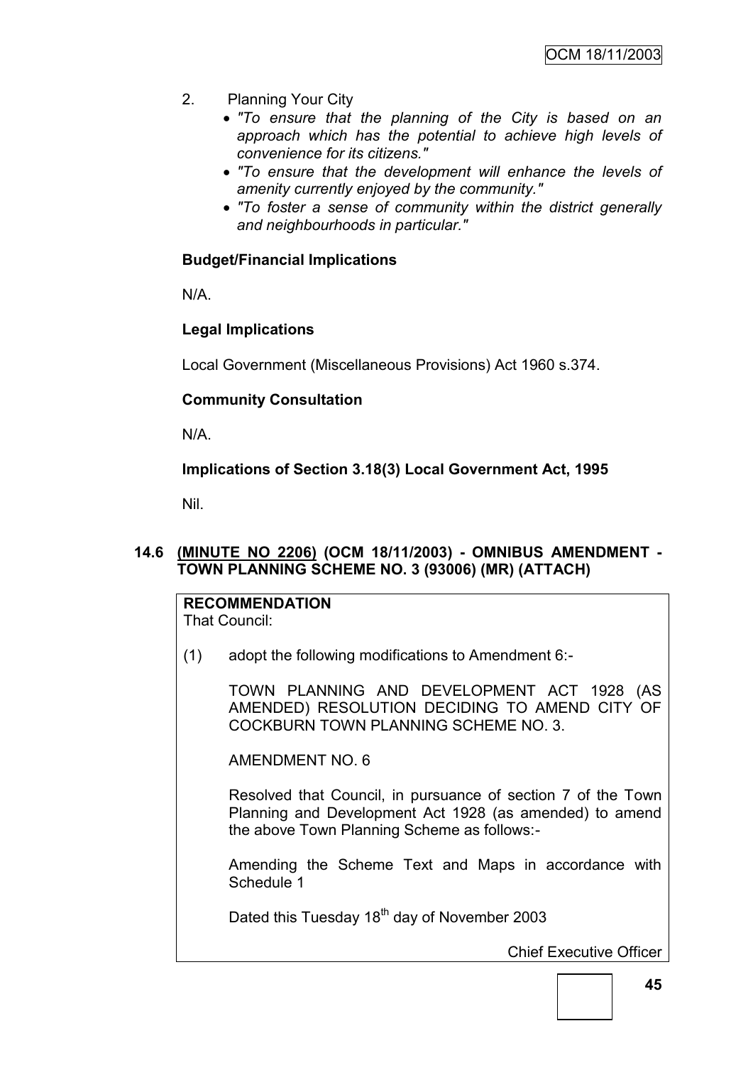- 2. Planning Your City
	- *"To ensure that the planning of the City is based on an approach which has the potential to achieve high levels of convenience for its citizens."*
	- *"To ensure that the development will enhance the levels of amenity currently enjoyed by the community."*
	- *"To foster a sense of community within the district generally and neighbourhoods in particular."*

# **Budget/Financial Implications**

N/A.

# **Legal Implications**

Local Government (Miscellaneous Provisions) Act 1960 s.374.

# **Community Consultation**

N/A.

# **Implications of Section 3.18(3) Local Government Act, 1995**

Nil.

# **14.6 (MINUTE NO 2206) (OCM 18/11/2003) - OMNIBUS AMENDMENT - TOWN PLANNING SCHEME NO. 3 (93006) (MR) (ATTACH)**

**RECOMMENDATION** That Council:

(1) adopt the following modifications to Amendment 6:-

TOWN PLANNING AND DEVELOPMENT ACT 1928 (AS AMENDED) RESOLUTION DECIDING TO AMEND CITY OF COCKBURN TOWN PLANNING SCHEME NO. 3.

AMENDMENT NO. 6

Resolved that Council, in pursuance of section 7 of the Town Planning and Development Act 1928 (as amended) to amend the above Town Planning Scheme as follows:-

Amending the Scheme Text and Maps in accordance with Schedule 1

Dated this Tuesday 18<sup>th</sup> day of November 2003

Chief Executive Officer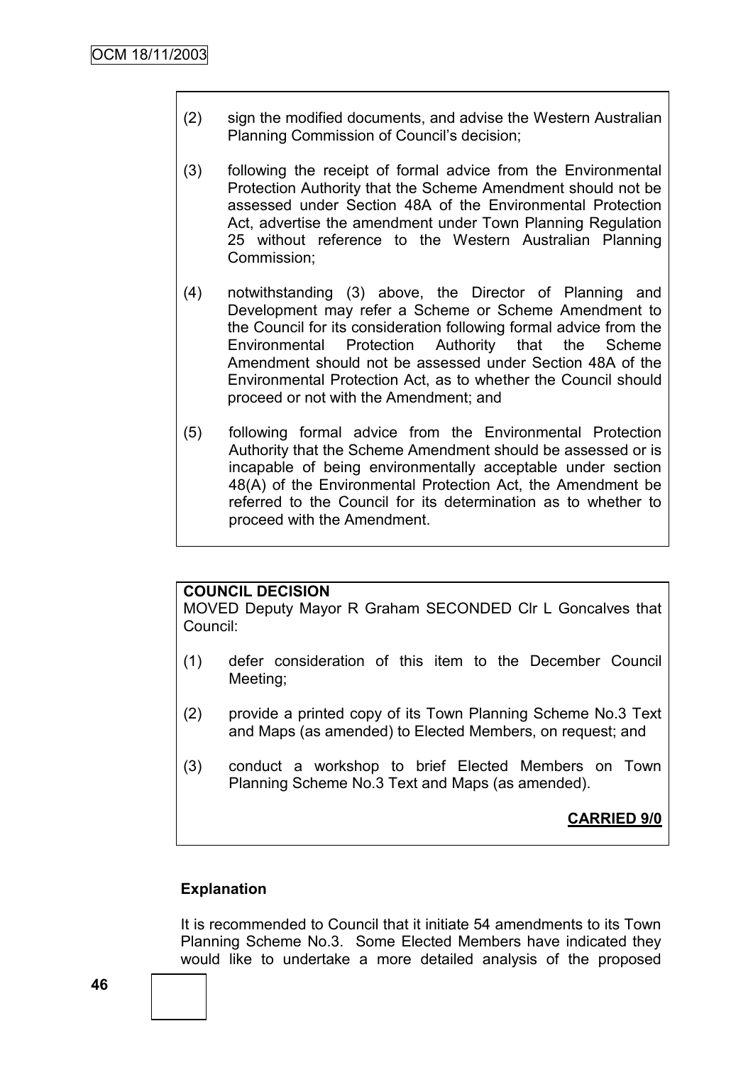- (2) sign the modified documents, and advise the Western Australian Planning Commission of Council"s decision;
- (3) following the receipt of formal advice from the Environmental Protection Authority that the Scheme Amendment should not be assessed under Section 48A of the Environmental Protection Act, advertise the amendment under Town Planning Regulation 25 without reference to the Western Australian Planning Commission;
- (4) notwithstanding (3) above, the Director of Planning and Development may refer a Scheme or Scheme Amendment to the Council for its consideration following formal advice from the Environmental Protection Authority that the Scheme Amendment should not be assessed under Section 48A of the Environmental Protection Act, as to whether the Council should proceed or not with the Amendment; and
- (5) following formal advice from the Environmental Protection Authority that the Scheme Amendment should be assessed or is incapable of being environmentally acceptable under section 48(A) of the Environmental Protection Act, the Amendment be referred to the Council for its determination as to whether to proceed with the Amendment.

#### **COUNCIL DECISION**

MOVED Deputy Mayor R Graham SECONDED Clr L Goncalves that Council:

- (1) defer consideration of this item to the December Council Meeting;
- (2) provide a printed copy of its Town Planning Scheme No.3 Text and Maps (as amended) to Elected Members, on request; and
- (3) conduct a workshop to brief Elected Members on Town Planning Scheme No.3 Text and Maps (as amended).

**CARRIED 9/0**

# **Explanation**

It is recommended to Council that it initiate 54 amendments to its Town Planning Scheme No.3. Some Elected Members have indicated they would like to undertake a more detailed analysis of the proposed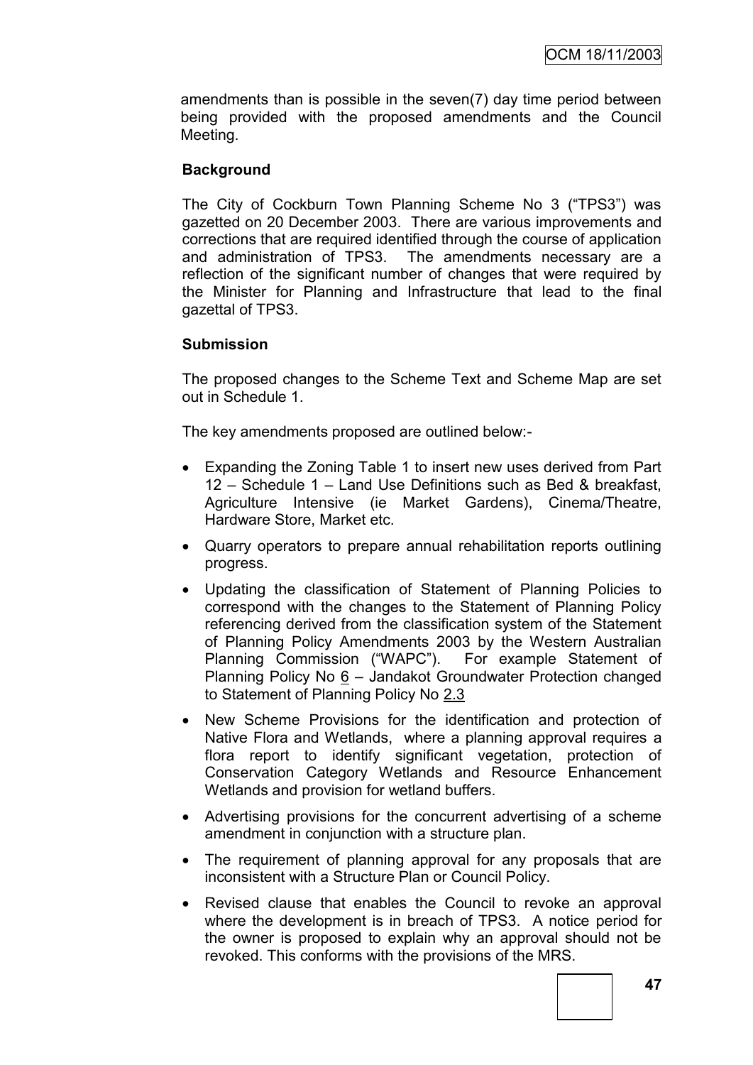amendments than is possible in the seven(7) day time period between being provided with the proposed amendments and the Council Meeting.

# **Background**

The City of Cockburn Town Planning Scheme No 3 ("TPS3") was gazetted on 20 December 2003. There are various improvements and corrections that are required identified through the course of application and administration of TPS3. The amendments necessary are a reflection of the significant number of changes that were required by the Minister for Planning and Infrastructure that lead to the final gazettal of TPS3.

### **Submission**

The proposed changes to the Scheme Text and Scheme Map are set out in Schedule 1.

The key amendments proposed are outlined below:-

- Expanding the Zoning Table 1 to insert new uses derived from Part 12 – Schedule 1 – Land Use Definitions such as Bed & breakfast, Agriculture Intensive (ie Market Gardens), Cinema/Theatre, Hardware Store, Market etc.
- Quarry operators to prepare annual rehabilitation reports outlining progress.
- Updating the classification of Statement of Planning Policies to correspond with the changes to the Statement of Planning Policy referencing derived from the classification system of the Statement of Planning Policy Amendments 2003 by the Western Australian Planning Commission ("WAPC"). For example Statement of Planning Policy No 6 – Jandakot Groundwater Protection changed to Statement of Planning Policy No 2.3
- New Scheme Provisions for the identification and protection of Native Flora and Wetlands, where a planning approval requires a flora report to identify significant vegetation, protection of Conservation Category Wetlands and Resource Enhancement Wetlands and provision for wetland buffers.
- Advertising provisions for the concurrent advertising of a scheme amendment in conjunction with a structure plan.
- The requirement of planning approval for any proposals that are inconsistent with a Structure Plan or Council Policy.
- Revised clause that enables the Council to revoke an approval where the development is in breach of TPS3. A notice period for the owner is proposed to explain why an approval should not be revoked. This conforms with the provisions of the MRS.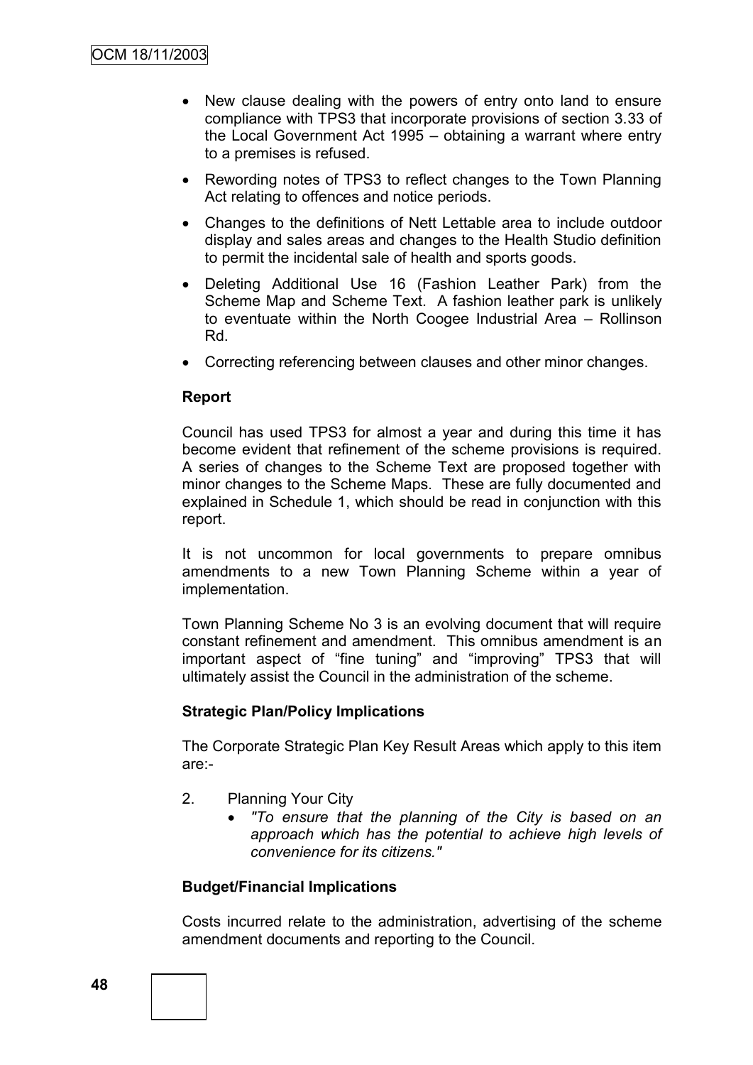- New clause dealing with the powers of entry onto land to ensure compliance with TPS3 that incorporate provisions of section 3.33 of the Local Government Act 1995 – obtaining a warrant where entry to a premises is refused.
- Rewording notes of TPS3 to reflect changes to the Town Planning Act relating to offences and notice periods.
- Changes to the definitions of Nett Lettable area to include outdoor display and sales areas and changes to the Health Studio definition to permit the incidental sale of health and sports goods.
- Deleting Additional Use 16 (Fashion Leather Park) from the Scheme Map and Scheme Text. A fashion leather park is unlikely to eventuate within the North Coogee Industrial Area – Rollinson Rd.
- Correcting referencing between clauses and other minor changes.

### **Report**

Council has used TPS3 for almost a year and during this time it has become evident that refinement of the scheme provisions is required. A series of changes to the Scheme Text are proposed together with minor changes to the Scheme Maps. These are fully documented and explained in Schedule 1, which should be read in conjunction with this report.

It is not uncommon for local governments to prepare omnibus amendments to a new Town Planning Scheme within a year of implementation.

Town Planning Scheme No 3 is an evolving document that will require constant refinement and amendment. This omnibus amendment is an important aspect of "fine tuning" and "improving" TPS3 that will ultimately assist the Council in the administration of the scheme.

#### **Strategic Plan/Policy Implications**

The Corporate Strategic Plan Key Result Areas which apply to this item are:-

- 2. Planning Your City
	- *"To ensure that the planning of the City is based on an approach which has the potential to achieve high levels of convenience for its citizens."*

#### **Budget/Financial Implications**

Costs incurred relate to the administration, advertising of the scheme amendment documents and reporting to the Council.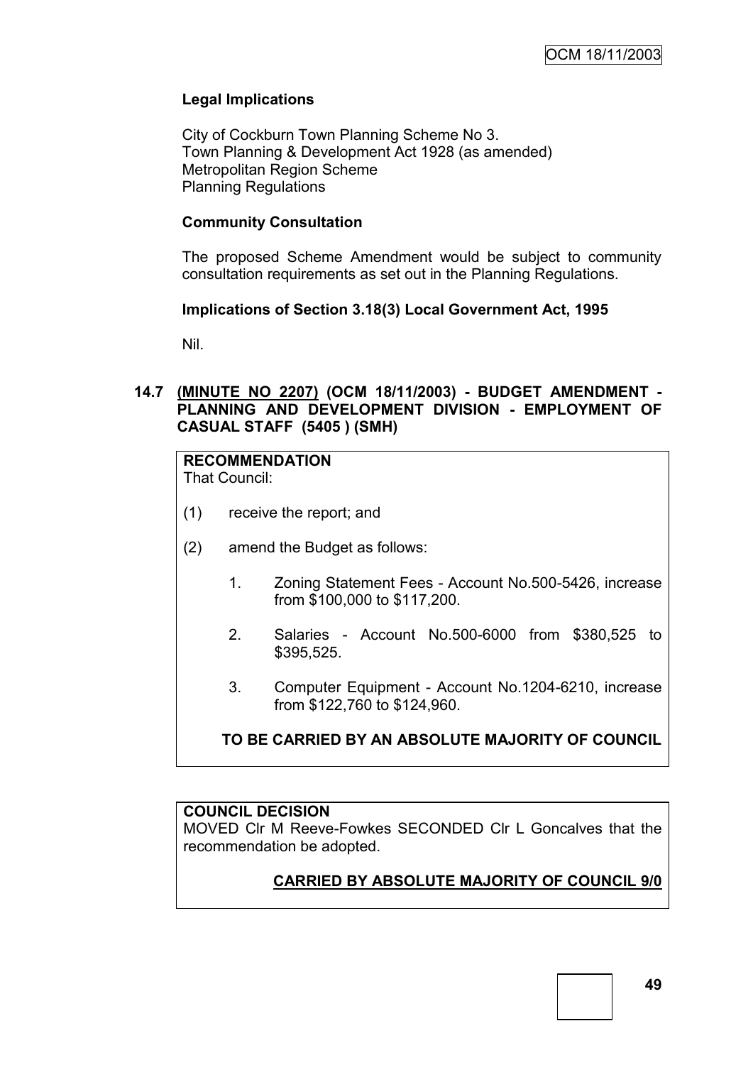# **Legal Implications**

City of Cockburn Town Planning Scheme No 3. Town Planning & Development Act 1928 (as amended) Metropolitan Region Scheme Planning Regulations

## **Community Consultation**

The proposed Scheme Amendment would be subject to community consultation requirements as set out in the Planning Regulations.

# **Implications of Section 3.18(3) Local Government Act, 1995**

Nil.

# **14.7 (MINUTE NO 2207) (OCM 18/11/2003) - BUDGET AMENDMENT - PLANNING AND DEVELOPMENT DIVISION - EMPLOYMENT OF CASUAL STAFF (5405 ) (SMH)**

# **RECOMMENDATION**

That Council:

- (1) receive the report; and
- (2) amend the Budget as follows:
	- 1. Zoning Statement Fees Account No.500-5426, increase from \$100,000 to \$117,200.
	- 2. Salaries Account No.500-6000 from \$380,525 to \$395,525.
	- 3. Computer Equipment Account No.1204-6210, increase from \$122,760 to \$124,960.

# **TO BE CARRIED BY AN ABSOLUTE MAJORITY OF COUNCIL**

# **COUNCIL DECISION**

MOVED Clr M Reeve-Fowkes SECONDED Clr L Goncalves that the recommendation be adopted.

# **CARRIED BY ABSOLUTE MAJORITY OF COUNCIL 9/0**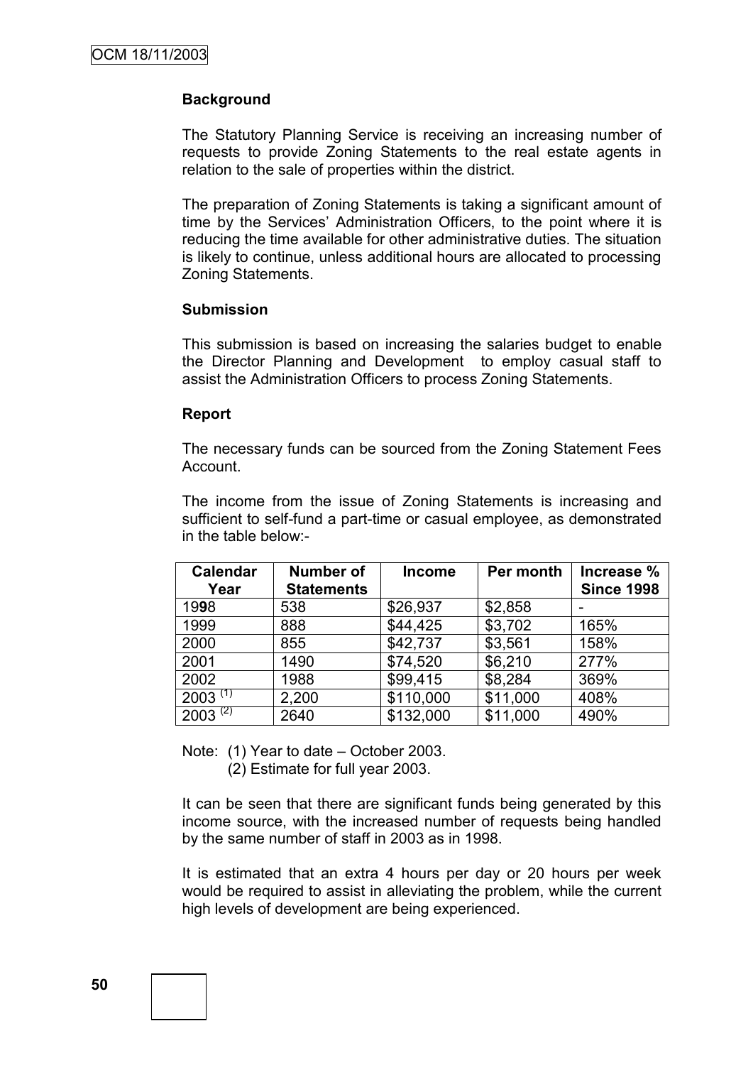# **Background**

The Statutory Planning Service is receiving an increasing number of requests to provide Zoning Statements to the real estate agents in relation to the sale of properties within the district.

The preparation of Zoning Statements is taking a significant amount of time by the Services" Administration Officers, to the point where it is reducing the time available for other administrative duties. The situation is likely to continue, unless additional hours are allocated to processing Zoning Statements.

### **Submission**

This submission is based on increasing the salaries budget to enable the Director Planning and Development to employ casual staff to assist the Administration Officers to process Zoning Statements.

### **Report**

The necessary funds can be sourced from the Zoning Statement Fees Account.

The income from the issue of Zoning Statements is increasing and sufficient to self-fund a part-time or casual employee, as demonstrated in the table below:-

| <b>Calendar</b><br>Year | <b>Number of</b><br><b>Statements</b> | <b>Income</b> | Per month | Increase %<br><b>Since 1998</b> |
|-------------------------|---------------------------------------|---------------|-----------|---------------------------------|
| 1998                    | 538                                   | \$26,937      | \$2,858   |                                 |
| 1999                    | 888                                   | \$44,425      | \$3,702   | 165%                            |
| 2000                    | 855                                   | \$42,737      | \$3,561   | 158%                            |
| 2001                    | 1490                                  | \$74,520      | \$6,210   | 277%                            |
| 2002                    | 1988                                  | \$99,415      | \$8,284   | 369%                            |
| $2003^{(1)}$            | 2,200                                 | \$110,000     | \$11,000  | 408%                            |
| $2003^{(2)}$            | 2640                                  | \$132,000     | \$11,000  | 490%                            |

Note: (1) Year to date – October 2003.

(2) Estimate for full year 2003.

It can be seen that there are significant funds being generated by this income source, with the increased number of requests being handled by the same number of staff in 2003 as in 1998.

It is estimated that an extra 4 hours per day or 20 hours per week would be required to assist in alleviating the problem, while the current high levels of development are being experienced.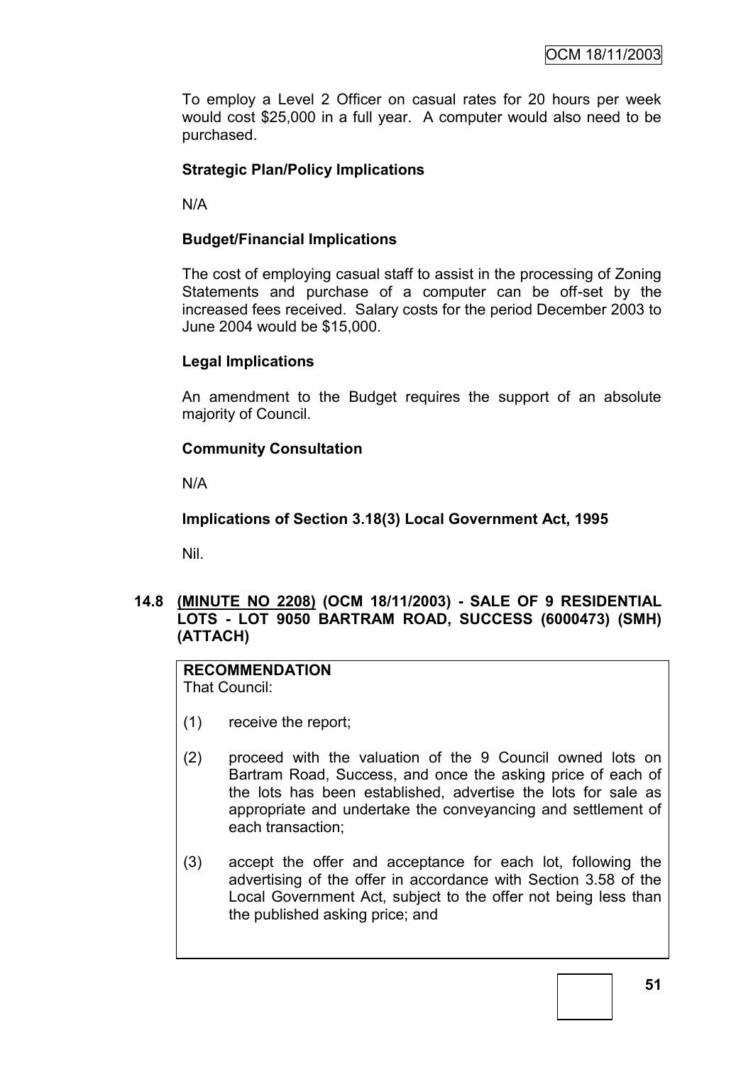To employ a Level 2 Officer on casual rates for 20 hours per week would cost \$25,000 in a full year. A computer would also need to be purchased.

# **Strategic Plan/Policy Implications**

N/A

# **Budget/Financial Implications**

The cost of employing casual staff to assist in the processing of Zoning Statements and purchase of a computer can be off-set by the increased fees received. Salary costs for the period December 2003 to June 2004 would be \$15,000.

# **Legal Implications**

An amendment to the Budget requires the support of an absolute majority of Council.

# **Community Consultation**

N/A

# **Implications of Section 3.18(3) Local Government Act, 1995**

Nil.

# **14.8 (MINUTE NO 2208) (OCM 18/11/2003) - SALE OF 9 RESIDENTIAL LOTS - LOT 9050 BARTRAM ROAD, SUCCESS (6000473) (SMH) (ATTACH)**

# **RECOMMENDATION**

That Council:

- (1) receive the report;
- (2) proceed with the valuation of the 9 Council owned lots on Bartram Road, Success, and once the asking price of each of the lots has been established, advertise the lots for sale as appropriate and undertake the conveyancing and settlement of each transaction;
- (3) accept the offer and acceptance for each lot, following the advertising of the offer in accordance with Section 3.58 of the Local Government Act, subject to the offer not being less than the published asking price; and

**51**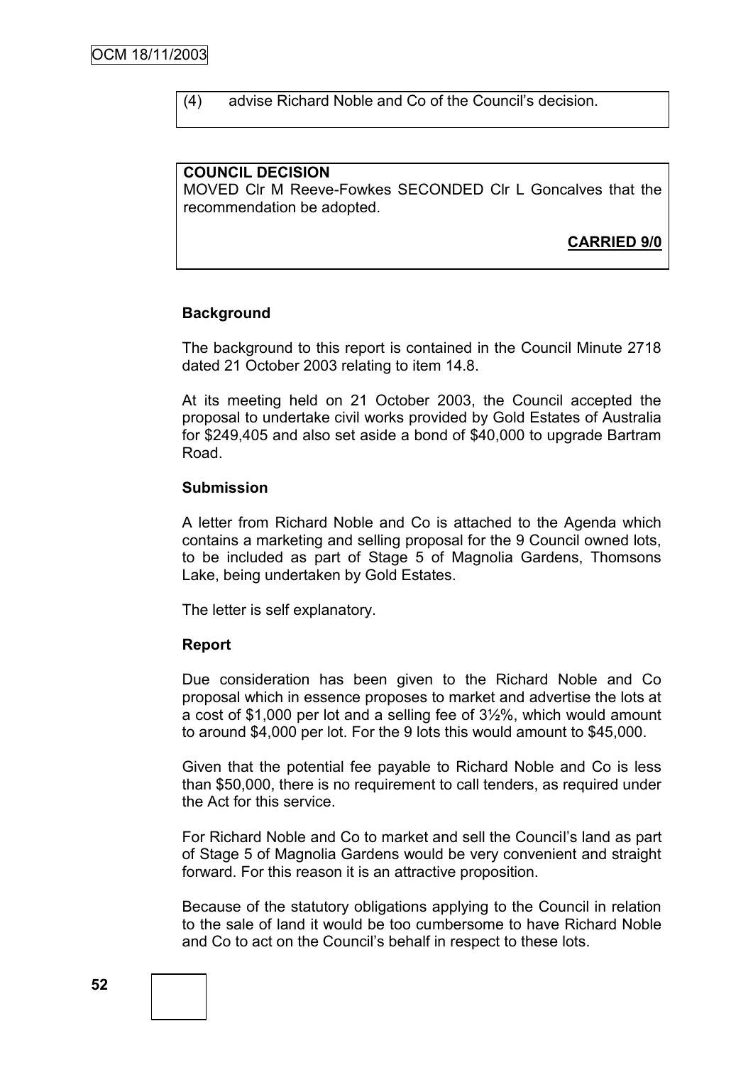(4) advise Richard Noble and Co of the Council"s decision.

#### **COUNCIL DECISION**

MOVED Clr M Reeve-Fowkes SECONDED Clr L Goncalves that the recommendation be adopted.

**CARRIED 9/0**

### **Background**

The background to this report is contained in the Council Minute 2718 dated 21 October 2003 relating to item 14.8.

At its meeting held on 21 October 2003, the Council accepted the proposal to undertake civil works provided by Gold Estates of Australia for \$249,405 and also set aside a bond of \$40,000 to upgrade Bartram Road.

#### **Submission**

A letter from Richard Noble and Co is attached to the Agenda which contains a marketing and selling proposal for the 9 Council owned lots, to be included as part of Stage 5 of Magnolia Gardens, Thomsons Lake, being undertaken by Gold Estates.

The letter is self explanatory.

#### **Report**

Due consideration has been given to the Richard Noble and Co proposal which in essence proposes to market and advertise the lots at a cost of \$1,000 per lot and a selling fee of 3½%, which would amount to around \$4,000 per lot. For the 9 lots this would amount to \$45,000.

Given that the potential fee payable to Richard Noble and Co is less than \$50,000, there is no requirement to call tenders, as required under the Act for this service.

For Richard Noble and Co to market and sell the Council"s land as part of Stage 5 of Magnolia Gardens would be very convenient and straight forward. For this reason it is an attractive proposition.

Because of the statutory obligations applying to the Council in relation to the sale of land it would be too cumbersome to have Richard Noble and Co to act on the Council"s behalf in respect to these lots.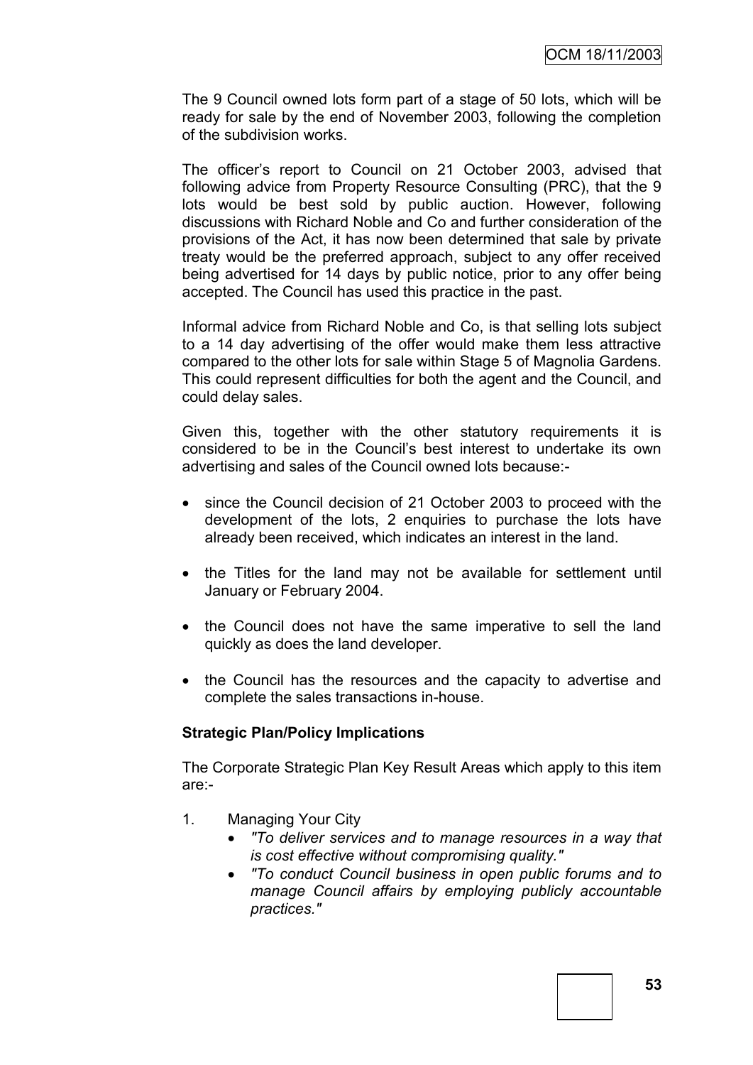The 9 Council owned lots form part of a stage of 50 lots, which will be ready for sale by the end of November 2003, following the completion of the subdivision works.

The officer"s report to Council on 21 October 2003, advised that following advice from Property Resource Consulting (PRC), that the 9 lots would be best sold by public auction. However, following discussions with Richard Noble and Co and further consideration of the provisions of the Act, it has now been determined that sale by private treaty would be the preferred approach, subject to any offer received being advertised for 14 days by public notice, prior to any offer being accepted. The Council has used this practice in the past.

Informal advice from Richard Noble and Co, is that selling lots subject to a 14 day advertising of the offer would make them less attractive compared to the other lots for sale within Stage 5 of Magnolia Gardens. This could represent difficulties for both the agent and the Council, and could delay sales.

Given this, together with the other statutory requirements it is considered to be in the Council"s best interest to undertake its own advertising and sales of the Council owned lots because:-

- since the Council decision of 21 October 2003 to proceed with the development of the lots, 2 enquiries to purchase the lots have already been received, which indicates an interest in the land.
- the Titles for the land may not be available for settlement until January or February 2004.
- the Council does not have the same imperative to sell the land quickly as does the land developer.
- the Council has the resources and the capacity to advertise and complete the sales transactions in-house.

# **Strategic Plan/Policy Implications**

The Corporate Strategic Plan Key Result Areas which apply to this item are:-

- 1. Managing Your City
	- *"To deliver services and to manage resources in a way that is cost effective without compromising quality."*
	- *"To conduct Council business in open public forums and to manage Council affairs by employing publicly accountable practices."*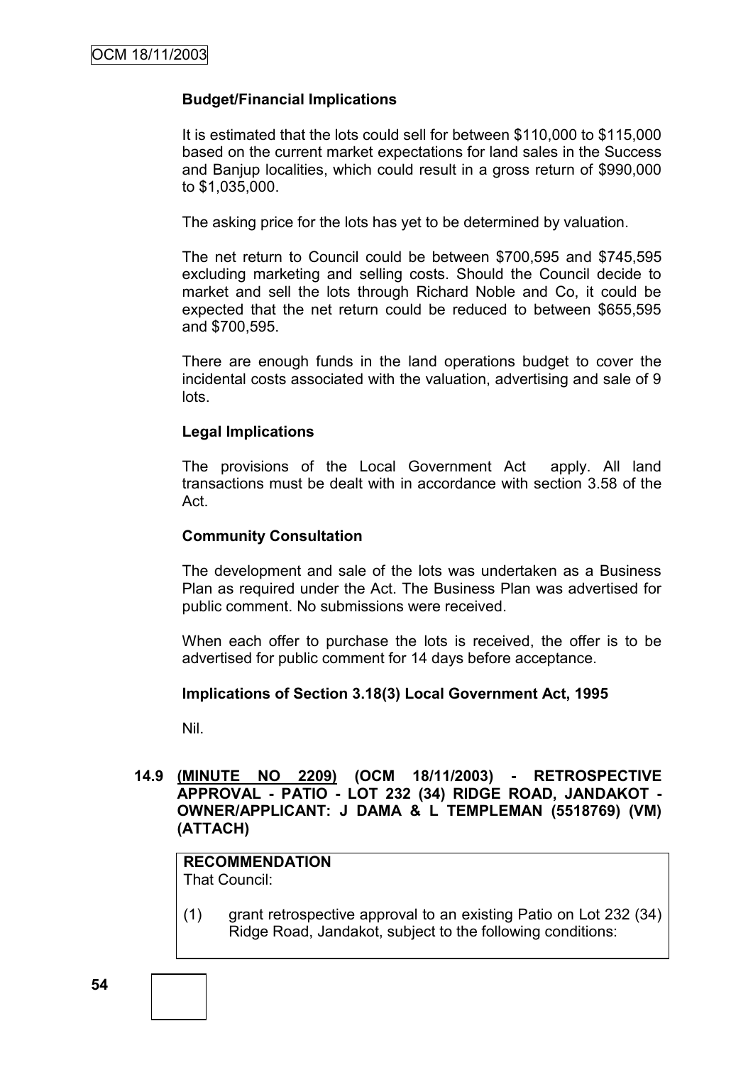# **Budget/Financial Implications**

It is estimated that the lots could sell for between \$110,000 to \$115,000 based on the current market expectations for land sales in the Success and Banjup localities, which could result in a gross return of \$990,000 to \$1,035,000.

The asking price for the lots has yet to be determined by valuation.

The net return to Council could be between \$700,595 and \$745,595 excluding marketing and selling costs. Should the Council decide to market and sell the lots through Richard Noble and Co, it could be expected that the net return could be reduced to between \$655,595 and \$700,595.

There are enough funds in the land operations budget to cover the incidental costs associated with the valuation, advertising and sale of 9 lots.

### **Legal Implications**

The provisions of the Local Government Act apply. All land transactions must be dealt with in accordance with section 3.58 of the Act.

#### **Community Consultation**

The development and sale of the lots was undertaken as a Business Plan as required under the Act. The Business Plan was advertised for public comment. No submissions were received.

When each offer to purchase the lots is received, the offer is to be advertised for public comment for 14 days before acceptance.

#### **Implications of Section 3.18(3) Local Government Act, 1995**

Nil.

## **14.9 (MINUTE NO 2209) (OCM 18/11/2003) - RETROSPECTIVE APPROVAL - PATIO - LOT 232 (34) RIDGE ROAD, JANDAKOT - OWNER/APPLICANT: J DAMA & L TEMPLEMAN (5518769) (VM) (ATTACH)**

# **RECOMMENDATION**

That Council:

(1) grant retrospective approval to an existing Patio on Lot 232 (34) Ridge Road, Jandakot, subject to the following conditions: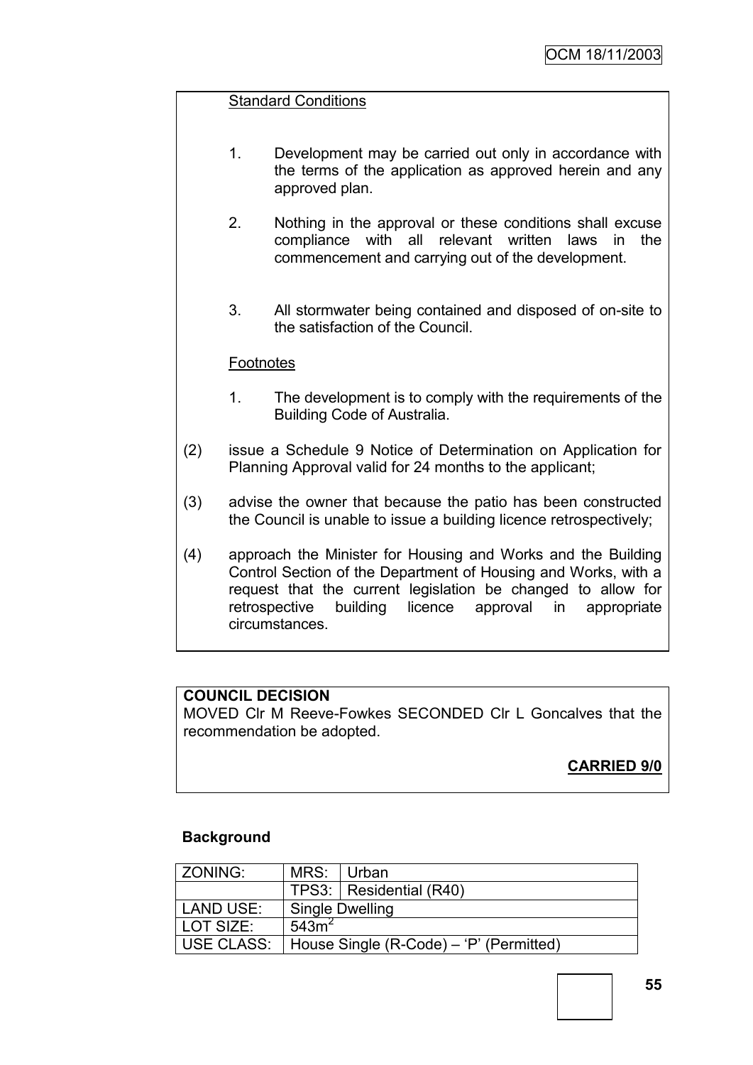# Standard Conditions

- 1. Development may be carried out only in accordance with the terms of the application as approved herein and any approved plan.
- 2. Nothing in the approval or these conditions shall excuse compliance with all relevant written laws in the commencement and carrying out of the development.
- 3. All stormwater being contained and disposed of on-site to the satisfaction of the Council.

### **Footnotes**

- 1. The development is to comply with the requirements of the Building Code of Australia.
- (2) issue a Schedule 9 Notice of Determination on Application for Planning Approval valid for 24 months to the applicant;
- (3) advise the owner that because the patio has been constructed the Council is unable to issue a building licence retrospectively;
- (4) approach the Minister for Housing and Works and the Building Control Section of the Department of Housing and Works, with a request that the current legislation be changed to allow for retrospective building licence approval in appropriate circumstances.

# **COUNCIL DECISION**

MOVED Clr M Reeve-Fowkes SECONDED Clr L Goncalves that the recommendation be adopted.

# **CARRIED 9/0**

# **Background**

| <b>ZONING:</b> | MRS:                                                 | l Urban                 |
|----------------|------------------------------------------------------|-------------------------|
|                |                                                      | TPS3: Residential (R40) |
| LAND USE:      | Single Dwelling                                      |                         |
| LOT SIZE:      | 543m <sup>2</sup>                                    |                         |
|                | USE CLASS:   House Single (R-Code) – 'P' (Permitted) |                         |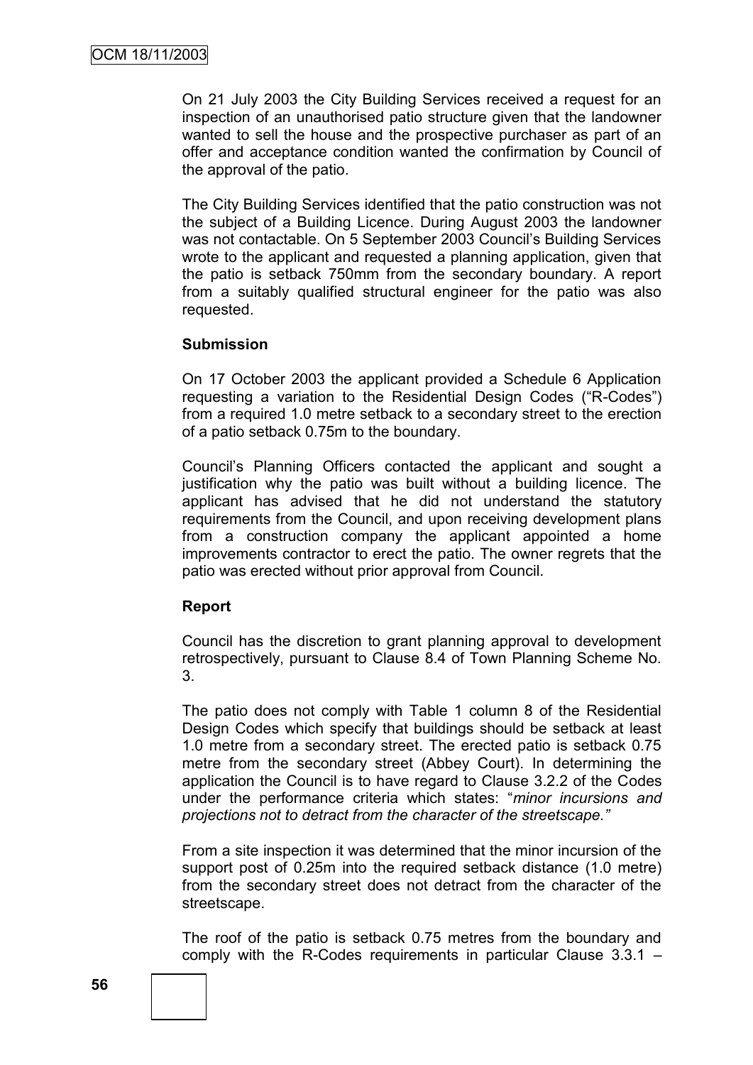On 21 July 2003 the City Building Services received a request for an inspection of an unauthorised patio structure given that the landowner wanted to sell the house and the prospective purchaser as part of an offer and acceptance condition wanted the confirmation by Council of the approval of the patio.

The City Building Services identified that the patio construction was not the subject of a Building Licence. During August 2003 the landowner was not contactable. On 5 September 2003 Council's Building Services wrote to the applicant and requested a planning application, given that the patio is setback 750mm from the secondary boundary. A report from a suitably qualified structural engineer for the patio was also requested.

### **Submission**

On 17 October 2003 the applicant provided a Schedule 6 Application requesting a variation to the Residential Design Codes ("R-Codes") from a required 1.0 metre setback to a secondary street to the erection of a patio setback 0.75m to the boundary.

Council"s Planning Officers contacted the applicant and sought a justification why the patio was built without a building licence. The applicant has advised that he did not understand the statutory requirements from the Council, and upon receiving development plans from a construction company the applicant appointed a home improvements contractor to erect the patio. The owner regrets that the patio was erected without prior approval from Council.

# **Report**

Council has the discretion to grant planning approval to development retrospectively, pursuant to Clause 8.4 of Town Planning Scheme No. 3.

The patio does not comply with Table 1 column 8 of the Residential Design Codes which specify that buildings should be setback at least 1.0 metre from a secondary street. The erected patio is setback 0.75 metre from the secondary street (Abbey Court). In determining the application the Council is to have regard to Clause 3.2.2 of the Codes under the performance criteria which states: "*minor incursions and projections not to detract from the character of the streetscape."*

From a site inspection it was determined that the minor incursion of the support post of 0.25m into the required setback distance (1.0 metre) from the secondary street does not detract from the character of the streetscape.

The roof of the patio is setback 0.75 metres from the boundary and comply with the R-Codes requirements in particular Clause 3.3.1 –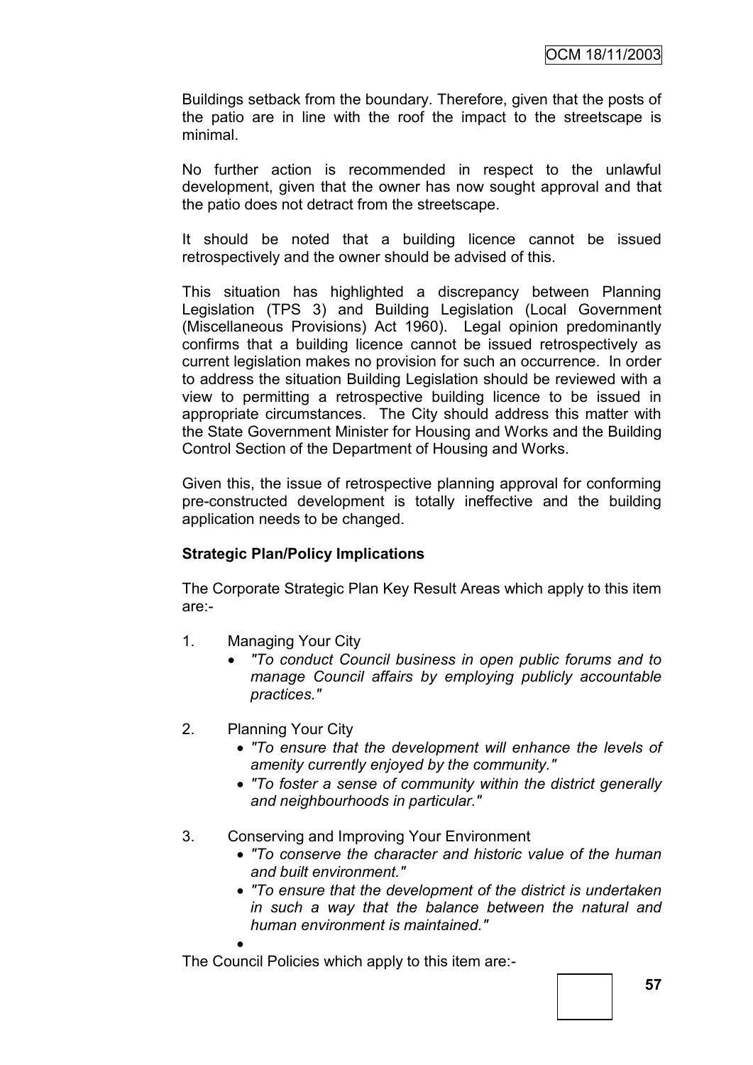Buildings setback from the boundary. Therefore, given that the posts of the patio are in line with the roof the impact to the streetscape is minimal.

No further action is recommended in respect to the unlawful development, given that the owner has now sought approval and that the patio does not detract from the streetscape.

It should be noted that a building licence cannot be issued retrospectively and the owner should be advised of this.

This situation has highlighted a discrepancy between Planning Legislation (TPS 3) and Building Legislation (Local Government (Miscellaneous Provisions) Act 1960). Legal opinion predominantly confirms that a building licence cannot be issued retrospectively as current legislation makes no provision for such an occurrence. In order to address the situation Building Legislation should be reviewed with a view to permitting a retrospective building licence to be issued in appropriate circumstances. The City should address this matter with the State Government Minister for Housing and Works and the Building Control Section of the Department of Housing and Works.

Given this, the issue of retrospective planning approval for conforming pre-constructed development is totally ineffective and the building application needs to be changed.

# **Strategic Plan/Policy Implications**

The Corporate Strategic Plan Key Result Areas which apply to this item are:-

- 1. Managing Your City
	- *"To conduct Council business in open public forums and to manage Council affairs by employing publicly accountable practices."*
- 2. Planning Your City
	- *"To ensure that the development will enhance the levels of amenity currently enjoyed by the community."*
	- *"To foster a sense of community within the district generally and neighbourhoods in particular."*
- 3. Conserving and Improving Your Environment
	- *"To conserve the character and historic value of the human and built environment."*
	- *"To ensure that the development of the district is undertaken in such a way that the balance between the natural and human environment is maintained."*

 $\bullet$ The Council Policies which apply to this item are:-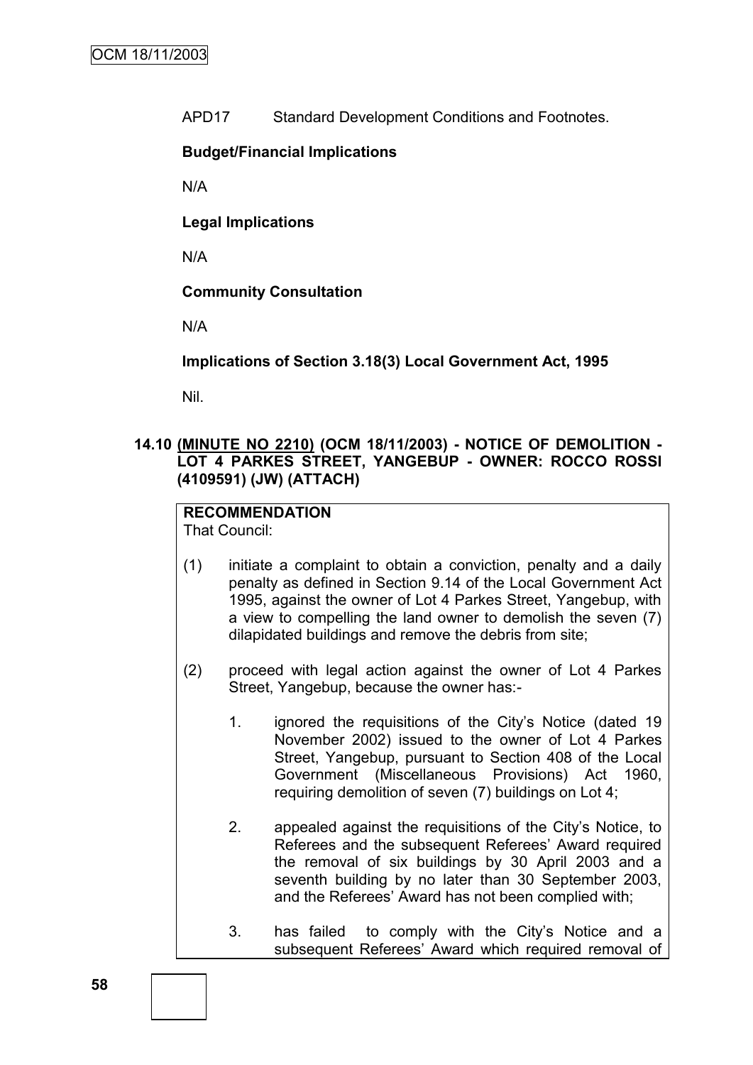APD17 Standard Development Conditions and Footnotes.

# **Budget/Financial Implications**

N/A

**Legal Implications**

N/A

**Community Consultation**

N/A

**Implications of Section 3.18(3) Local Government Act, 1995**

Nil.

# **14.10 (MINUTE NO 2210) (OCM 18/11/2003) - NOTICE OF DEMOLITION - LOT 4 PARKES STREET, YANGEBUP - OWNER: ROCCO ROSSI (4109591) (JW) (ATTACH)**

# **RECOMMENDATION**

That Council:

- (1) initiate a complaint to obtain a conviction, penalty and a daily penalty as defined in Section 9.14 of the Local Government Act 1995, against the owner of Lot 4 Parkes Street, Yangebup, with a view to compelling the land owner to demolish the seven (7) dilapidated buildings and remove the debris from site;
- (2) proceed with legal action against the owner of Lot 4 Parkes Street, Yangebup, because the owner has:-
	- 1. ignored the requisitions of the City"s Notice (dated 19 November 2002) issued to the owner of Lot 4 Parkes Street, Yangebup, pursuant to Section 408 of the Local Government (Miscellaneous Provisions) Act 1960, requiring demolition of seven (7) buildings on Lot 4;
	- 2. appealed against the requisitions of the City"s Notice, to Referees and the subsequent Referees" Award required the removal of six buildings by 30 April 2003 and a seventh building by no later than 30 September 2003, and the Referees" Award has not been complied with;
	- 3. has failed to comply with the City"s Notice and a subsequent Referees" Award which required removal of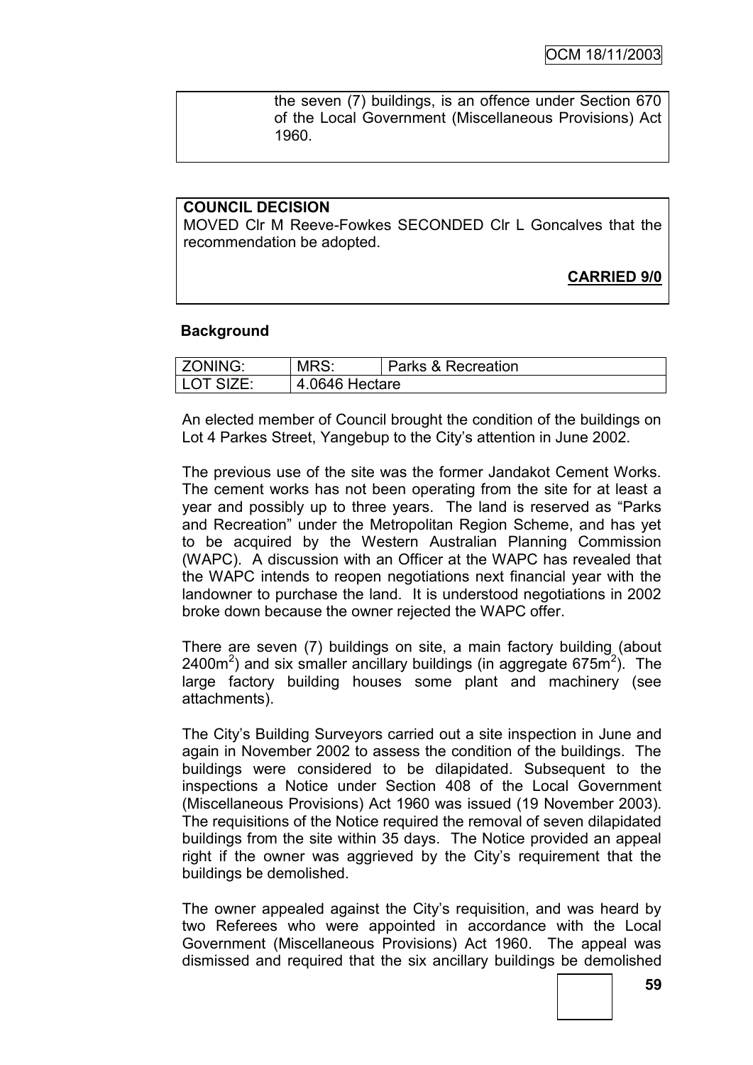the seven (7) buildings, is an offence under Section 670 of the Local Government (Miscellaneous Provisions) Act 1960.

# **COUNCIL DECISION**

MOVED Clr M Reeve-Fowkes SECONDED Clr L Goncalves that the recommendation be adopted.

**CARRIED 9/0**

# **Background**

| ZONING:   | MRS:           | Parks & Recreation |
|-----------|----------------|--------------------|
| LOT SIZE: | 4.0646 Hectare |                    |

An elected member of Council brought the condition of the buildings on Lot 4 Parkes Street, Yangebup to the City"s attention in June 2002.

The previous use of the site was the former Jandakot Cement Works. The cement works has not been operating from the site for at least a year and possibly up to three years. The land is reserved as "Parks and Recreation" under the Metropolitan Region Scheme, and has yet to be acquired by the Western Australian Planning Commission (WAPC). A discussion with an Officer at the WAPC has revealed that the WAPC intends to reopen negotiations next financial year with the landowner to purchase the land. It is understood negotiations in 2002 broke down because the owner rejected the WAPC offer.

There are seven (7) buildings on site, a main factory building (about 2400 $\text{m}^2$ ) and six smaller ancillary buildings (in aggregate 675 $\text{m}^2$ ). The large factory building houses some plant and machinery (see attachments).

The City"s Building Surveyors carried out a site inspection in June and again in November 2002 to assess the condition of the buildings. The buildings were considered to be dilapidated. Subsequent to the inspections a Notice under Section 408 of the Local Government (Miscellaneous Provisions) Act 1960 was issued (19 November 2003). The requisitions of the Notice required the removal of seven dilapidated buildings from the site within 35 days. The Notice provided an appeal right if the owner was aggrieved by the City"s requirement that the buildings be demolished.

The owner appealed against the City's requisition, and was heard by two Referees who were appointed in accordance with the Local Government (Miscellaneous Provisions) Act 1960. The appeal was dismissed and required that the six ancillary buildings be demolished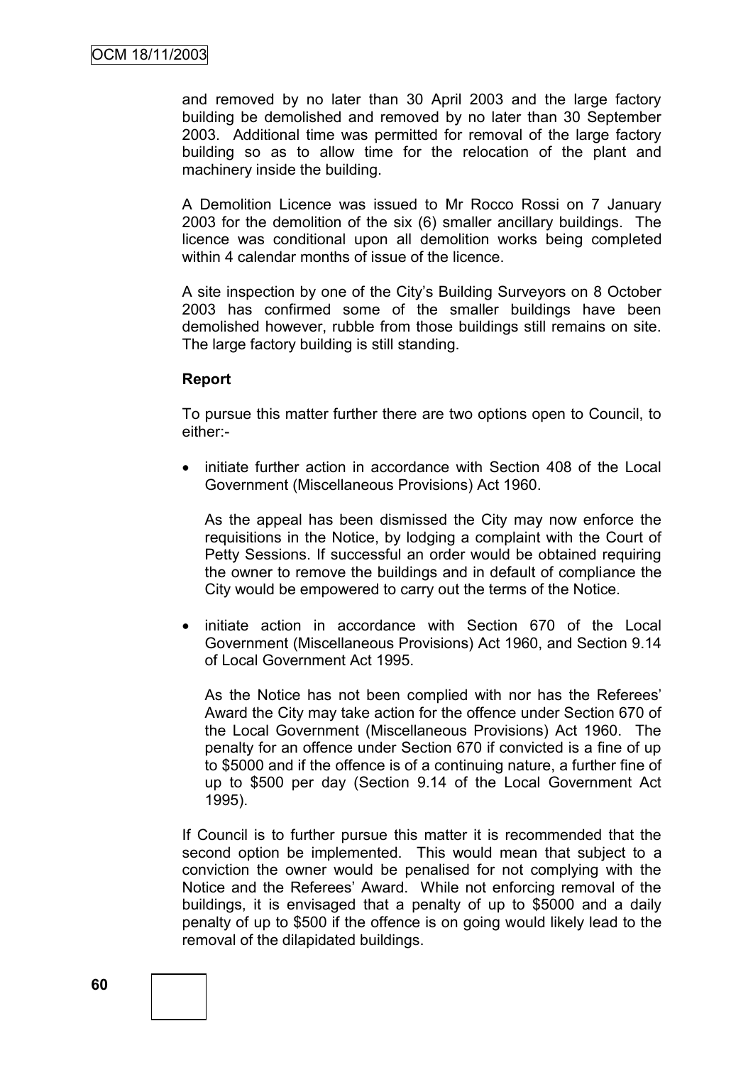and removed by no later than 30 April 2003 and the large factory building be demolished and removed by no later than 30 September 2003. Additional time was permitted for removal of the large factory building so as to allow time for the relocation of the plant and machinery inside the building.

A Demolition Licence was issued to Mr Rocco Rossi on 7 January 2003 for the demolition of the six (6) smaller ancillary buildings. The licence was conditional upon all demolition works being completed within 4 calendar months of issue of the licence.

A site inspection by one of the City"s Building Surveyors on 8 October 2003 has confirmed some of the smaller buildings have been demolished however, rubble from those buildings still remains on site. The large factory building is still standing.

#### **Report**

To pursue this matter further there are two options open to Council, to either:-

• initiate further action in accordance with Section 408 of the Local Government (Miscellaneous Provisions) Act 1960.

As the appeal has been dismissed the City may now enforce the requisitions in the Notice, by lodging a complaint with the Court of Petty Sessions. If successful an order would be obtained requiring the owner to remove the buildings and in default of compliance the City would be empowered to carry out the terms of the Notice.

• initiate action in accordance with Section 670 of the Local Government (Miscellaneous Provisions) Act 1960, and Section 9.14 of Local Government Act 1995.

As the Notice has not been complied with nor has the Referees" Award the City may take action for the offence under Section 670 of the Local Government (Miscellaneous Provisions) Act 1960. The penalty for an offence under Section 670 if convicted is a fine of up to \$5000 and if the offence is of a continuing nature, a further fine of up to \$500 per day (Section 9.14 of the Local Government Act 1995).

If Council is to further pursue this matter it is recommended that the second option be implemented. This would mean that subject to a conviction the owner would be penalised for not complying with the Notice and the Referees" Award. While not enforcing removal of the buildings, it is envisaged that a penalty of up to \$5000 and a daily penalty of up to \$500 if the offence is on going would likely lead to the removal of the dilapidated buildings.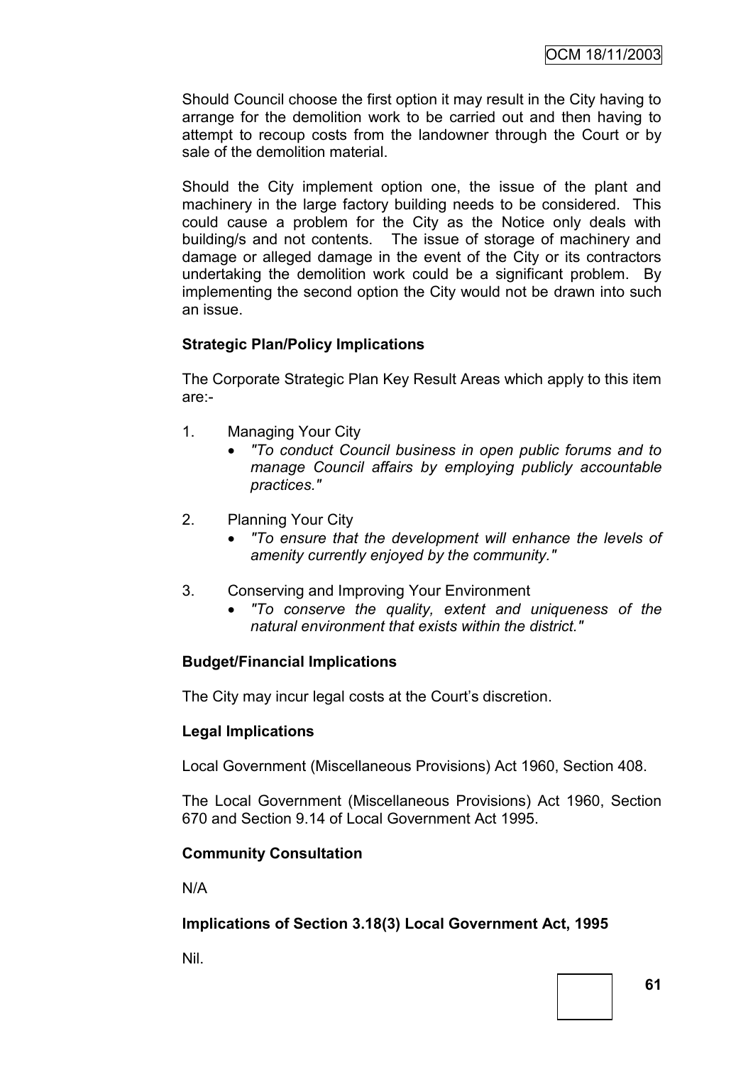Should Council choose the first option it may result in the City having to arrange for the demolition work to be carried out and then having to attempt to recoup costs from the landowner through the Court or by sale of the demolition material.

Should the City implement option one, the issue of the plant and machinery in the large factory building needs to be considered. This could cause a problem for the City as the Notice only deals with building/s and not contents. The issue of storage of machinery and damage or alleged damage in the event of the City or its contractors undertaking the demolition work could be a significant problem. By implementing the second option the City would not be drawn into such an issue.

# **Strategic Plan/Policy Implications**

The Corporate Strategic Plan Key Result Areas which apply to this item are:-

- 1. Managing Your City
	- *"To conduct Council business in open public forums and to manage Council affairs by employing publicly accountable practices."*
- 2. Planning Your City
	- *"To ensure that the development will enhance the levels of amenity currently enjoyed by the community."*
- 3. Conserving and Improving Your Environment
	- *"To conserve the quality, extent and uniqueness of the natural environment that exists within the district."*

# **Budget/Financial Implications**

The City may incur legal costs at the Court's discretion.

# **Legal Implications**

Local Government (Miscellaneous Provisions) Act 1960, Section 408.

The Local Government (Miscellaneous Provisions) Act 1960, Section 670 and Section 9.14 of Local Government Act 1995.

# **Community Consultation**

N/A

# **Implications of Section 3.18(3) Local Government Act, 1995**

Nil.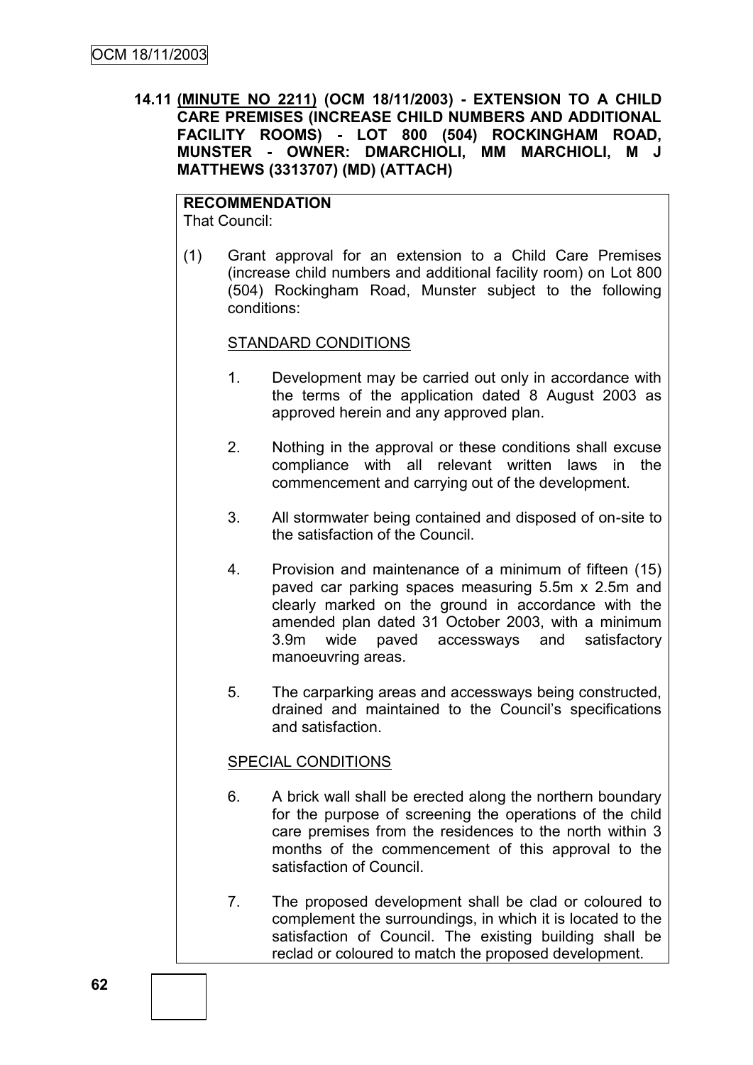# **14.11 (MINUTE NO 2211) (OCM 18/11/2003) - EXTENSION TO A CHILD CARE PREMISES (INCREASE CHILD NUMBERS AND ADDITIONAL FACILITY ROOMS) - LOT 800 (504) ROCKINGHAM ROAD, MUNSTER - OWNER: DMARCHIOLI, MM MARCHIOLI, M J MATTHEWS (3313707) (MD) (ATTACH)**

**RECOMMENDATION** That Council:

(1) Grant approval for an extension to a Child Care Premises (increase child numbers and additional facility room) on Lot 800 (504) Rockingham Road, Munster subject to the following conditions:

### STANDARD CONDITIONS

- 1. Development may be carried out only in accordance with the terms of the application dated 8 August 2003 as approved herein and any approved plan.
- 2. Nothing in the approval or these conditions shall excuse compliance with all relevant written laws in the commencement and carrying out of the development.
- 3. All stormwater being contained and disposed of on-site to the satisfaction of the Council.
- 4. Provision and maintenance of a minimum of fifteen (15) paved car parking spaces measuring 5.5m x 2.5m and clearly marked on the ground in accordance with the amended plan dated 31 October 2003, with a minimum 3.9m wide paved accessways and satisfactory manoeuvring areas.
- 5. The carparking areas and accessways being constructed, drained and maintained to the Council"s specifications and satisfaction.

# SPECIAL CONDITIONS

- 6. A brick wall shall be erected along the northern boundary for the purpose of screening the operations of the child care premises from the residences to the north within 3 months of the commencement of this approval to the satisfaction of Council.
- 7. The proposed development shall be clad or coloured to complement the surroundings, in which it is located to the satisfaction of Council. The existing building shall be reclad or coloured to match the proposed development.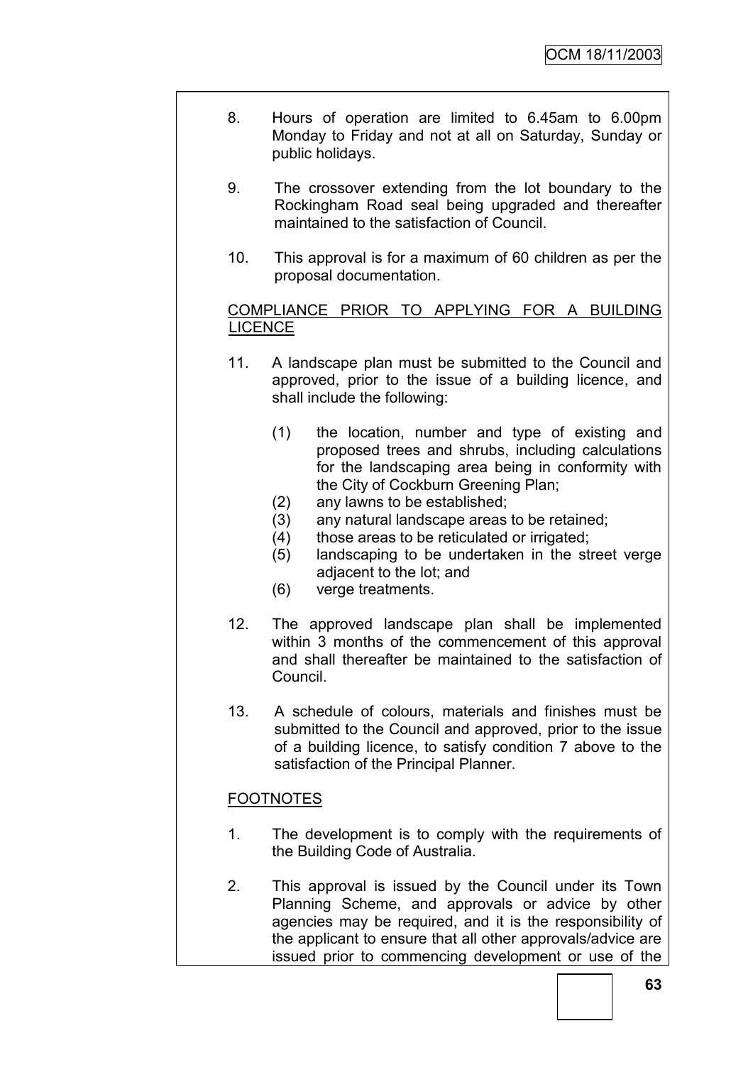- 8. Hours of operation are limited to 6.45am to 6.00pm Monday to Friday and not at all on Saturday, Sunday or public holidays.
- 9. The crossover extending from the lot boundary to the Rockingham Road seal being upgraded and thereafter maintained to the satisfaction of Council.
- 10. This approval is for a maximum of 60 children as per the proposal documentation.

# COMPLIANCE PRIOR TO APPLYING FOR A BUILDING LICENCE

- 11. A landscape plan must be submitted to the Council and approved, prior to the issue of a building licence, and shall include the following:
	- (1) the location, number and type of existing and proposed trees and shrubs, including calculations for the landscaping area being in conformity with the City of Cockburn Greening Plan;
	- (2) any lawns to be established;
	- (3) any natural landscape areas to be retained;
	- (4) those areas to be reticulated or irrigated;
	- (5) landscaping to be undertaken in the street verge adjacent to the lot; and
	- (6) verge treatments.
- 12. The approved landscape plan shall be implemented within 3 months of the commencement of this approval and shall thereafter be maintained to the satisfaction of Council.
- 13. A schedule of colours, materials and finishes must be submitted to the Council and approved, prior to the issue of a building licence, to satisfy condition 7 above to the satisfaction of the Principal Planner.

# FOOTNOTES

- 1. The development is to comply with the requirements of the Building Code of Australia.
- 2. This approval is issued by the Council under its Town Planning Scheme, and approvals or advice by other agencies may be required, and it is the responsibility of the applicant to ensure that all other approvals/advice are issued prior to commencing development or use of the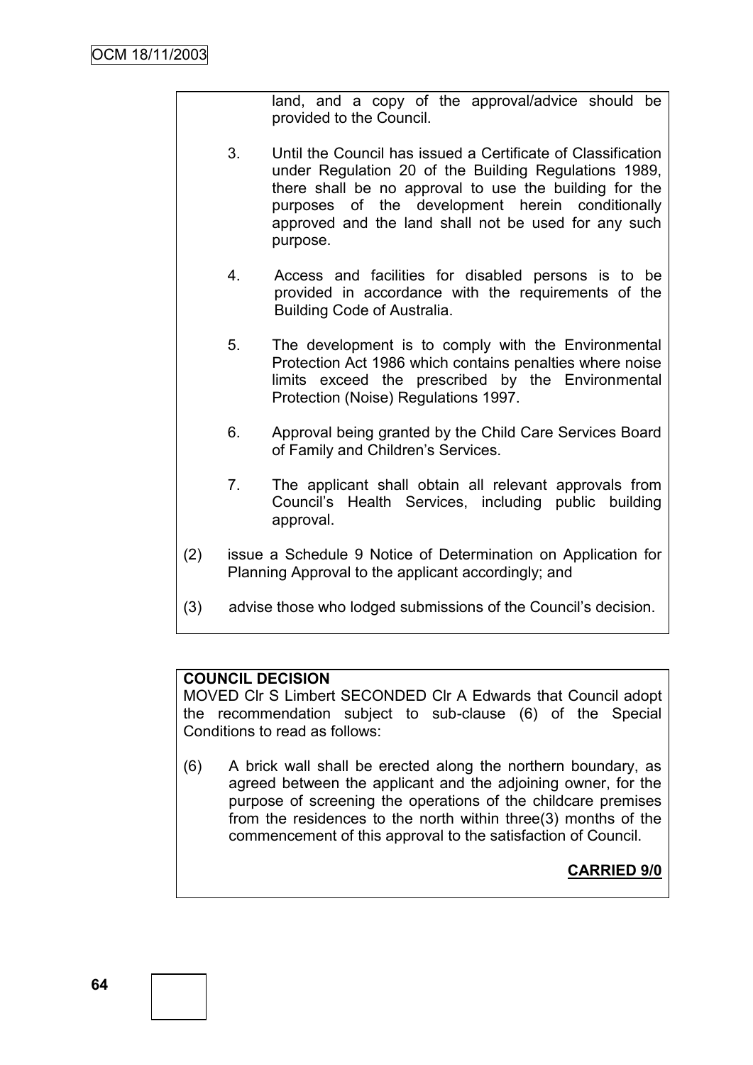land, and a copy of the approval/advice should be provided to the Council.

- 3. Until the Council has issued a Certificate of Classification under Regulation 20 of the Building Regulations 1989, there shall be no approval to use the building for the purposes of the development herein conditionally approved and the land shall not be used for any such purpose.
- 4. Access and facilities for disabled persons is to be provided in accordance with the requirements of the Building Code of Australia.
- 5. The development is to comply with the Environmental Protection Act 1986 which contains penalties where noise limits exceed the prescribed by the Environmental Protection (Noise) Regulations 1997.
- 6. Approval being granted by the Child Care Services Board of Family and Children"s Services.
- 7. The applicant shall obtain all relevant approvals from Council"s Health Services, including public building approval.
- (2) issue a Schedule 9 Notice of Determination on Application for Planning Approval to the applicant accordingly; and
- (3) advise those who lodged submissions of the Council"s decision.

# **COUNCIL DECISION**

MOVED Clr S Limbert SECONDED Clr A Edwards that Council adopt the recommendation subject to sub-clause (6) of the Special Conditions to read as follows:

(6) A brick wall shall be erected along the northern boundary, as agreed between the applicant and the adjoining owner, for the purpose of screening the operations of the childcare premises from the residences to the north within three(3) months of the commencement of this approval to the satisfaction of Council.

# **CARRIED 9/0**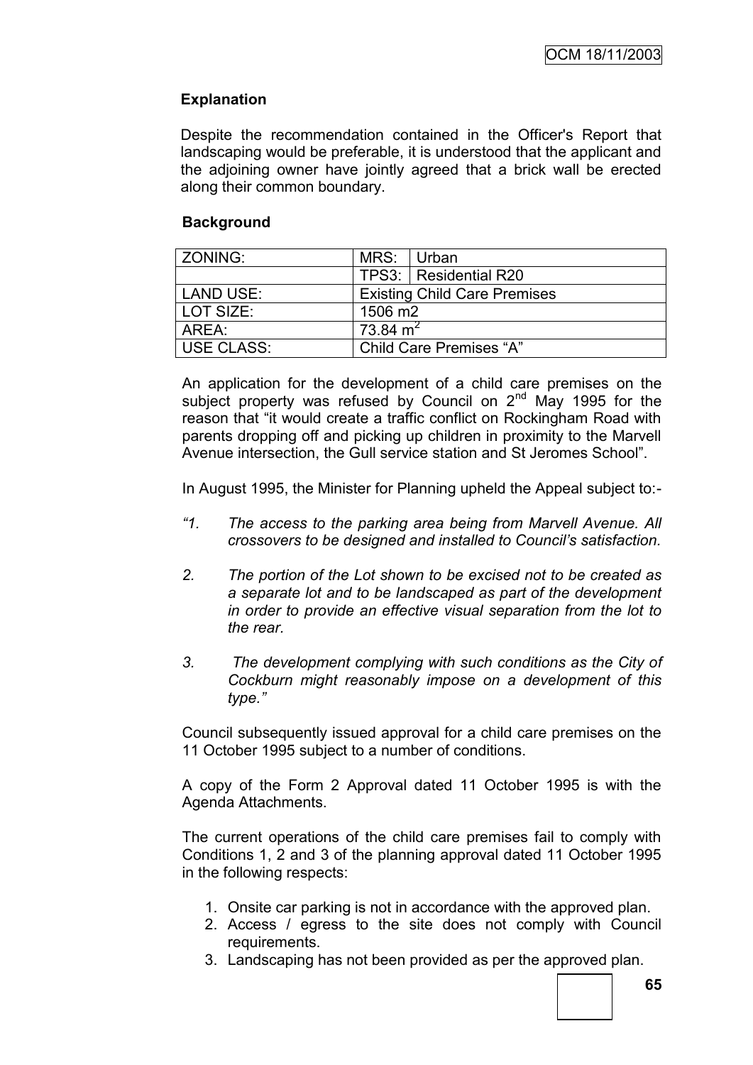# **Explanation**

Despite the recommendation contained in the Officer's Report that landscaping would be preferable, it is understood that the applicant and the adjoining owner have jointly agreed that a brick wall be erected along their common boundary.

## **Background**

| l ZONING:        | MRS:                                | l Urban                 |
|------------------|-------------------------------------|-------------------------|
|                  |                                     | TPS3:   Residential R20 |
| <b>LAND USE:</b> | <b>Existing Child Care Premises</b> |                         |
| l LOT SIZE:      | 1506 m2                             |                         |
| AREA:            | 73.84 $m2$                          |                         |
| USE CLASS:       | Child Care Premises "A"             |                         |

An application for the development of a child care premises on the subject property was refused by Council on  $2<sup>nd</sup>$  May 1995 for the reason that "it would create a traffic conflict on Rockingham Road with parents dropping off and picking up children in proximity to the Marvell Avenue intersection, the Gull service station and St Jeromes School".

In August 1995, the Minister for Planning upheld the Appeal subject to:-

- *"1. The access to the parking area being from Marvell Avenue. All crossovers to be designed and installed to Council's satisfaction.*
- *2. The portion of the Lot shown to be excised not to be created as a separate lot and to be landscaped as part of the development in order to provide an effective visual separation from the lot to the rear.*
- *3. The development complying with such conditions as the City of Cockburn might reasonably impose on a development of this type."*

Council subsequently issued approval for a child care premises on the 11 October 1995 subject to a number of conditions.

A copy of the Form 2 Approval dated 11 October 1995 is with the Agenda Attachments.

The current operations of the child care premises fail to comply with Conditions 1, 2 and 3 of the planning approval dated 11 October 1995 in the following respects:

- 1. Onsite car parking is not in accordance with the approved plan.
- 2. Access / egress to the site does not comply with Council requirements.
- 3. Landscaping has not been provided as per the approved plan.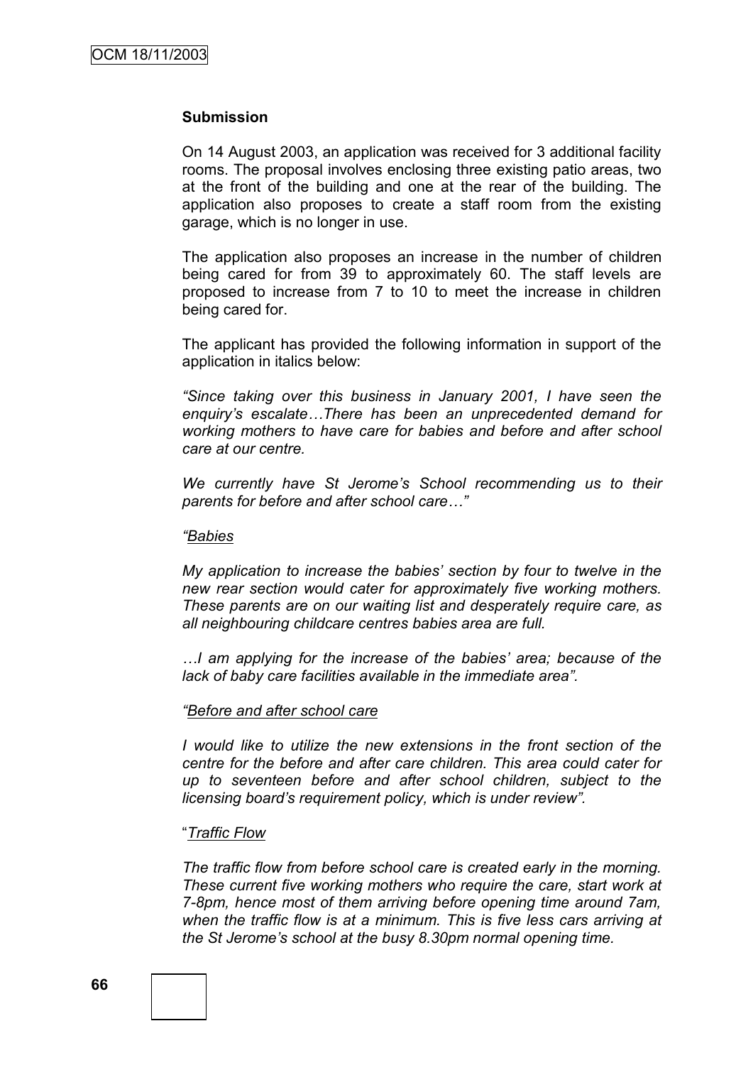#### **Submission**

On 14 August 2003, an application was received for 3 additional facility rooms. The proposal involves enclosing three existing patio areas, two at the front of the building and one at the rear of the building. The application also proposes to create a staff room from the existing garage, which is no longer in use.

The application also proposes an increase in the number of children being cared for from 39 to approximately 60. The staff levels are proposed to increase from 7 to 10 to meet the increase in children being cared for.

The applicant has provided the following information in support of the application in italics below:

*"Since taking over this business in January 2001, I have seen the enquiry's escalate…There has been an unprecedented demand for working mothers to have care for babies and before and after school care at our centre.*

*We currently have St Jerome's School recommending us to their parents for before and after school care…"*

#### *"Babies*

*My application to increase the babies' section by four to twelve in the new rear section would cater for approximately five working mothers. These parents are on our waiting list and desperately require care, as all neighbouring childcare centres babies area are full.*

*…I am applying for the increase of the babies' area; because of the lack of baby care facilities available in the immediate area".*

#### *"Before and after school care*

*I would like to utilize the new extensions in the front section of the centre for the before and after care children. This area could cater for up to seventeen before and after school children, subject to the licensing board's requirement policy, which is under review".*

#### "*Traffic Flow*

*The traffic flow from before school care is created early in the morning. These current five working mothers who require the care, start work at 7-8pm, hence most of them arriving before opening time around 7am, when the traffic flow is at a minimum. This is five less cars arriving at the St Jerome's school at the busy 8.30pm normal opening time.*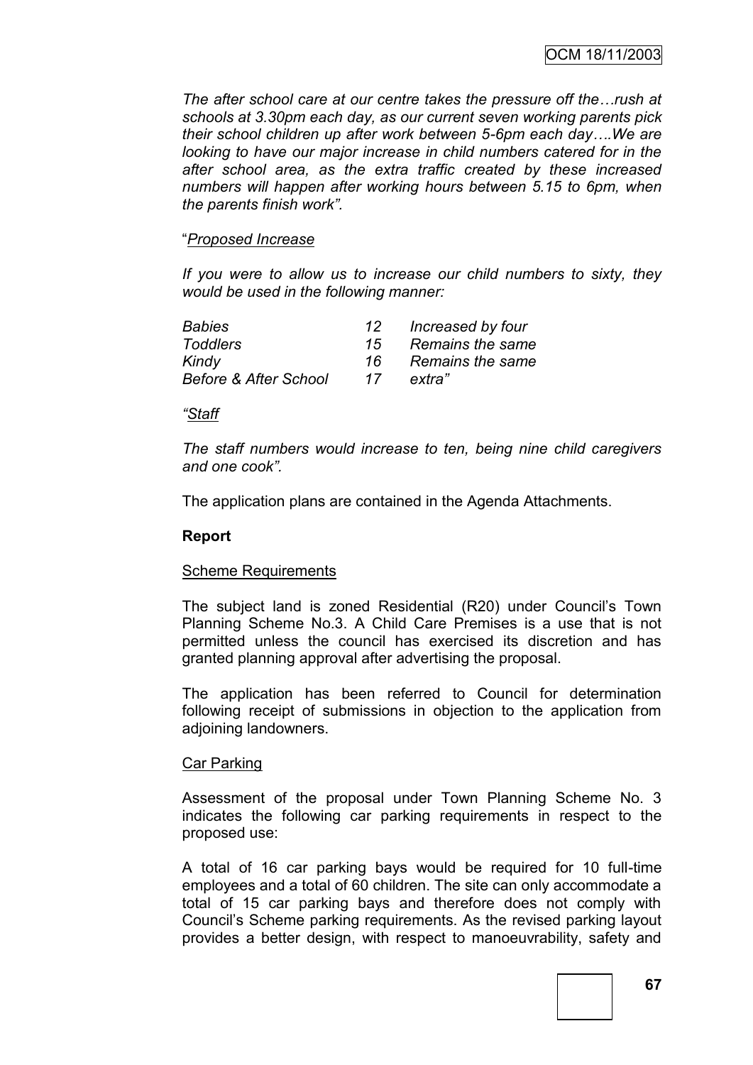*The after school care at our centre takes the pressure off the…rush at schools at 3.30pm each day, as our current seven working parents pick their school children up after work between 5-6pm each day….We are looking to have our major increase in child numbers catered for in the after school area, as the extra traffic created by these increased numbers will happen after working hours between 5.15 to 6pm, when the parents finish work".*

#### "*Proposed Increase*

*If you were to allow us to increase our child numbers to sixty, they would be used in the following manner:*

| <b>Babies</b>                    | 12 | Increased by four |
|----------------------------------|----|-------------------|
| <b>Toddlers</b>                  | 15 | Remains the same  |
| Kindy                            | 16 | Remains the same  |
| <b>Before &amp; After School</b> | 17 | extra"            |

#### *"Staff*

*The staff numbers would increase to ten, being nine child caregivers and one cook".*

The application plans are contained in the Agenda Attachments.

#### **Report**

#### Scheme Requirements

The subject land is zoned Residential (R20) under Council"s Town Planning Scheme No.3. A Child Care Premises is a use that is not permitted unless the council has exercised its discretion and has granted planning approval after advertising the proposal.

The application has been referred to Council for determination following receipt of submissions in objection to the application from adjoining landowners.

#### Car Parking

Assessment of the proposal under Town Planning Scheme No. 3 indicates the following car parking requirements in respect to the proposed use:

A total of 16 car parking bays would be required for 10 full-time employees and a total of 60 children. The site can only accommodate a total of 15 car parking bays and therefore does not comply with Council"s Scheme parking requirements. As the revised parking layout provides a better design, with respect to manoeuvrability, safety and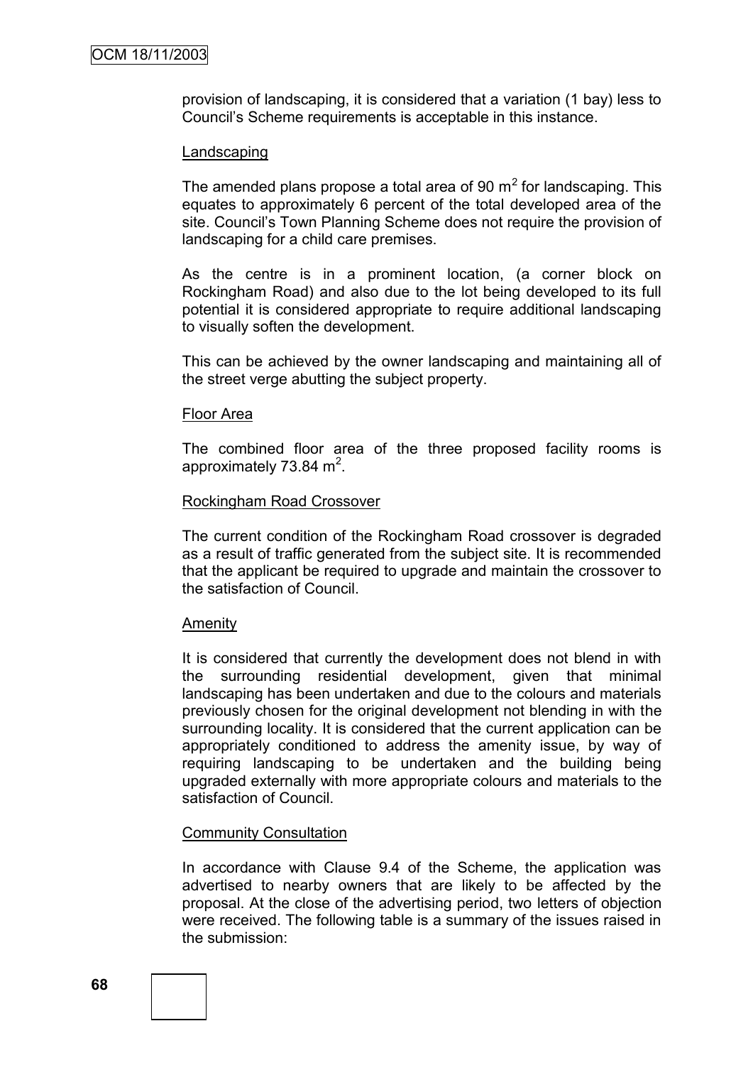provision of landscaping, it is considered that a variation (1 bay) less to Council"s Scheme requirements is acceptable in this instance.

#### Landscaping

The amended plans propose a total area of 90  $m^2$  for landscaping. This equates to approximately 6 percent of the total developed area of the site. Council's Town Planning Scheme does not require the provision of landscaping for a child care premises.

As the centre is in a prominent location, (a corner block on Rockingham Road) and also due to the lot being developed to its full potential it is considered appropriate to require additional landscaping to visually soften the development.

This can be achieved by the owner landscaping and maintaining all of the street verge abutting the subject property.

#### Floor Area

The combined floor area of the three proposed facility rooms is approximately 73.84  $m^2$ .

#### Rockingham Road Crossover

The current condition of the Rockingham Road crossover is degraded as a result of traffic generated from the subject site. It is recommended that the applicant be required to upgrade and maintain the crossover to the satisfaction of Council.

#### Amenity

It is considered that currently the development does not blend in with the surrounding residential development, given that minimal landscaping has been undertaken and due to the colours and materials previously chosen for the original development not blending in with the surrounding locality. It is considered that the current application can be appropriately conditioned to address the amenity issue, by way of requiring landscaping to be undertaken and the building being upgraded externally with more appropriate colours and materials to the satisfaction of Council.

#### Community Consultation

In accordance with Clause 9.4 of the Scheme, the application was advertised to nearby owners that are likely to be affected by the proposal. At the close of the advertising period, two letters of objection were received. The following table is a summary of the issues raised in the submission: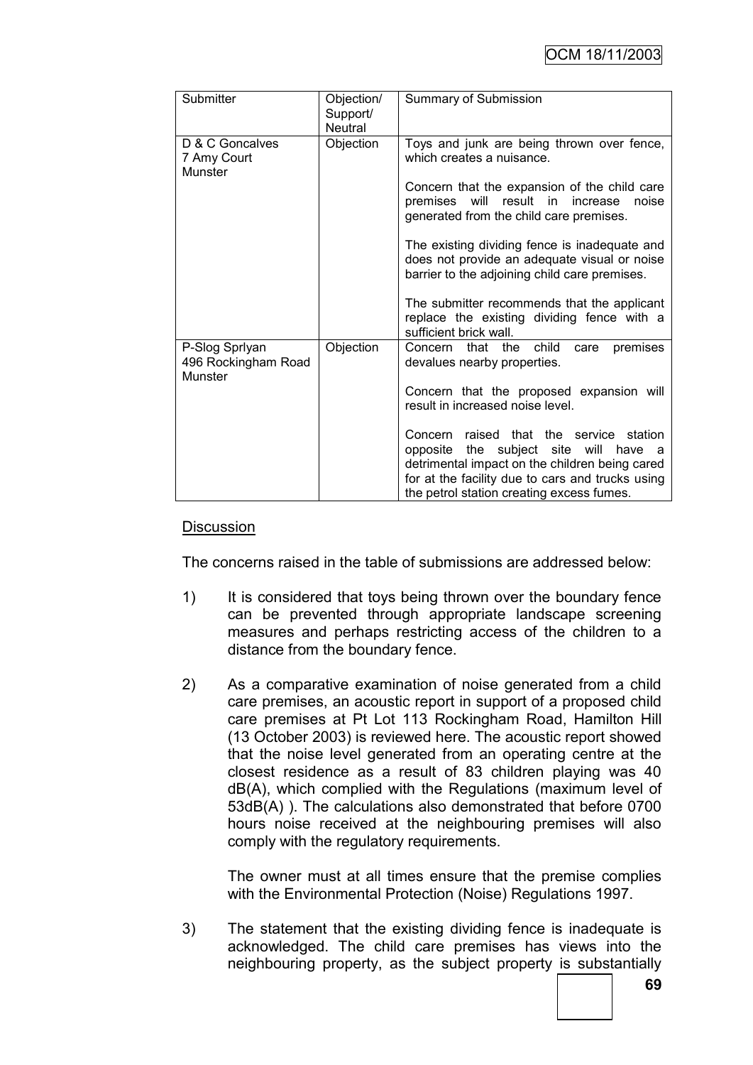| Submitter                                               | Objection/<br>Support/<br>Neutral | Summary of Submission                                                                                                                                                                                                                                                                                                                                                                                     |
|---------------------------------------------------------|-----------------------------------|-----------------------------------------------------------------------------------------------------------------------------------------------------------------------------------------------------------------------------------------------------------------------------------------------------------------------------------------------------------------------------------------------------------|
| D & C Goncalves<br>7 Amy Court<br>Munster               | Objection                         | Toys and junk are being thrown over fence,<br>which creates a nuisance.<br>Concern that the expansion of the child care<br>premises will result in<br>noise<br>increase<br>generated from the child care premises.                                                                                                                                                                                        |
|                                                         |                                   | The existing dividing fence is inadequate and<br>does not provide an adequate visual or noise<br>barrier to the adjoining child care premises.<br>The submitter recommends that the applicant<br>replace the existing dividing fence with a<br>sufficient brick wall.                                                                                                                                     |
| P-Slog Spriyan<br>496 Rockingham Road<br><b>Munster</b> | Objection                         | that the<br>child<br>premises<br>Concern<br>care<br>devalues nearby properties.<br>Concern that the proposed expansion will<br>result in increased noise level.<br>Concern raised that the service station<br>the subject site will have a<br>opposite<br>detrimental impact on the children being cared<br>for at the facility due to cars and trucks using<br>the petrol station creating excess fumes. |

### **Discussion**

The concerns raised in the table of submissions are addressed below:

- 1) It is considered that toys being thrown over the boundary fence can be prevented through appropriate landscape screening measures and perhaps restricting access of the children to a distance from the boundary fence.
- 2) As a comparative examination of noise generated from a child care premises, an acoustic report in support of a proposed child care premises at Pt Lot 113 Rockingham Road, Hamilton Hill (13 October 2003) is reviewed here. The acoustic report showed that the noise level generated from an operating centre at the closest residence as a result of 83 children playing was 40 dB(A), which complied with the Regulations (maximum level of 53dB(A) ). The calculations also demonstrated that before 0700 hours noise received at the neighbouring premises will also comply with the regulatory requirements.

The owner must at all times ensure that the premise complies with the Environmental Protection (Noise) Regulations 1997.

3) The statement that the existing dividing fence is inadequate is acknowledged. The child care premises has views into the neighbouring property, as the subject property is substantially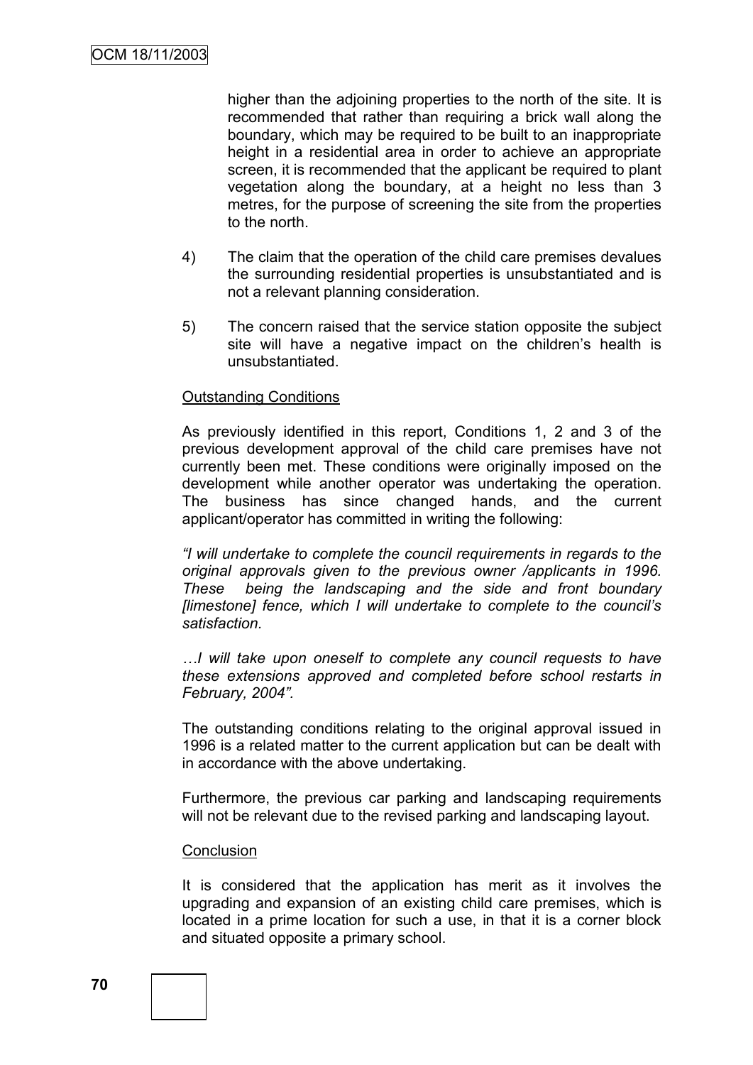higher than the adjoining properties to the north of the site. It is recommended that rather than requiring a brick wall along the boundary, which may be required to be built to an inappropriate height in a residential area in order to achieve an appropriate screen, it is recommended that the applicant be required to plant vegetation along the boundary, at a height no less than 3 metres, for the purpose of screening the site from the properties to the north.

- 4) The claim that the operation of the child care premises devalues the surrounding residential properties is unsubstantiated and is not a relevant planning consideration.
- 5) The concern raised that the service station opposite the subject site will have a negative impact on the children's health is unsubstantiated.

#### Outstanding Conditions

As previously identified in this report, Conditions 1, 2 and 3 of the previous development approval of the child care premises have not currently been met. These conditions were originally imposed on the development while another operator was undertaking the operation. The business has since changed hands, and the current applicant/operator has committed in writing the following:

*"I will undertake to complete the council requirements in regards to the original approvals given to the previous owner /applicants in 1996. These being the landscaping and the side and front boundary [limestone] fence, which I will undertake to complete to the council's satisfaction.*

*…I will take upon oneself to complete any council requests to have these extensions approved and completed before school restarts in February, 2004".*

The outstanding conditions relating to the original approval issued in 1996 is a related matter to the current application but can be dealt with in accordance with the above undertaking.

Furthermore, the previous car parking and landscaping requirements will not be relevant due to the revised parking and landscaping layout.

#### **Conclusion**

It is considered that the application has merit as it involves the upgrading and expansion of an existing child care premises, which is located in a prime location for such a use, in that it is a corner block and situated opposite a primary school.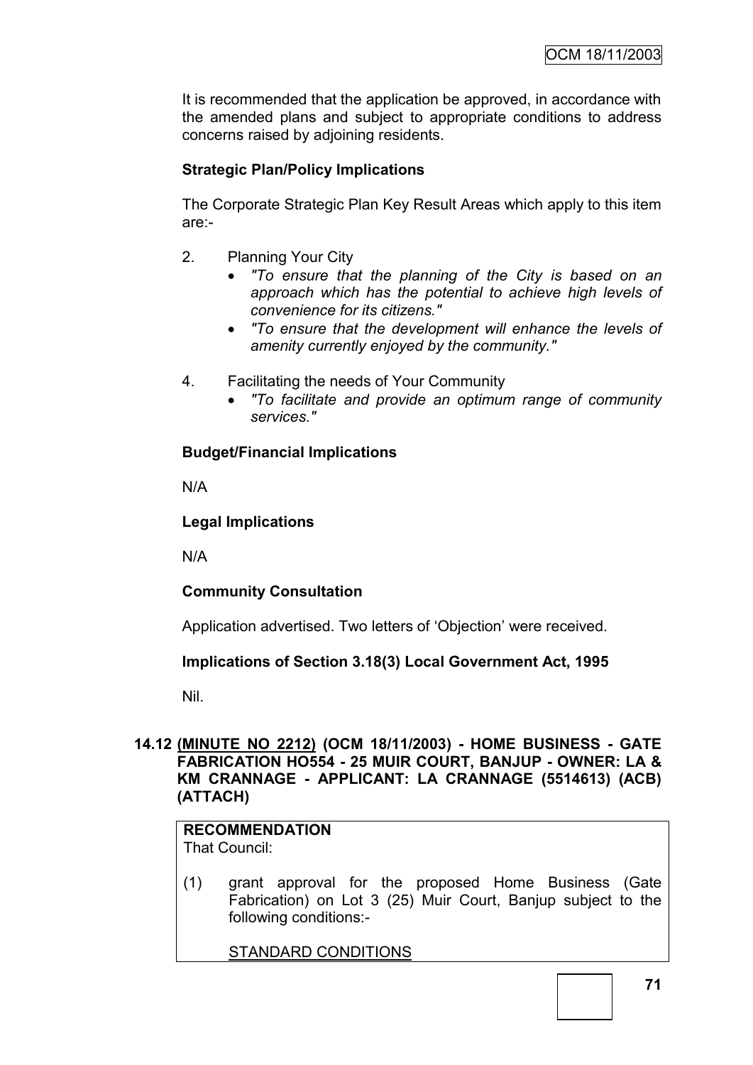It is recommended that the application be approved, in accordance with the amended plans and subject to appropriate conditions to address concerns raised by adjoining residents.

# **Strategic Plan/Policy Implications**

The Corporate Strategic Plan Key Result Areas which apply to this item are:-

- 2. Planning Your City
	- *"To ensure that the planning of the City is based on an approach which has the potential to achieve high levels of convenience for its citizens."*
	- *"To ensure that the development will enhance the levels of amenity currently enjoyed by the community."*
- 4. Facilitating the needs of Your Community
	- *"To facilitate and provide an optimum range of community services."*

## **Budget/Financial Implications**

N/A

# **Legal Implications**

N/A

# **Community Consultation**

Application advertised. Two letters of "Objection" were received.

## **Implications of Section 3.18(3) Local Government Act, 1995**

Nil.

# **14.12 (MINUTE NO 2212) (OCM 18/11/2003) - HOME BUSINESS - GATE FABRICATION HO554 - 25 MUIR COURT, BANJUP - OWNER: LA & KM CRANNAGE - APPLICANT: LA CRANNAGE (5514613) (ACB) (ATTACH)**

#### **RECOMMENDATION** That Council:

(1) grant approval for the proposed Home Business (Gate Fabrication) on Lot 3 (25) Muir Court, Banjup subject to the following conditions:-

STANDARD CONDITIONS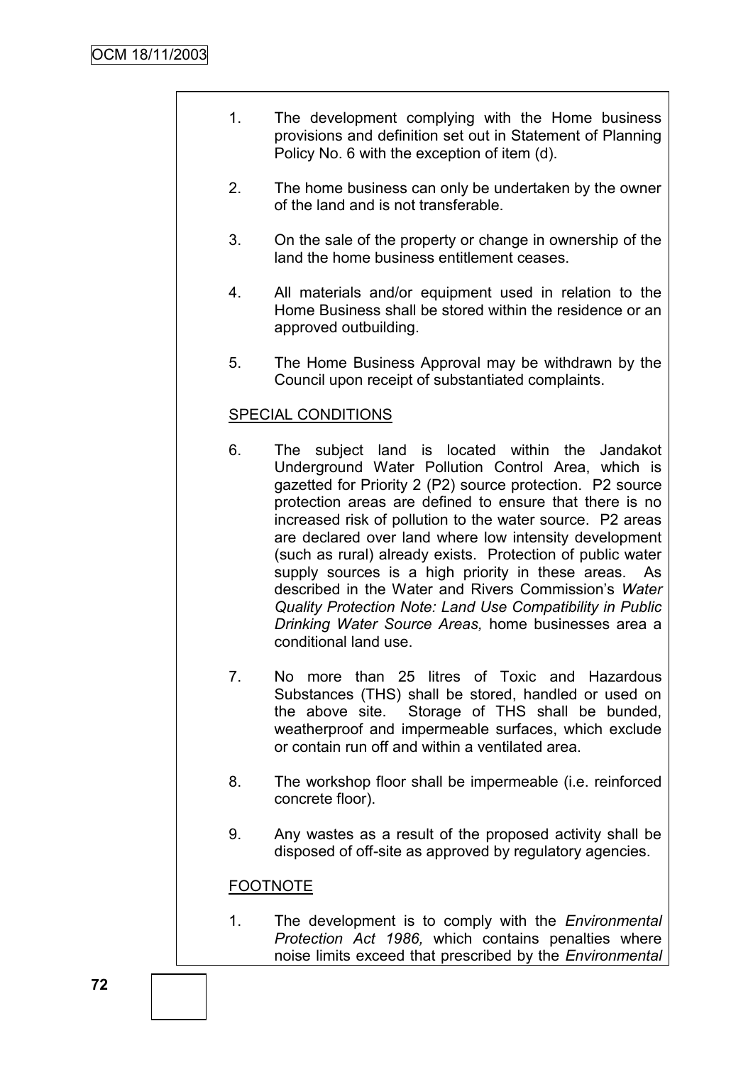- 1. The development complying with the Home business provisions and definition set out in Statement of Planning Policy No. 6 with the exception of item (d).
- 2. The home business can only be undertaken by the owner of the land and is not transferable.
- 3. On the sale of the property or change in ownership of the land the home business entitlement ceases.
- 4. All materials and/or equipment used in relation to the Home Business shall be stored within the residence or an approved outbuilding.
- 5. The Home Business Approval may be withdrawn by the Council upon receipt of substantiated complaints.

# SPECIAL CONDITIONS

- 6. The subject land is located within the Jandakot Underground Water Pollution Control Area, which is gazetted for Priority 2 (P2) source protection. P2 source protection areas are defined to ensure that there is no increased risk of pollution to the water source. P2 areas are declared over land where low intensity development (such as rural) already exists. Protection of public water supply sources is a high priority in these areas. As described in the Water and Rivers Commission"s *Water Quality Protection Note: Land Use Compatibility in Public Drinking Water Source Areas,* home businesses area a conditional land use.
- 7. No more than 25 litres of Toxic and Hazardous Substances (THS) shall be stored, handled or used on the above site. Storage of THS shall be bunded, weatherproof and impermeable surfaces, which exclude or contain run off and within a ventilated area.
- 8. The workshop floor shall be impermeable (i.e. reinforced concrete floor).
- 9. Any wastes as a result of the proposed activity shall be disposed of off-site as approved by regulatory agencies.

## FOOTNOTE

1. The development is to comply with the *Environmental Protection Act 1986,* which contains penalties where noise limits exceed that prescribed by the *Environmental*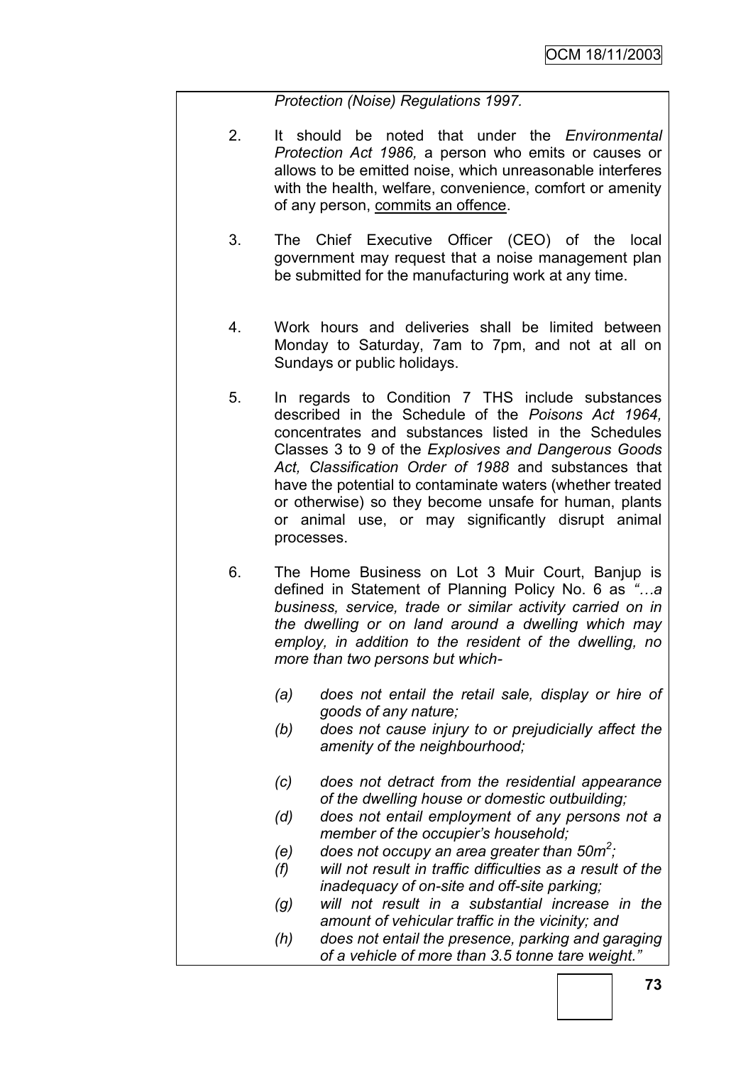### *Protection (Noise) Regulations 1997.*

- 2. It should be noted that under the *Environmental Protection Act 1986,* a person who emits or causes or allows to be emitted noise, which unreasonable interferes with the health, welfare, convenience, comfort or amenity of any person, commits an offence.
- 3. The Chief Executive Officer (CEO) of the local government may request that a noise management plan be submitted for the manufacturing work at any time.
- 4. Work hours and deliveries shall be limited between Monday to Saturday, 7am to 7pm, and not at all on Sundays or public holidays.
- 5. In regards to Condition 7 THS include substances described in the Schedule of the *Poisons Act 1964,*  concentrates and substances listed in the Schedules Classes 3 to 9 of the *Explosives and Dangerous Goods Act, Classification Order of 1988* and substances that have the potential to contaminate waters (whether treated or otherwise) so they become unsafe for human, plants or animal use, or may significantly disrupt animal processes.
- 6. The Home Business on Lot 3 Muir Court, Banjup is defined in Statement of Planning Policy No. 6 as *"…a business, service, trade or similar activity carried on in the dwelling or on land around a dwelling which may employ, in addition to the resident of the dwelling, no more than two persons but which-*
	- *(a) does not entail the retail sale, display or hire of goods of any nature;*
	- *(b) does not cause injury to or prejudicially affect the amenity of the neighbourhood;*
	- *(c) does not detract from the residential appearance of the dwelling house or domestic outbuilding;*
	- *(d) does not entail employment of any persons not a member of the occupier's household;*
	- *(e) does not occupy an area greater than 50m<sup>2</sup> ;*
	- *(f) will not result in traffic difficulties as a result of the inadequacy of on-site and off-site parking;*
	- *(g) will not result in a substantial increase in the amount of vehicular traffic in the vicinity; and*
	- *(h) does not entail the presence, parking and garaging of a vehicle of more than 3.5 tonne tare weight."*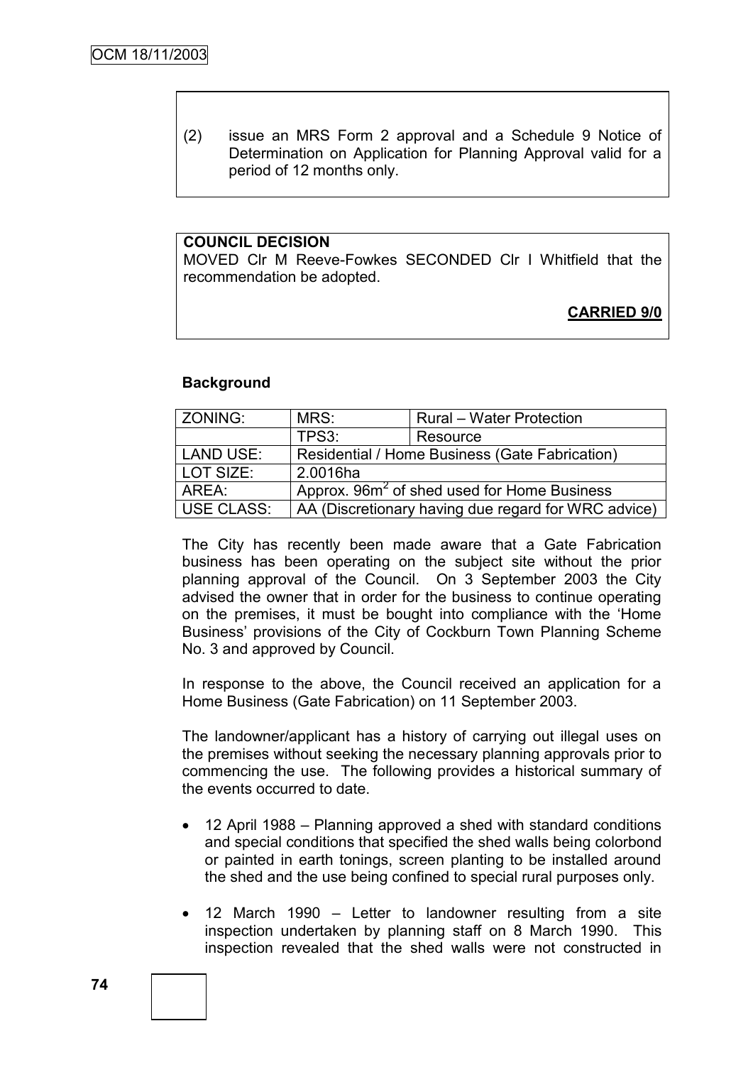(2) issue an MRS Form 2 approval and a Schedule 9 Notice of Determination on Application for Planning Approval valid for a period of 12 months only.

### **COUNCIL DECISION**

MOVED Clr M Reeve-Fowkes SECONDED Clr I Whitfield that the recommendation be adopted.

## **CARRIED 9/0**

#### **Background**

| ZONING:    | MRS:                                                    | <b>Rural – Water Protection</b> |  |
|------------|---------------------------------------------------------|---------------------------------|--|
|            | TPS3:                                                   | Resource                        |  |
| LAND USE:  | Residential / Home Business (Gate Fabrication)          |                                 |  |
| LOT SIZE:  | 2.0016ha                                                |                                 |  |
| AREA:      | Approx. 96m <sup>2</sup> of shed used for Home Business |                                 |  |
| USE CLASS: | AA (Discretionary having due regard for WRC advice)     |                                 |  |

The City has recently been made aware that a Gate Fabrication business has been operating on the subject site without the prior planning approval of the Council. On 3 September 2003 the City advised the owner that in order for the business to continue operating on the premises, it must be bought into compliance with the "Home Business" provisions of the City of Cockburn Town Planning Scheme No. 3 and approved by Council.

In response to the above, the Council received an application for a Home Business (Gate Fabrication) on 11 September 2003.

The landowner/applicant has a history of carrying out illegal uses on the premises without seeking the necessary planning approvals prior to commencing the use. The following provides a historical summary of the events occurred to date.

- 12 April 1988 Planning approved a shed with standard conditions and special conditions that specified the shed walls being colorbond or painted in earth tonings, screen planting to be installed around the shed and the use being confined to special rural purposes only.
- 12 March 1990 Letter to landowner resulting from a site inspection undertaken by planning staff on 8 March 1990. This inspection revealed that the shed walls were not constructed in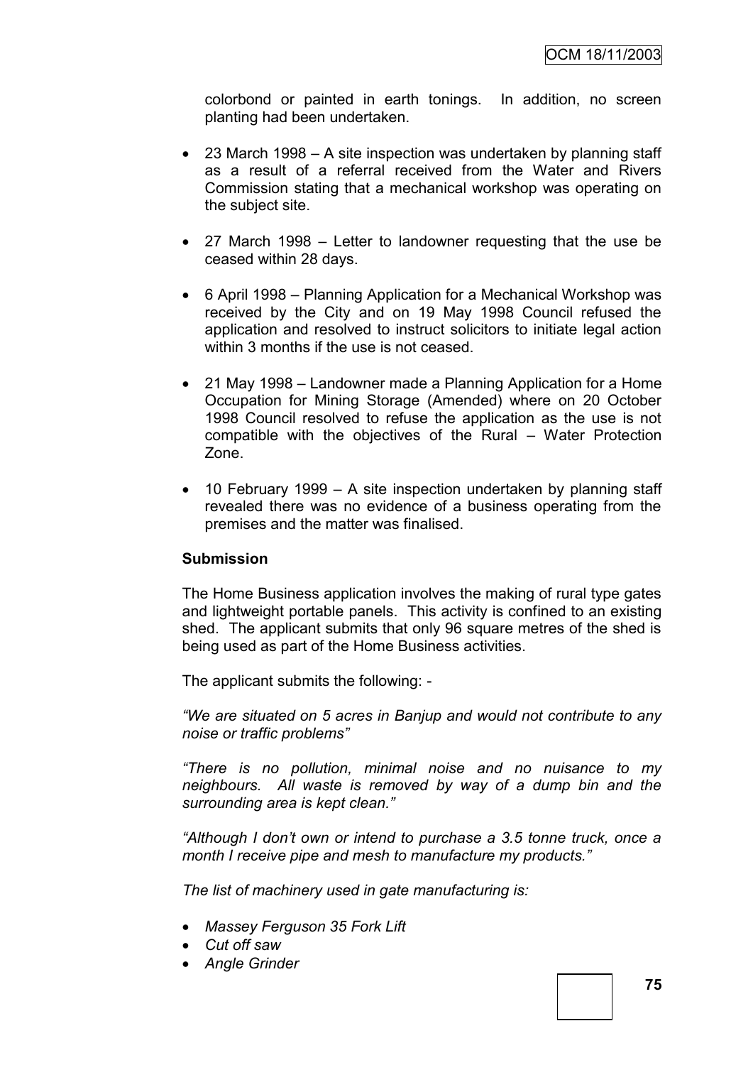colorbond or painted in earth tonings. In addition, no screen planting had been undertaken.

- 23 March 1998 A site inspection was undertaken by planning staff as a result of a referral received from the Water and Rivers Commission stating that a mechanical workshop was operating on the subject site.
- 27 March 1998 Letter to landowner requesting that the use be ceased within 28 days.
- 6 April 1998 Planning Application for a Mechanical Workshop was received by the City and on 19 May 1998 Council refused the application and resolved to instruct solicitors to initiate legal action within 3 months if the use is not ceased.
- 21 May 1998 Landowner made a Planning Application for a Home Occupation for Mining Storage (Amended) where on 20 October 1998 Council resolved to refuse the application as the use is not compatible with the objectives of the Rural – Water Protection Zone.
- 10 February 1999 A site inspection undertaken by planning staff revealed there was no evidence of a business operating from the premises and the matter was finalised.

## **Submission**

The Home Business application involves the making of rural type gates and lightweight portable panels. This activity is confined to an existing shed. The applicant submits that only 96 square metres of the shed is being used as part of the Home Business activities.

The applicant submits the following: -

*"We are situated on 5 acres in Banjup and would not contribute to any noise or traffic problems"*

*"There is no pollution, minimal noise and no nuisance to my neighbours. All waste is removed by way of a dump bin and the surrounding area is kept clean."*

*"Although I don't own or intend to purchase a 3.5 tonne truck, once a month I receive pipe and mesh to manufacture my products."*

*The list of machinery used in gate manufacturing is:*

- *Massey Ferguson 35 Fork Lift*
- *Cut off saw*
- *Angle Grinder*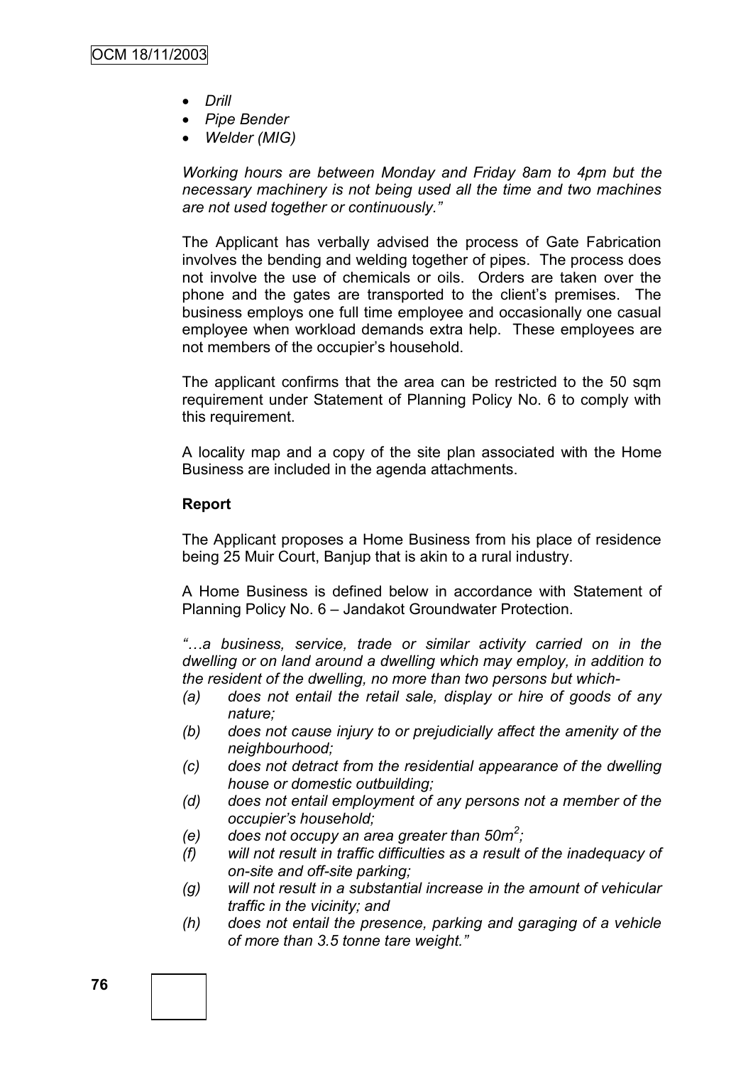- *Drill*
- *Pipe Bender*
- *Welder (MIG)*

*Working hours are between Monday and Friday 8am to 4pm but the necessary machinery is not being used all the time and two machines are not used together or continuously."*

The Applicant has verbally advised the process of Gate Fabrication involves the bending and welding together of pipes. The process does not involve the use of chemicals or oils. Orders are taken over the phone and the gates are transported to the client"s premises. The business employs one full time employee and occasionally one casual employee when workload demands extra help. These employees are not members of the occupier's household.

The applicant confirms that the area can be restricted to the 50 sqm requirement under Statement of Planning Policy No. 6 to comply with this requirement.

A locality map and a copy of the site plan associated with the Home Business are included in the agenda attachments.

#### **Report**

The Applicant proposes a Home Business from his place of residence being 25 Muir Court, Banjup that is akin to a rural industry.

A Home Business is defined below in accordance with Statement of Planning Policy No. 6 – Jandakot Groundwater Protection.

*"…a business, service, trade or similar activity carried on in the dwelling or on land around a dwelling which may employ, in addition to the resident of the dwelling, no more than two persons but which-*

- *(a) does not entail the retail sale, display or hire of goods of any nature;*
- *(b) does not cause injury to or prejudicially affect the amenity of the neighbourhood;*
- *(c) does not detract from the residential appearance of the dwelling house or domestic outbuilding;*
- *(d) does not entail employment of any persons not a member of the occupier's household;*
- *(e) does not occupy an area greater than 50m<sup>2</sup> ;*
- *(f) will not result in traffic difficulties as a result of the inadequacy of on-site and off-site parking;*
- *(g) will not result in a substantial increase in the amount of vehicular traffic in the vicinity; and*
- *(h) does not entail the presence, parking and garaging of a vehicle of more than 3.5 tonne tare weight."*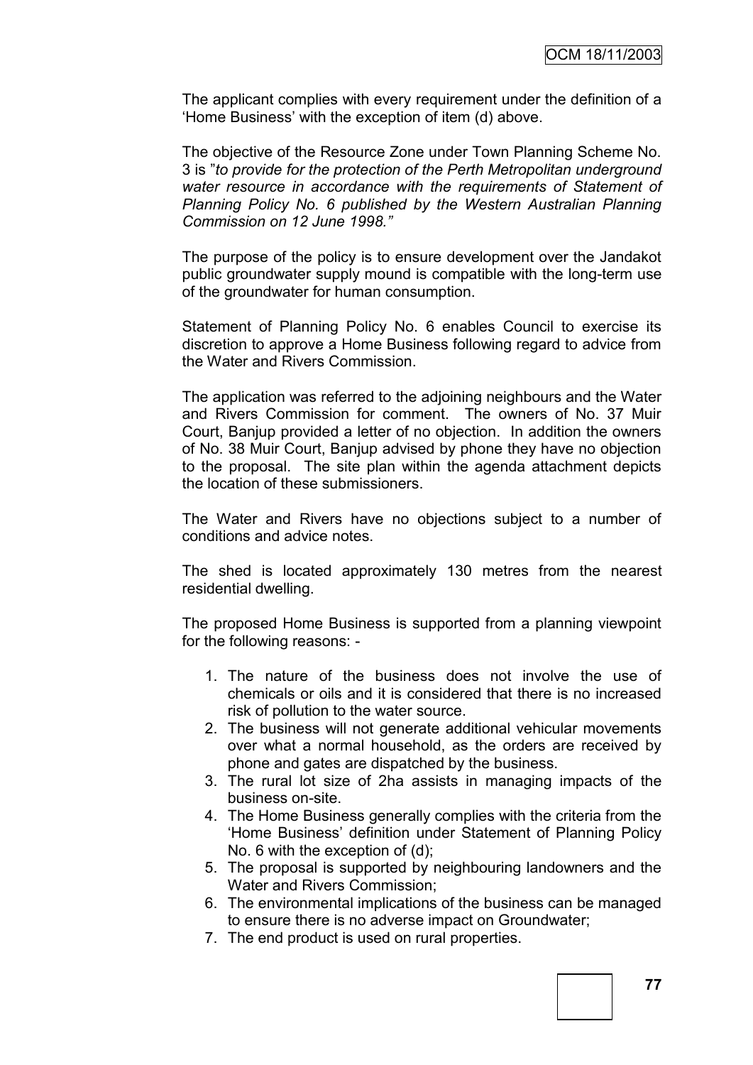The applicant complies with every requirement under the definition of a 'Home Business' with the exception of item (d) above.

The objective of the Resource Zone under Town Planning Scheme No. 3 is "*to provide for the protection of the Perth Metropolitan underground water resource in accordance with the requirements of Statement of Planning Policy No. 6 published by the Western Australian Planning Commission on 12 June 1998."*

The purpose of the policy is to ensure development over the Jandakot public groundwater supply mound is compatible with the long-term use of the groundwater for human consumption.

Statement of Planning Policy No. 6 enables Council to exercise its discretion to approve a Home Business following regard to advice from the Water and Rivers Commission.

The application was referred to the adjoining neighbours and the Water and Rivers Commission for comment. The owners of No. 37 Muir Court, Banjup provided a letter of no objection. In addition the owners of No. 38 Muir Court, Banjup advised by phone they have no objection to the proposal. The site plan within the agenda attachment depicts the location of these submissioners.

The Water and Rivers have no objections subject to a number of conditions and advice notes.

The shed is located approximately 130 metres from the nearest residential dwelling.

The proposed Home Business is supported from a planning viewpoint for the following reasons: -

- 1. The nature of the business does not involve the use of chemicals or oils and it is considered that there is no increased risk of pollution to the water source.
- 2. The business will not generate additional vehicular movements over what a normal household, as the orders are received by phone and gates are dispatched by the business.
- 3. The rural lot size of 2ha assists in managing impacts of the business on-site.
- 4. The Home Business generally complies with the criteria from the 'Home Business' definition under Statement of Planning Policy No. 6 with the exception of (d);
- 5. The proposal is supported by neighbouring landowners and the Water and Rivers Commission;
- 6. The environmental implications of the business can be managed to ensure there is no adverse impact on Groundwater;
- 7. The end product is used on rural properties.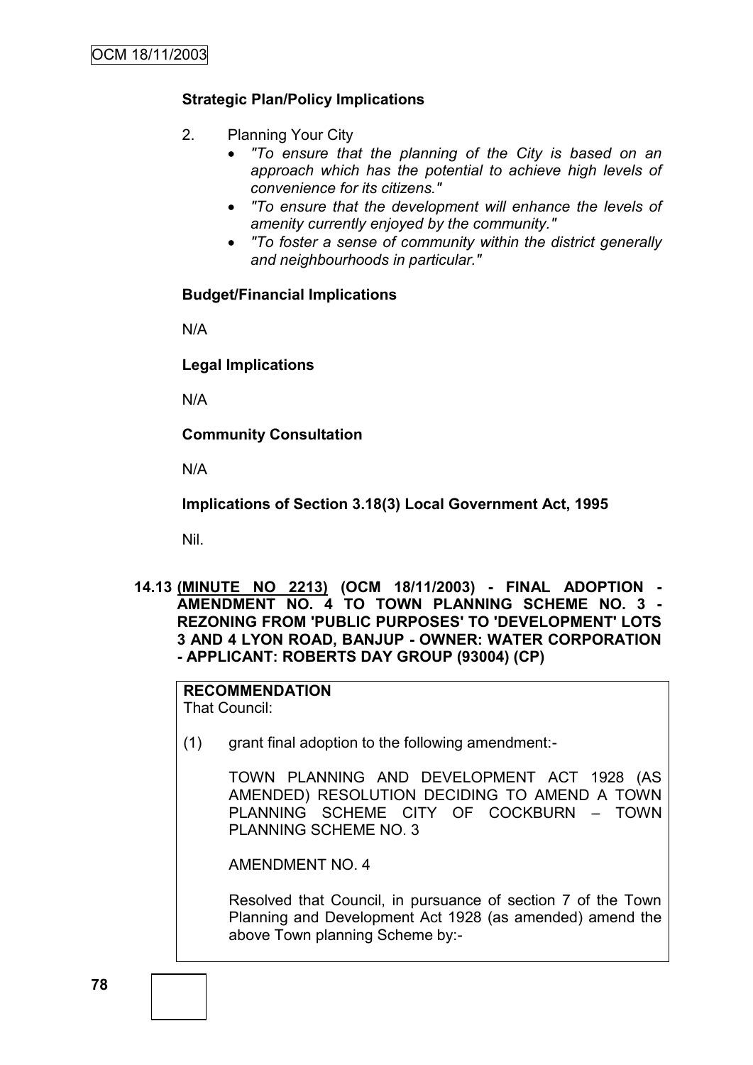# **Strategic Plan/Policy Implications**

- 2. Planning Your City
	- *"To ensure that the planning of the City is based on an approach which has the potential to achieve high levels of convenience for its citizens."*
	- *"To ensure that the development will enhance the levels of amenity currently enjoyed by the community."*
	- *"To foster a sense of community within the district generally and neighbourhoods in particular."*

## **Budget/Financial Implications**

N/A

**Legal Implications**

N/A

**Community Consultation**

N/A

**Implications of Section 3.18(3) Local Government Act, 1995**

Nil.

**14.13 (MINUTE NO 2213) (OCM 18/11/2003) - FINAL ADOPTION - AMENDMENT NO. 4 TO TOWN PLANNING SCHEME NO. 3 - REZONING FROM 'PUBLIC PURPOSES' TO 'DEVELOPMENT' LOTS 3 AND 4 LYON ROAD, BANJUP - OWNER: WATER CORPORATION - APPLICANT: ROBERTS DAY GROUP (93004) (CP)**

**RECOMMENDATION** That Council:

(1) grant final adoption to the following amendment:-

TOWN PLANNING AND DEVELOPMENT ACT 1928 (AS AMENDED) RESOLUTION DECIDING TO AMEND A TOWN PLANNING SCHEME CITY OF COCKBURN – TOWN PLANNING SCHEME NO. 3

AMENDMENT NO. 4

Resolved that Council, in pursuance of section 7 of the Town Planning and Development Act 1928 (as amended) amend the above Town planning Scheme by:-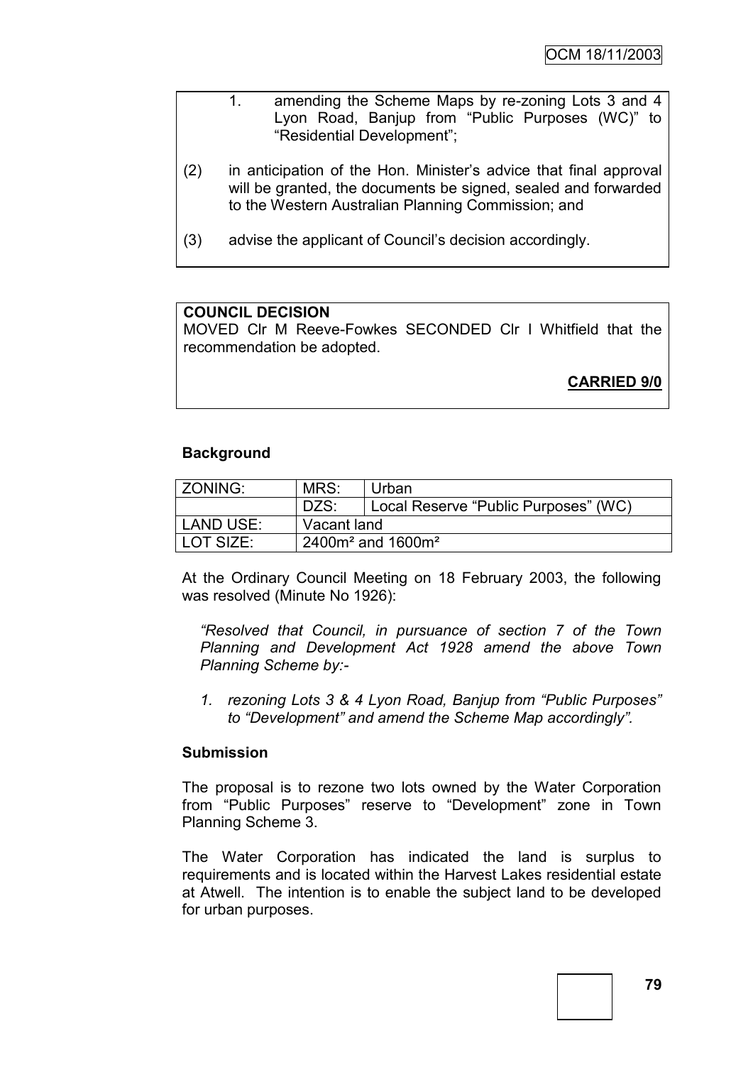- 1. amending the Scheme Maps by re-zoning Lots 3 and 4 Lyon Road, Banjup from "Public Purposes (WC)" to "Residential Development";
- (2) in anticipation of the Hon. Minister"s advice that final approval will be granted, the documents be signed, sealed and forwarded to the Western Australian Planning Commission; and
- (3) advise the applicant of Council"s decision accordingly.

# **COUNCIL DECISION**

MOVED Clr M Reeve-Fowkes SECONDED Clr I Whitfield that the recommendation be adopted.

**CARRIED 9/0**

## **Background**

| ZONING:   | MRS:                      | Urban                                |
|-----------|---------------------------|--------------------------------------|
|           | DZS:                      | Local Reserve "Public Purposes" (WC) |
| LAND USE: | Vacant land               |                                      |
| LOT SIZE: | 2400 $m^2$ and 1600 $m^2$ |                                      |

At the Ordinary Council Meeting on 18 February 2003, the following was resolved (Minute No 1926):

*"Resolved that Council, in pursuance of section 7 of the Town Planning and Development Act 1928 amend the above Town Planning Scheme by:-*

*1. rezoning Lots 3 & 4 Lyon Road, Banjup from "Public Purposes" to "Development" and amend the Scheme Map accordingly".*

## **Submission**

The proposal is to rezone two lots owned by the Water Corporation from "Public Purposes" reserve to "Development" zone in Town Planning Scheme 3.

The Water Corporation has indicated the land is surplus to requirements and is located within the Harvest Lakes residential estate at Atwell. The intention is to enable the subject land to be developed for urban purposes.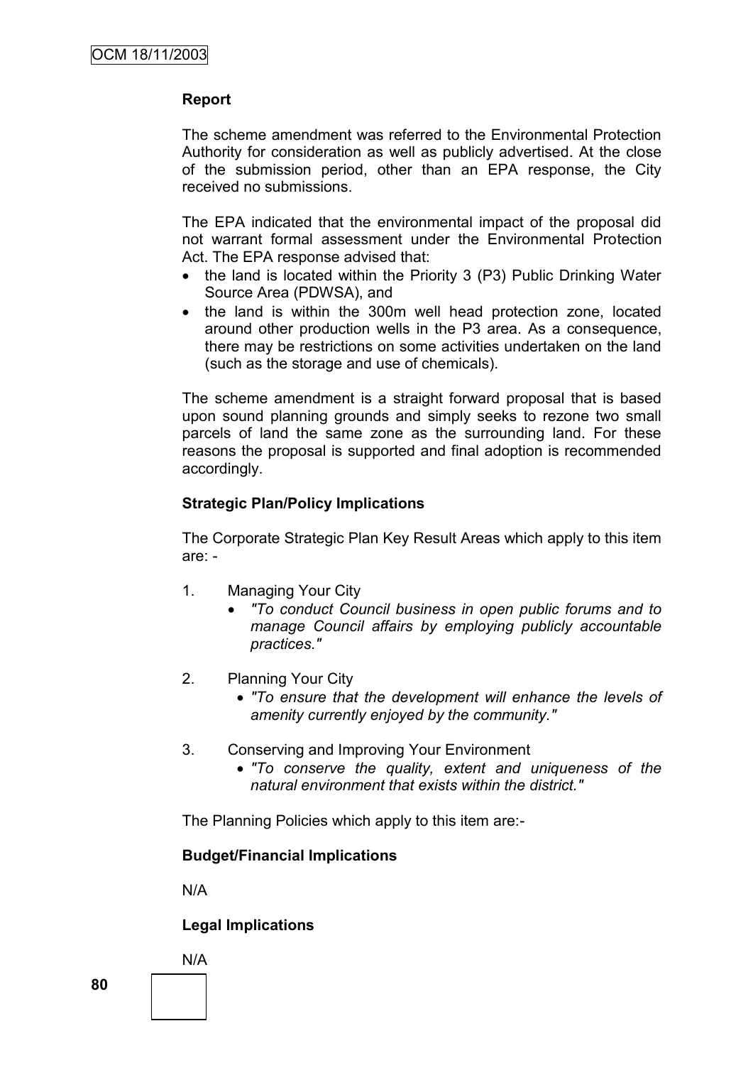# **Report**

The scheme amendment was referred to the Environmental Protection Authority for consideration as well as publicly advertised. At the close of the submission period, other than an EPA response, the City received no submissions.

The EPA indicated that the environmental impact of the proposal did not warrant formal assessment under the Environmental Protection Act. The EPA response advised that:

- the land is located within the Priority 3 (P3) Public Drinking Water Source Area (PDWSA), and
- the land is within the 300m well head protection zone, located around other production wells in the P3 area. As a consequence, there may be restrictions on some activities undertaken on the land (such as the storage and use of chemicals).

The scheme amendment is a straight forward proposal that is based upon sound planning grounds and simply seeks to rezone two small parcels of land the same zone as the surrounding land. For these reasons the proposal is supported and final adoption is recommended accordingly.

## **Strategic Plan/Policy Implications**

The Corporate Strategic Plan Key Result Areas which apply to this item are: -

- 1. Managing Your City
	- *"To conduct Council business in open public forums and to manage Council affairs by employing publicly accountable practices."*
- 2. Planning Your City
	- *"To ensure that the development will enhance the levels of amenity currently enjoyed by the community."*
- 3. Conserving and Improving Your Environment
	- *"To conserve the quality, extent and uniqueness of the natural environment that exists within the district."*

The Planning Policies which apply to this item are:-

#### **Budget/Financial Implications**

N/A

## **Legal Implications**



**80**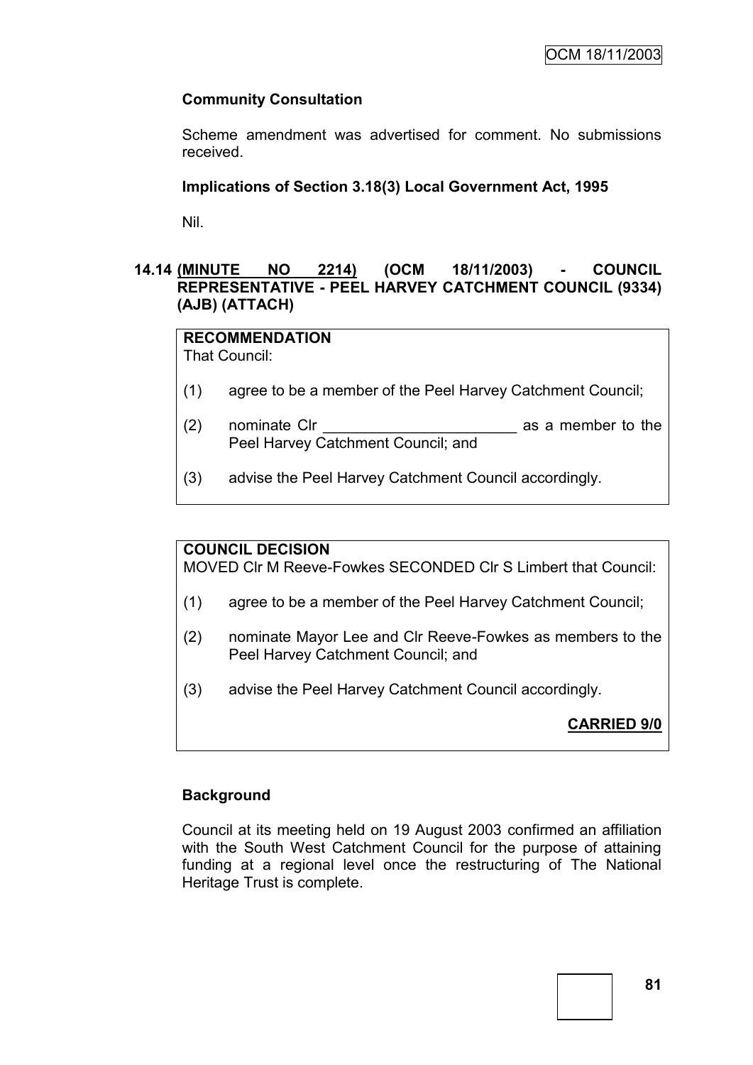# **Community Consultation**

Scheme amendment was advertised for comment. No submissions received.

# **Implications of Section 3.18(3) Local Government Act, 1995**

Nil.

# **14.14 (MINUTE NO 2214) (OCM 18/11/2003) - COUNCIL REPRESENTATIVE - PEEL HARVEY CATCHMENT COUNCIL (9334) (AJB) (ATTACH)**

# **RECOMMENDATION**

That Council:

- (1) agree to be a member of the Peel Harvey Catchment Council;
- (2) nominate Clr as a member to the Peel Harvey Catchment Council; and
- (3) advise the Peel Harvey Catchment Council accordingly.

# **COUNCIL DECISION**

MOVED Clr M Reeve-Fowkes SECONDED Clr S Limbert that Council:

- (1) agree to be a member of the Peel Harvey Catchment Council;
- (2) nominate Mayor Lee and Clr Reeve-Fowkes as members to the Peel Harvey Catchment Council; and
- (3) advise the Peel Harvey Catchment Council accordingly.

**CARRIED 9/0**

# **Background**

Council at its meeting held on 19 August 2003 confirmed an affiliation with the South West Catchment Council for the purpose of attaining funding at a regional level once the restructuring of The National Heritage Trust is complete.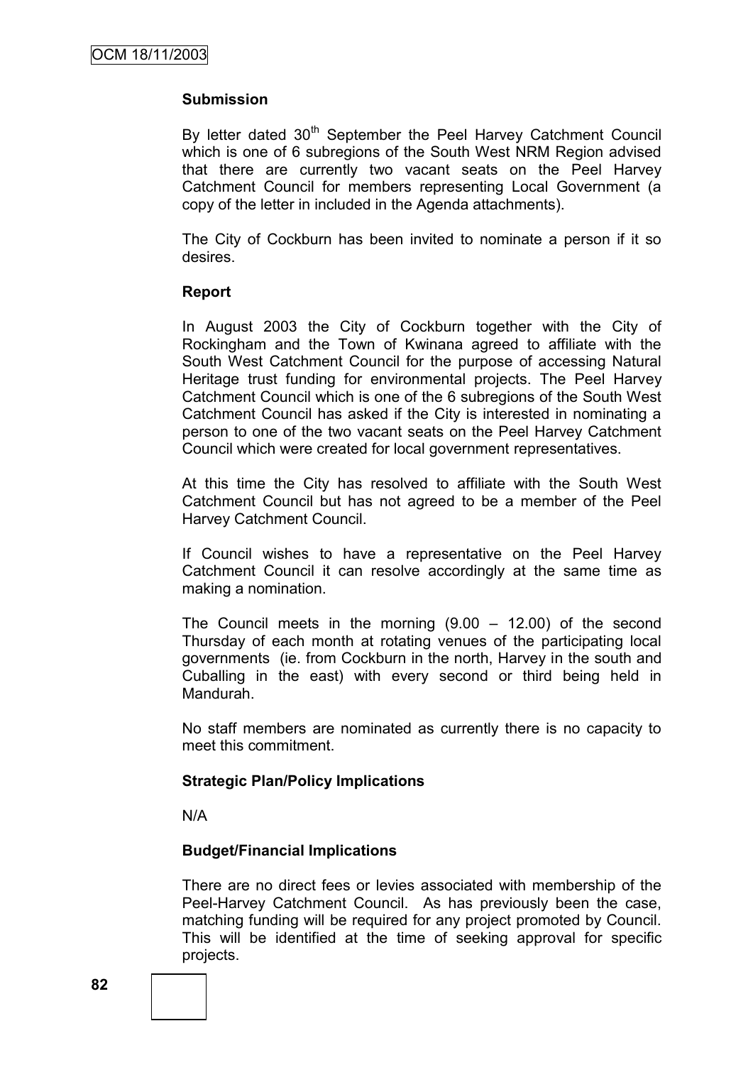#### **Submission**

By letter dated 30<sup>th</sup> September the Peel Harvey Catchment Council which is one of 6 subregions of the South West NRM Region advised that there are currently two vacant seats on the Peel Harvey Catchment Council for members representing Local Government (a copy of the letter in included in the Agenda attachments).

The City of Cockburn has been invited to nominate a person if it so desires.

#### **Report**

In August 2003 the City of Cockburn together with the City of Rockingham and the Town of Kwinana agreed to affiliate with the South West Catchment Council for the purpose of accessing Natural Heritage trust funding for environmental projects. The Peel Harvey Catchment Council which is one of the 6 subregions of the South West Catchment Council has asked if the City is interested in nominating a person to one of the two vacant seats on the Peel Harvey Catchment Council which were created for local government representatives.

At this time the City has resolved to affiliate with the South West Catchment Council but has not agreed to be a member of the Peel Harvey Catchment Council.

If Council wishes to have a representative on the Peel Harvey Catchment Council it can resolve accordingly at the same time as making a nomination.

The Council meets in the morning (9.00 – 12.00) of the second Thursday of each month at rotating venues of the participating local governments (ie. from Cockburn in the north, Harvey in the south and Cuballing in the east) with every second or third being held in Mandurah.

No staff members are nominated as currently there is no capacity to meet this commitment.

#### **Strategic Plan/Policy Implications**

N/A

#### **Budget/Financial Implications**

There are no direct fees or levies associated with membership of the Peel-Harvey Catchment Council. As has previously been the case, matching funding will be required for any project promoted by Council. This will be identified at the time of seeking approval for specific projects.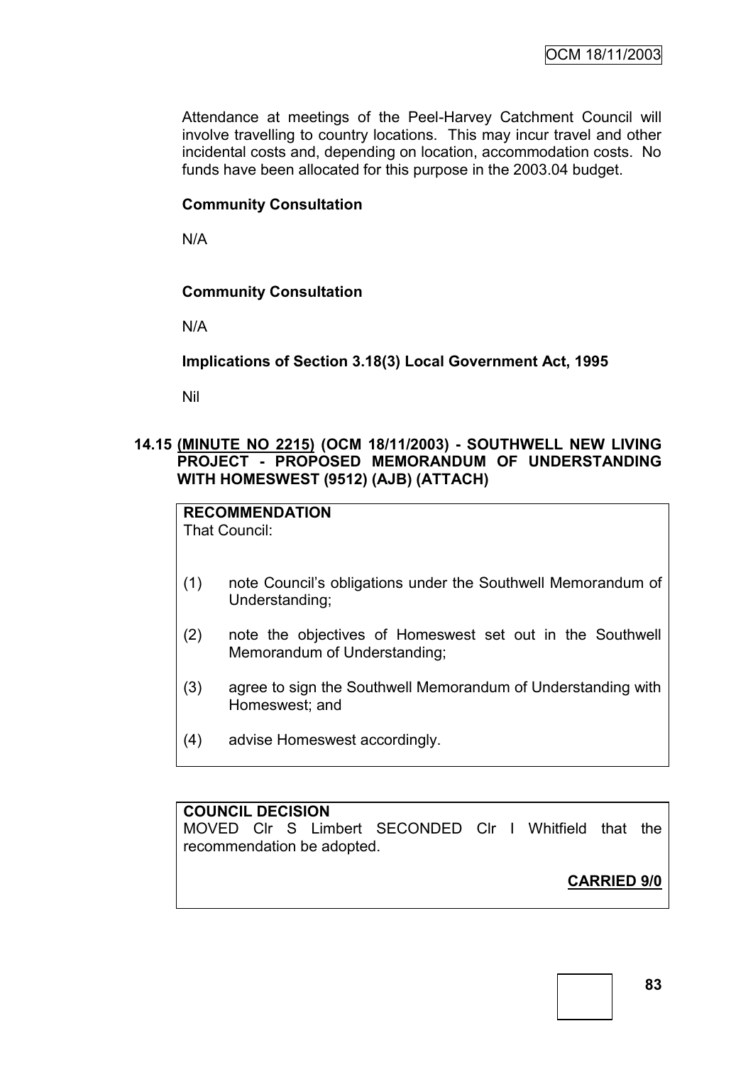Attendance at meetings of the Peel-Harvey Catchment Council will involve travelling to country locations. This may incur travel and other incidental costs and, depending on location, accommodation costs. No funds have been allocated for this purpose in the 2003.04 budget.

# **Community Consultation**

N/A

# **Community Consultation**

N/A

# **Implications of Section 3.18(3) Local Government Act, 1995**

Nil

# **14.15 (MINUTE NO 2215) (OCM 18/11/2003) - SOUTHWELL NEW LIVING PROJECT - PROPOSED MEMORANDUM OF UNDERSTANDING WITH HOMESWEST (9512) (AJB) (ATTACH)**

**RECOMMENDATION** That Council:

- (1) note Council"s obligations under the Southwell Memorandum of Understanding;
- (2) note the objectives of Homeswest set out in the Southwell Memorandum of Understanding;
- (3) agree to sign the Southwell Memorandum of Understanding with Homeswest; and
- (4) advise Homeswest accordingly.

## **COUNCIL DECISION**

MOVED Clr S Limbert SECONDED Clr I Whitfield that the recommendation be adopted.

**CARRIED 9/0**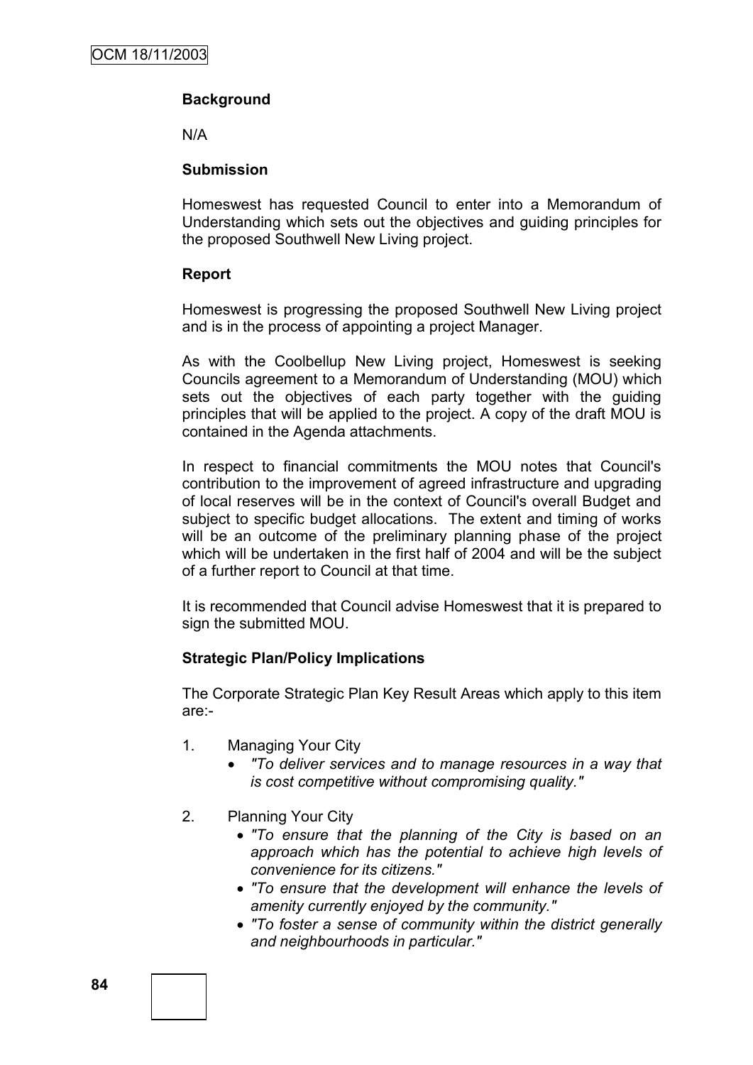# **Background**

N/A

## **Submission**

Homeswest has requested Council to enter into a Memorandum of Understanding which sets out the objectives and guiding principles for the proposed Southwell New Living project.

### **Report**

Homeswest is progressing the proposed Southwell New Living project and is in the process of appointing a project Manager.

As with the Coolbellup New Living project, Homeswest is seeking Councils agreement to a Memorandum of Understanding (MOU) which sets out the objectives of each party together with the guiding principles that will be applied to the project. A copy of the draft MOU is contained in the Agenda attachments.

In respect to financial commitments the MOU notes that Council's contribution to the improvement of agreed infrastructure and upgrading of local reserves will be in the context of Council's overall Budget and subject to specific budget allocations. The extent and timing of works will be an outcome of the preliminary planning phase of the project which will be undertaken in the first half of 2004 and will be the subject of a further report to Council at that time.

It is recommended that Council advise Homeswest that it is prepared to sign the submitted MOU.

## **Strategic Plan/Policy Implications**

The Corporate Strategic Plan Key Result Areas which apply to this item are:-

- 1. Managing Your City
	- *"To deliver services and to manage resources in a way that is cost competitive without compromising quality."*
- 2. Planning Your City
	- *"To ensure that the planning of the City is based on an approach which has the potential to achieve high levels of convenience for its citizens."*
	- *"To ensure that the development will enhance the levels of amenity currently enjoyed by the community."*
	- *"To foster a sense of community within the district generally and neighbourhoods in particular."*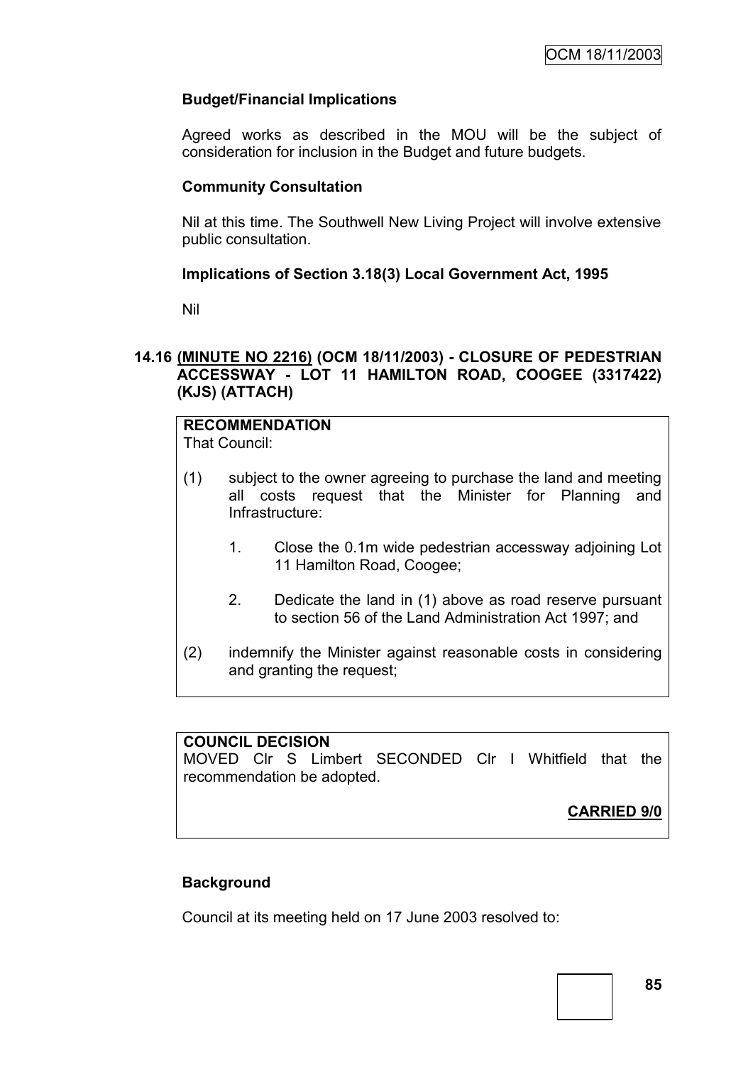# **Budget/Financial Implications**

Agreed works as described in the MOU will be the subject of consideration for inclusion in the Budget and future budgets.

# **Community Consultation**

Nil at this time. The Southwell New Living Project will involve extensive public consultation.

# **Implications of Section 3.18(3) Local Government Act, 1995**

Nil

# **14.16 (MINUTE NO 2216) (OCM 18/11/2003) - CLOSURE OF PEDESTRIAN ACCESSWAY - LOT 11 HAMILTON ROAD, COOGEE (3317422) (KJS) (ATTACH)**

**RECOMMENDATION** That Council:

- (1) subject to the owner agreeing to purchase the land and meeting all costs request that the Minister for Planning and Infrastructure:
	- 1. Close the 0.1m wide pedestrian accessway adjoining Lot 11 Hamilton Road, Coogee;
	- 2. Dedicate the land in (1) above as road reserve pursuant to section 56 of the Land Administration Act 1997; and
- (2) indemnify the Minister against reasonable costs in considering and granting the request;

# **COUNCIL DECISION**

MOVED Clr S Limbert SECONDED Clr I Whitfield that the recommendation be adopted.

**CARRIED 9/0**

# **Background**

Council at its meeting held on 17 June 2003 resolved to: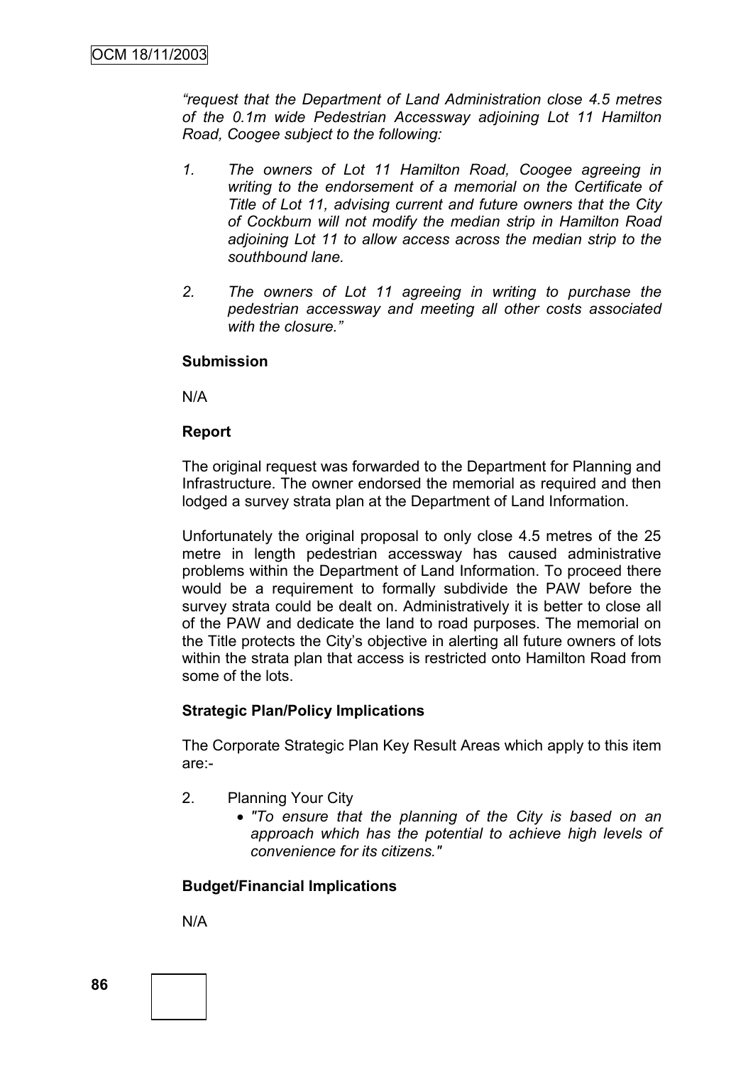*"request that the Department of Land Administration close 4.5 metres of the 0.1m wide Pedestrian Accessway adjoining Lot 11 Hamilton Road, Coogee subject to the following:*

- *1. The owners of Lot 11 Hamilton Road, Coogee agreeing in writing to the endorsement of a memorial on the Certificate of Title of Lot 11, advising current and future owners that the City of Cockburn will not modify the median strip in Hamilton Road adjoining Lot 11 to allow access across the median strip to the southbound lane.*
- *2. The owners of Lot 11 agreeing in writing to purchase the pedestrian accessway and meeting all other costs associated with the closure."*

#### **Submission**

N/A

#### **Report**

The original request was forwarded to the Department for Planning and Infrastructure. The owner endorsed the memorial as required and then lodged a survey strata plan at the Department of Land Information.

Unfortunately the original proposal to only close 4.5 metres of the 25 metre in length pedestrian accessway has caused administrative problems within the Department of Land Information. To proceed there would be a requirement to formally subdivide the PAW before the survey strata could be dealt on. Administratively it is better to close all of the PAW and dedicate the land to road purposes. The memorial on the Title protects the City"s objective in alerting all future owners of lots within the strata plan that access is restricted onto Hamilton Road from some of the lots.

#### **Strategic Plan/Policy Implications**

The Corporate Strategic Plan Key Result Areas which apply to this item are:-

- 2. Planning Your City
	- *"To ensure that the planning of the City is based on an approach which has the potential to achieve high levels of convenience for its citizens."*

#### **Budget/Financial Implications**

N/A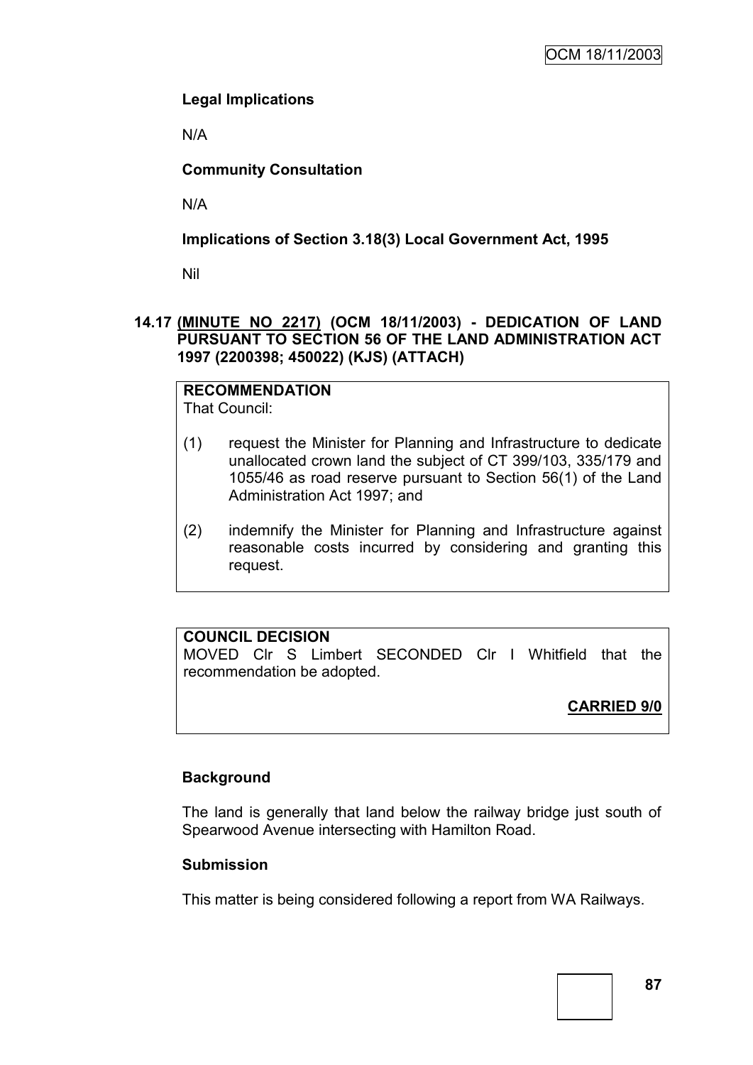# **Legal Implications**

N/A

# **Community Consultation**

N/A

# **Implications of Section 3.18(3) Local Government Act, 1995**

Nil

# **14.17 (MINUTE NO 2217) (OCM 18/11/2003) - DEDICATION OF LAND PURSUANT TO SECTION 56 OF THE LAND ADMINISTRATION ACT 1997 (2200398; 450022) (KJS) (ATTACH)**

#### **RECOMMENDATION** That Council:

- (1) request the Minister for Planning and Infrastructure to dedicate unallocated crown land the subject of CT 399/103, 335/179 and 1055/46 as road reserve pursuant to Section 56(1) of the Land Administration Act 1997; and
- (2) indemnify the Minister for Planning and Infrastructure against reasonable costs incurred by considering and granting this request.

# **COUNCIL DECISION**

MOVED Clr S Limbert SECONDED Clr I Whitfield that the recommendation be adopted.

# **CARRIED 9/0**

# **Background**

The land is generally that land below the railway bridge just south of Spearwood Avenue intersecting with Hamilton Road.

# **Submission**

This matter is being considered following a report from WA Railways.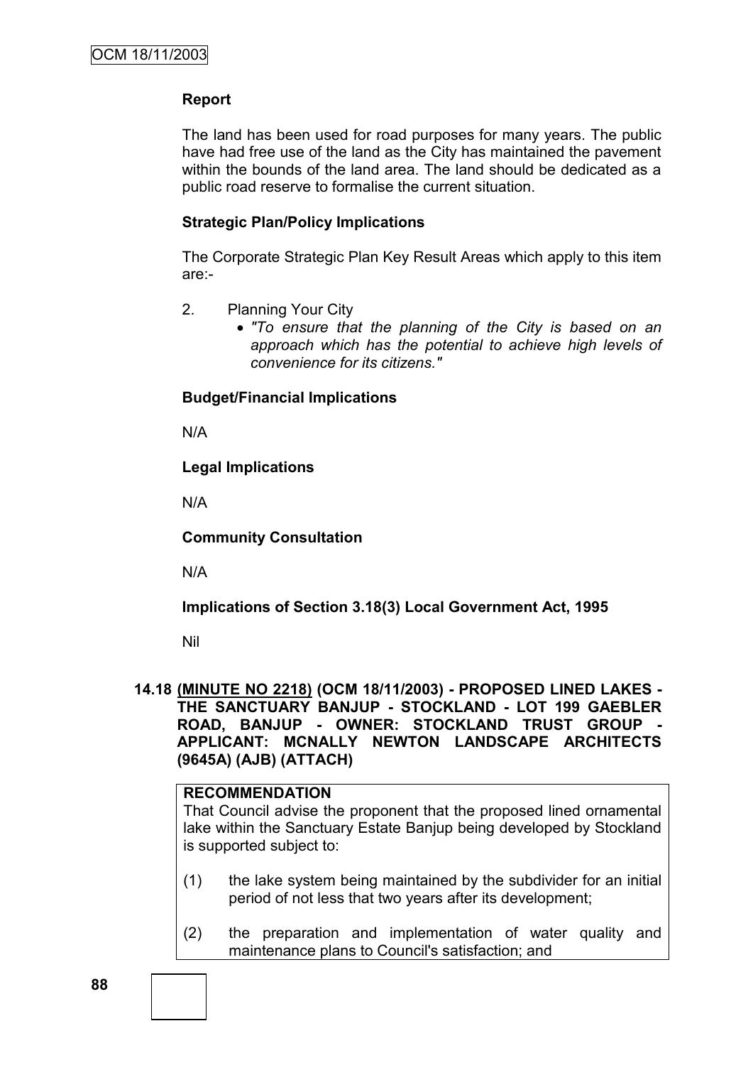# **Report**

The land has been used for road purposes for many years. The public have had free use of the land as the City has maintained the pavement within the bounds of the land area. The land should be dedicated as a public road reserve to formalise the current situation.

## **Strategic Plan/Policy Implications**

The Corporate Strategic Plan Key Result Areas which apply to this item are:-

- 2. Planning Your City
	- *"To ensure that the planning of the City is based on an approach which has the potential to achieve high levels of convenience for its citizens."*

# **Budget/Financial Implications**

N/A

**Legal Implications**

N/A

**Community Consultation**

N/A

**Implications of Section 3.18(3) Local Government Act, 1995**

Nil

**14.18 (MINUTE NO 2218) (OCM 18/11/2003) - PROPOSED LINED LAKES - THE SANCTUARY BANJUP - STOCKLAND - LOT 199 GAEBLER ROAD, BANJUP - OWNER: STOCKLAND TRUST GROUP - APPLICANT: MCNALLY NEWTON LANDSCAPE ARCHITECTS (9645A) (AJB) (ATTACH)**

# **RECOMMENDATION**

That Council advise the proponent that the proposed lined ornamental lake within the Sanctuary Estate Banjup being developed by Stockland is supported subject to:

- (1) the lake system being maintained by the subdivider for an initial period of not less that two years after its development;
- (2) the preparation and implementation of water quality and maintenance plans to Council's satisfaction; and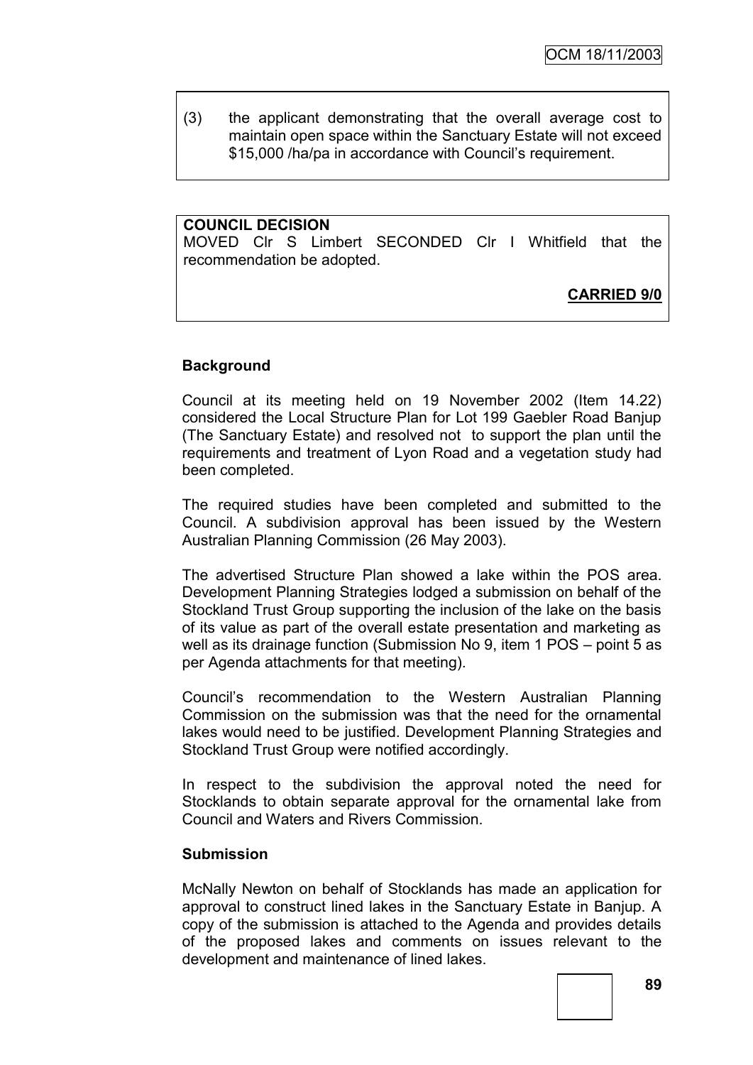(3) the applicant demonstrating that the overall average cost to maintain open space within the Sanctuary Estate will not exceed \$15,000 /ha/pa in accordance with Council's requirement.

#### **COUNCIL DECISION**

MOVED Clr S Limbert SECONDED Clr I Whitfield that the recommendation be adopted.

# **CARRIED 9/0**

# **Background**

Council at its meeting held on 19 November 2002 (Item 14.22) considered the Local Structure Plan for Lot 199 Gaebler Road Banjup (The Sanctuary Estate) and resolved not to support the plan until the requirements and treatment of Lyon Road and a vegetation study had been completed.

The required studies have been completed and submitted to the Council. A subdivision approval has been issued by the Western Australian Planning Commission (26 May 2003).

The advertised Structure Plan showed a lake within the POS area. Development Planning Strategies lodged a submission on behalf of the Stockland Trust Group supporting the inclusion of the lake on the basis of its value as part of the overall estate presentation and marketing as well as its drainage function (Submission No 9, item 1 POS – point 5 as per Agenda attachments for that meeting).

Council"s recommendation to the Western Australian Planning Commission on the submission was that the need for the ornamental lakes would need to be justified. Development Planning Strategies and Stockland Trust Group were notified accordingly.

In respect to the subdivision the approval noted the need for Stocklands to obtain separate approval for the ornamental lake from Council and Waters and Rivers Commission.

#### **Submission**

McNally Newton on behalf of Stocklands has made an application for approval to construct lined lakes in the Sanctuary Estate in Banjup. A copy of the submission is attached to the Agenda and provides details of the proposed lakes and comments on issues relevant to the development and maintenance of lined lakes.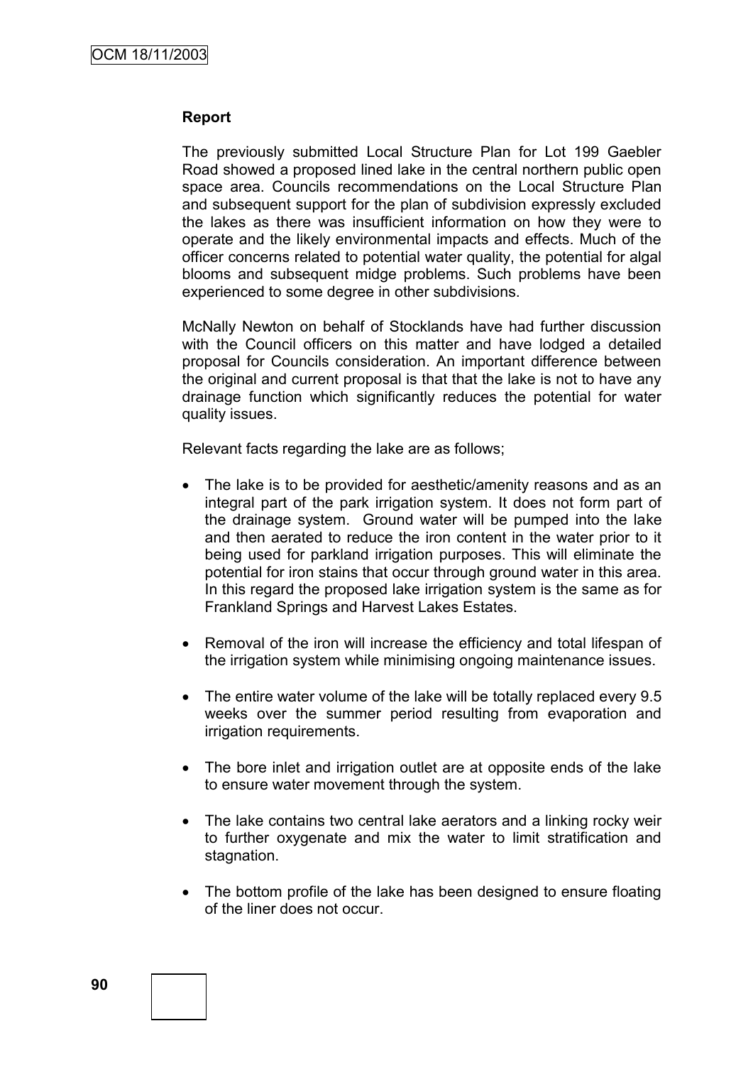#### **Report**

The previously submitted Local Structure Plan for Lot 199 Gaebler Road showed a proposed lined lake in the central northern public open space area. Councils recommendations on the Local Structure Plan and subsequent support for the plan of subdivision expressly excluded the lakes as there was insufficient information on how they were to operate and the likely environmental impacts and effects. Much of the officer concerns related to potential water quality, the potential for algal blooms and subsequent midge problems. Such problems have been experienced to some degree in other subdivisions.

McNally Newton on behalf of Stocklands have had further discussion with the Council officers on this matter and have lodged a detailed proposal for Councils consideration. An important difference between the original and current proposal is that that the lake is not to have any drainage function which significantly reduces the potential for water quality issues.

Relevant facts regarding the lake are as follows;

- The lake is to be provided for aesthetic/amenity reasons and as an integral part of the park irrigation system. It does not form part of the drainage system. Ground water will be pumped into the lake and then aerated to reduce the iron content in the water prior to it being used for parkland irrigation purposes. This will eliminate the potential for iron stains that occur through ground water in this area. In this regard the proposed lake irrigation system is the same as for Frankland Springs and Harvest Lakes Estates.
- Removal of the iron will increase the efficiency and total lifespan of the irrigation system while minimising ongoing maintenance issues.
- The entire water volume of the lake will be totally replaced every 9.5 weeks over the summer period resulting from evaporation and irrigation requirements.
- The bore inlet and irrigation outlet are at opposite ends of the lake to ensure water movement through the system.
- The lake contains two central lake aerators and a linking rocky weir to further oxygenate and mix the water to limit stratification and stagnation.
- The bottom profile of the lake has been designed to ensure floating of the liner does not occur.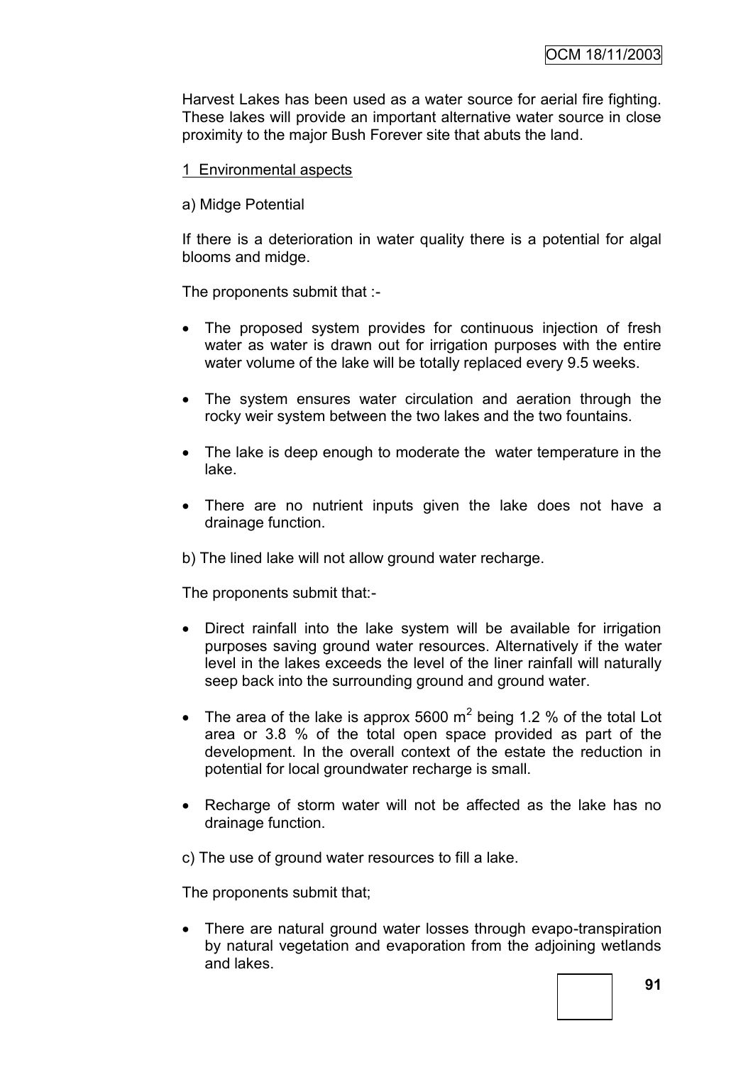Harvest Lakes has been used as a water source for aerial fire fighting. These lakes will provide an important alternative water source in close proximity to the major Bush Forever site that abuts the land.

## 1 Environmental aspects

a) Midge Potential

If there is a deterioration in water quality there is a potential for algal blooms and midge.

The proponents submit that :-

- The proposed system provides for continuous injection of fresh water as water is drawn out for irrigation purposes with the entire water volume of the lake will be totally replaced every 9.5 weeks.
- The system ensures water circulation and aeration through the rocky weir system between the two lakes and the two fountains.
- The lake is deep enough to moderate the water temperature in the lake.
- There are no nutrient inputs given the lake does not have a drainage function.

b) The lined lake will not allow ground water recharge.

The proponents submit that:-

- Direct rainfall into the lake system will be available for irrigation purposes saving ground water resources. Alternatively if the water level in the lakes exceeds the level of the liner rainfall will naturally seep back into the surrounding ground and ground water.
- The area of the lake is approx 5600  $m^2$  being 1.2 % of the total Lot area or 3.8 % of the total open space provided as part of the development. In the overall context of the estate the reduction in potential for local groundwater recharge is small.
- Recharge of storm water will not be affected as the lake has no drainage function.

c) The use of ground water resources to fill a lake.

The proponents submit that;

 There are natural ground water losses through evapo-transpiration by natural vegetation and evaporation from the adjoining wetlands and lakes.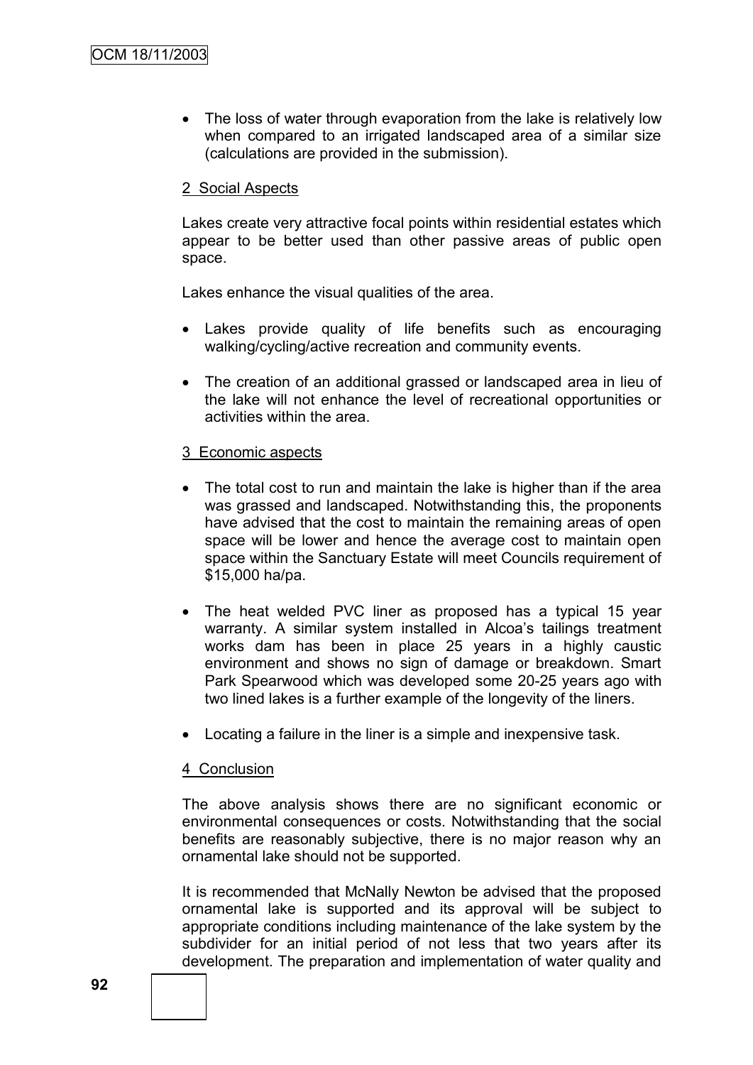• The loss of water through evaporation from the lake is relatively low when compared to an irrigated landscaped area of a similar size (calculations are provided in the submission).

# 2 Social Aspects

Lakes create very attractive focal points within residential estates which appear to be better used than other passive areas of public open space.

Lakes enhance the visual qualities of the area.

- Lakes provide quality of life benefits such as encouraging walking/cycling/active recreation and community events.
- The creation of an additional grassed or landscaped area in lieu of the lake will not enhance the level of recreational opportunities or activities within the area.

## 3 Economic aspects

- The total cost to run and maintain the lake is higher than if the area was grassed and landscaped. Notwithstanding this, the proponents have advised that the cost to maintain the remaining areas of open space will be lower and hence the average cost to maintain open space within the Sanctuary Estate will meet Councils requirement of \$15,000 ha/pa.
- The heat welded PVC liner as proposed has a typical 15 year warranty. A similar system installed in Alcoa's tailings treatment works dam has been in place 25 years in a highly caustic environment and shows no sign of damage or breakdown. Smart Park Spearwood which was developed some 20-25 years ago with two lined lakes is a further example of the longevity of the liners.
- Locating a failure in the liner is a simple and inexpensive task.

## 4 Conclusion

The above analysis shows there are no significant economic or environmental consequences or costs. Notwithstanding that the social benefits are reasonably subjective, there is no major reason why an ornamental lake should not be supported.

It is recommended that McNally Newton be advised that the proposed ornamental lake is supported and its approval will be subject to appropriate conditions including maintenance of the lake system by the subdivider for an initial period of not less that two years after its development. The preparation and implementation of water quality and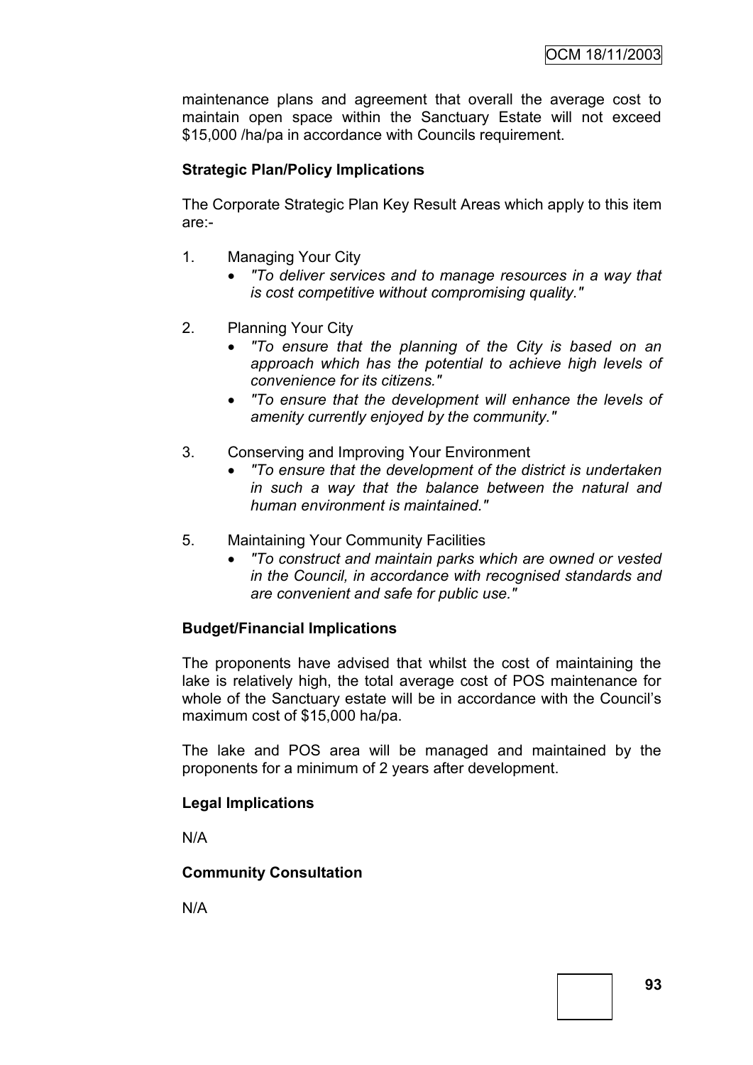maintenance plans and agreement that overall the average cost to maintain open space within the Sanctuary Estate will not exceed \$15,000 /ha/pa in accordance with Councils requirement.

# **Strategic Plan/Policy Implications**

The Corporate Strategic Plan Key Result Areas which apply to this item are:-

- 1. Managing Your City
	- *"To deliver services and to manage resources in a way that is cost competitive without compromising quality."*
- 2. Planning Your City
	- *"To ensure that the planning of the City is based on an approach which has the potential to achieve high levels of convenience for its citizens."*
	- *"To ensure that the development will enhance the levels of amenity currently enjoyed by the community."*
- 3. Conserving and Improving Your Environment
	- *"To ensure that the development of the district is undertaken in such a way that the balance between the natural and human environment is maintained."*
- 5. Maintaining Your Community Facilities
	- *"To construct and maintain parks which are owned or vested in the Council, in accordance with recognised standards and are convenient and safe for public use."*

## **Budget/Financial Implications**

The proponents have advised that whilst the cost of maintaining the lake is relatively high, the total average cost of POS maintenance for whole of the Sanctuary estate will be in accordance with the Council's maximum cost of \$15,000 ha/pa.

The lake and POS area will be managed and maintained by the proponents for a minimum of 2 years after development.

## **Legal Implications**

N/A

## **Community Consultation**

N/A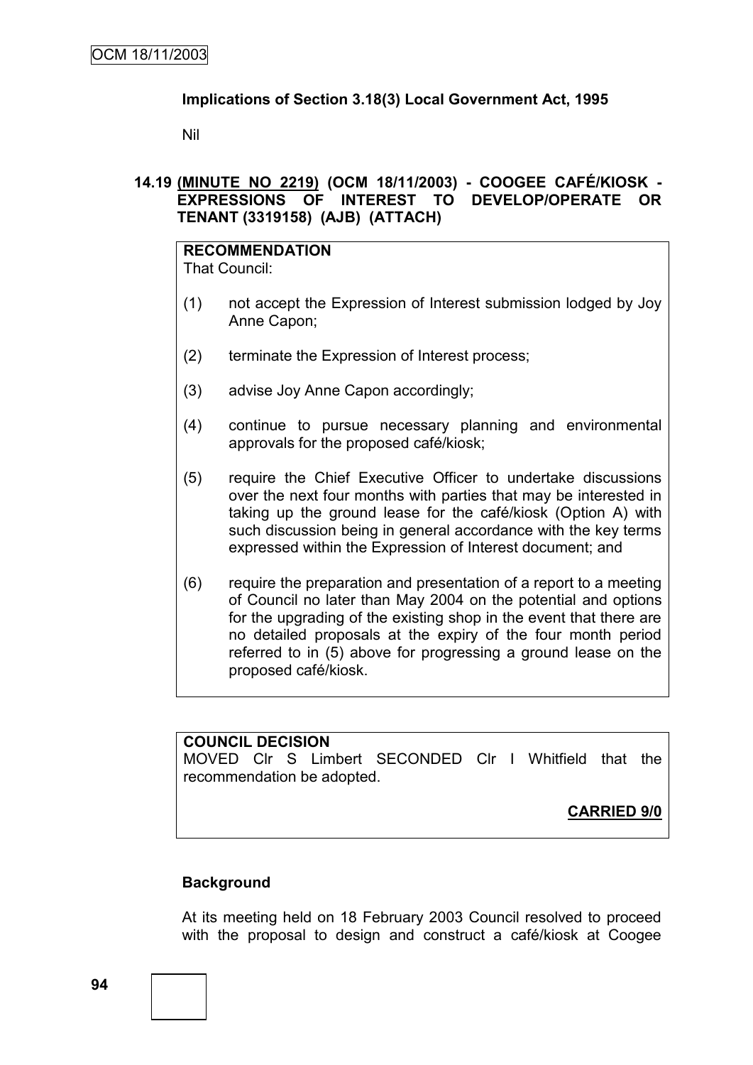## **Implications of Section 3.18(3) Local Government Act, 1995**

Nil

# **14.19 (MINUTE NO 2219) (OCM 18/11/2003) - COOGEE CAFÉ/KIOSK - EXPRESSIONS OF INTEREST TO DEVELOP/OPERATE OR TENANT (3319158) (AJB) (ATTACH)**

# **RECOMMENDATION**

That Council:

- (1) not accept the Expression of Interest submission lodged by Joy Anne Capon;
- (2) terminate the Expression of Interest process;
- (3) advise Joy Anne Capon accordingly;
- (4) continue to pursue necessary planning and environmental approvals for the proposed café/kiosk;
- (5) require the Chief Executive Officer to undertake discussions over the next four months with parties that may be interested in taking up the ground lease for the café/kiosk (Option A) with such discussion being in general accordance with the key terms expressed within the Expression of Interest document; and
- (6) require the preparation and presentation of a report to a meeting of Council no later than May 2004 on the potential and options for the upgrading of the existing shop in the event that there are no detailed proposals at the expiry of the four month period referred to in (5) above for progressing a ground lease on the proposed café/kiosk.

# **COUNCIL DECISION**

MOVED Clr S Limbert SECONDED Clr I Whitfield that the recommendation be adopted.

**CARRIED 9/0**

## **Background**

At its meeting held on 18 February 2003 Council resolved to proceed with the proposal to design and construct a café/kiosk at Coogee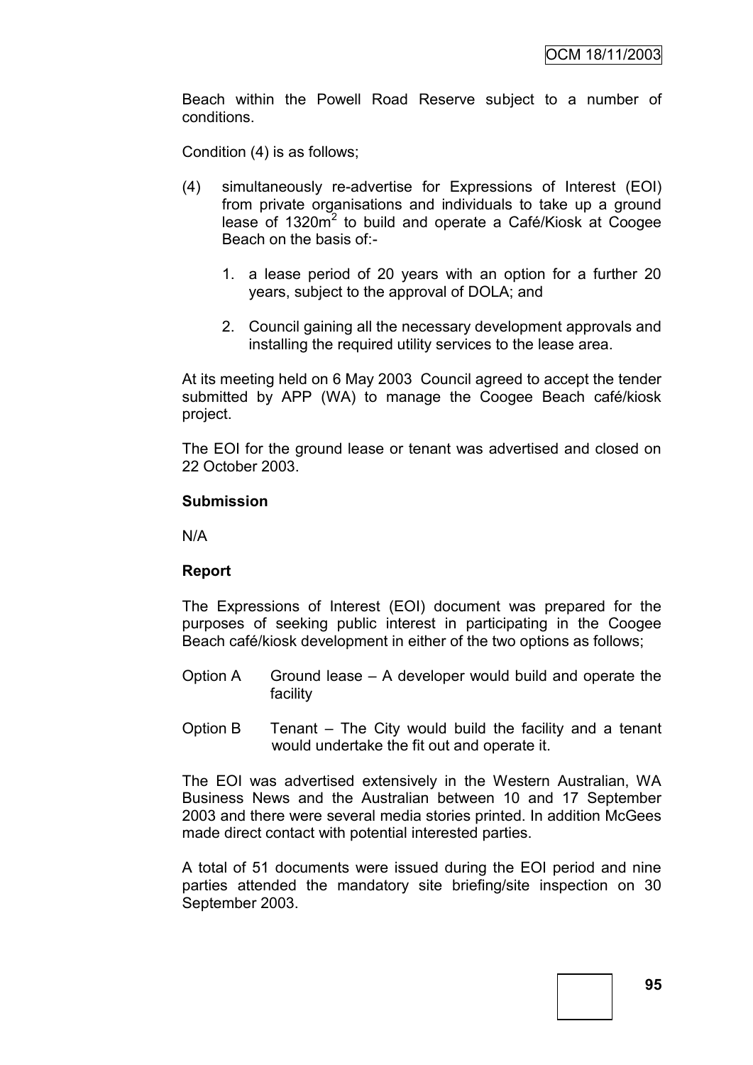Beach within the Powell Road Reserve subject to a number of conditions.

Condition (4) is as follows;

- (4) simultaneously re-advertise for Expressions of Interest (EOI) from private organisations and individuals to take up a ground lease of 1320m<sup>2</sup> to build and operate a Café/Kiosk at Coogee Beach on the basis of:-
	- 1. a lease period of 20 years with an option for a further 20 years, subject to the approval of DOLA; and
	- 2. Council gaining all the necessary development approvals and installing the required utility services to the lease area.

At its meeting held on 6 May 2003 Council agreed to accept the tender submitted by APP (WA) to manage the Coogee Beach café/kiosk project.

The EOI for the ground lease or tenant was advertised and closed on 22 October 2003.

#### **Submission**

N/A

## **Report**

The Expressions of Interest (EOI) document was prepared for the purposes of seeking public interest in participating in the Coogee Beach café/kiosk development in either of the two options as follows;

- Option A Ground lease A developer would build and operate the facility
- Option B Tenant The City would build the facility and a tenant would undertake the fit out and operate it.

The EOI was advertised extensively in the Western Australian, WA Business News and the Australian between 10 and 17 September 2003 and there were several media stories printed. In addition McGees made direct contact with potential interested parties.

A total of 51 documents were issued during the EOI period and nine parties attended the mandatory site briefing/site inspection on 30 September 2003.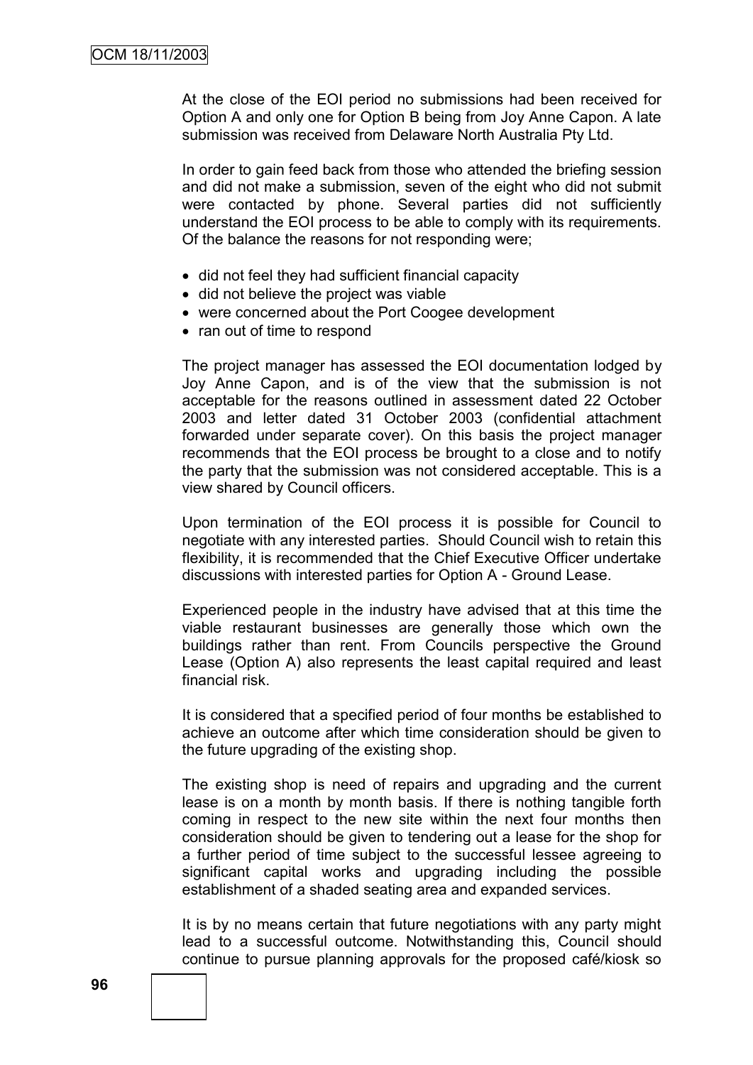At the close of the EOI period no submissions had been received for Option A and only one for Option B being from Joy Anne Capon. A late submission was received from Delaware North Australia Pty Ltd.

In order to gain feed back from those who attended the briefing session and did not make a submission, seven of the eight who did not submit were contacted by phone. Several parties did not sufficiently understand the EOI process to be able to comply with its requirements. Of the balance the reasons for not responding were;

- did not feel they had sufficient financial capacity
- did not believe the project was viable
- were concerned about the Port Coogee development
- ran out of time to respond

The project manager has assessed the EOI documentation lodged by Joy Anne Capon, and is of the view that the submission is not acceptable for the reasons outlined in assessment dated 22 October 2003 and letter dated 31 October 2003 (confidential attachment forwarded under separate cover). On this basis the project manager recommends that the EOI process be brought to a close and to notify the party that the submission was not considered acceptable. This is a view shared by Council officers.

Upon termination of the EOI process it is possible for Council to negotiate with any interested parties. Should Council wish to retain this flexibility, it is recommended that the Chief Executive Officer undertake discussions with interested parties for Option A - Ground Lease.

Experienced people in the industry have advised that at this time the viable restaurant businesses are generally those which own the buildings rather than rent. From Councils perspective the Ground Lease (Option A) also represents the least capital required and least financial risk.

It is considered that a specified period of four months be established to achieve an outcome after which time consideration should be given to the future upgrading of the existing shop.

The existing shop is need of repairs and upgrading and the current lease is on a month by month basis. If there is nothing tangible forth coming in respect to the new site within the next four months then consideration should be given to tendering out a lease for the shop for a further period of time subject to the successful lessee agreeing to significant capital works and upgrading including the possible establishment of a shaded seating area and expanded services.

It is by no means certain that future negotiations with any party might lead to a successful outcome. Notwithstanding this, Council should continue to pursue planning approvals for the proposed café/kiosk so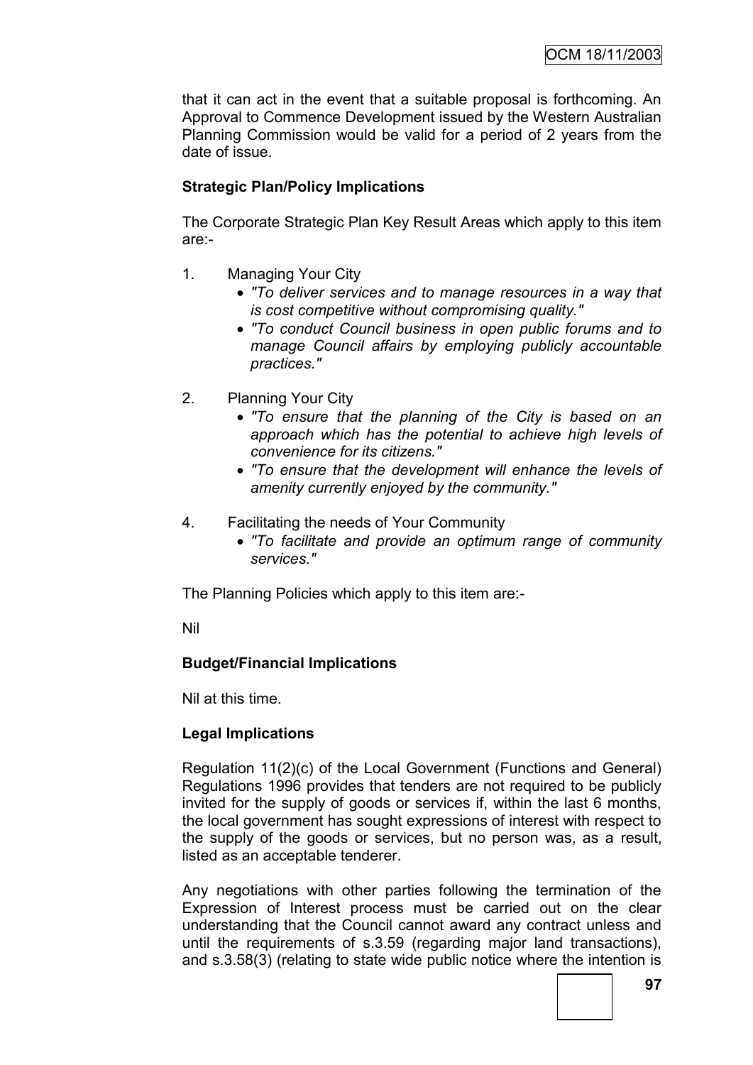that it can act in the event that a suitable proposal is forthcoming. An Approval to Commence Development issued by the Western Australian Planning Commission would be valid for a period of 2 years from the date of issue.

# **Strategic Plan/Policy Implications**

The Corporate Strategic Plan Key Result Areas which apply to this item are:-

- 1. Managing Your City
	- *"To deliver services and to manage resources in a way that is cost competitive without compromising quality."*
	- *"To conduct Council business in open public forums and to manage Council affairs by employing publicly accountable practices."*
- 2. Planning Your City
	- *"To ensure that the planning of the City is based on an approach which has the potential to achieve high levels of convenience for its citizens."*
	- *"To ensure that the development will enhance the levels of amenity currently enjoyed by the community."*
- 4. Facilitating the needs of Your Community
	- *"To facilitate and provide an optimum range of community services."*

The Planning Policies which apply to this item are:-

Nil

# **Budget/Financial Implications**

Nil at this time.

# **Legal Implications**

Regulation 11(2)(c) of the Local Government (Functions and General) Regulations 1996 provides that tenders are not required to be publicly invited for the supply of goods or services if, within the last 6 months, the local government has sought expressions of interest with respect to the supply of the goods or services, but no person was, as a result, listed as an acceptable tenderer.

Any negotiations with other parties following the termination of the Expression of Interest process must be carried out on the clear understanding that the Council cannot award any contract unless and until the requirements of s.3.59 (regarding major land transactions), and s.3.58(3) (relating to state wide public notice where the intention is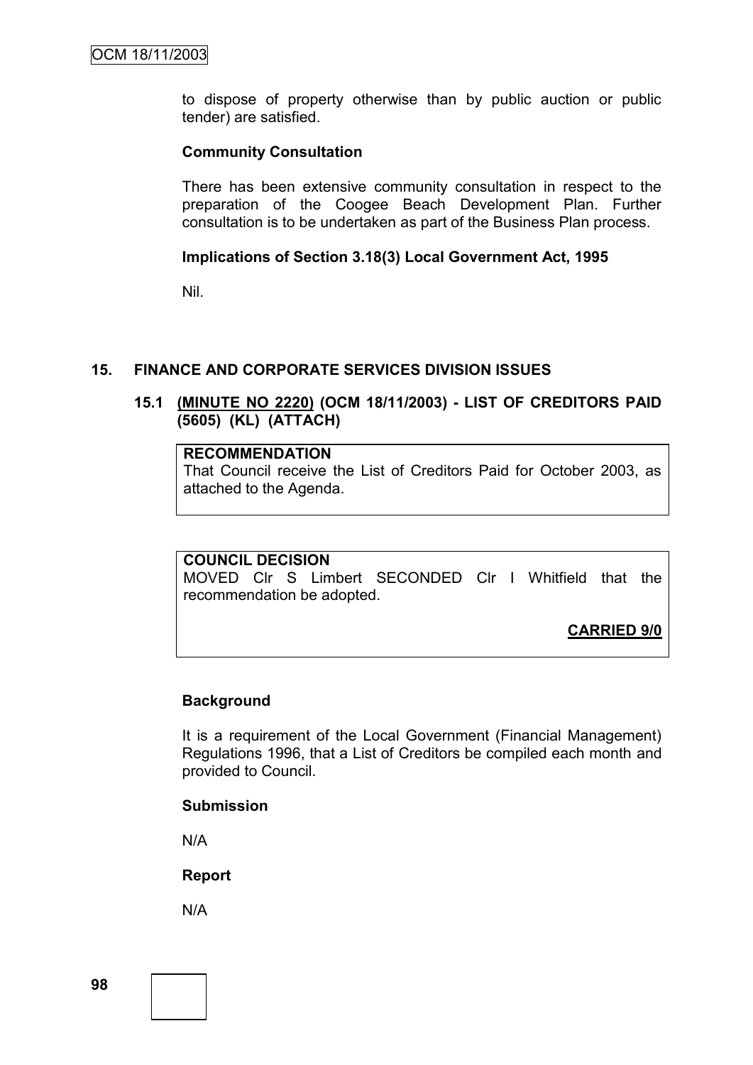to dispose of property otherwise than by public auction or public tender) are satisfied.

### **Community Consultation**

There has been extensive community consultation in respect to the preparation of the Coogee Beach Development Plan. Further consultation is to be undertaken as part of the Business Plan process.

### **Implications of Section 3.18(3) Local Government Act, 1995**

Nil.

## **15. FINANCE AND CORPORATE SERVICES DIVISION ISSUES**

# **15.1 (MINUTE NO 2220) (OCM 18/11/2003) - LIST OF CREDITORS PAID (5605) (KL) (ATTACH)**

#### **RECOMMENDATION**

That Council receive the List of Creditors Paid for October 2003, as attached to the Agenda.

#### **COUNCIL DECISION**

MOVED Clr S Limbert SECONDED Clr I Whitfield that the recommendation be adopted.

**CARRIED 9/0**

#### **Background**

It is a requirement of the Local Government (Financial Management) Regulations 1996, that a List of Creditors be compiled each month and provided to Council.

#### **Submission**

N/A

**Report**

N/A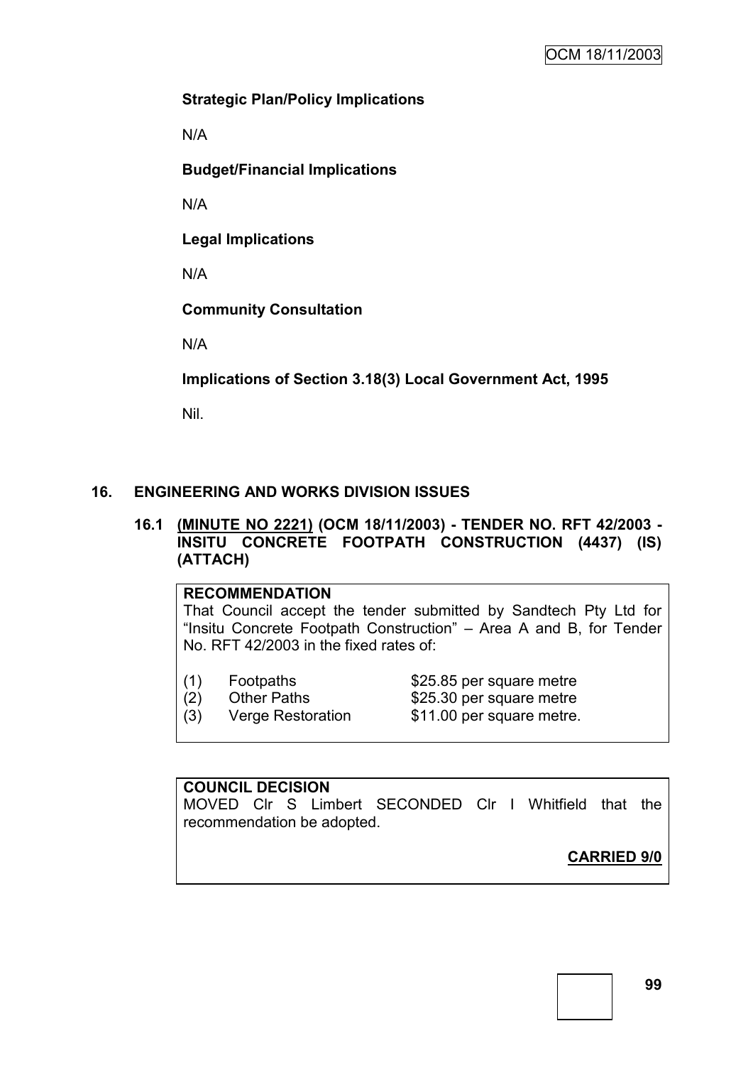# **Strategic Plan/Policy Implications**

N/A

**Budget/Financial Implications**

N/A

**Legal Implications**

N/A

**Community Consultation**

N/A

**Implications of Section 3.18(3) Local Government Act, 1995**

Nil.

# **16. ENGINEERING AND WORKS DIVISION ISSUES**

## **16.1 (MINUTE NO 2221) (OCM 18/11/2003) - TENDER NO. RFT 42/2003 - INSITU CONCRETE FOOTPATH CONSTRUCTION (4437) (IS) (ATTACH)**

# **RECOMMENDATION**

That Council accept the tender submitted by Sandtech Pty Ltd for "Insitu Concrete Footpath Construction" – Area A and B, for Tender No. RFT 42/2003 in the fixed rates of:

- (1) Footpaths \$25.85 per square metre
- 
- 

(2) Other Paths  $$25.30$  per square metre (3) Verge Restoration \$11.00 per square metre.

# **COUNCIL DECISION**

MOVED Clr S Limbert SECONDED Clr I Whitfield that the recommendation be adopted.

**CARRIED 9/0**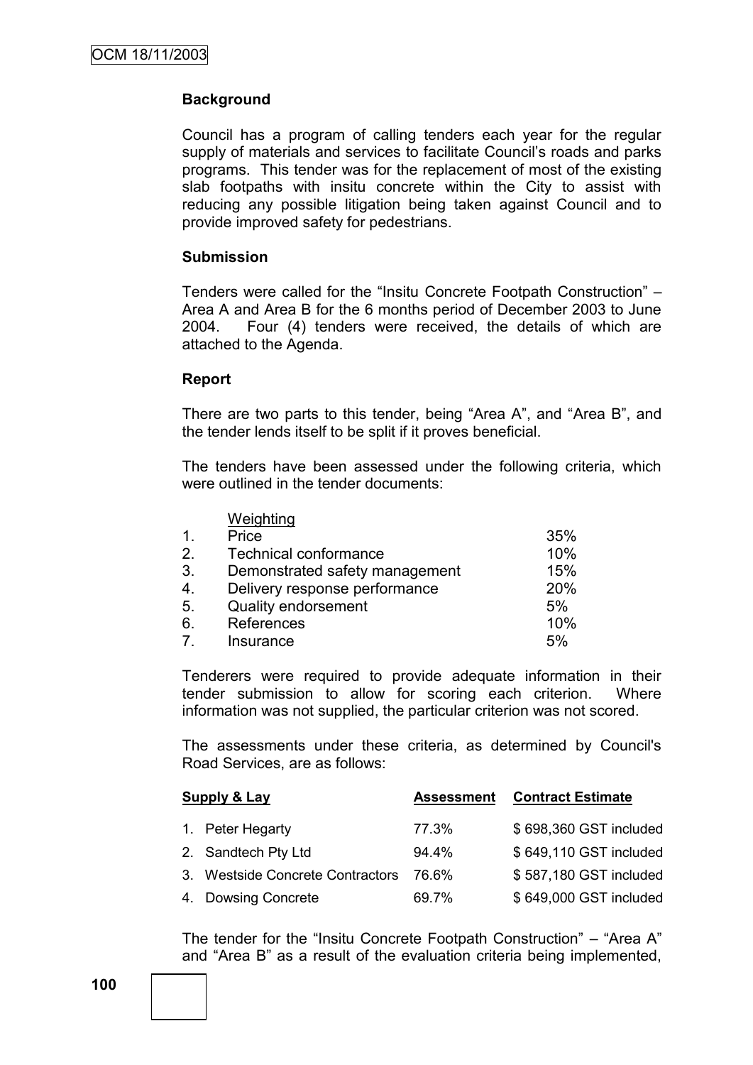# **Background**

Council has a program of calling tenders each year for the regular supply of materials and services to facilitate Council's roads and parks programs. This tender was for the replacement of most of the existing slab footpaths with insitu concrete within the City to assist with reducing any possible litigation being taken against Council and to provide improved safety for pedestrians.

#### **Submission**

Tenders were called for the "Insitu Concrete Footpath Construction" – Area A and Area B for the 6 months period of December 2003 to June 2004. Four (4) tenders were received, the details of which are attached to the Agenda.

#### **Report**

There are two parts to this tender, being "Area A", and "Area B", and the tender lends itself to be split if it proves beneficial.

The tenders have been assessed under the following criteria, which were outlined in the tender documents:

|                | Weighting                      |     |
|----------------|--------------------------------|-----|
| $\mathbf 1$    | Price                          | 35% |
| 2.             | <b>Technical conformance</b>   | 10% |
| 3.             | Demonstrated safety management | 15% |
| 4.             | Delivery response performance  | 20% |
| 5.             | <b>Quality endorsement</b>     | 5%  |
| 6.             | References                     | 10% |
| $\overline{7}$ | Insurance                      | 5%  |

Tenderers were required to provide adequate information in their tender submission to allow for scoring each criterion. Where information was not supplied, the particular criterion was not scored.

The assessments under these criteria, as determined by Council's Road Services, are as follows:

| Supply & Lay |                                  | <b>Assessment</b> | <b>Contract Estimate</b> |
|--------------|----------------------------------|-------------------|--------------------------|
|              | 1. Peter Hegarty                 | 77.3%             | \$698,360 GST included   |
|              | 2. Sandtech Pty Ltd              | $94.4\%$          | \$649,110 GST included   |
|              | 3. Westside Concrete Contractors | 76.6%             | \$587,180 GST included   |
|              | 4. Dowsing Concrete              | 69.7%             | \$649,000 GST included   |

The tender for the "Insitu Concrete Footpath Construction" – "Area A" and "Area B" as a result of the evaluation criteria being implemented,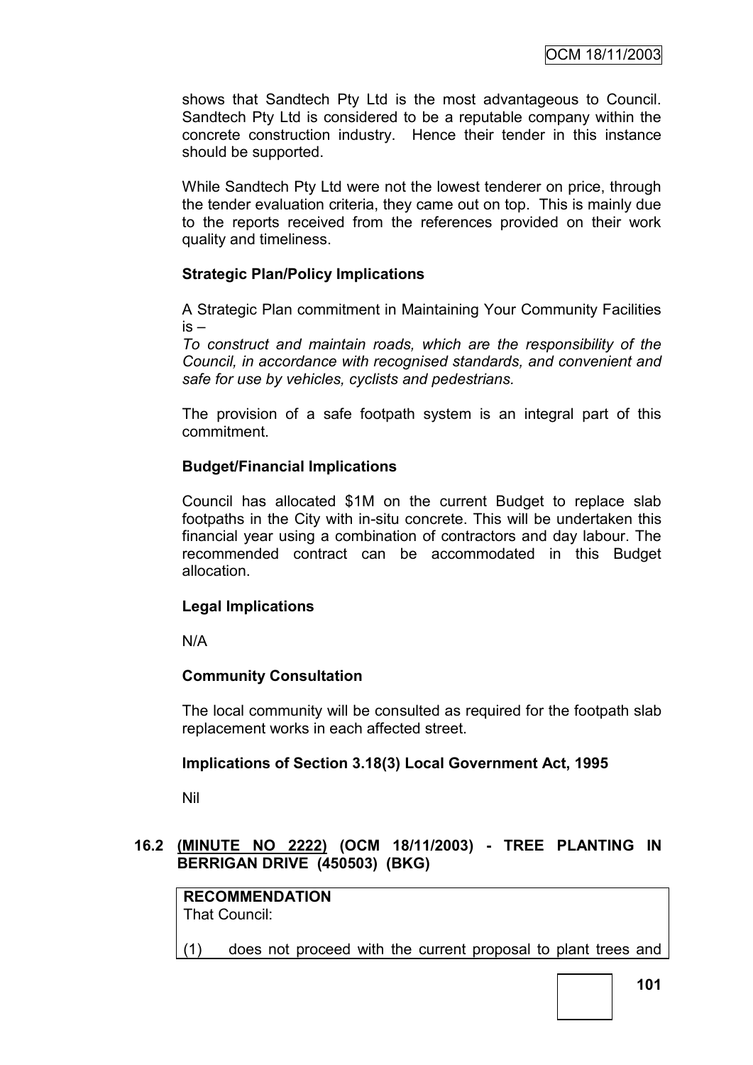shows that Sandtech Pty Ltd is the most advantageous to Council. Sandtech Pty Ltd is considered to be a reputable company within the concrete construction industry. Hence their tender in this instance should be supported.

While Sandtech Pty Ltd were not the lowest tenderer on price, through the tender evaluation criteria, they came out on top. This is mainly due to the reports received from the references provided on their work quality and timeliness.

# **Strategic Plan/Policy Implications**

A Strategic Plan commitment in Maintaining Your Community Facilities  $is -$ 

*To construct and maintain roads, which are the responsibility of the Council, in accordance with recognised standards, and convenient and safe for use by vehicles, cyclists and pedestrians.*

The provision of a safe footpath system is an integral part of this commitment.

# **Budget/Financial Implications**

Council has allocated \$1M on the current Budget to replace slab footpaths in the City with in-situ concrete. This will be undertaken this financial year using a combination of contractors and day labour. The recommended contract can be accommodated in this Budget allocation.

## **Legal Implications**

N/A

## **Community Consultation**

The local community will be consulted as required for the footpath slab replacement works in each affected street.

## **Implications of Section 3.18(3) Local Government Act, 1995**

Nil

## **16.2 (MINUTE NO 2222) (OCM 18/11/2003) - TREE PLANTING IN BERRIGAN DRIVE (450503) (BKG)**

**RECOMMENDATION**

That Council:

(1) does not proceed with the current proposal to plant trees and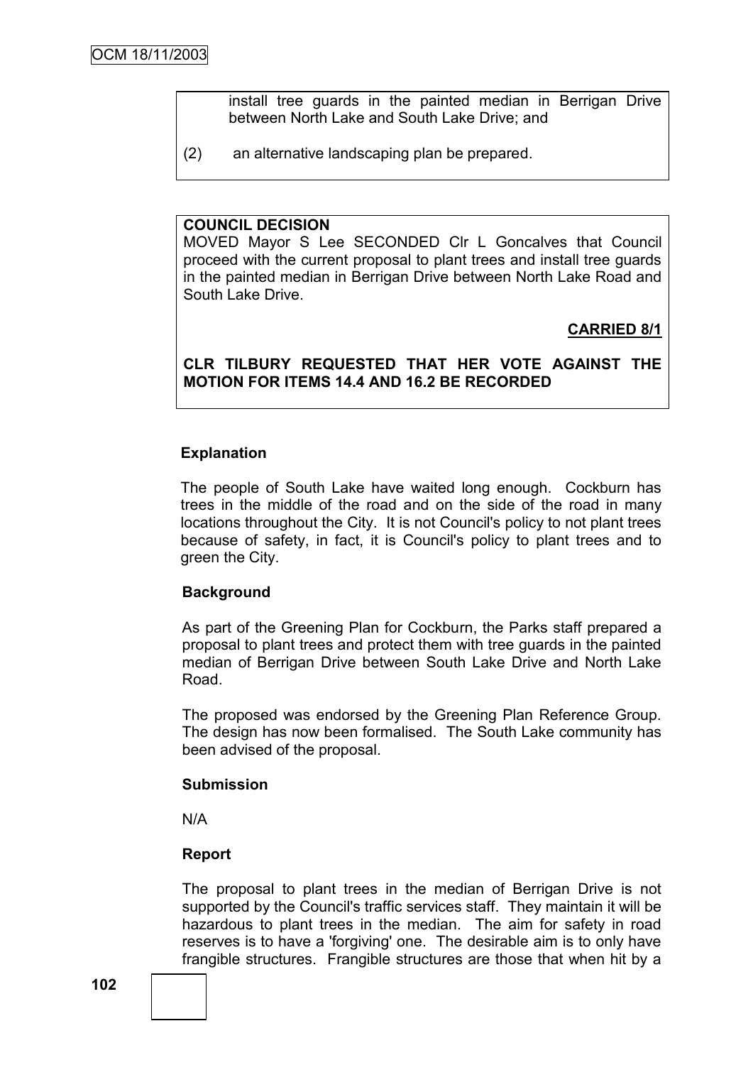install tree guards in the painted median in Berrigan Drive between North Lake and South Lake Drive; and

(2) an alternative landscaping plan be prepared.

### **COUNCIL DECISION**

MOVED Mayor S Lee SECONDED Clr L Goncalves that Council proceed with the current proposal to plant trees and install tree guards in the painted median in Berrigan Drive between North Lake Road and South Lake Drive.

# **CARRIED 8/1**

# **CLR TILBURY REQUESTED THAT HER VOTE AGAINST THE MOTION FOR ITEMS 14.4 AND 16.2 BE RECORDED**

## **Explanation**

The people of South Lake have waited long enough. Cockburn has trees in the middle of the road and on the side of the road in many locations throughout the City. It is not Council's policy to not plant trees because of safety, in fact, it is Council's policy to plant trees and to green the City.

#### **Background**

As part of the Greening Plan for Cockburn, the Parks staff prepared a proposal to plant trees and protect them with tree guards in the painted median of Berrigan Drive between South Lake Drive and North Lake Road.

The proposed was endorsed by the Greening Plan Reference Group. The design has now been formalised. The South Lake community has been advised of the proposal.

#### **Submission**

N/A

## **Report**

The proposal to plant trees in the median of Berrigan Drive is not supported by the Council's traffic services staff. They maintain it will be hazardous to plant trees in the median. The aim for safety in road reserves is to have a 'forgiving' one. The desirable aim is to only have frangible structures. Frangible structures are those that when hit by a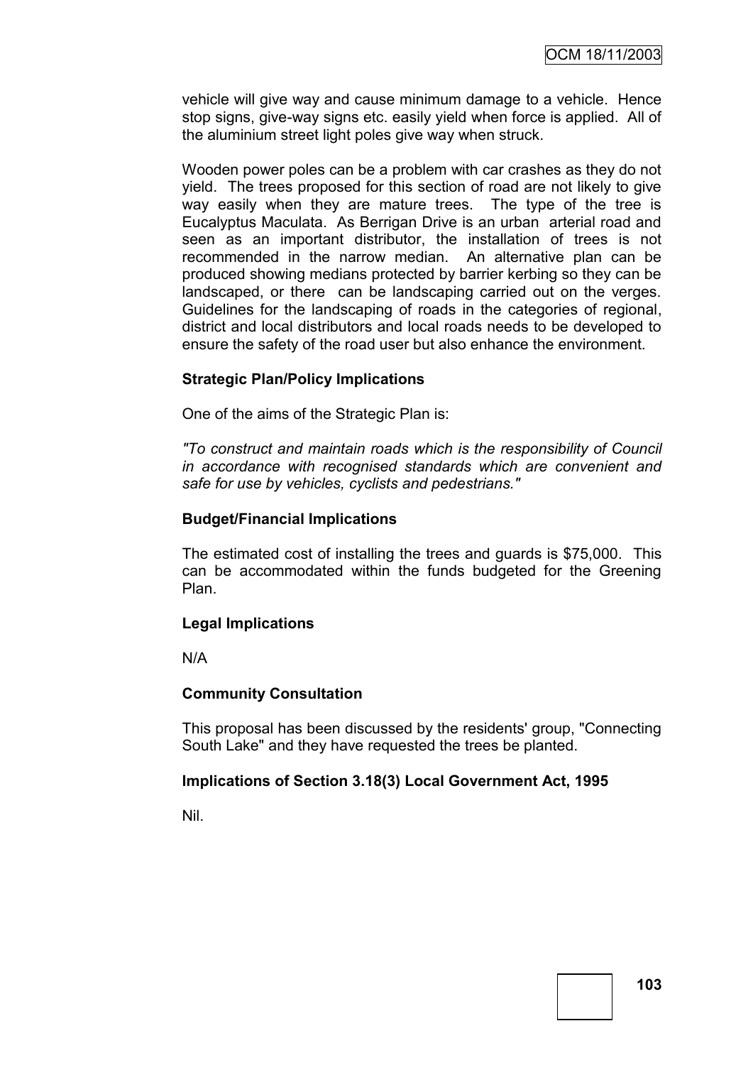vehicle will give way and cause minimum damage to a vehicle. Hence stop signs, give-way signs etc. easily yield when force is applied. All of the aluminium street light poles give way when struck.

Wooden power poles can be a problem with car crashes as they do not yield. The trees proposed for this section of road are not likely to give way easily when they are mature trees. The type of the tree is Eucalyptus Maculata. As Berrigan Drive is an urban arterial road and seen as an important distributor, the installation of trees is not recommended in the narrow median. An alternative plan can be produced showing medians protected by barrier kerbing so they can be landscaped, or there can be landscaping carried out on the verges. Guidelines for the landscaping of roads in the categories of regional, district and local distributors and local roads needs to be developed to ensure the safety of the road user but also enhance the environment.

#### **Strategic Plan/Policy Implications**

One of the aims of the Strategic Plan is:

*"To construct and maintain roads which is the responsibility of Council in accordance with recognised standards which are convenient and safe for use by vehicles, cyclists and pedestrians."*

#### **Budget/Financial Implications**

The estimated cost of installing the trees and guards is \$75,000. This can be accommodated within the funds budgeted for the Greening Plan.

#### **Legal Implications**

N/A

#### **Community Consultation**

This proposal has been discussed by the residents' group, "Connecting South Lake" and they have requested the trees be planted.

#### **Implications of Section 3.18(3) Local Government Act, 1995**

Nil.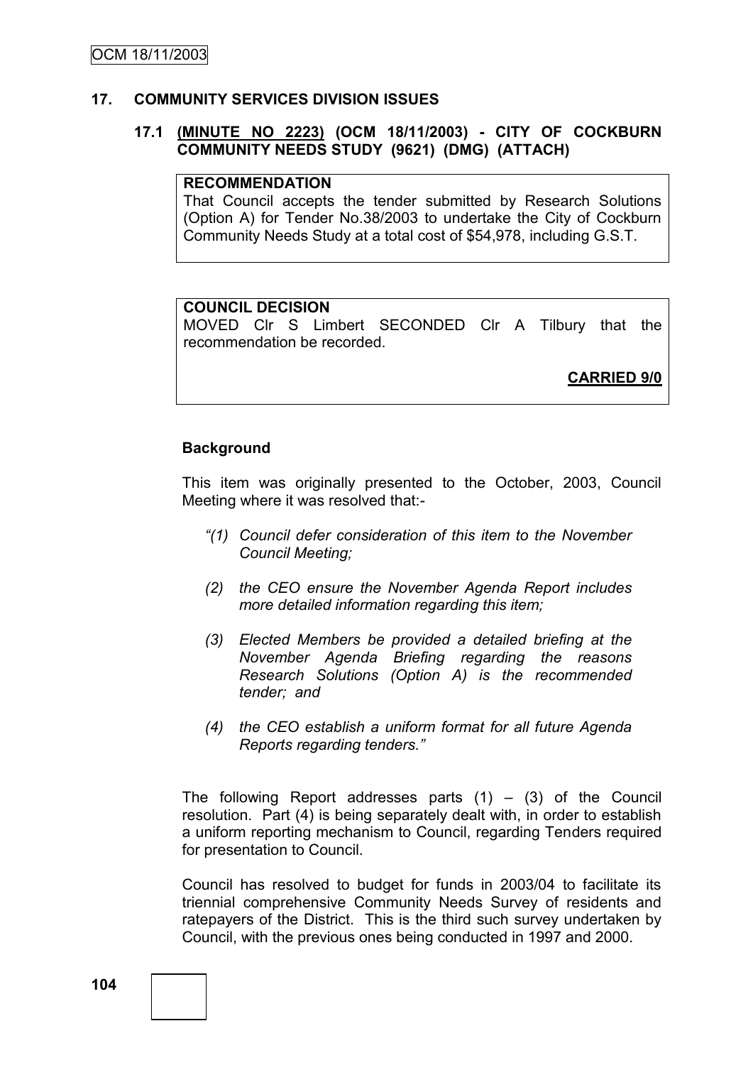#### **17. COMMUNITY SERVICES DIVISION ISSUES**

### **17.1 (MINUTE NO 2223) (OCM 18/11/2003) - CITY OF COCKBURN COMMUNITY NEEDS STUDY (9621) (DMG) (ATTACH)**

#### **RECOMMENDATION**

That Council accepts the tender submitted by Research Solutions (Option A) for Tender No.38/2003 to undertake the City of Cockburn Community Needs Study at a total cost of \$54,978, including G.S.T.

#### **COUNCIL DECISION**

MOVED Clr S Limbert SECONDED Clr A Tilbury that the recommendation be recorded.

**CARRIED 9/0**

### **Background**

This item was originally presented to the October, 2003, Council Meeting where it was resolved that:-

- *"(1) Council defer consideration of this item to the November Council Meeting;*
- *(2) the CEO ensure the November Agenda Report includes more detailed information regarding this item;*
- *(3) Elected Members be provided a detailed briefing at the November Agenda Briefing regarding the reasons Research Solutions (Option A) is the recommended tender; and*
- *(4) the CEO establish a uniform format for all future Agenda Reports regarding tenders."*

The following Report addresses parts  $(1) - (3)$  of the Council resolution. Part (4) is being separately dealt with, in order to establish a uniform reporting mechanism to Council, regarding Tenders required for presentation to Council.

Council has resolved to budget for funds in 2003/04 to facilitate its triennial comprehensive Community Needs Survey of residents and ratepayers of the District. This is the third such survey undertaken by Council, with the previous ones being conducted in 1997 and 2000.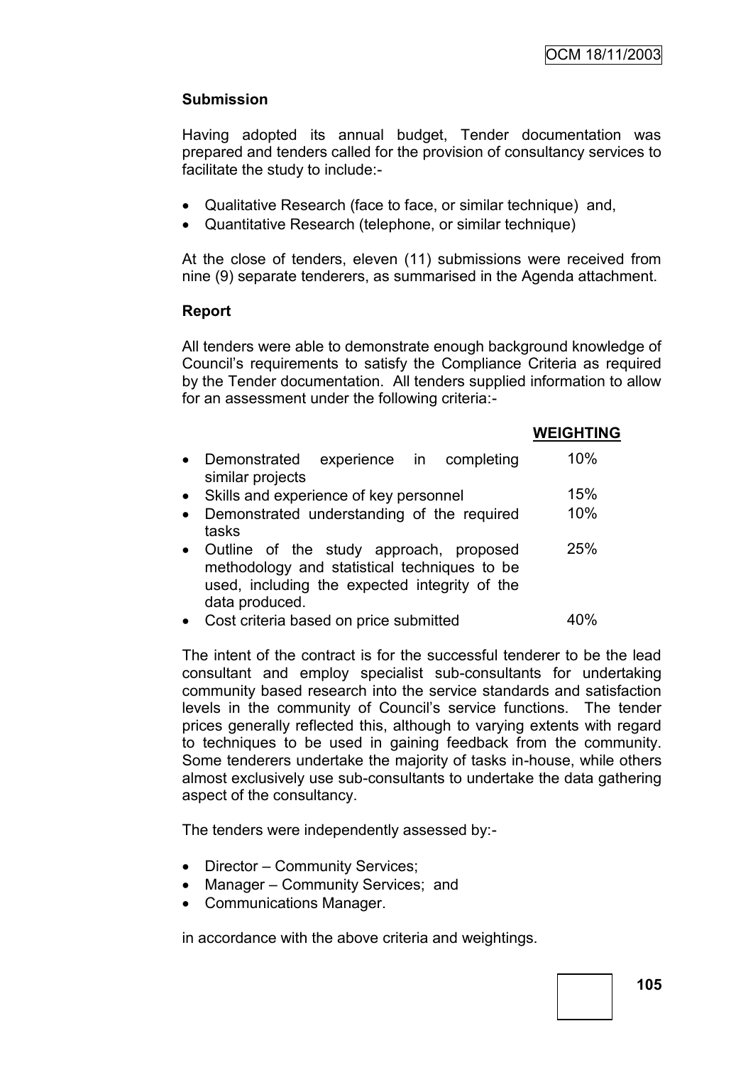# **Submission**

Having adopted its annual budget, Tender documentation was prepared and tenders called for the provision of consultancy services to facilitate the study to include:-

- Qualitative Research (face to face, or similar technique) and,
- Quantitative Research (telephone, or similar technique)

At the close of tenders, eleven (11) submissions were received from nine (9) separate tenderers, as summarised in the Agenda attachment.

### **Report**

All tenders were able to demonstrate enough background knowledge of Council"s requirements to satisfy the Compliance Criteria as required by the Tender documentation. All tenders supplied information to allow for an assessment under the following criteria:-

### **WEIGHTING**

|           | Demonstrated experience in completing<br>similar projects                                                                                         | 10%        |
|-----------|---------------------------------------------------------------------------------------------------------------------------------------------------|------------|
| $\bullet$ | Skills and experience of key personnel<br>• Demonstrated understanding of the required                                                            | 15%<br>10% |
| $\bullet$ | tasks<br>Outline of the study approach, proposed<br>methodology and statistical techniques to be<br>used, including the expected integrity of the | 25%        |
|           | data produced.<br>Cost criteria based on price submitted                                                                                          |            |

The intent of the contract is for the successful tenderer to be the lead consultant and employ specialist sub-consultants for undertaking community based research into the service standards and satisfaction levels in the community of Council"s service functions. The tender prices generally reflected this, although to varying extents with regard to techniques to be used in gaining feedback from the community. Some tenderers undertake the majority of tasks in-house, while others almost exclusively use sub-consultants to undertake the data gathering aspect of the consultancy.

The tenders were independently assessed by:-

- Director Community Services;
- Manager Community Services: and
- Communications Manager.

in accordance with the above criteria and weightings.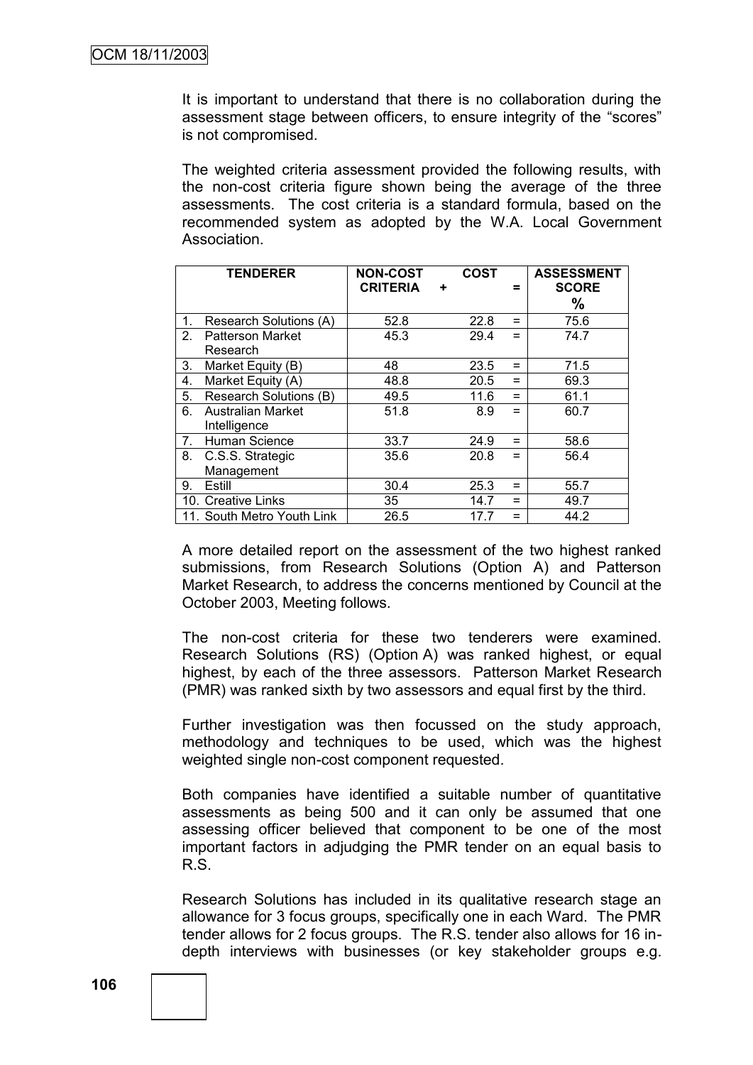It is important to understand that there is no collaboration during the assessment stage between officers, to ensure integrity of the "scores" is not compromised.

The weighted criteria assessment provided the following results, with the non-cost criteria figure shown being the average of the three assessments. The cost criteria is a standard formula, based on the recommended system as adopted by the W.A. Local Government Association.

|                | <b>TENDERER</b>                          | <b>NON-COST</b><br><b>CRITERIA</b> | ٠ | <b>COST</b> |     | <b>ASSESSMENT</b><br><b>SCORE</b> |
|----------------|------------------------------------------|------------------------------------|---|-------------|-----|-----------------------------------|
|                |                                          |                                    |   |             |     | $\%$                              |
| 1.             | Research Solutions (A)                   | 52.8                               |   | 22.8        | Ξ   | 75.6                              |
| 2.             | <b>Patterson Market</b><br>Research      | 45.3                               |   | 29.4        | =   | 74.7                              |
| 3.             | Market Equity (B)                        | 48                                 |   | 23.5        | Ξ   | 71.5                              |
| 4.             | Market Equity (A)                        | 48.8                               |   | 20.5        | $=$ | 69.3                              |
| 5.             | Research Solutions (B)                   | 49.5                               |   | 11.6        | $=$ | 61.1                              |
| 6.             | <b>Australian Market</b><br>Intelligence | 51.8                               |   | 8.9         | =   | 60.7                              |
| 7 <sub>1</sub> | Human Science                            | 33.7                               |   | 24.9        | Ξ   | 58.6                              |
| 8.             | C.S.S. Strategic<br>Management           | 35.6                               |   | 20.8        | Ξ   | 56.4                              |
| 9.             | Estill                                   | 30.4                               |   | 25.3        | =   | 55.7                              |
|                | 10. Creative Links                       | 35                                 |   | 14.7        | =   | 49.7                              |
|                | 11. South Metro Youth Link               | 26.5                               |   | 17.7        | Ξ   | 44.2                              |

A more detailed report on the assessment of the two highest ranked submissions, from Research Solutions (Option A) and Patterson Market Research, to address the concerns mentioned by Council at the October 2003, Meeting follows.

The non-cost criteria for these two tenderers were examined. Research Solutions (RS) (Option A) was ranked highest, or equal highest, by each of the three assessors. Patterson Market Research (PMR) was ranked sixth by two assessors and equal first by the third.

Further investigation was then focussed on the study approach, methodology and techniques to be used, which was the highest weighted single non-cost component requested.

Both companies have identified a suitable number of quantitative assessments as being 500 and it can only be assumed that one assessing officer believed that component to be one of the most important factors in adjudging the PMR tender on an equal basis to R.S.

Research Solutions has included in its qualitative research stage an allowance for 3 focus groups, specifically one in each Ward. The PMR tender allows for 2 focus groups. The R.S. tender also allows for 16 indepth interviews with businesses (or key stakeholder groups e.g.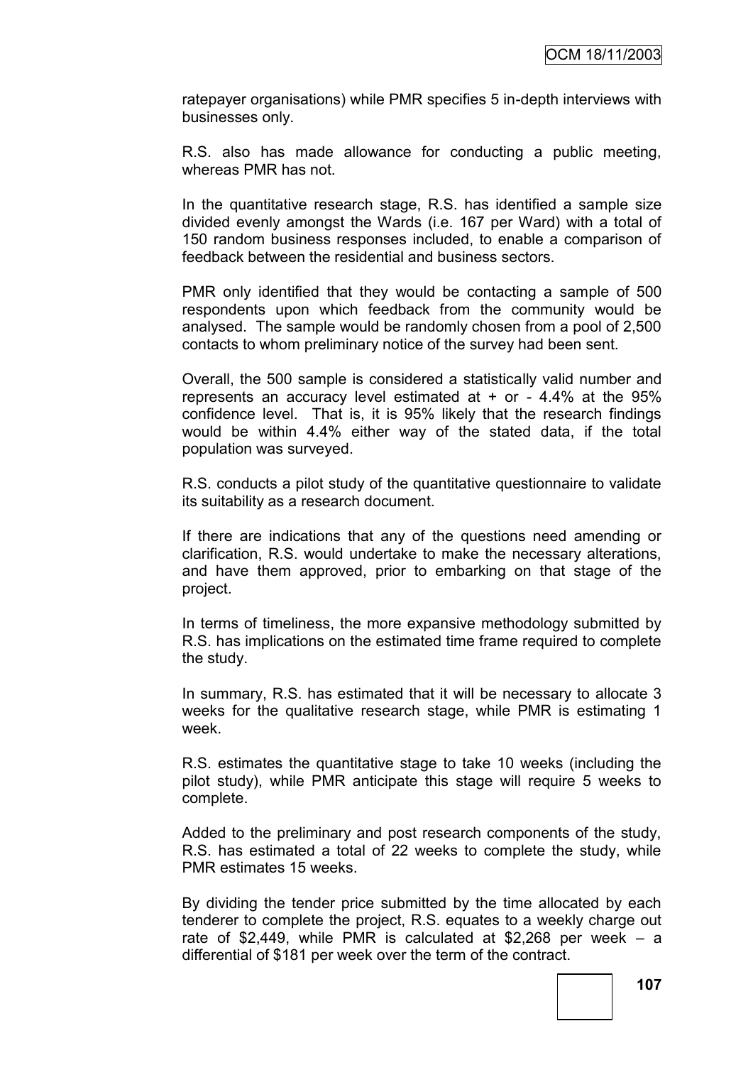ratepayer organisations) while PMR specifies 5 in-depth interviews with businesses only.

R.S. also has made allowance for conducting a public meeting, whereas PMR has not.

In the quantitative research stage, R.S. has identified a sample size divided evenly amongst the Wards (i.e. 167 per Ward) with a total of 150 random business responses included, to enable a comparison of feedback between the residential and business sectors.

PMR only identified that they would be contacting a sample of 500 respondents upon which feedback from the community would be analysed. The sample would be randomly chosen from a pool of 2,500 contacts to whom preliminary notice of the survey had been sent.

Overall, the 500 sample is considered a statistically valid number and represents an accuracy level estimated at + or - 4.4% at the 95% confidence level. That is, it is 95% likely that the research findings would be within 4.4% either way of the stated data, if the total population was surveyed.

R.S. conducts a pilot study of the quantitative questionnaire to validate its suitability as a research document.

If there are indications that any of the questions need amending or clarification, R.S. would undertake to make the necessary alterations, and have them approved, prior to embarking on that stage of the project.

In terms of timeliness, the more expansive methodology submitted by R.S. has implications on the estimated time frame required to complete the study.

In summary, R.S. has estimated that it will be necessary to allocate 3 weeks for the qualitative research stage, while PMR is estimating 1 week.

R.S. estimates the quantitative stage to take 10 weeks (including the pilot study), while PMR anticipate this stage will require 5 weeks to complete.

Added to the preliminary and post research components of the study, R.S. has estimated a total of 22 weeks to complete the study, while PMR estimates 15 weeks.

By dividing the tender price submitted by the time allocated by each tenderer to complete the project, R.S. equates to a weekly charge out rate of \$2,449, while PMR is calculated at \$2,268 per week  $-$  a differential of \$181 per week over the term of the contract.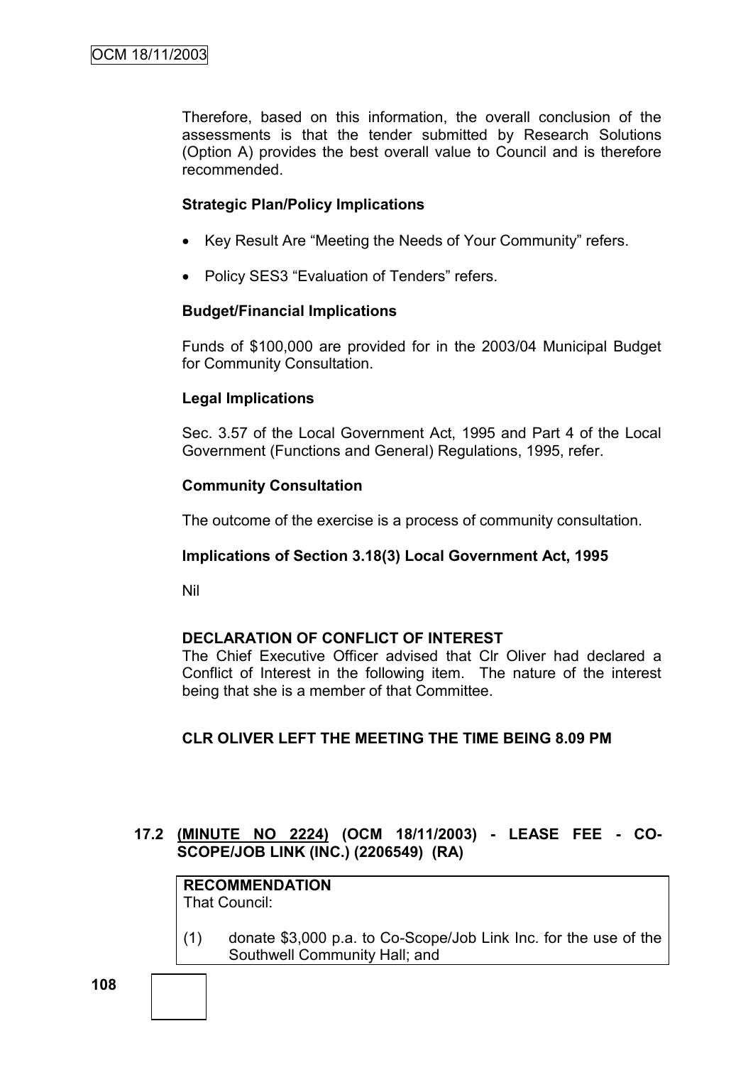Therefore, based on this information, the overall conclusion of the assessments is that the tender submitted by Research Solutions (Option A) provides the best overall value to Council and is therefore recommended.

#### **Strategic Plan/Policy Implications**

- Key Result Are "Meeting the Needs of Your Community" refers.
- Policy SES3 "Evaluation of Tenders" refers.

#### **Budget/Financial Implications**

Funds of \$100,000 are provided for in the 2003/04 Municipal Budget for Community Consultation.

#### **Legal Implications**

Sec. 3.57 of the Local Government Act, 1995 and Part 4 of the Local Government (Functions and General) Regulations, 1995, refer.

#### **Community Consultation**

The outcome of the exercise is a process of community consultation.

#### **Implications of Section 3.18(3) Local Government Act, 1995**

Nil

#### **DECLARATION OF CONFLICT OF INTEREST**

The Chief Executive Officer advised that Clr Oliver had declared a Conflict of Interest in the following item. The nature of the interest being that she is a member of that Committee.

### **CLR OLIVER LEFT THE MEETING THE TIME BEING 8.09 PM**

### **17.2 (MINUTE NO 2224) (OCM 18/11/2003) - LEASE FEE - CO-SCOPE/JOB LINK (INC.) (2206549) (RA)**

**RECOMMENDATION** That Council:

(1) donate \$3,000 p.a. to Co-Scope/Job Link Inc. for the use of the Southwell Community Hall; and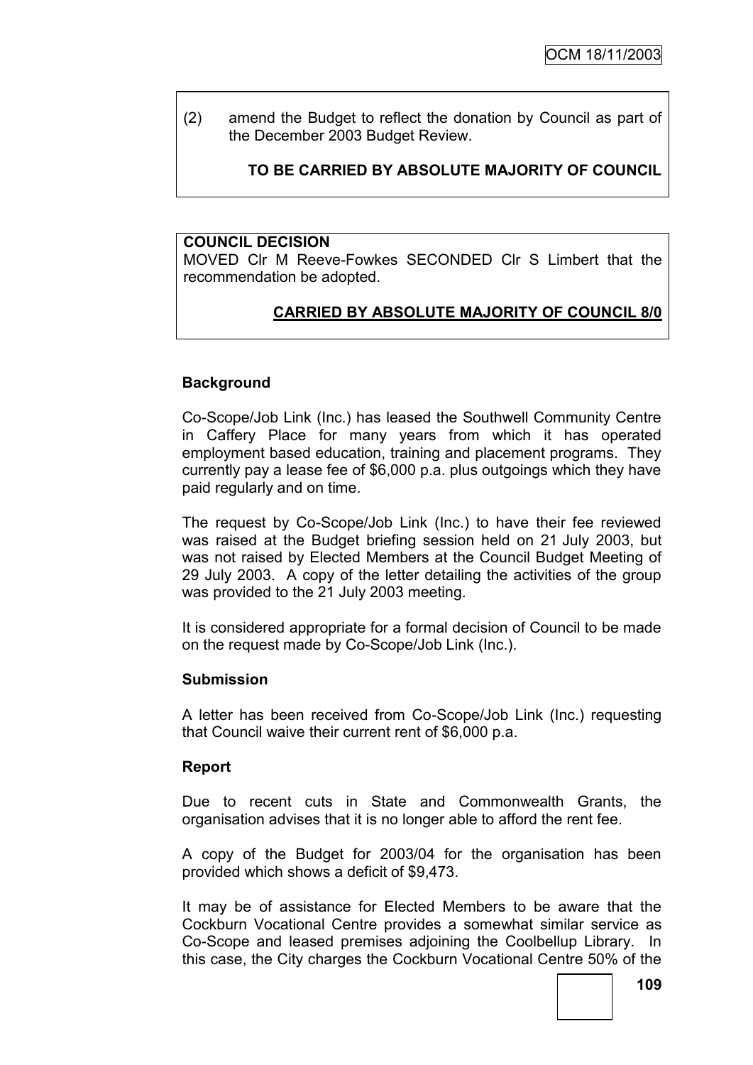(2) amend the Budget to reflect the donation by Council as part of the December 2003 Budget Review.

**TO BE CARRIED BY ABSOLUTE MAJORITY OF COUNCIL**

### **COUNCIL DECISION**

MOVED Clr M Reeve-Fowkes SECONDED Clr S Limbert that the recommendation be adopted.

# **CARRIED BY ABSOLUTE MAJORITY OF COUNCIL 8/0**

### **Background**

Co-Scope/Job Link (Inc.) has leased the Southwell Community Centre in Caffery Place for many years from which it has operated employment based education, training and placement programs. They currently pay a lease fee of \$6,000 p.a. plus outgoings which they have paid regularly and on time.

The request by Co-Scope/Job Link (Inc.) to have their fee reviewed was raised at the Budget briefing session held on 21 July 2003, but was not raised by Elected Members at the Council Budget Meeting of 29 July 2003. A copy of the letter detailing the activities of the group was provided to the 21 July 2003 meeting.

It is considered appropriate for a formal decision of Council to be made on the request made by Co-Scope/Job Link (Inc.).

### **Submission**

A letter has been received from Co-Scope/Job Link (Inc.) requesting that Council waive their current rent of \$6,000 p.a.

### **Report**

Due to recent cuts in State and Commonwealth Grants, the organisation advises that it is no longer able to afford the rent fee.

A copy of the Budget for 2003/04 for the organisation has been provided which shows a deficit of \$9,473.

It may be of assistance for Elected Members to be aware that the Cockburn Vocational Centre provides a somewhat similar service as Co-Scope and leased premises adjoining the Coolbellup Library. In this case, the City charges the Cockburn Vocational Centre 50% of the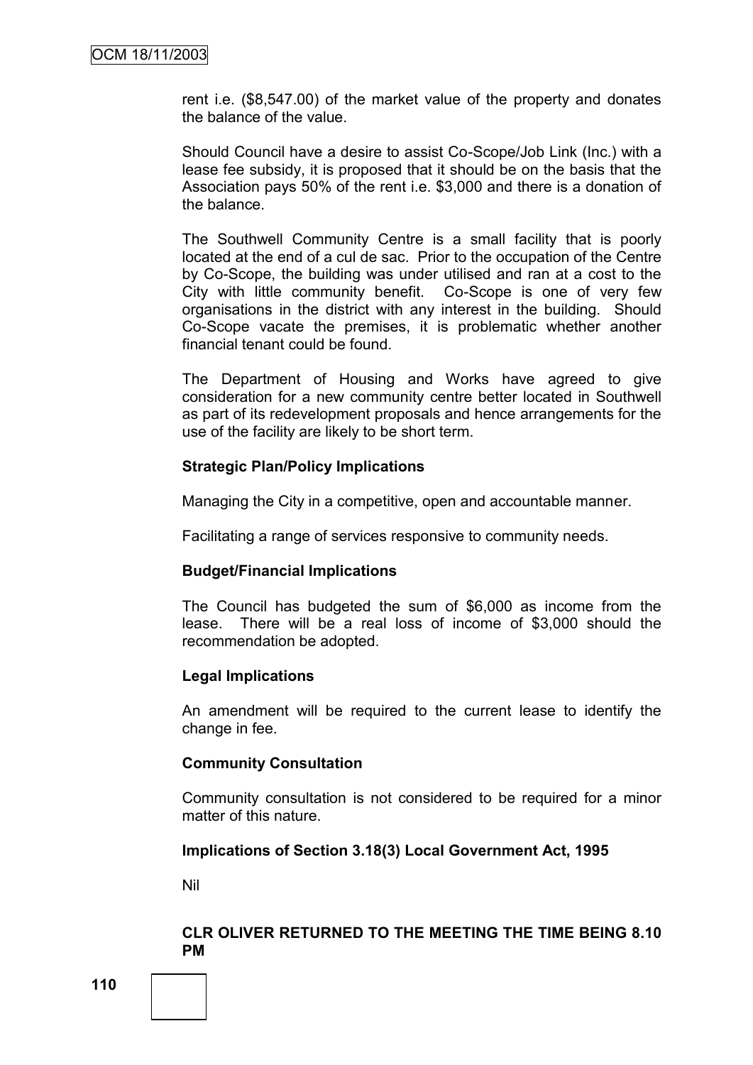rent i.e. (\$8,547.00) of the market value of the property and donates the balance of the value.

Should Council have a desire to assist Co-Scope/Job Link (Inc.) with a lease fee subsidy, it is proposed that it should be on the basis that the Association pays 50% of the rent i.e. \$3,000 and there is a donation of the balance.

The Southwell Community Centre is a small facility that is poorly located at the end of a cul de sac. Prior to the occupation of the Centre by Co-Scope, the building was under utilised and ran at a cost to the City with little community benefit. Co-Scope is one of very few organisations in the district with any interest in the building. Should Co-Scope vacate the premises, it is problematic whether another financial tenant could be found.

The Department of Housing and Works have agreed to give consideration for a new community centre better located in Southwell as part of its redevelopment proposals and hence arrangements for the use of the facility are likely to be short term.

#### **Strategic Plan/Policy Implications**

Managing the City in a competitive, open and accountable manner.

Facilitating a range of services responsive to community needs.

#### **Budget/Financial Implications**

The Council has budgeted the sum of \$6,000 as income from the lease. There will be a real loss of income of \$3,000 should the recommendation be adopted.

### **Legal Implications**

An amendment will be required to the current lease to identify the change in fee.

#### **Community Consultation**

Community consultation is not considered to be required for a minor matter of this nature.

### **Implications of Section 3.18(3) Local Government Act, 1995**

Nil

#### **CLR OLIVER RETURNED TO THE MEETING THE TIME BEING 8.10 PM**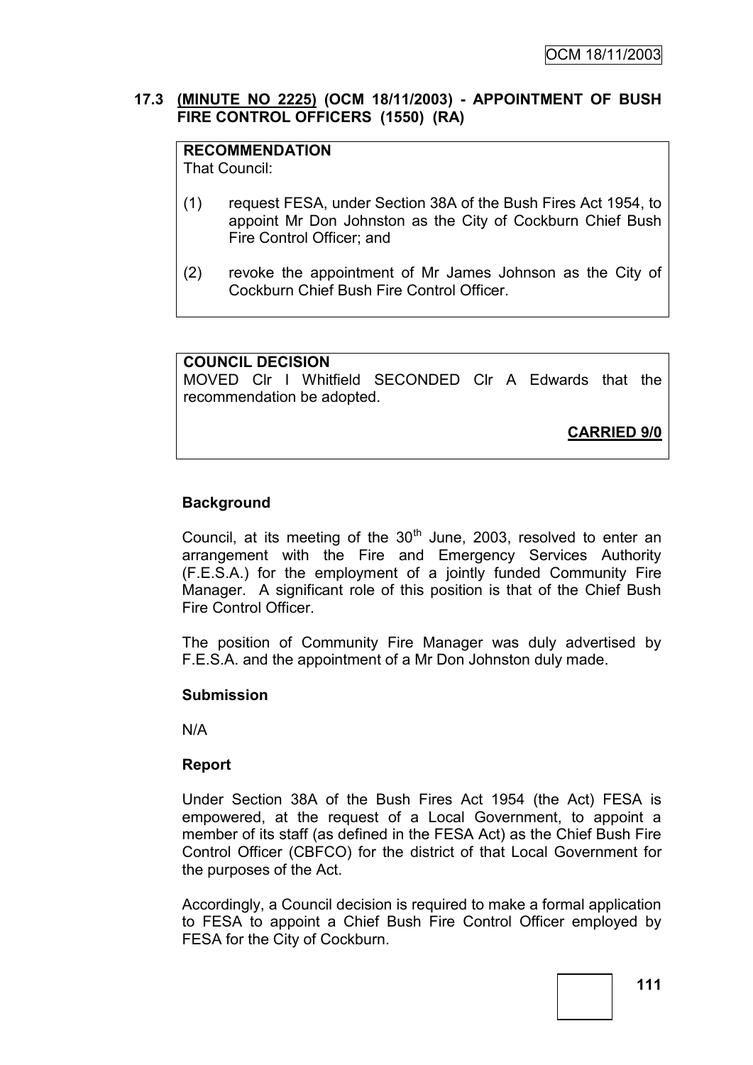### **17.3 (MINUTE NO 2225) (OCM 18/11/2003) - APPOINTMENT OF BUSH FIRE CONTROL OFFICERS (1550) (RA)**

### **RECOMMENDATION**

That Council:

- (1) request FESA, under Section 38A of the Bush Fires Act 1954, to appoint Mr Don Johnston as the City of Cockburn Chief Bush Fire Control Officer; and
- (2) revoke the appointment of Mr James Johnson as the City of Cockburn Chief Bush Fire Control Officer.

### **COUNCIL DECISION**

MOVED Clr I Whitfield SECONDED Clr A Edwards that the recommendation be adopted.

**CARRIED 9/0**

### **Background**

Council, at its meeting of the  $30<sup>th</sup>$  June, 2003, resolved to enter an arrangement with the Fire and Emergency Services Authority (F.E.S.A.) for the employment of a jointly funded Community Fire Manager. A significant role of this position is that of the Chief Bush Fire Control Officer.

The position of Community Fire Manager was duly advertised by F.E.S.A. and the appointment of a Mr Don Johnston duly made.

#### **Submission**

N/A

### **Report**

Under Section 38A of the Bush Fires Act 1954 (the Act) FESA is empowered, at the request of a Local Government, to appoint a member of its staff (as defined in the FESA Act) as the Chief Bush Fire Control Officer (CBFCO) for the district of that Local Government for the purposes of the Act.

Accordingly, a Council decision is required to make a formal application to FESA to appoint a Chief Bush Fire Control Officer employed by FESA for the City of Cockburn.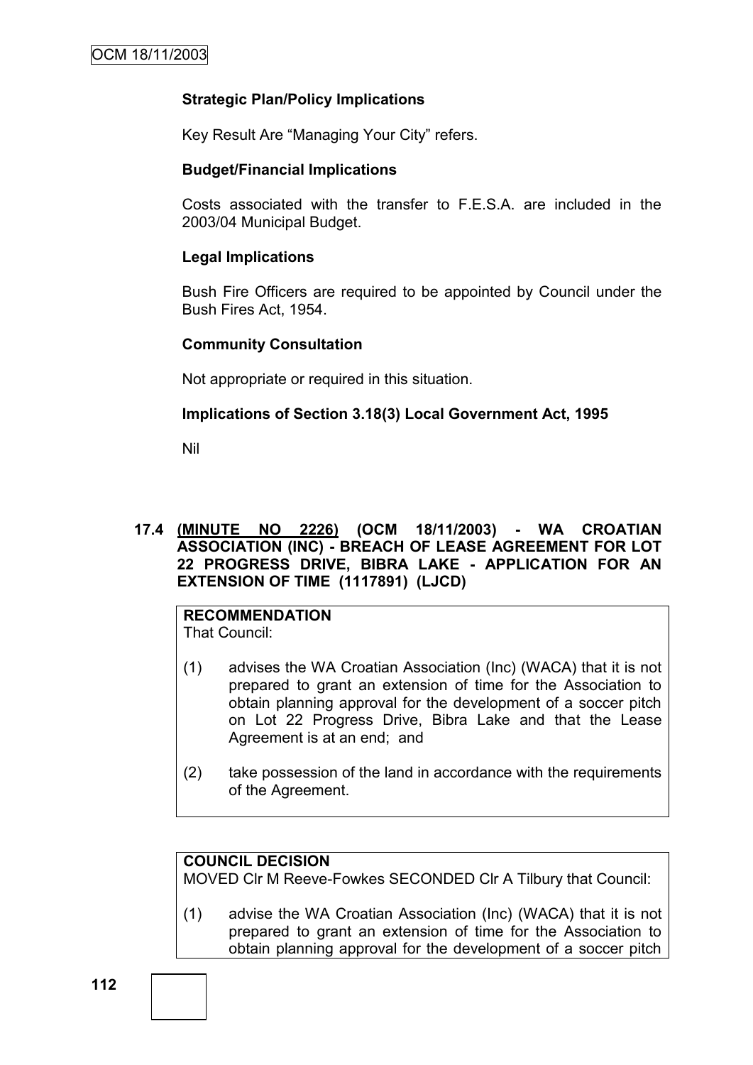### **Strategic Plan/Policy Implications**

Key Result Are "Managing Your City" refers.

#### **Budget/Financial Implications**

Costs associated with the transfer to F.E.S.A. are included in the 2003/04 Municipal Budget.

### **Legal Implications**

Bush Fire Officers are required to be appointed by Council under the Bush Fires Act, 1954.

#### **Community Consultation**

Not appropriate or required in this situation.

### **Implications of Section 3.18(3) Local Government Act, 1995**

Nil

### **17.4 (MINUTE NO 2226) (OCM 18/11/2003) - WA CROATIAN ASSOCIATION (INC) - BREACH OF LEASE AGREEMENT FOR LOT 22 PROGRESS DRIVE, BIBRA LAKE - APPLICATION FOR AN EXTENSION OF TIME (1117891) (LJCD)**

**RECOMMENDATION** That Council:

- (1) advises the WA Croatian Association (Inc) (WACA) that it is not prepared to grant an extension of time for the Association to obtain planning approval for the development of a soccer pitch on Lot 22 Progress Drive, Bibra Lake and that the Lease Agreement is at an end; and
- (2) take possession of the land in accordance with the requirements of the Agreement.

### **COUNCIL DECISION**

MOVED Clr M Reeve-Fowkes SECONDED Clr A Tilbury that Council:

(1) advise the WA Croatian Association (Inc) (WACA) that it is not prepared to grant an extension of time for the Association to obtain planning approval for the development of a soccer pitch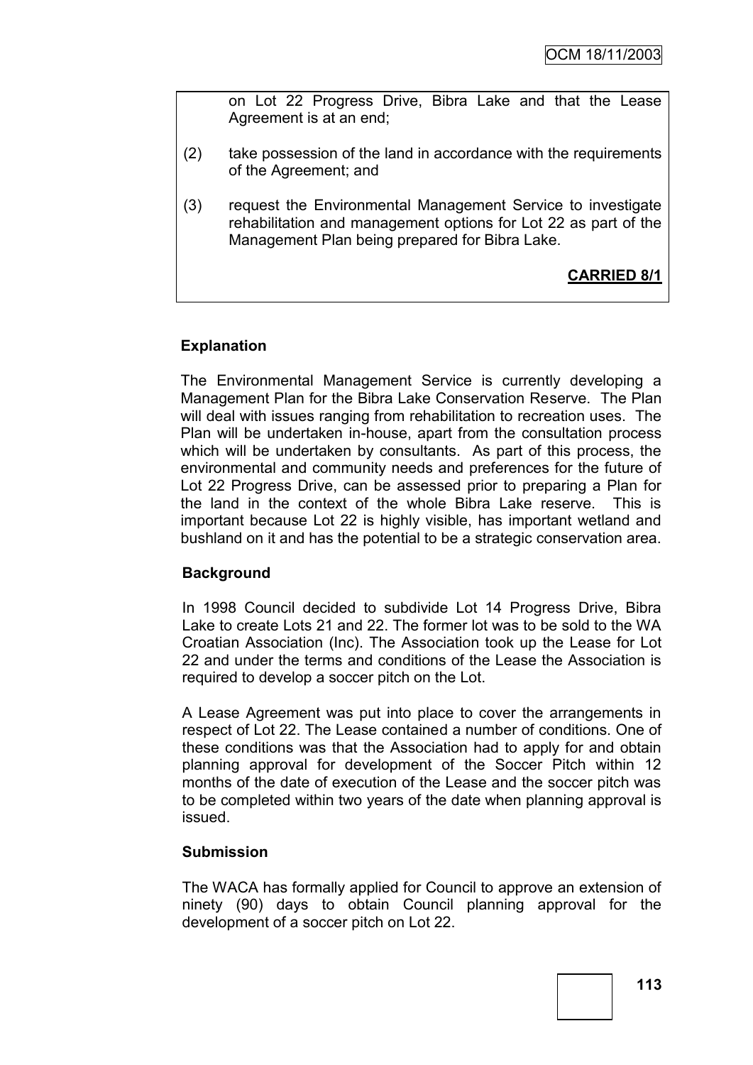on Lot 22 Progress Drive, Bibra Lake and that the Lease Agreement is at an end;

- (2) take possession of the land in accordance with the requirements of the Agreement; and
- (3) request the Environmental Management Service to investigate rehabilitation and management options for Lot 22 as part of the Management Plan being prepared for Bibra Lake.

### **CARRIED 8/1**

#### **Explanation**

The Environmental Management Service is currently developing a Management Plan for the Bibra Lake Conservation Reserve. The Plan will deal with issues ranging from rehabilitation to recreation uses. The Plan will be undertaken in-house, apart from the consultation process which will be undertaken by consultants. As part of this process, the environmental and community needs and preferences for the future of Lot 22 Progress Drive, can be assessed prior to preparing a Plan for the land in the context of the whole Bibra Lake reserve. This is important because Lot 22 is highly visible, has important wetland and bushland on it and has the potential to be a strategic conservation area.

#### **Background**

In 1998 Council decided to subdivide Lot 14 Progress Drive, Bibra Lake to create Lots 21 and 22. The former lot was to be sold to the WA Croatian Association (Inc). The Association took up the Lease for Lot 22 and under the terms and conditions of the Lease the Association is required to develop a soccer pitch on the Lot.

A Lease Agreement was put into place to cover the arrangements in respect of Lot 22. The Lease contained a number of conditions. One of these conditions was that the Association had to apply for and obtain planning approval for development of the Soccer Pitch within 12 months of the date of execution of the Lease and the soccer pitch was to be completed within two years of the date when planning approval is issued.

#### **Submission**

The WACA has formally applied for Council to approve an extension of ninety (90) days to obtain Council planning approval for the development of a soccer pitch on Lot 22.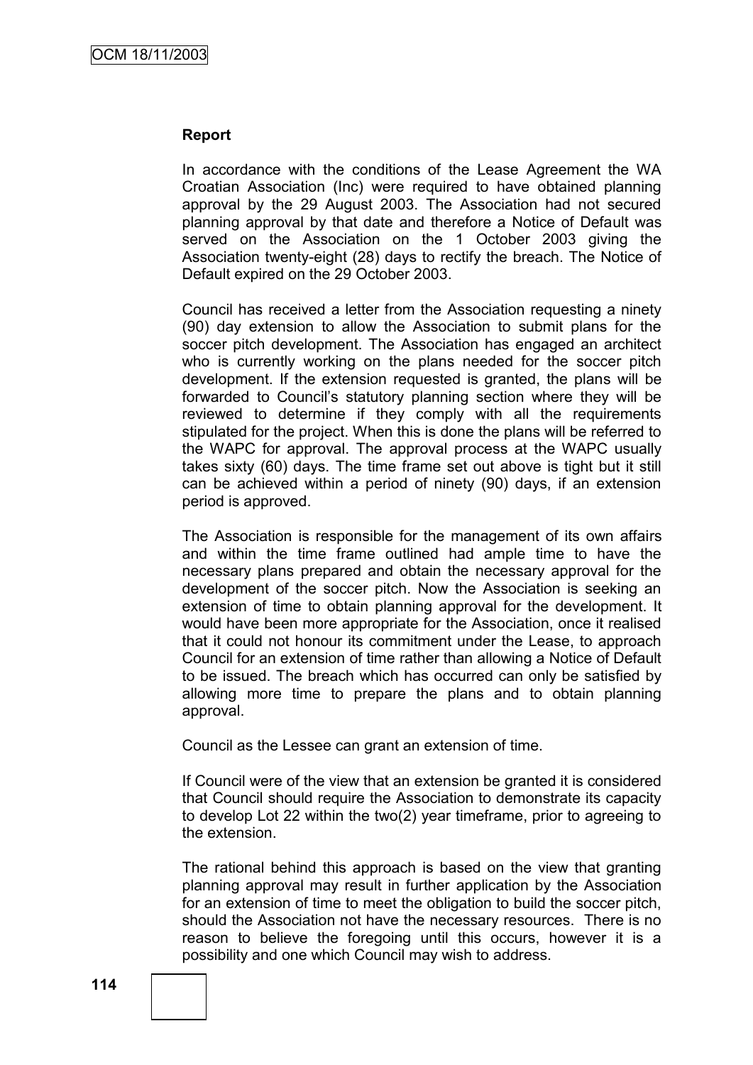#### **Report**

In accordance with the conditions of the Lease Agreement the WA Croatian Association (Inc) were required to have obtained planning approval by the 29 August 2003. The Association had not secured planning approval by that date and therefore a Notice of Default was served on the Association on the 1 October 2003 giving the Association twenty-eight (28) days to rectify the breach. The Notice of Default expired on the 29 October 2003.

Council has received a letter from the Association requesting a ninety (90) day extension to allow the Association to submit plans for the soccer pitch development. The Association has engaged an architect who is currently working on the plans needed for the soccer pitch development. If the extension requested is granted, the plans will be forwarded to Council"s statutory planning section where they will be reviewed to determine if they comply with all the requirements stipulated for the project. When this is done the plans will be referred to the WAPC for approval. The approval process at the WAPC usually takes sixty (60) days. The time frame set out above is tight but it still can be achieved within a period of ninety (90) days, if an extension period is approved.

The Association is responsible for the management of its own affairs and within the time frame outlined had ample time to have the necessary plans prepared and obtain the necessary approval for the development of the soccer pitch. Now the Association is seeking an extension of time to obtain planning approval for the development. It would have been more appropriate for the Association, once it realised that it could not honour its commitment under the Lease, to approach Council for an extension of time rather than allowing a Notice of Default to be issued. The breach which has occurred can only be satisfied by allowing more time to prepare the plans and to obtain planning approval.

Council as the Lessee can grant an extension of time.

If Council were of the view that an extension be granted it is considered that Council should require the Association to demonstrate its capacity to develop Lot 22 within the two(2) year timeframe, prior to agreeing to the extension.

The rational behind this approach is based on the view that granting planning approval may result in further application by the Association for an extension of time to meet the obligation to build the soccer pitch, should the Association not have the necessary resources. There is no reason to believe the foregoing until this occurs, however it is a possibility and one which Council may wish to address.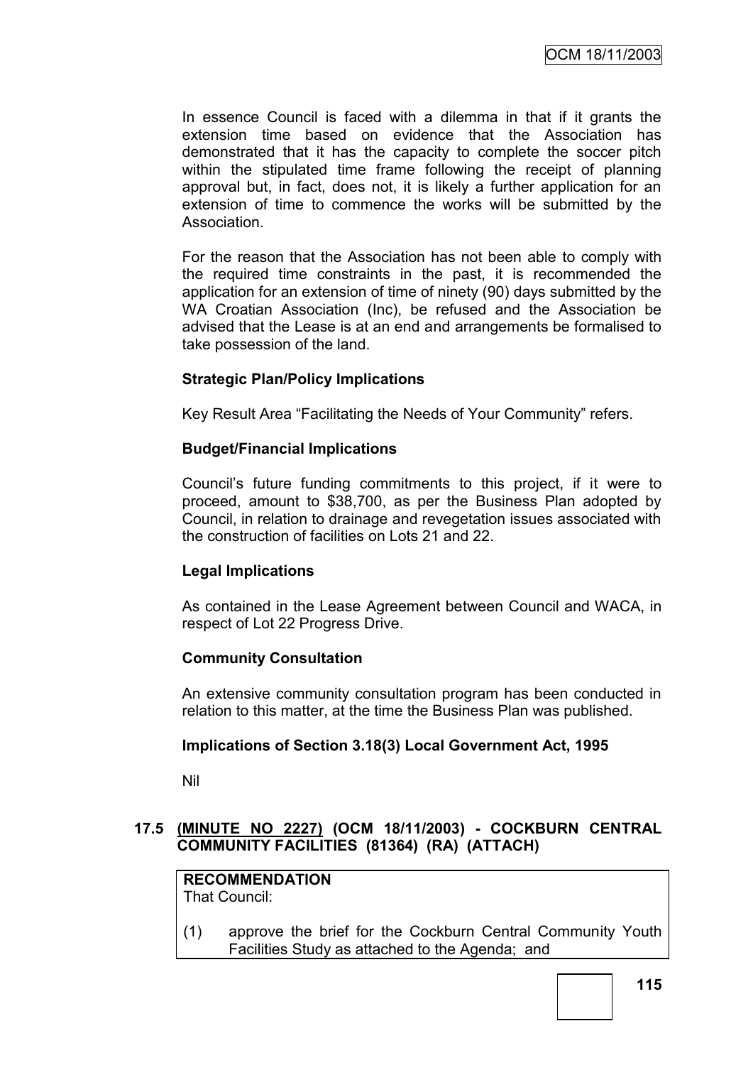In essence Council is faced with a dilemma in that if it grants the extension time based on evidence that the Association has demonstrated that it has the capacity to complete the soccer pitch within the stipulated time frame following the receipt of planning approval but, in fact, does not, it is likely a further application for an extension of time to commence the works will be submitted by the Association.

For the reason that the Association has not been able to comply with the required time constraints in the past, it is recommended the application for an extension of time of ninety (90) days submitted by the WA Croatian Association (Inc), be refused and the Association be advised that the Lease is at an end and arrangements be formalised to take possession of the land.

### **Strategic Plan/Policy Implications**

Key Result Area "Facilitating the Needs of Your Community" refers.

### **Budget/Financial Implications**

Council"s future funding commitments to this project, if it were to proceed, amount to \$38,700, as per the Business Plan adopted by Council, in relation to drainage and revegetation issues associated with the construction of facilities on Lots 21 and 22.

### **Legal Implications**

As contained in the Lease Agreement between Council and WACA, in respect of Lot 22 Progress Drive.

### **Community Consultation**

An extensive community consultation program has been conducted in relation to this matter, at the time the Business Plan was published.

### **Implications of Section 3.18(3) Local Government Act, 1995**

Nil

# **17.5 (MINUTE NO 2227) (OCM 18/11/2003) - COCKBURN CENTRAL COMMUNITY FACILITIES (81364) (RA) (ATTACH)**

**RECOMMENDATION** That Council:

(1) approve the brief for the Cockburn Central Community Youth Facilities Study as attached to the Agenda; and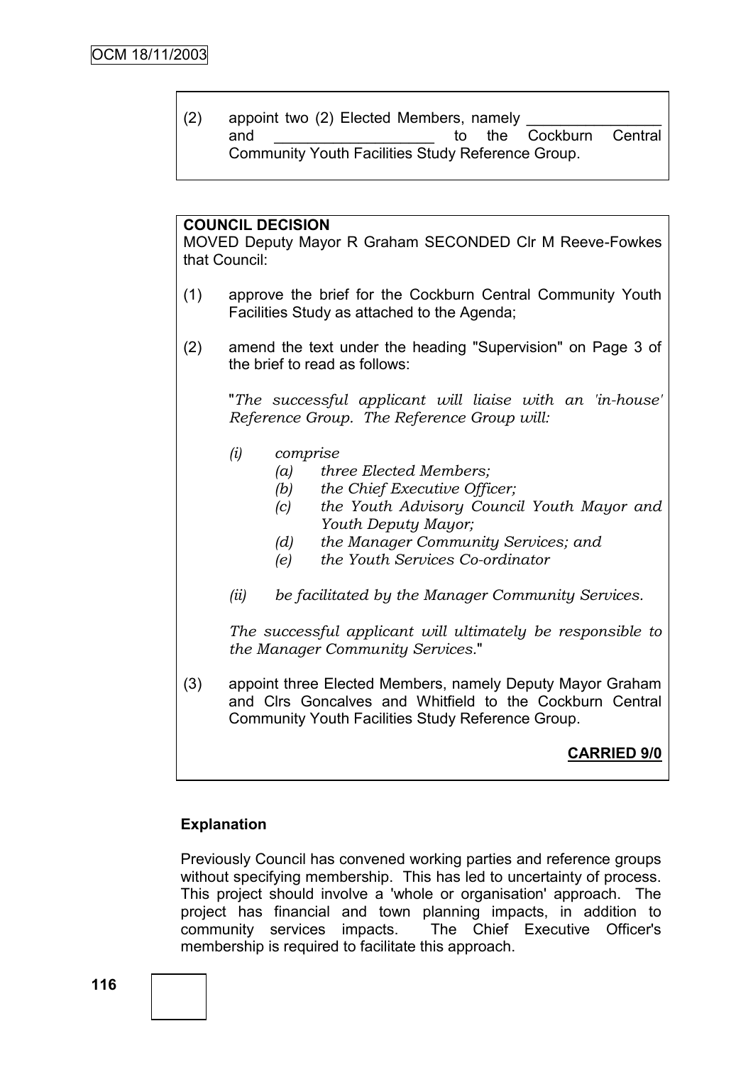| (2) |     | appoint two (2) Elected Members, namely           |  |                         |  |
|-----|-----|---------------------------------------------------|--|-------------------------|--|
|     | and |                                                   |  | to the Cockburn Central |  |
|     |     | Community Youth Facilities Study Reference Group. |  |                         |  |

#### **COUNCIL DECISION**

MOVED Deputy Mayor R Graham SECONDED Clr M Reeve-Fowkes that Council:

- (1) approve the brief for the Cockburn Central Community Youth Facilities Study as attached to the Agenda;
- (2) amend the text under the heading "Supervision" on Page 3 of the brief to read as follows:

"*The successful applicant will liaise with an 'in-house' Reference Group. The Reference Group will:*

- *(i) comprise*
	- *(a) three Elected Members;*
	- *(b) the Chief Executive Officer;*
	- *(c) the Youth Advisory Council Youth Mayor and Youth Deputy Mayor;*
	- *(d) the Manager Community Services; and*
	- *(e) the Youth Services Co-ordinator*
- *(ii) be facilitated by the Manager Community Services.*

*The successful applicant will ultimately be responsible to the Manager Community Services.*"

(3) appoint three Elected Members, namely Deputy Mayor Graham and Clrs Goncalves and Whitfield to the Cockburn Central Community Youth Facilities Study Reference Group.

### **CARRIED 9/0**

#### **Explanation**

Previously Council has convened working parties and reference groups without specifying membership. This has led to uncertainty of process. This project should involve a 'whole or organisation' approach. The project has financial and town planning impacts, in addition to community services impacts. The Chief Executive Officer's membership is required to facilitate this approach.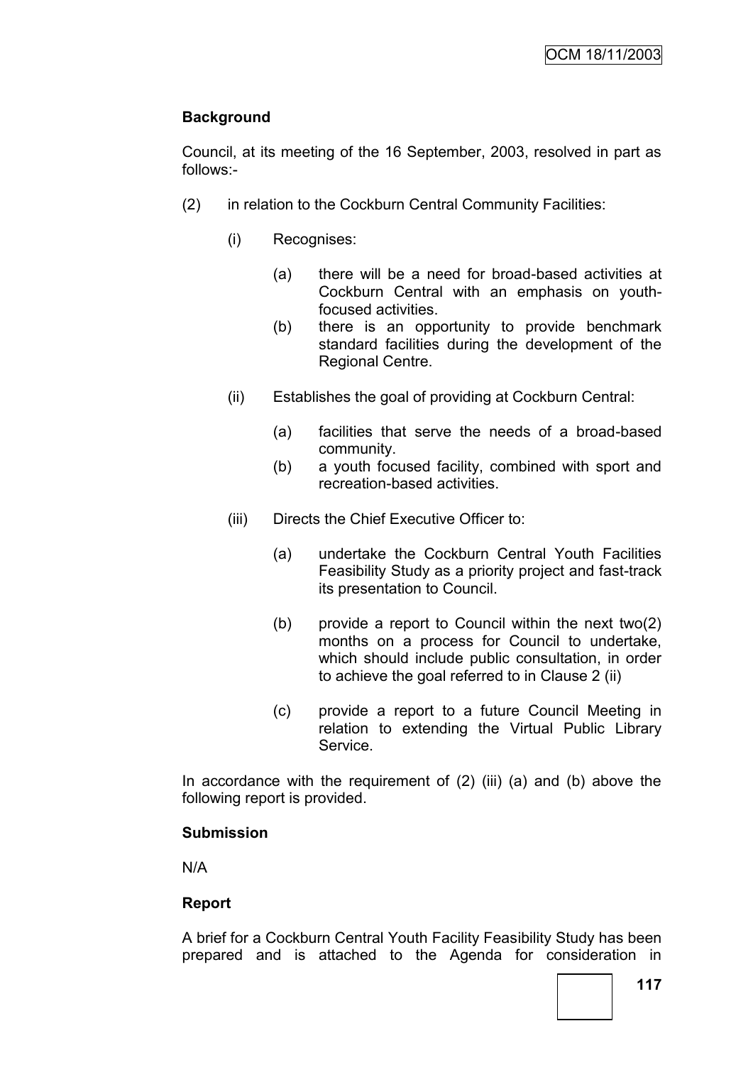# **Background**

Council, at its meeting of the 16 September, 2003, resolved in part as follows:-

- (2) in relation to the Cockburn Central Community Facilities:
	- (i) Recognises:
		- (a) there will be a need for broad-based activities at Cockburn Central with an emphasis on youthfocused activities.
		- (b) there is an opportunity to provide benchmark standard facilities during the development of the Regional Centre.
	- (ii) Establishes the goal of providing at Cockburn Central:
		- (a) facilities that serve the needs of a broad-based community.
		- (b) a youth focused facility, combined with sport and recreation-based activities.
	- (iii) Directs the Chief Executive Officer to:
		- (a) undertake the Cockburn Central Youth Facilities Feasibility Study as a priority project and fast-track its presentation to Council.
		- (b) provide a report to Council within the next two(2) months on a process for Council to undertake, which should include public consultation, in order to achieve the goal referred to in Clause 2 (ii)
		- (c) provide a report to a future Council Meeting in relation to extending the Virtual Public Library Service.

In accordance with the requirement of  $(2)$  (iii)  $(a)$  and  $(b)$  above the following report is provided.

### **Submission**

N/A

### **Report**

A brief for a Cockburn Central Youth Facility Feasibility Study has been prepared and is attached to the Agenda for consideration in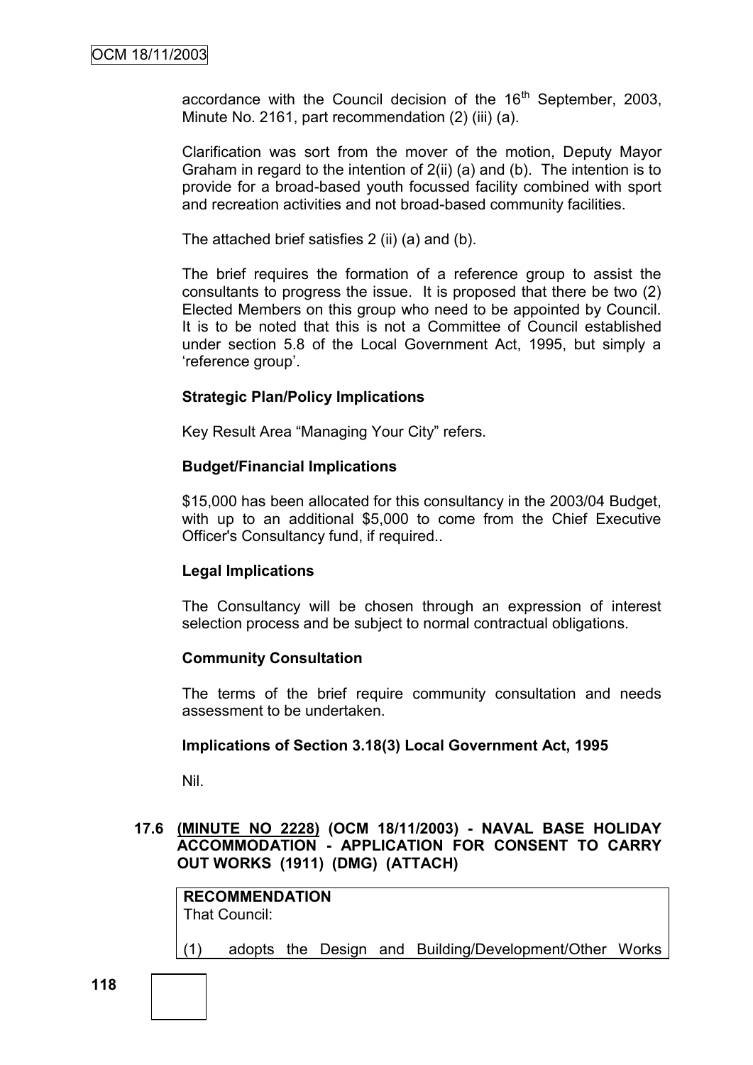accordance with the Council decision of the  $16<sup>th</sup>$  September, 2003, Minute No. 2161, part recommendation (2) (iii) (a).

Clarification was sort from the mover of the motion, Deputy Mayor Graham in regard to the intention of 2(ii) (a) and (b). The intention is to provide for a broad-based youth focussed facility combined with sport and recreation activities and not broad-based community facilities.

The attached brief satisfies 2 (ii) (a) and (b).

The brief requires the formation of a reference group to assist the consultants to progress the issue. It is proposed that there be two (2) Elected Members on this group who need to be appointed by Council. It is to be noted that this is not a Committee of Council established under section 5.8 of the Local Government Act, 1995, but simply a "reference group".

### **Strategic Plan/Policy Implications**

Key Result Area "Managing Your City" refers.

#### **Budget/Financial Implications**

\$15,000 has been allocated for this consultancy in the 2003/04 Budget, with up to an additional \$5,000 to come from the Chief Executive Officer's Consultancy fund, if required..

### **Legal Implications**

The Consultancy will be chosen through an expression of interest selection process and be subject to normal contractual obligations.

#### **Community Consultation**

The terms of the brief require community consultation and needs assessment to be undertaken.

#### **Implications of Section 3.18(3) Local Government Act, 1995**

Nil.

### **17.6 (MINUTE NO 2228) (OCM 18/11/2003) - NAVAL BASE HOLIDAY ACCOMMODATION - APPLICATION FOR CONSENT TO CARRY OUT WORKS (1911) (DMG) (ATTACH)**

| <b>RECOMMENDATION</b> |
|-----------------------|
| <b>That Council:</b>  |

(1) adopts the Design and Building/Development/Other Works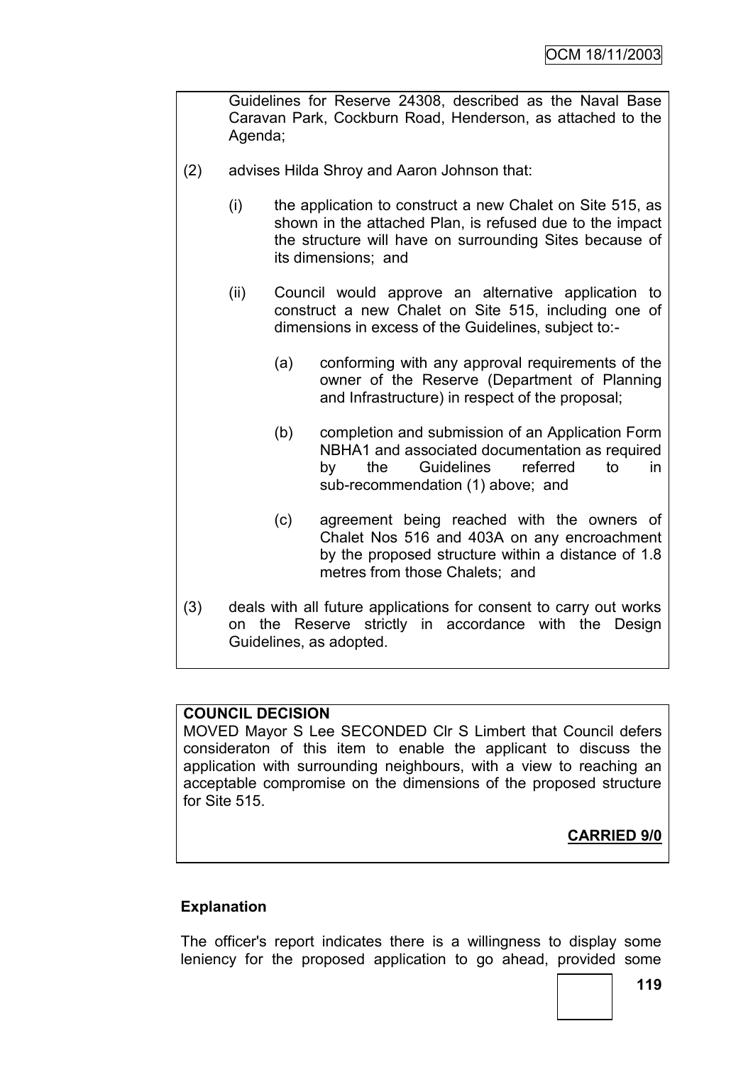Guidelines for Reserve 24308, described as the Naval Base Caravan Park, Cockburn Road, Henderson, as attached to the Agenda;

- (2) advises Hilda Shroy and Aaron Johnson that:
	- (i) the application to construct a new Chalet on Site 515, as shown in the attached Plan, is refused due to the impact the structure will have on surrounding Sites because of its dimensions; and
	- (ii) Council would approve an alternative application to construct a new Chalet on Site 515, including one of dimensions in excess of the Guidelines, subject to:-
		- (a) conforming with any approval requirements of the owner of the Reserve (Department of Planning and Infrastructure) in respect of the proposal;
		- (b) completion and submission of an Application Form NBHA1 and associated documentation as required by the Guidelines referred to in sub-recommendation (1) above; and
		- (c) agreement being reached with the owners of Chalet Nos 516 and 403A on any encroachment by the proposed structure within a distance of 1.8 metres from those Chalets; and
- (3) deals with all future applications for consent to carry out works on the Reserve strictly in accordance with the Design Guidelines, as adopted.

### **COUNCIL DECISION**

MOVED Mayor S Lee SECONDED Clr S Limbert that Council defers consideraton of this item to enable the applicant to discuss the application with surrounding neighbours, with a view to reaching an acceptable compromise on the dimensions of the proposed structure for Site 515.

# **CARRIED 9/0**

# **Explanation**

The officer's report indicates there is a willingness to display some leniency for the proposed application to go ahead, provided some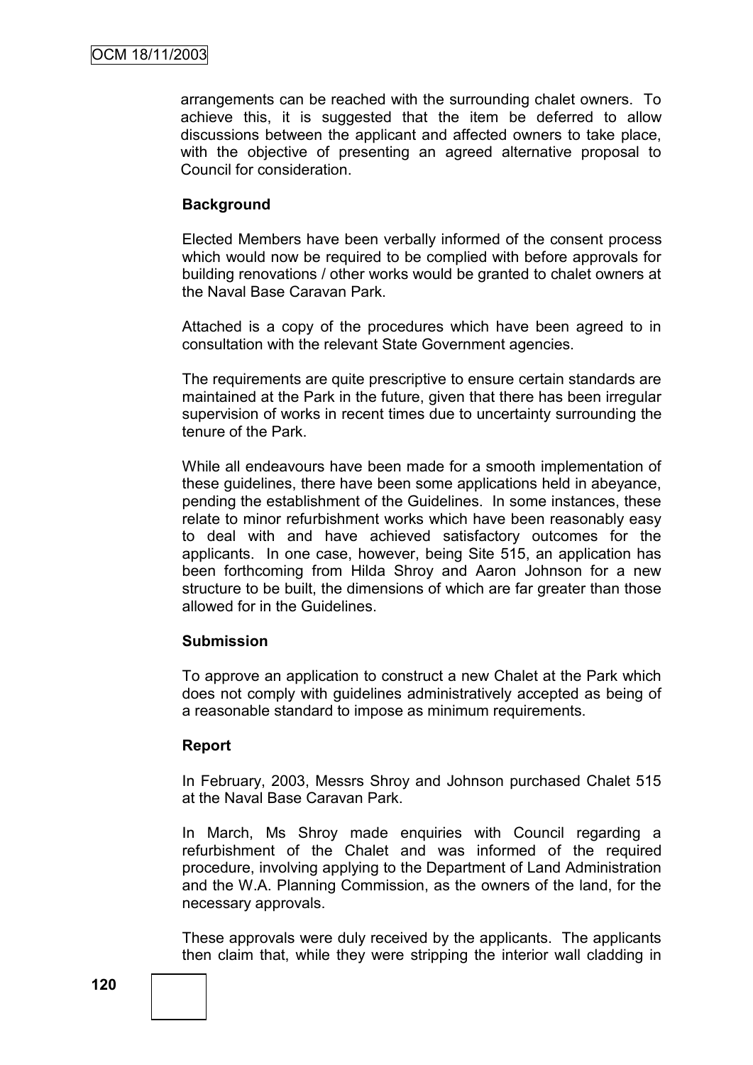arrangements can be reached with the surrounding chalet owners. To achieve this, it is suggested that the item be deferred to allow discussions between the applicant and affected owners to take place, with the objective of presenting an agreed alternative proposal to Council for consideration.

#### **Background**

Elected Members have been verbally informed of the consent process which would now be required to be complied with before approvals for building renovations / other works would be granted to chalet owners at the Naval Base Caravan Park.

Attached is a copy of the procedures which have been agreed to in consultation with the relevant State Government agencies.

The requirements are quite prescriptive to ensure certain standards are maintained at the Park in the future, given that there has been irregular supervision of works in recent times due to uncertainty surrounding the tenure of the Park.

While all endeavours have been made for a smooth implementation of these guidelines, there have been some applications held in abeyance, pending the establishment of the Guidelines. In some instances, these relate to minor refurbishment works which have been reasonably easy to deal with and have achieved satisfactory outcomes for the applicants. In one case, however, being Site 515, an application has been forthcoming from Hilda Shroy and Aaron Johnson for a new structure to be built, the dimensions of which are far greater than those allowed for in the Guidelines.

### **Submission**

To approve an application to construct a new Chalet at the Park which does not comply with guidelines administratively accepted as being of a reasonable standard to impose as minimum requirements.

### **Report**

In February, 2003, Messrs Shroy and Johnson purchased Chalet 515 at the Naval Base Caravan Park.

In March, Ms Shroy made enquiries with Council regarding a refurbishment of the Chalet and was informed of the required procedure, involving applying to the Department of Land Administration and the W.A. Planning Commission, as the owners of the land, for the necessary approvals.

These approvals were duly received by the applicants. The applicants then claim that, while they were stripping the interior wall cladding in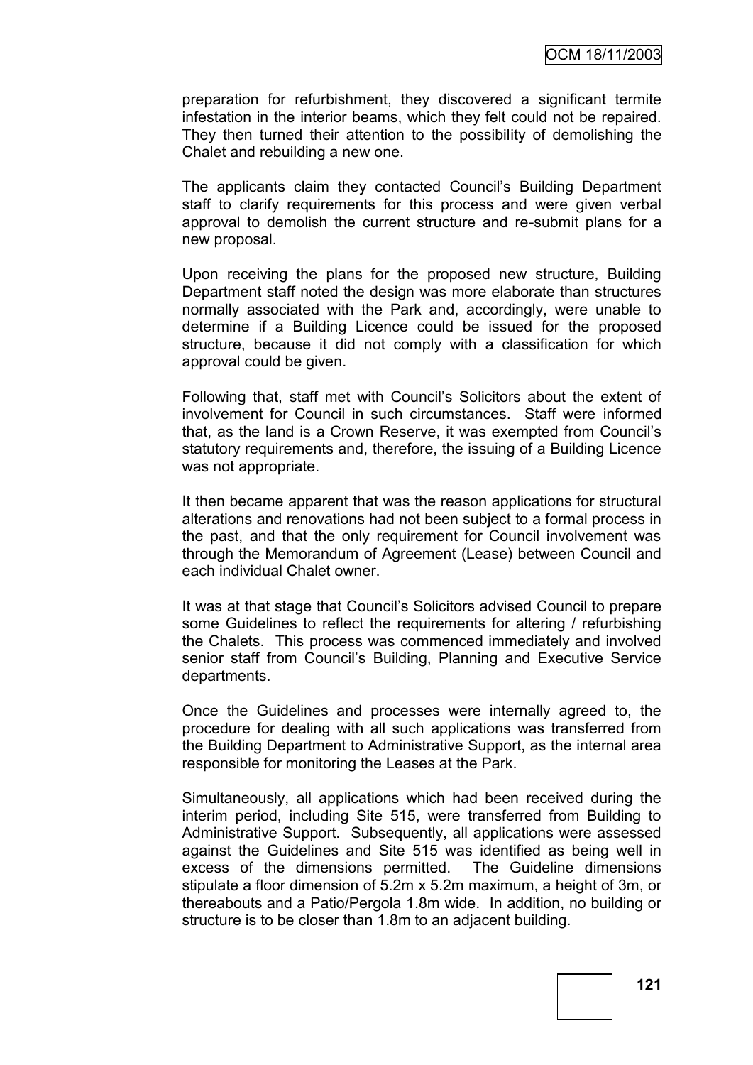preparation for refurbishment, they discovered a significant termite infestation in the interior beams, which they felt could not be repaired. They then turned their attention to the possibility of demolishing the Chalet and rebuilding a new one.

The applicants claim they contacted Council"s Building Department staff to clarify requirements for this process and were given verbal approval to demolish the current structure and re-submit plans for a new proposal.

Upon receiving the plans for the proposed new structure, Building Department staff noted the design was more elaborate than structures normally associated with the Park and, accordingly, were unable to determine if a Building Licence could be issued for the proposed structure, because it did not comply with a classification for which approval could be given.

Following that, staff met with Council"s Solicitors about the extent of involvement for Council in such circumstances. Staff were informed that, as the land is a Crown Reserve, it was exempted from Council"s statutory requirements and, therefore, the issuing of a Building Licence was not appropriate.

It then became apparent that was the reason applications for structural alterations and renovations had not been subject to a formal process in the past, and that the only requirement for Council involvement was through the Memorandum of Agreement (Lease) between Council and each individual Chalet owner.

It was at that stage that Council"s Solicitors advised Council to prepare some Guidelines to reflect the requirements for altering / refurbishing the Chalets. This process was commenced immediately and involved senior staff from Council's Building, Planning and Executive Service departments.

Once the Guidelines and processes were internally agreed to, the procedure for dealing with all such applications was transferred from the Building Department to Administrative Support, as the internal area responsible for monitoring the Leases at the Park.

Simultaneously, all applications which had been received during the interim period, including Site 515, were transferred from Building to Administrative Support. Subsequently, all applications were assessed against the Guidelines and Site 515 was identified as being well in excess of the dimensions permitted. The Guideline dimensions stipulate a floor dimension of 5.2m x 5.2m maximum, a height of 3m, or thereabouts and a Patio/Pergola 1.8m wide. In addition, no building or structure is to be closer than 1.8m to an adjacent building.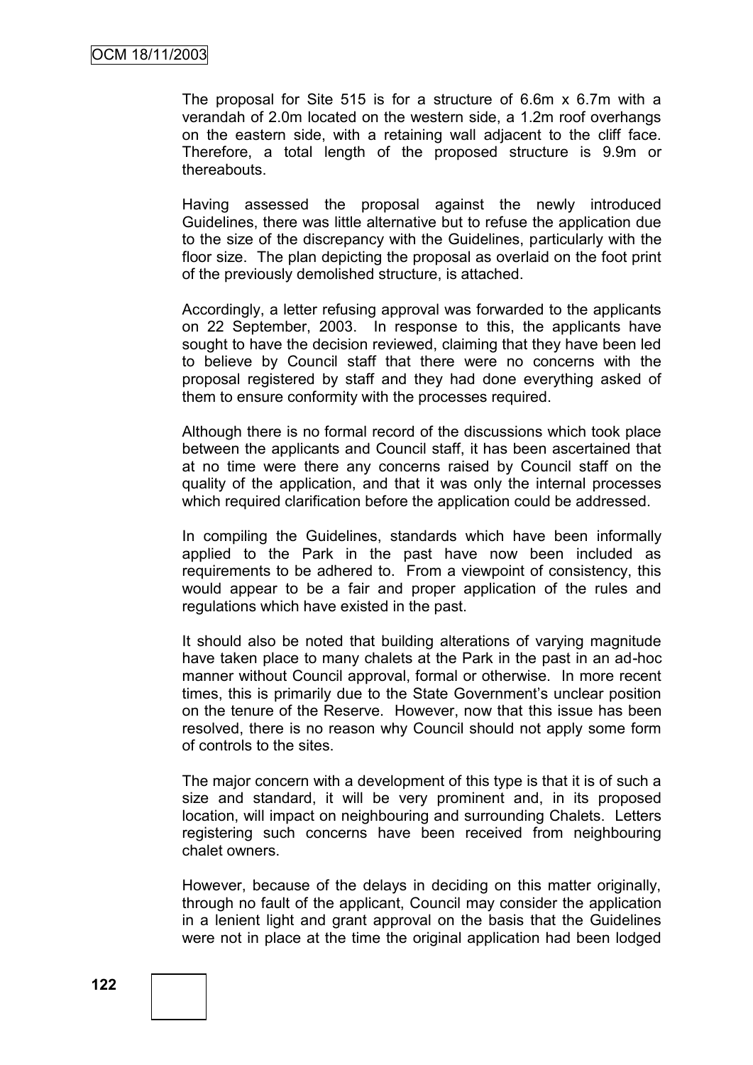The proposal for Site 515 is for a structure of 6.6m x 6.7m with a verandah of 2.0m located on the western side, a 1.2m roof overhangs on the eastern side, with a retaining wall adjacent to the cliff face. Therefore, a total length of the proposed structure is 9.9m or thereabouts.

Having assessed the proposal against the newly introduced Guidelines, there was little alternative but to refuse the application due to the size of the discrepancy with the Guidelines, particularly with the floor size. The plan depicting the proposal as overlaid on the foot print of the previously demolished structure, is attached.

Accordingly, a letter refusing approval was forwarded to the applicants on 22 September, 2003. In response to this, the applicants have sought to have the decision reviewed, claiming that they have been led to believe by Council staff that there were no concerns with the proposal registered by staff and they had done everything asked of them to ensure conformity with the processes required.

Although there is no formal record of the discussions which took place between the applicants and Council staff, it has been ascertained that at no time were there any concerns raised by Council staff on the quality of the application, and that it was only the internal processes which required clarification before the application could be addressed.

In compiling the Guidelines, standards which have been informally applied to the Park in the past have now been included as requirements to be adhered to. From a viewpoint of consistency, this would appear to be a fair and proper application of the rules and regulations which have existed in the past.

It should also be noted that building alterations of varying magnitude have taken place to many chalets at the Park in the past in an ad-hoc manner without Council approval, formal or otherwise. In more recent times, this is primarily due to the State Government's unclear position on the tenure of the Reserve. However, now that this issue has been resolved, there is no reason why Council should not apply some form of controls to the sites.

The major concern with a development of this type is that it is of such a size and standard, it will be very prominent and, in its proposed location, will impact on neighbouring and surrounding Chalets. Letters registering such concerns have been received from neighbouring chalet owners.

However, because of the delays in deciding on this matter originally, through no fault of the applicant, Council may consider the application in a lenient light and grant approval on the basis that the Guidelines were not in place at the time the original application had been lodged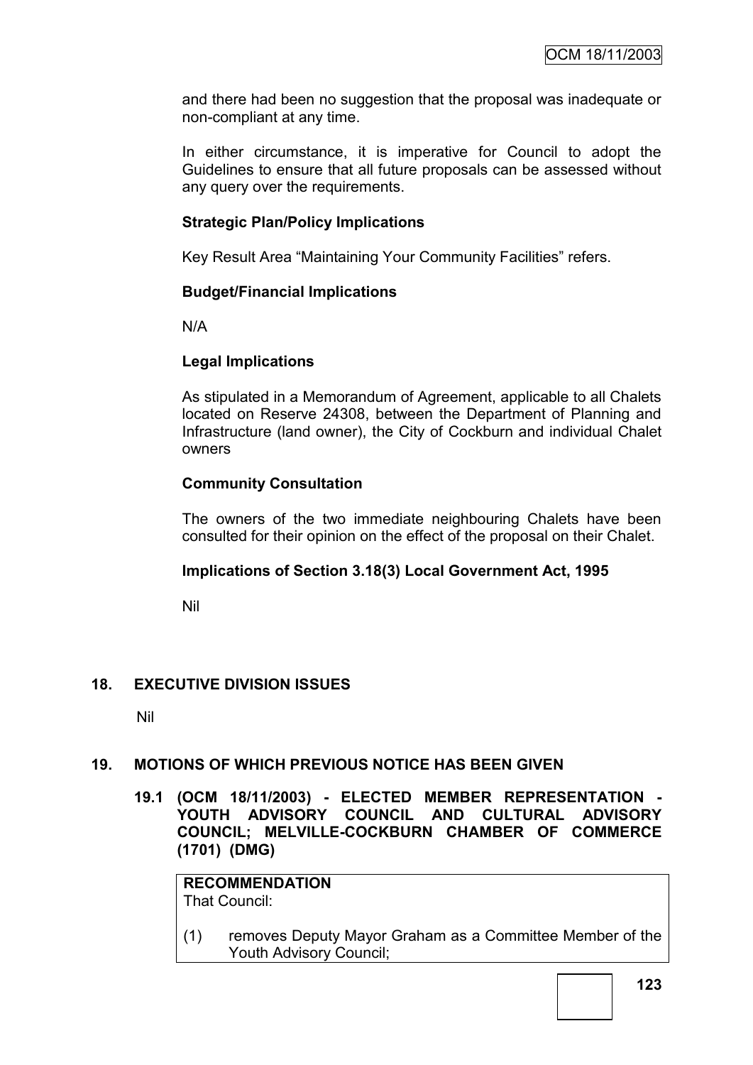and there had been no suggestion that the proposal was inadequate or non-compliant at any time.

In either circumstance, it is imperative for Council to adopt the Guidelines to ensure that all future proposals can be assessed without any query over the requirements.

### **Strategic Plan/Policy Implications**

Key Result Area "Maintaining Your Community Facilities" refers.

### **Budget/Financial Implications**

N/A

### **Legal Implications**

As stipulated in a Memorandum of Agreement, applicable to all Chalets located on Reserve 24308, between the Department of Planning and Infrastructure (land owner), the City of Cockburn and individual Chalet owners

### **Community Consultation**

The owners of the two immediate neighbouring Chalets have been consulted for their opinion on the effect of the proposal on their Chalet.

### **Implications of Section 3.18(3) Local Government Act, 1995**

Nil

# **18. EXECUTIVE DIVISION ISSUES**

Nil

### **19. MOTIONS OF WHICH PREVIOUS NOTICE HAS BEEN GIVEN**

Youth Advisory Council;

**19.1 (OCM 18/11/2003) - ELECTED MEMBER REPRESENTATION - YOUTH ADVISORY COUNCIL AND CULTURAL ADVISORY COUNCIL; MELVILLE-COCKBURN CHAMBER OF COMMERCE (1701) (DMG)**

# **RECOMMENDATION** That Council: (1) removes Deputy Mayor Graham as a Committee Member of the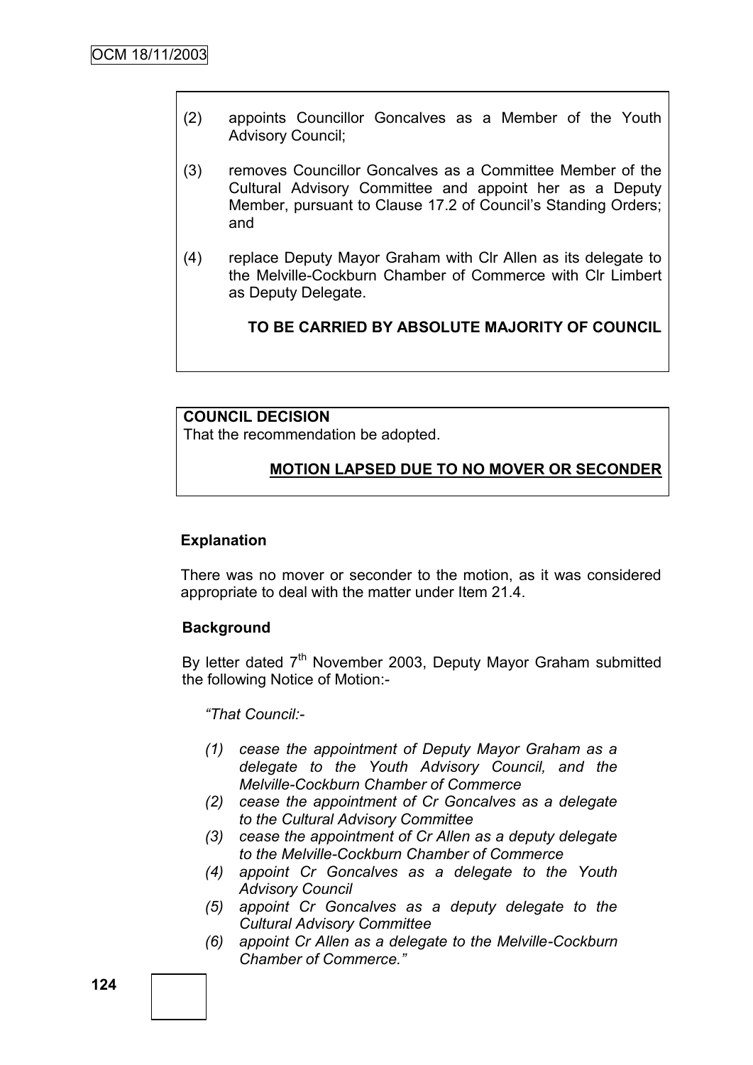- (2) appoints Councillor Goncalves as a Member of the Youth Advisory Council;
- (3) removes Councillor Goncalves as a Committee Member of the Cultural Advisory Committee and appoint her as a Deputy Member, pursuant to Clause 17.2 of Council's Standing Orders; and
- (4) replace Deputy Mayor Graham with Clr Allen as its delegate to the Melville-Cockburn Chamber of Commerce with Clr Limbert as Deputy Delegate.

**TO BE CARRIED BY ABSOLUTE MAJORITY OF COUNCIL**

### **COUNCIL DECISION**

That the recommendation be adopted.

#### **MOTION LAPSED DUE TO NO MOVER OR SECONDER**

#### **Explanation**

There was no mover or seconder to the motion, as it was considered appropriate to deal with the matter under Item 21.4.

#### **Background**

By letter dated 7<sup>th</sup> November 2003, Deputy Mayor Graham submitted the following Notice of Motion:-

*"That Council:-*

- *(1) cease the appointment of Deputy Mayor Graham as a delegate to the Youth Advisory Council, and the Melville-Cockburn Chamber of Commerce*
- *(2) cease the appointment of Cr Goncalves as a delegate to the Cultural Advisory Committee*
- *(3) cease the appointment of Cr Allen as a deputy delegate to the Melville-Cockburn Chamber of Commerce*
- *(4) appoint Cr Goncalves as a delegate to the Youth Advisory Council*
- *(5) appoint Cr Goncalves as a deputy delegate to the Cultural Advisory Committee*
- *(6) appoint Cr Allen as a delegate to the Melville-Cockburn Chamber of Commerce."*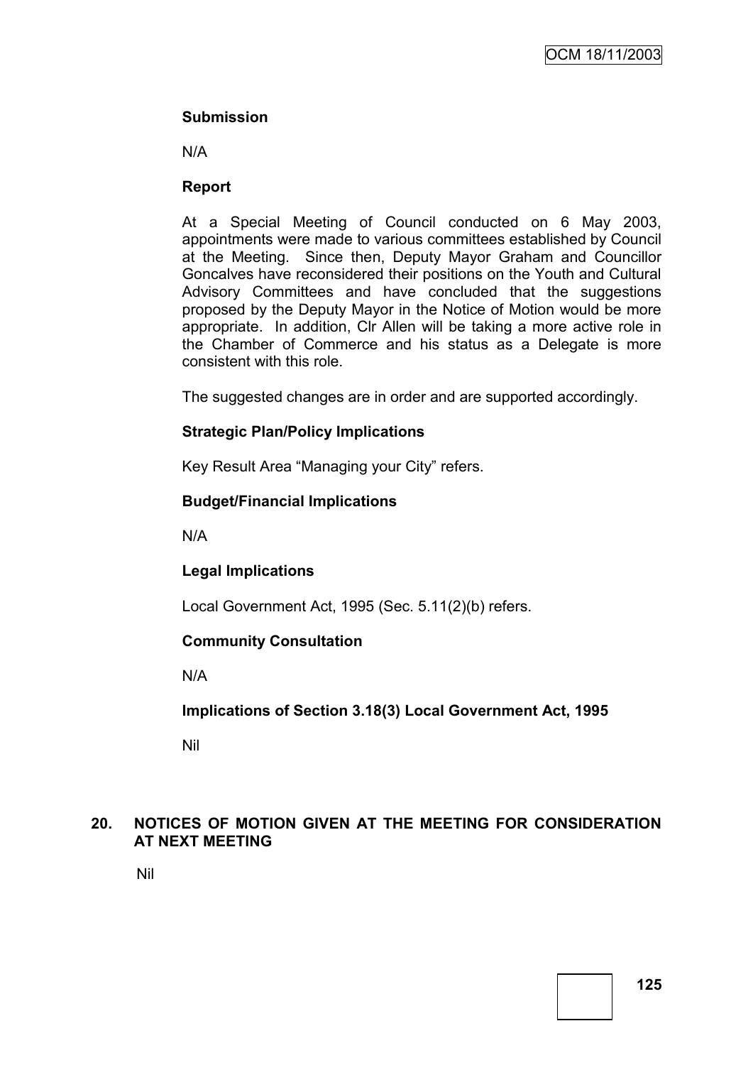### **Submission**

N/A

### **Report**

At a Special Meeting of Council conducted on 6 May 2003, appointments were made to various committees established by Council at the Meeting. Since then, Deputy Mayor Graham and Councillor Goncalves have reconsidered their positions on the Youth and Cultural Advisory Committees and have concluded that the suggestions proposed by the Deputy Mayor in the Notice of Motion would be more appropriate. In addition, Clr Allen will be taking a more active role in the Chamber of Commerce and his status as a Delegate is more consistent with this role.

The suggested changes are in order and are supported accordingly.

### **Strategic Plan/Policy Implications**

Key Result Area "Managing your City" refers.

### **Budget/Financial Implications**

N/A

# **Legal Implications**

Local Government Act, 1995 (Sec. 5.11(2)(b) refers.

# **Community Consultation**

N/A

**Implications of Section 3.18(3) Local Government Act, 1995**

Nil

# **20. NOTICES OF MOTION GIVEN AT THE MEETING FOR CONSIDERATION AT NEXT MEETING**

Nil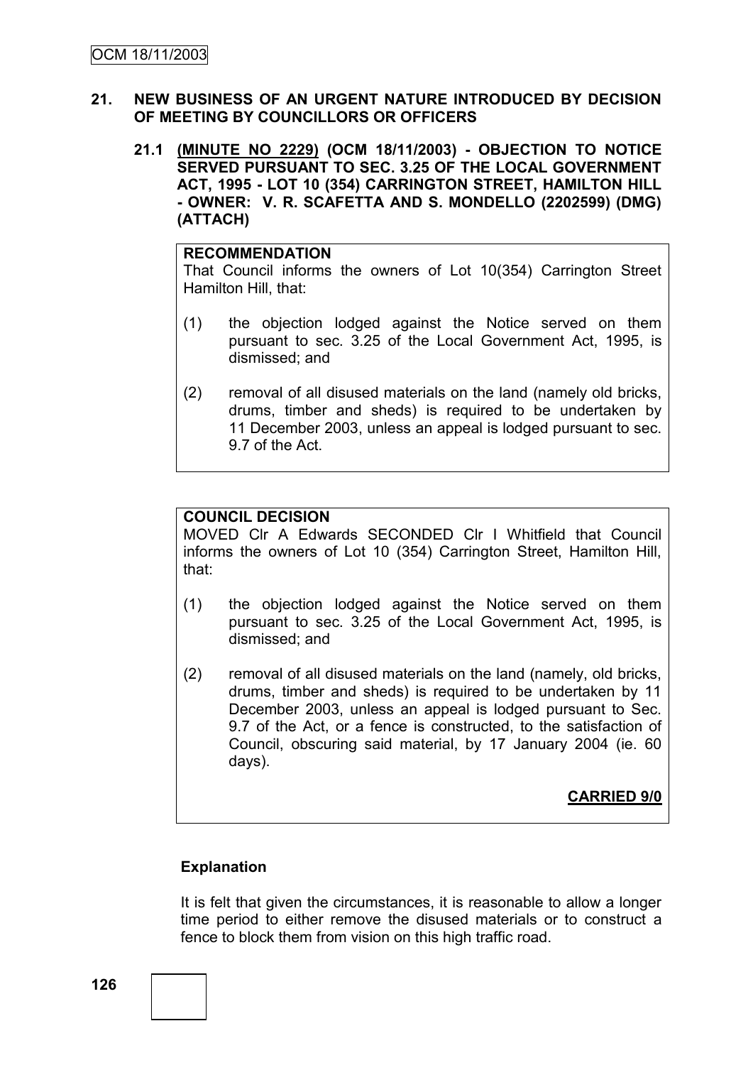#### **21. NEW BUSINESS OF AN URGENT NATURE INTRODUCED BY DECISION OF MEETING BY COUNCILLORS OR OFFICERS**

**21.1 (MINUTE NO 2229) (OCM 18/11/2003) - OBJECTION TO NOTICE SERVED PURSUANT TO SEC. 3.25 OF THE LOCAL GOVERNMENT ACT, 1995 - LOT 10 (354) CARRINGTON STREET, HAMILTON HILL - OWNER: V. R. SCAFETTA AND S. MONDELLO (2202599) (DMG) (ATTACH)**

#### **RECOMMENDATION**

That Council informs the owners of Lot 10(354) Carrington Street Hamilton Hill, that:

- (1) the objection lodged against the Notice served on them pursuant to sec. 3.25 of the Local Government Act, 1995, is dismissed; and
- (2) removal of all disused materials on the land (namely old bricks, drums, timber and sheds) is required to be undertaken by 11 December 2003, unless an appeal is lodged pursuant to sec. 9.7 of the Act.

### **COUNCIL DECISION**

MOVED Clr A Edwards SECONDED Clr I Whitfield that Council informs the owners of Lot 10 (354) Carrington Street, Hamilton Hill, that:

- (1) the objection lodged against the Notice served on them pursuant to sec. 3.25 of the Local Government Act, 1995, is dismissed; and
- (2) removal of all disused materials on the land (namely, old bricks, drums, timber and sheds) is required to be undertaken by 11 December 2003, unless an appeal is lodged pursuant to Sec. 9.7 of the Act, or a fence is constructed, to the satisfaction of Council, obscuring said material, by 17 January 2004 (ie. 60 days).

**CARRIED 9/0**

### **Explanation**

It is felt that given the circumstances, it is reasonable to allow a longer time period to either remove the disused materials or to construct a fence to block them from vision on this high traffic road.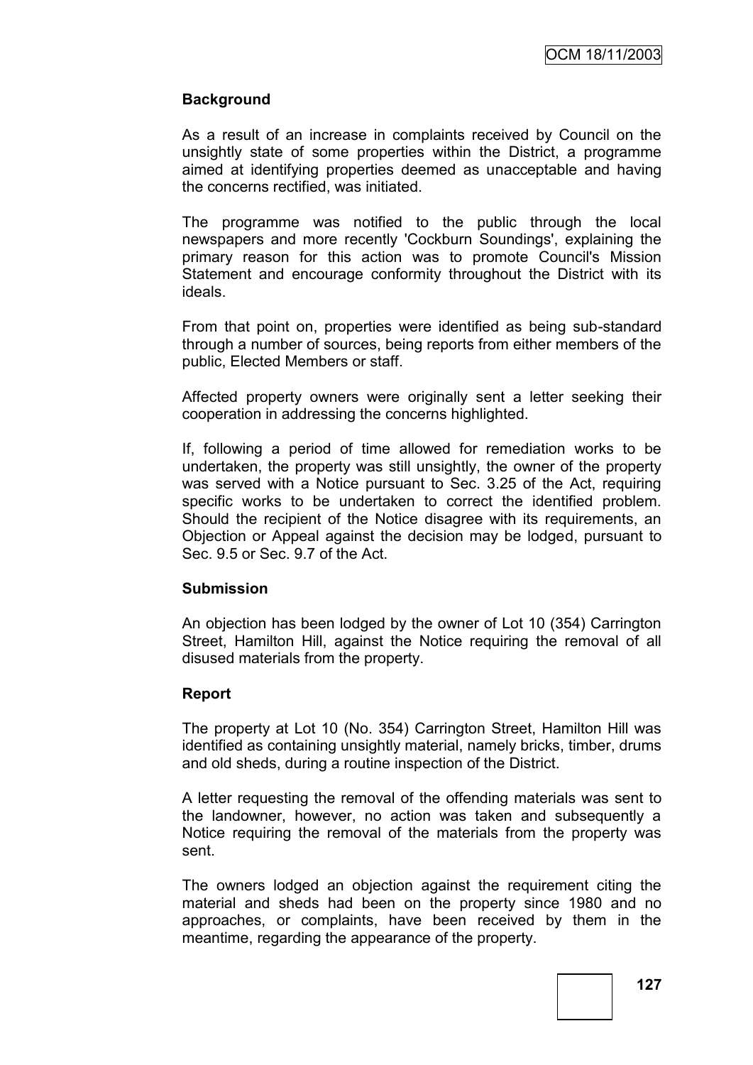### **Background**

As a result of an increase in complaints received by Council on the unsightly state of some properties within the District, a programme aimed at identifying properties deemed as unacceptable and having the concerns rectified, was initiated.

The programme was notified to the public through the local newspapers and more recently 'Cockburn Soundings', explaining the primary reason for this action was to promote Council's Mission Statement and encourage conformity throughout the District with its ideals.

From that point on, properties were identified as being sub-standard through a number of sources, being reports from either members of the public, Elected Members or staff.

Affected property owners were originally sent a letter seeking their cooperation in addressing the concerns highlighted.

If, following a period of time allowed for remediation works to be undertaken, the property was still unsightly, the owner of the property was served with a Notice pursuant to Sec. 3.25 of the Act, requiring specific works to be undertaken to correct the identified problem. Should the recipient of the Notice disagree with its requirements, an Objection or Appeal against the decision may be lodged, pursuant to Sec. 9.5 or Sec. 9.7 of the Act.

#### **Submission**

An objection has been lodged by the owner of Lot 10 (354) Carrington Street, Hamilton Hill, against the Notice requiring the removal of all disused materials from the property.

### **Report**

The property at Lot 10 (No. 354) Carrington Street, Hamilton Hill was identified as containing unsightly material, namely bricks, timber, drums and old sheds, during a routine inspection of the District.

A letter requesting the removal of the offending materials was sent to the landowner, however, no action was taken and subsequently a Notice requiring the removal of the materials from the property was sent.

The owners lodged an objection against the requirement citing the material and sheds had been on the property since 1980 and no approaches, or complaints, have been received by them in the meantime, regarding the appearance of the property.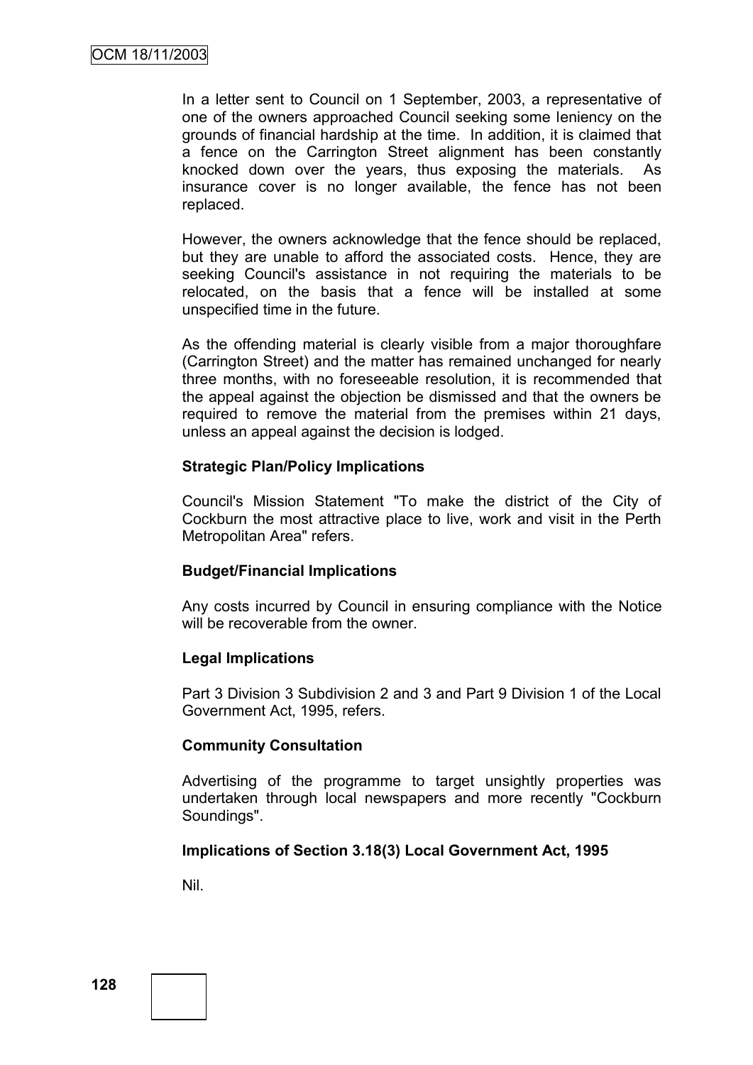In a letter sent to Council on 1 September, 2003, a representative of one of the owners approached Council seeking some leniency on the grounds of financial hardship at the time. In addition, it is claimed that a fence on the Carrington Street alignment has been constantly knocked down over the years, thus exposing the materials. As insurance cover is no longer available, the fence has not been replaced.

However, the owners acknowledge that the fence should be replaced, but they are unable to afford the associated costs. Hence, they are seeking Council's assistance in not requiring the materials to be relocated, on the basis that a fence will be installed at some unspecified time in the future.

As the offending material is clearly visible from a major thoroughfare (Carrington Street) and the matter has remained unchanged for nearly three months, with no foreseeable resolution, it is recommended that the appeal against the objection be dismissed and that the owners be required to remove the material from the premises within 21 days, unless an appeal against the decision is lodged.

#### **Strategic Plan/Policy Implications**

Council's Mission Statement "To make the district of the City of Cockburn the most attractive place to live, work and visit in the Perth Metropolitan Area" refers.

### **Budget/Financial Implications**

Any costs incurred by Council in ensuring compliance with the Notice will be recoverable from the owner.

#### **Legal Implications**

Part 3 Division 3 Subdivision 2 and 3 and Part 9 Division 1 of the Local Government Act, 1995, refers.

### **Community Consultation**

Advertising of the programme to target unsightly properties was undertaken through local newspapers and more recently "Cockburn Soundings".

### **Implications of Section 3.18(3) Local Government Act, 1995**

Nil.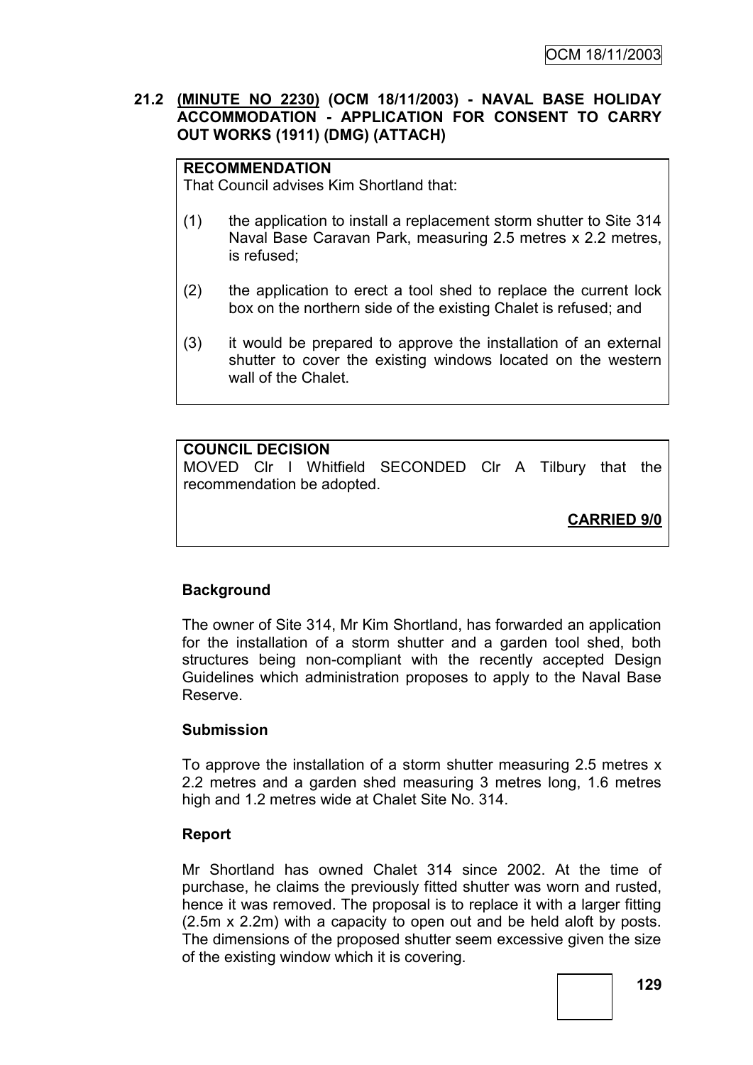### **21.2 (MINUTE NO 2230) (OCM 18/11/2003) - NAVAL BASE HOLIDAY ACCOMMODATION - APPLICATION FOR CONSENT TO CARRY OUT WORKS (1911) (DMG) (ATTACH)**

### **RECOMMENDATION**

That Council advises Kim Shortland that:

- (1) the application to install a replacement storm shutter to Site 314 Naval Base Caravan Park, measuring 2.5 metres x 2.2 metres, is refused;
- (2) the application to erect a tool shed to replace the current lock box on the northern side of the existing Chalet is refused; and
- (3) it would be prepared to approve the installation of an external shutter to cover the existing windows located on the western wall of the Chalet.

# **COUNCIL DECISION** MOVED Clr I Whitfield SECONDED Clr A Tilbury that the recommendation be adopted.

**CARRIED 9/0**

# **Background**

The owner of Site 314, Mr Kim Shortland, has forwarded an application for the installation of a storm shutter and a garden tool shed, both structures being non-compliant with the recently accepted Design Guidelines which administration proposes to apply to the Naval Base Reserve.

### **Submission**

To approve the installation of a storm shutter measuring 2.5 metres x 2.2 metres and a garden shed measuring 3 metres long, 1.6 metres high and 1.2 metres wide at Chalet Site No. 314.

### **Report**

Mr Shortland has owned Chalet 314 since 2002. At the time of purchase, he claims the previously fitted shutter was worn and rusted, hence it was removed. The proposal is to replace it with a larger fitting (2.5m x 2.2m) with a capacity to open out and be held aloft by posts. The dimensions of the proposed shutter seem excessive given the size of the existing window which it is covering.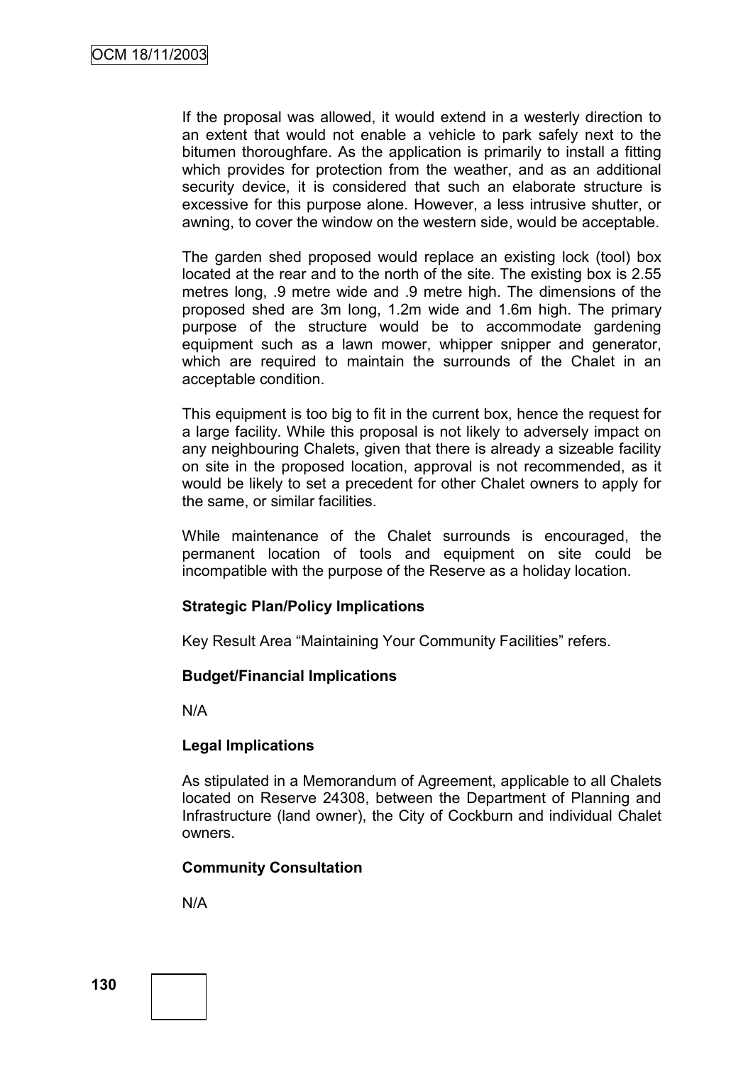If the proposal was allowed, it would extend in a westerly direction to an extent that would not enable a vehicle to park safely next to the bitumen thoroughfare. As the application is primarily to install a fitting which provides for protection from the weather, and as an additional security device, it is considered that such an elaborate structure is excessive for this purpose alone. However, a less intrusive shutter, or awning, to cover the window on the western side, would be acceptable.

The garden shed proposed would replace an existing lock (tool) box located at the rear and to the north of the site. The existing box is 2.55 metres long, .9 metre wide and .9 metre high. The dimensions of the proposed shed are 3m long, 1.2m wide and 1.6m high. The primary purpose of the structure would be to accommodate gardening equipment such as a lawn mower, whipper snipper and generator, which are required to maintain the surrounds of the Chalet in an acceptable condition.

This equipment is too big to fit in the current box, hence the request for a large facility. While this proposal is not likely to adversely impact on any neighbouring Chalets, given that there is already a sizeable facility on site in the proposed location, approval is not recommended, as it would be likely to set a precedent for other Chalet owners to apply for the same, or similar facilities.

While maintenance of the Chalet surrounds is encouraged, the permanent location of tools and equipment on site could be incompatible with the purpose of the Reserve as a holiday location.

### **Strategic Plan/Policy Implications**

Key Result Area "Maintaining Your Community Facilities" refers.

#### **Budget/Financial Implications**

N/A

#### **Legal Implications**

As stipulated in a Memorandum of Agreement, applicable to all Chalets located on Reserve 24308, between the Department of Planning and Infrastructure (land owner), the City of Cockburn and individual Chalet owners.

#### **Community Consultation**

N/A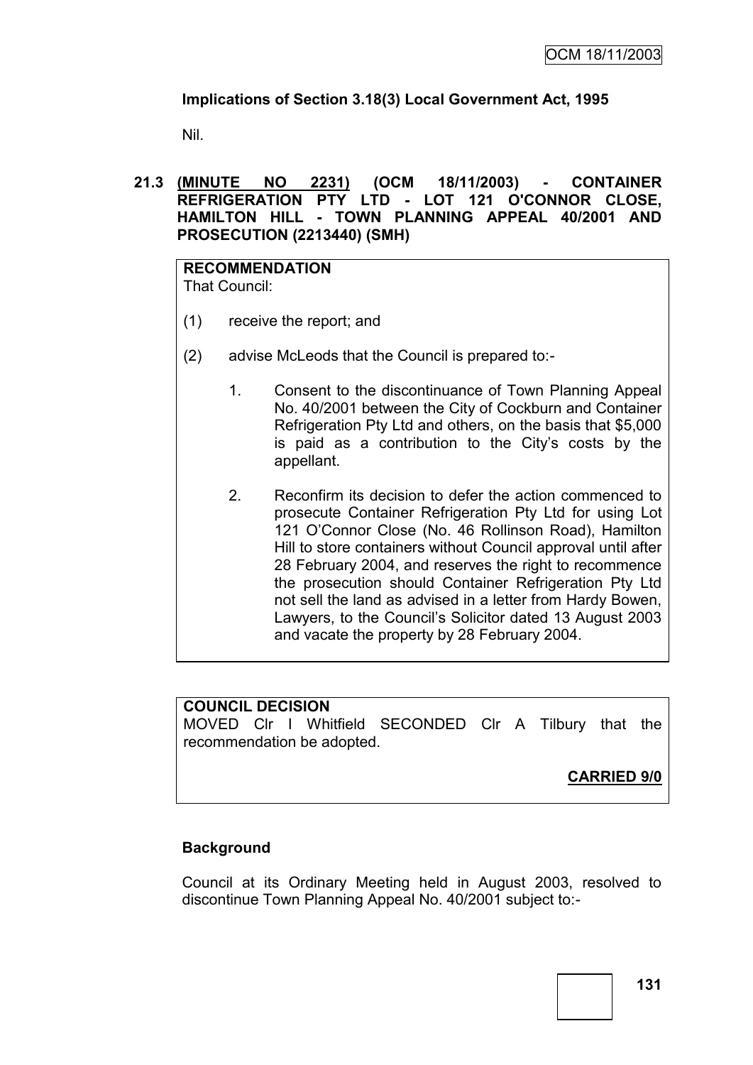# **Implications of Section 3.18(3) Local Government Act, 1995**

Nil.

**21.3 (MINUTE NO 2231) (OCM 18/11/2003) - CONTAINER REFRIGERATION PTY LTD - LOT 121 O'CONNOR CLOSE, HAMILTON HILL - TOWN PLANNING APPEAL 40/2001 AND PROSECUTION (2213440) (SMH)**

#### **RECOMMENDATION** That Council:

- (1) receive the report; and
- (2) advise McLeods that the Council is prepared to:-
	- 1. Consent to the discontinuance of Town Planning Appeal No. 40/2001 between the City of Cockburn and Container Refrigeration Pty Ltd and others, on the basis that \$5,000 is paid as a contribution to the City"s costs by the appellant.
	- 2. Reconfirm its decision to defer the action commenced to prosecute Container Refrigeration Pty Ltd for using Lot 121 O"Connor Close (No. 46 Rollinson Road), Hamilton Hill to store containers without Council approval until after 28 February 2004, and reserves the right to recommence the prosecution should Container Refrigeration Pty Ltd not sell the land as advised in a letter from Hardy Bowen, Lawyers, to the Council"s Solicitor dated 13 August 2003 and vacate the property by 28 February 2004.

### **COUNCIL DECISION**

MOVED Clr I Whitfield SECONDED Clr A Tilbury that the recommendation be adopted.

**CARRIED 9/0**

# **Background**

Council at its Ordinary Meeting held in August 2003, resolved to discontinue Town Planning Appeal No. 40/2001 subject to:-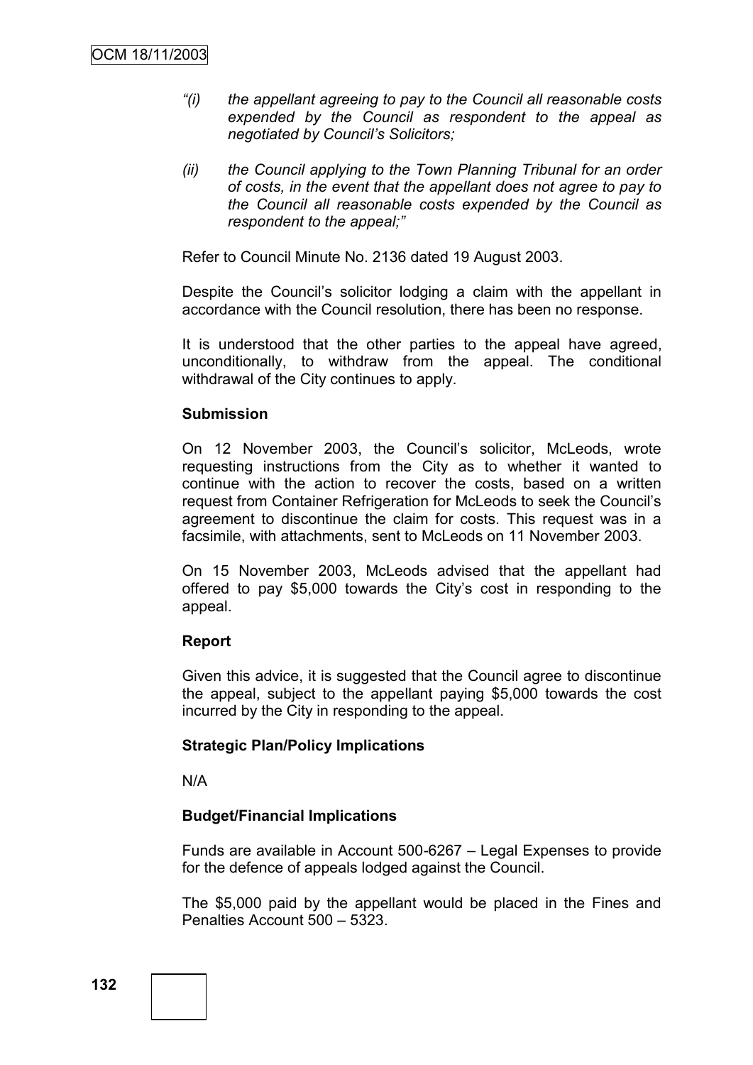- *"(i) the appellant agreeing to pay to the Council all reasonable costs expended by the Council as respondent to the appeal as negotiated by Council's Solicitors;*
- *(ii) the Council applying to the Town Planning Tribunal for an order of costs, in the event that the appellant does not agree to pay to the Council all reasonable costs expended by the Council as respondent to the appeal;"*

Refer to Council Minute No. 2136 dated 19 August 2003.

Despite the Council's solicitor lodging a claim with the appellant in accordance with the Council resolution, there has been no response.

It is understood that the other parties to the appeal have agreed, unconditionally, to withdraw from the appeal. The conditional withdrawal of the City continues to apply.

#### **Submission**

On 12 November 2003, the Council"s solicitor, McLeods, wrote requesting instructions from the City as to whether it wanted to continue with the action to recover the costs, based on a written request from Container Refrigeration for McLeods to seek the Council"s agreement to discontinue the claim for costs. This request was in a facsimile, with attachments, sent to McLeods on 11 November 2003.

On 15 November 2003, McLeods advised that the appellant had offered to pay \$5,000 towards the City"s cost in responding to the appeal.

#### **Report**

Given this advice, it is suggested that the Council agree to discontinue the appeal, subject to the appellant paying \$5,000 towards the cost incurred by the City in responding to the appeal.

#### **Strategic Plan/Policy Implications**

N/A

#### **Budget/Financial Implications**

Funds are available in Account 500-6267 – Legal Expenses to provide for the defence of appeals lodged against the Council.

The \$5,000 paid by the appellant would be placed in the Fines and Penalties Account 500 – 5323.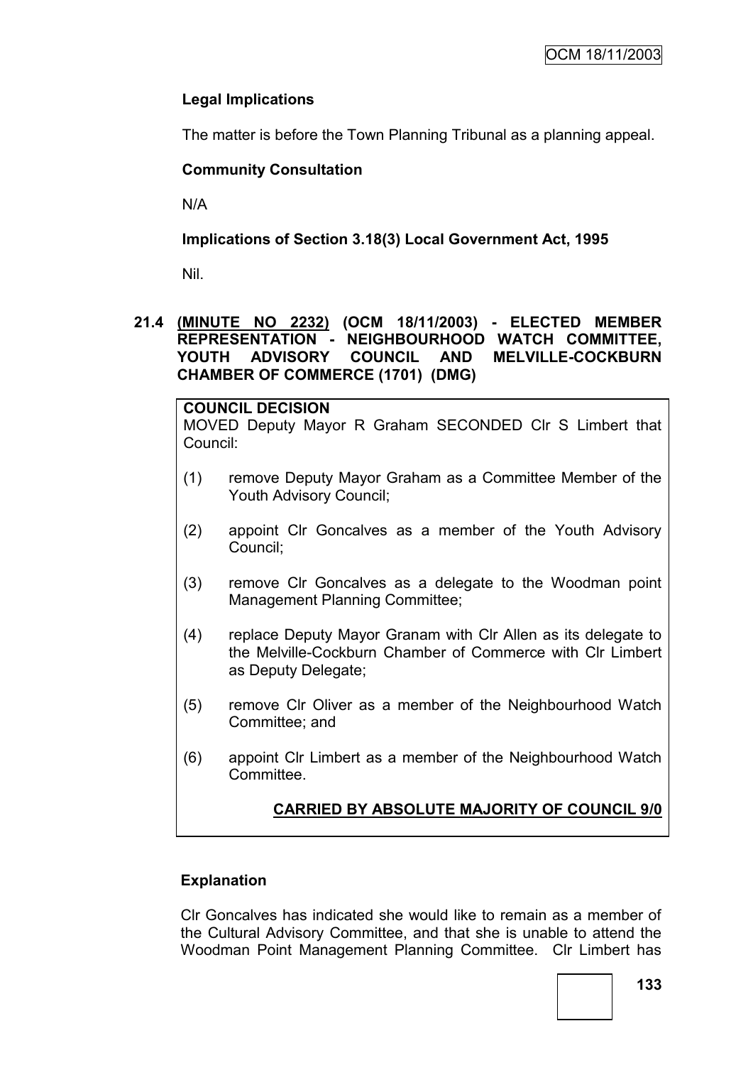# **Legal Implications**

The matter is before the Town Planning Tribunal as a planning appeal.

# **Community Consultation**

N/A

# **Implications of Section 3.18(3) Local Government Act, 1995**

Nil.

### **21.4 (MINUTE NO 2232) (OCM 18/11/2003) - ELECTED MEMBER REPRESENTATION - NEIGHBOURHOOD WATCH COMMITTEE, YOUTH ADVISORY COUNCIL AND MELVILLE-COCKBURN CHAMBER OF COMMERCE (1701) (DMG)**

### **COUNCIL DECISION**

MOVED Deputy Mayor R Graham SECONDED Clr S Limbert that Council:

- (1) remove Deputy Mayor Graham as a Committee Member of the Youth Advisory Council;
- (2) appoint Clr Goncalves as a member of the Youth Advisory Council;
- (3) remove Clr Goncalves as a delegate to the Woodman point Management Planning Committee;
- (4) replace Deputy Mayor Granam with Clr Allen as its delegate to the Melville-Cockburn Chamber of Commerce with Clr Limbert as Deputy Delegate;
- (5) remove Clr Oliver as a member of the Neighbourhood Watch Committee; and
- (6) appoint Clr Limbert as a member of the Neighbourhood Watch Committee.

# **CARRIED BY ABSOLUTE MAJORITY OF COUNCIL 9/0**

# **Explanation**

Clr Goncalves has indicated she would like to remain as a member of the Cultural Advisory Committee, and that she is unable to attend the Woodman Point Management Planning Committee. Clr Limbert has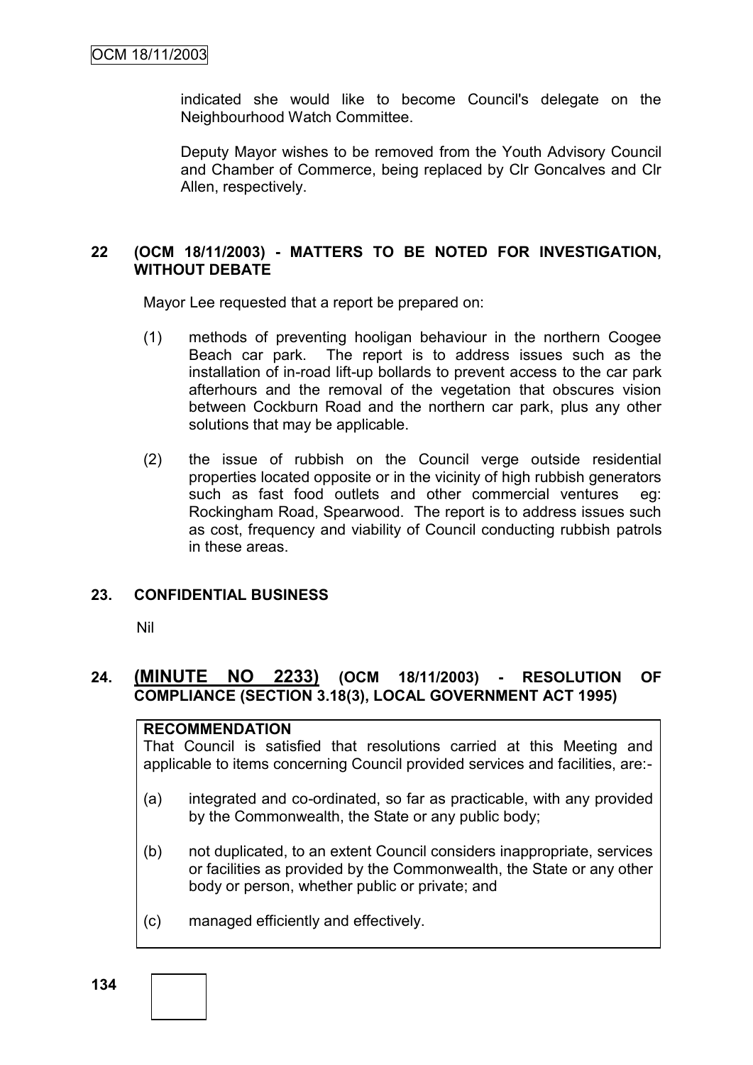indicated she would like to become Council's delegate on the Neighbourhood Watch Committee.

Deputy Mayor wishes to be removed from the Youth Advisory Council and Chamber of Commerce, being replaced by Clr Goncalves and Clr Allen, respectively.

### **22 (OCM 18/11/2003) - MATTERS TO BE NOTED FOR INVESTIGATION, WITHOUT DEBATE**

Mayor Lee requested that a report be prepared on:

- (1) methods of preventing hooligan behaviour in the northern Coogee Beach car park. The report is to address issues such as the installation of in-road lift-up bollards to prevent access to the car park afterhours and the removal of the vegetation that obscures vision between Cockburn Road and the northern car park, plus any other solutions that may be applicable.
- (2) the issue of rubbish on the Council verge outside residential properties located opposite or in the vicinity of high rubbish generators such as fast food outlets and other commercial ventures eg: Rockingham Road, Spearwood. The report is to address issues such as cost, frequency and viability of Council conducting rubbish patrols in these areas.

### **23. CONFIDENTIAL BUSINESS**

Nil

# **24. (MINUTE NO 2233) (OCM 18/11/2003) - RESOLUTION OF COMPLIANCE (SECTION 3.18(3), LOCAL GOVERNMENT ACT 1995)**

### **RECOMMENDATION**

That Council is satisfied that resolutions carried at this Meeting and applicable to items concerning Council provided services and facilities, are:-

- (a) integrated and co-ordinated, so far as practicable, with any provided by the Commonwealth, the State or any public body;
- (b) not duplicated, to an extent Council considers inappropriate, services or facilities as provided by the Commonwealth, the State or any other body or person, whether public or private; and
- (c) managed efficiently and effectively.